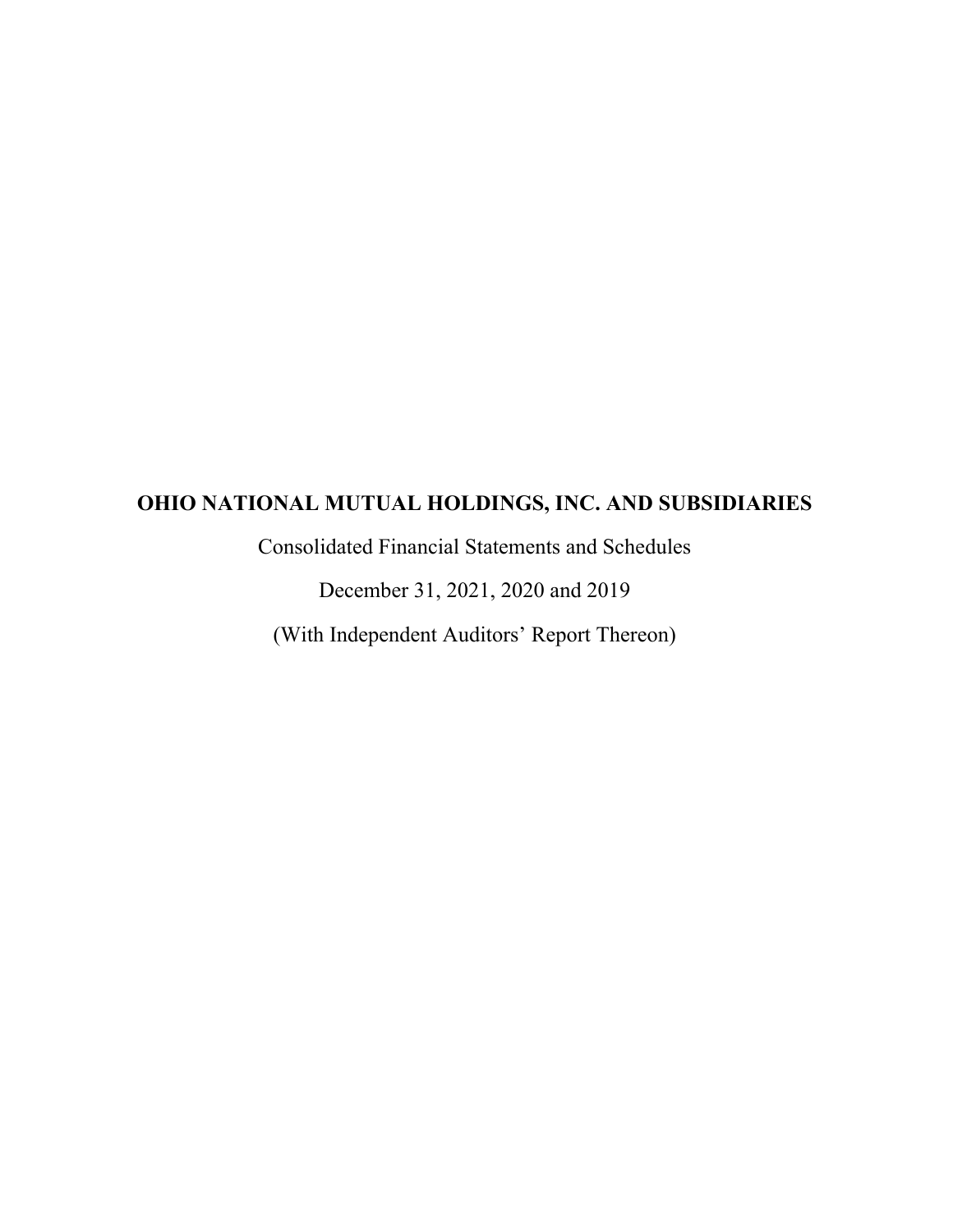Consolidated Financial Statements and Schedules

December 31, 2021, 2020 and 2019

(With Independent Auditors' Report Thereon)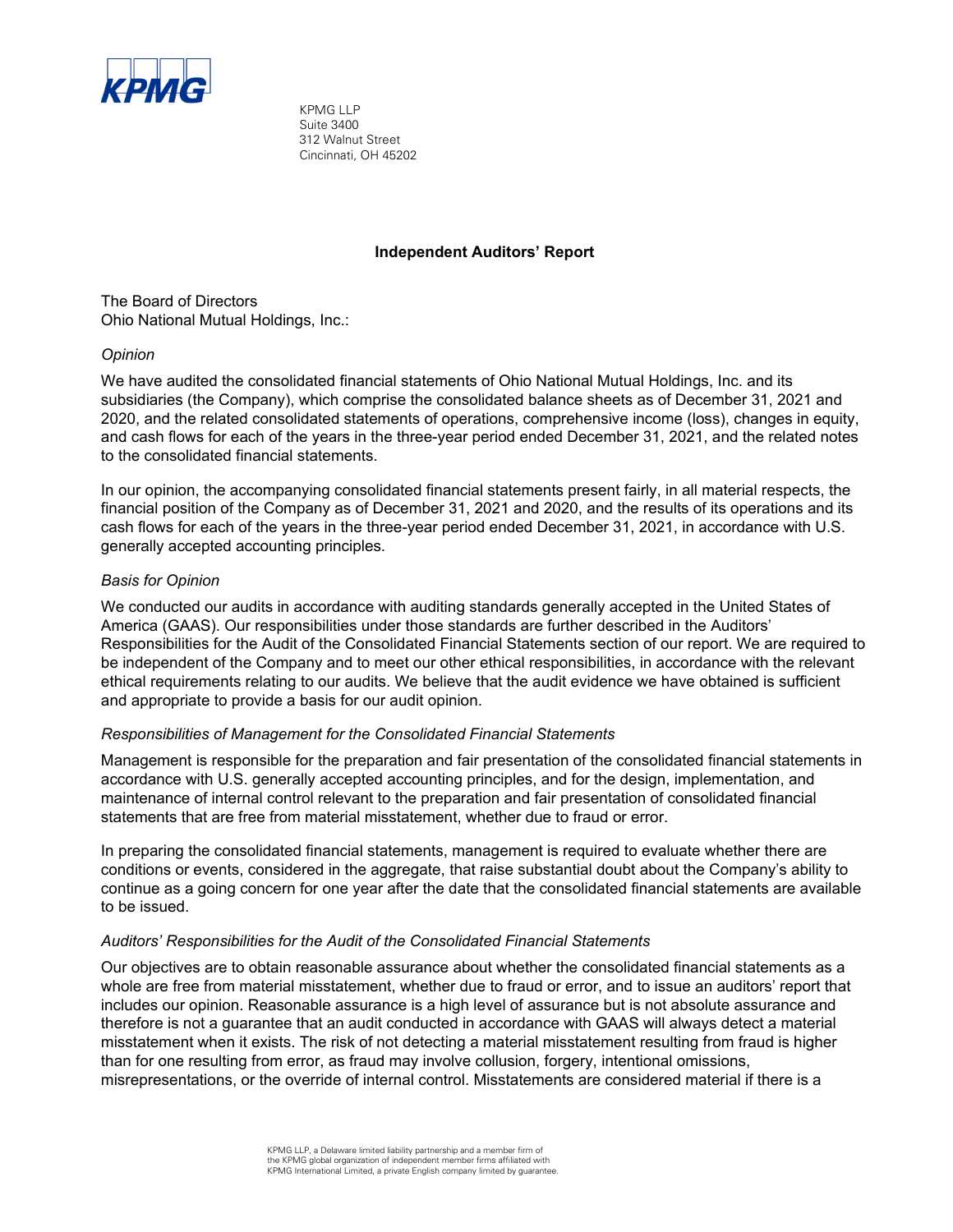

KPMG LLP Suite 3400 312 Walnut Street Cincinnati, OH 45202

### **Independent Auditors' Report**

The Board of Directors Ohio National Mutual Holdings, Inc.:

### *Opinion*

We have audited the consolidated financial statements of Ohio National Mutual Holdings, Inc. and its subsidiaries (the Company), which comprise the consolidated balance sheets as of December 31, 2021 and 2020, and the related consolidated statements of operations, comprehensive income (loss), changes in equity, and cash flows for each of the years in the three-year period ended December 31, 2021, and the related notes to the consolidated financial statements.

In our opinion, the accompanying consolidated financial statements present fairly, in all material respects, the financial position of the Company as of December 31, 2021 and 2020, and the results of its operations and its cash flows for each of the years in the three-year period ended December 31, 2021, in accordance with U.S. generally accepted accounting principles.

### *Basis for Opinion*

We conducted our audits in accordance with auditing standards generally accepted in the United States of America (GAAS). Our responsibilities under those standards are further described in the Auditors' Responsibilities for the Audit of the Consolidated Financial Statements section of our report. We are required to be independent of the Company and to meet our other ethical responsibilities, in accordance with the relevant ethical requirements relating to our audits. We believe that the audit evidence we have obtained is sufficient and appropriate to provide a basis for our audit opinion.

### *Responsibilities of Management for the Consolidated Financial Statements*

Management is responsible for the preparation and fair presentation of the consolidated financial statements in accordance with U.S. generally accepted accounting principles, and for the design, implementation, and maintenance of internal control relevant to the preparation and fair presentation of consolidated financial statements that are free from material misstatement, whether due to fraud or error.

In preparing the consolidated financial statements, management is required to evaluate whether there are conditions or events, considered in the aggregate, that raise substantial doubt about the Company's ability to continue as a going concern for one year after the date that the consolidated financial statements are available to be issued.

### *Auditors' Responsibilities for the Audit of the Consolidated Financial Statements*

Our objectives are to obtain reasonable assurance about whether the consolidated financial statements as a whole are free from material misstatement, whether due to fraud or error, and to issue an auditors' report that includes our opinion. Reasonable assurance is a high level of assurance but is not absolute assurance and therefore is not a guarantee that an audit conducted in accordance with GAAS will always detect a material misstatement when it exists. The risk of not detecting a material misstatement resulting from fraud is higher than for one resulting from error, as fraud may involve collusion, forgery, intentional omissions, misrepresentations, or the override of internal control. Misstatements are considered material if there is a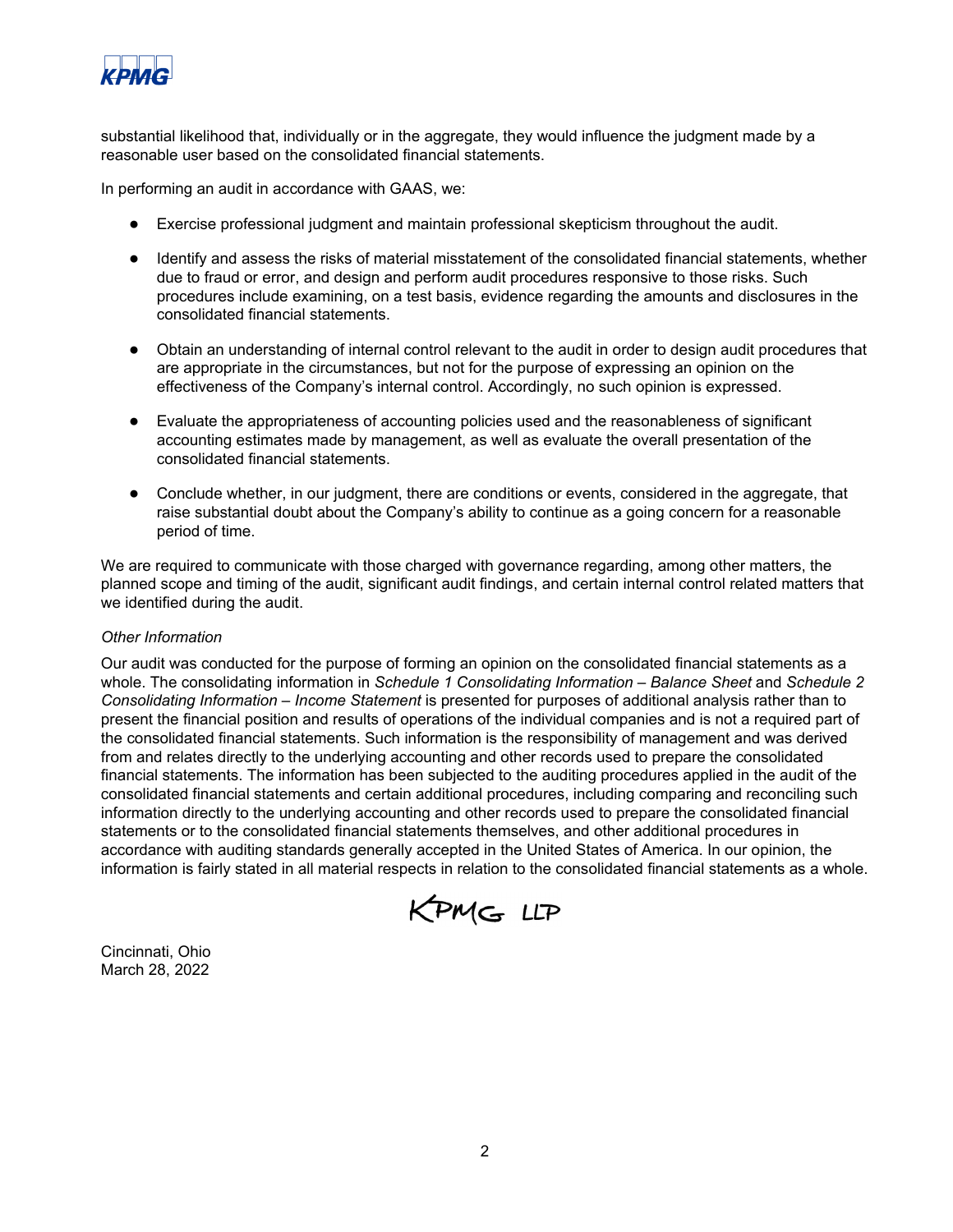

substantial likelihood that, individually or in the aggregate, they would influence the judgment made by a reasonable user based on the consolidated financial statements.

In performing an audit in accordance with GAAS, we:

- Exercise professional judgment and maintain professional skepticism throughout the audit.
- Identify and assess the risks of material misstatement of the consolidated financial statements, whether due to fraud or error, and design and perform audit procedures responsive to those risks. Such procedures include examining, on a test basis, evidence regarding the amounts and disclosures in the consolidated financial statements.
- Obtain an understanding of internal control relevant to the audit in order to design audit procedures that are appropriate in the circumstances, but not for the purpose of expressing an opinion on the effectiveness of the Company's internal control. Accordingly, no such opinion is expressed.
- Evaluate the appropriateness of accounting policies used and the reasonableness of significant accounting estimates made by management, as well as evaluate the overall presentation of the consolidated financial statements.
- Conclude whether, in our judgment, there are conditions or events, considered in the aggregate, that raise substantial doubt about the Company's ability to continue as a going concern for a reasonable period of time.

We are required to communicate with those charged with governance regarding, among other matters, the planned scope and timing of the audit, significant audit findings, and certain internal control related matters that we identified during the audit.

### *Other Information*

Our audit was conducted for the purpose of forming an opinion on the consolidated financial statements as a whole. The consolidating information in *Schedule 1 Consolidating Information – Balance Sheet* and *Schedule 2 Consolidating Information – Income Statement* is presented for purposes of additional analysis rather than to present the financial position and results of operations of the individual companies and is not a required part of the consolidated financial statements. Such information is the responsibility of management and was derived from and relates directly to the underlying accounting and other records used to prepare the consolidated financial statements. The information has been subjected to the auditing procedures applied in the audit of the consolidated financial statements and certain additional procedures, including comparing and reconciling such information directly to the underlying accounting and other records used to prepare the consolidated financial statements or to the consolidated financial statements themselves, and other additional procedures in accordance with auditing standards generally accepted in the United States of America. In our opinion, the information is fairly stated in all material respects in relation to the consolidated financial statements as a whole.



Cincinnati, Ohio March 28, 2022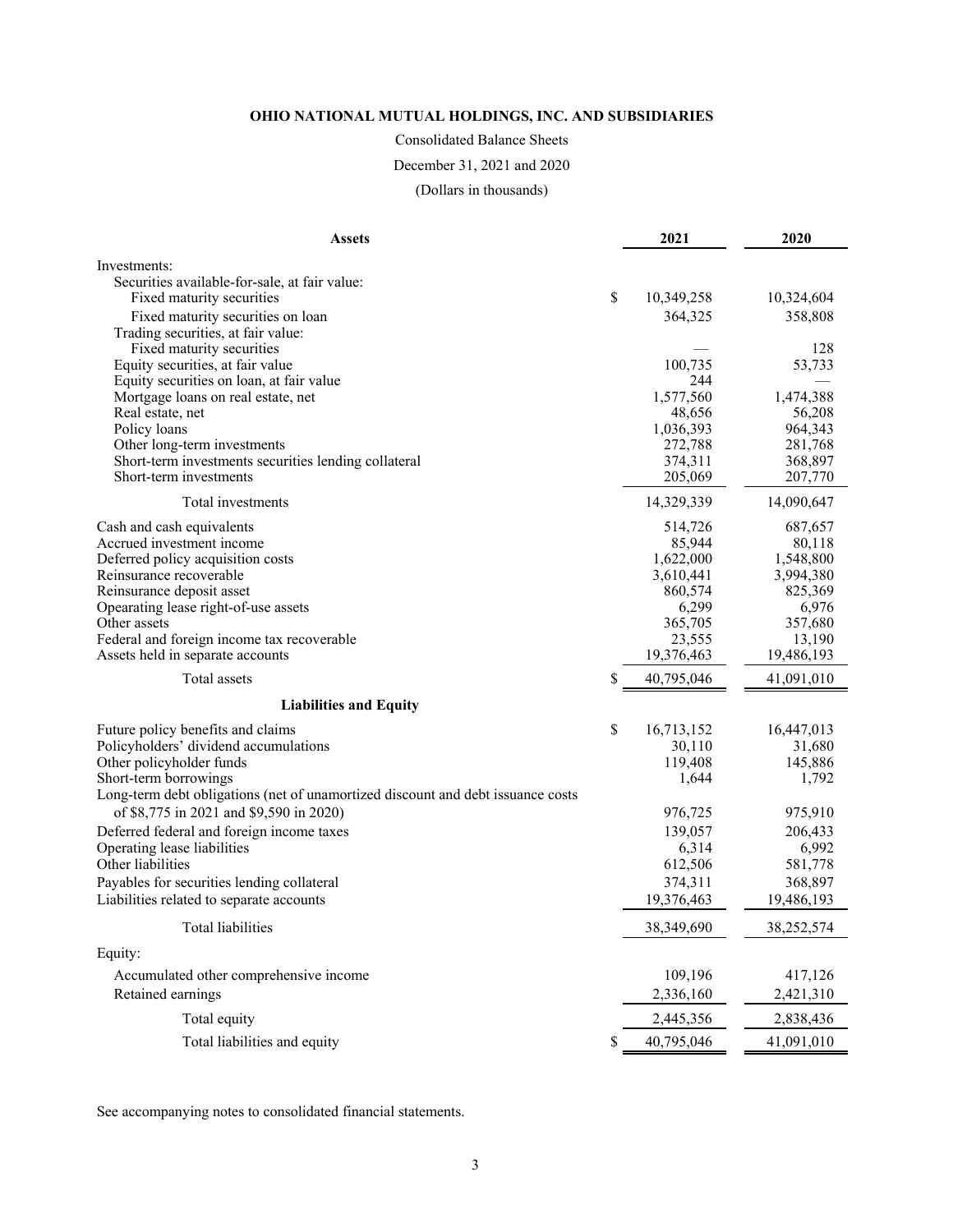# Consolidated Balance Sheets

# December 31, 2021 and 2020

(Dollars in thousands)

| <b>Assets</b>                                                                          |    | 2021                  | 2020                  |
|----------------------------------------------------------------------------------------|----|-----------------------|-----------------------|
| Investments:                                                                           |    |                       |                       |
| Securities available-for-sale, at fair value:                                          |    |                       |                       |
| Fixed maturity securities                                                              | \$ | 10,349,258            | 10,324,604            |
| Fixed maturity securities on loan                                                      |    | 364,325               | 358,808               |
| Trading securities, at fair value:                                                     |    |                       |                       |
| Fixed maturity securities                                                              |    |                       | 128                   |
| Equity securities, at fair value<br>Equity securities on loan, at fair value           |    | 100,735<br>244        | 53,733                |
| Mortgage loans on real estate, net                                                     |    | 1,577,560             | 1,474,388             |
| Real estate, net                                                                       |    | 48,656                | 56,208                |
| Policy loans                                                                           |    | 1,036,393             | 964,343               |
| Other long-term investments                                                            |    | 272,788               | 281,768               |
| Short-term investments securities lending collateral                                   |    | 374,311               | 368,897               |
| Short-term investments                                                                 |    | 205,069               | 207,770               |
| Total investments                                                                      |    | 14,329,339            | 14,090,647            |
| Cash and cash equivalents                                                              |    | 514,726               | 687,657               |
| Accrued investment income                                                              |    | 85,944                | 80,118                |
| Deferred policy acquisition costs                                                      |    | 1,622,000             | 1,548,800             |
| Reinsurance recoverable                                                                |    | 3,610,441             | 3,994,380             |
| Reinsurance deposit asset<br>Opearating lease right-of-use assets                      |    | 860,574<br>6,299      | 825,369<br>6,976      |
| Other assets                                                                           |    | 365,705               | 357,680               |
| Federal and foreign income tax recoverable                                             |    | 23,555                | 13,190                |
| Assets held in separate accounts                                                       |    | 19,376,463            | 19,486,193            |
| Total assets                                                                           | \$ | 40,795,046            | 41,091,010            |
| <b>Liabilities and Equity</b>                                                          |    |                       |                       |
| Future policy benefits and claims                                                      | \$ | 16,713,152            | 16,447,013            |
| Policyholders' dividend accumulations                                                  |    | 30,110                | 31,680                |
| Other policyholder funds                                                               |    | 119,408               | 145,886               |
| Short-term borrowings                                                                  |    | 1,644                 | 1,792                 |
| Long-term debt obligations (net of unamortized discount and debt issuance costs        |    |                       |                       |
| of \$8,775 in 2021 and \$9,590 in 2020)                                                |    | 976,725               | 975,910               |
| Deferred federal and foreign income taxes                                              |    | 139,057               | 206,433               |
| Operating lease liabilities                                                            |    | 6,314                 | 6,992                 |
| Other liabilities                                                                      |    | 612,506               | 581,778               |
| Payables for securities lending collateral<br>Liabilities related to separate accounts |    | 374,311<br>19,376,463 | 368,897<br>19,486,193 |
|                                                                                        |    |                       |                       |
| Total liabilities                                                                      |    | 38,349,690            | 38,252,574            |
| Equity:                                                                                |    |                       |                       |
| Accumulated other comprehensive income                                                 |    | 109,196               | 417,126               |
| Retained earnings                                                                      |    | 2,336,160             | 2,421,310             |
| Total equity                                                                           |    | 2,445,356             | 2,838,436             |
| Total liabilities and equity                                                           | S  | 40,795,046            | 41,091,010            |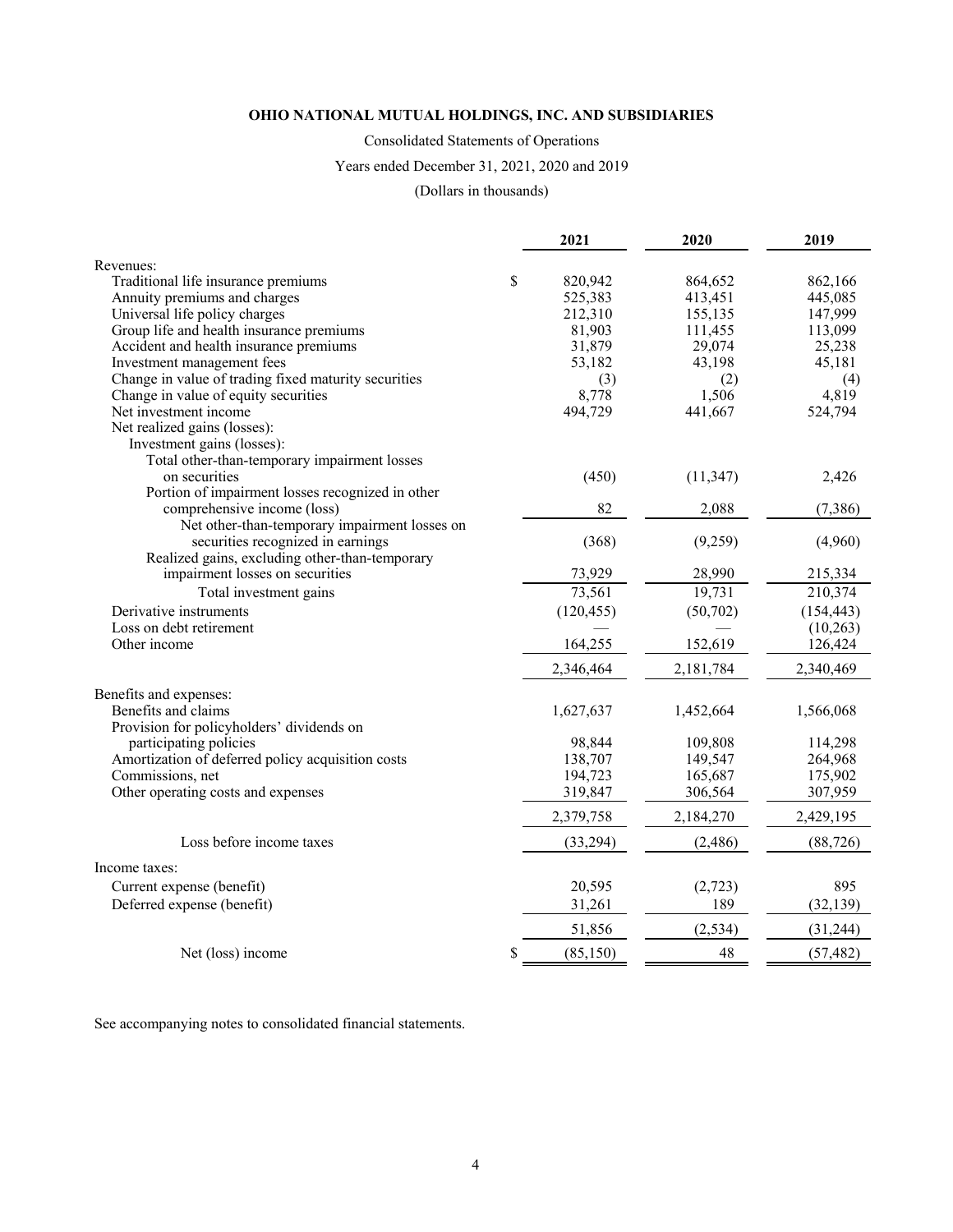Consolidated Statements of Operations

Years ended December 31, 2021, 2020 and 2019

(Dollars in thousands)

|                                                      | 2021            | 2020      | 2019       |
|------------------------------------------------------|-----------------|-----------|------------|
| Revenues:                                            |                 |           |            |
| Traditional life insurance premiums                  | \$<br>820,942   | 864,652   | 862,166    |
| Annuity premiums and charges                         | 525,383         | 413,451   | 445,085    |
| Universal life policy charges                        | 212,310         | 155,135   | 147,999    |
| Group life and health insurance premiums             | 81,903          | 111,455   | 113,099    |
| Accident and health insurance premiums               | 31,879          | 29,074    | 25,238     |
| Investment management fees                           | 53,182          | 43,198    | 45,181     |
| Change in value of trading fixed maturity securities | (3)             | (2)       | (4)        |
| Change in value of equity securities                 | 8,778           | 1,506     | 4,819      |
| Net investment income                                | 494,729         | 441,667   | 524,794    |
| Net realized gains (losses):                         |                 |           |            |
| Investment gains (losses):                           |                 |           |            |
| Total other-than-temporary impairment losses         |                 |           |            |
| on securities                                        | (450)           | (11, 347) | 2,426      |
| Portion of impairment losses recognized in other     |                 |           |            |
| comprehensive income (loss)                          | 82              | 2,088     | (7, 386)   |
| Net other-than-temporary impairment losses on        |                 |           |            |
| securities recognized in earnings                    | (368)           | (9,259)   | (4,960)    |
| Realized gains, excluding other-than-temporary       |                 |           |            |
| impairment losses on securities                      | 73,929          | 28,990    | 215,334    |
| Total investment gains                               | 73,561          | 19,731    | 210,374    |
| Derivative instruments                               | (120, 455)      | (50, 702) | (154, 443) |
| Loss on debt retirement                              |                 |           | (10, 263)  |
| Other income                                         | 164,255         | 152,619   | 126,424    |
|                                                      | 2,346,464       | 2,181,784 | 2,340,469  |
| Benefits and expenses:                               |                 |           |            |
| Benefits and claims                                  | 1,627,637       | 1,452,664 | 1,566,068  |
| Provision for policyholders' dividends on            |                 |           |            |
| participating policies                               | 98,844          | 109,808   | 114,298    |
| Amortization of deferred policy acquisition costs    | 138,707         | 149,547   | 264,968    |
| Commissions, net                                     | 194,723         | 165,687   | 175,902    |
| Other operating costs and expenses                   | 319,847         | 306,564   | 307,959    |
|                                                      | 2,379,758       | 2,184,270 | 2,429,195  |
| Loss before income taxes                             | (33,294)        | (2, 486)  | (88, 726)  |
| Income taxes:                                        |                 |           |            |
| Current expense (benefit)                            | 20,595          | (2,723)   | 895        |
| Deferred expense (benefit)                           | 31,261          | 189       | (32, 139)  |
|                                                      | 51,856          | (2, 534)  | (31, 244)  |
|                                                      |                 |           |            |
| Net (loss) income                                    | \$<br>(85, 150) | 48        | (57, 482)  |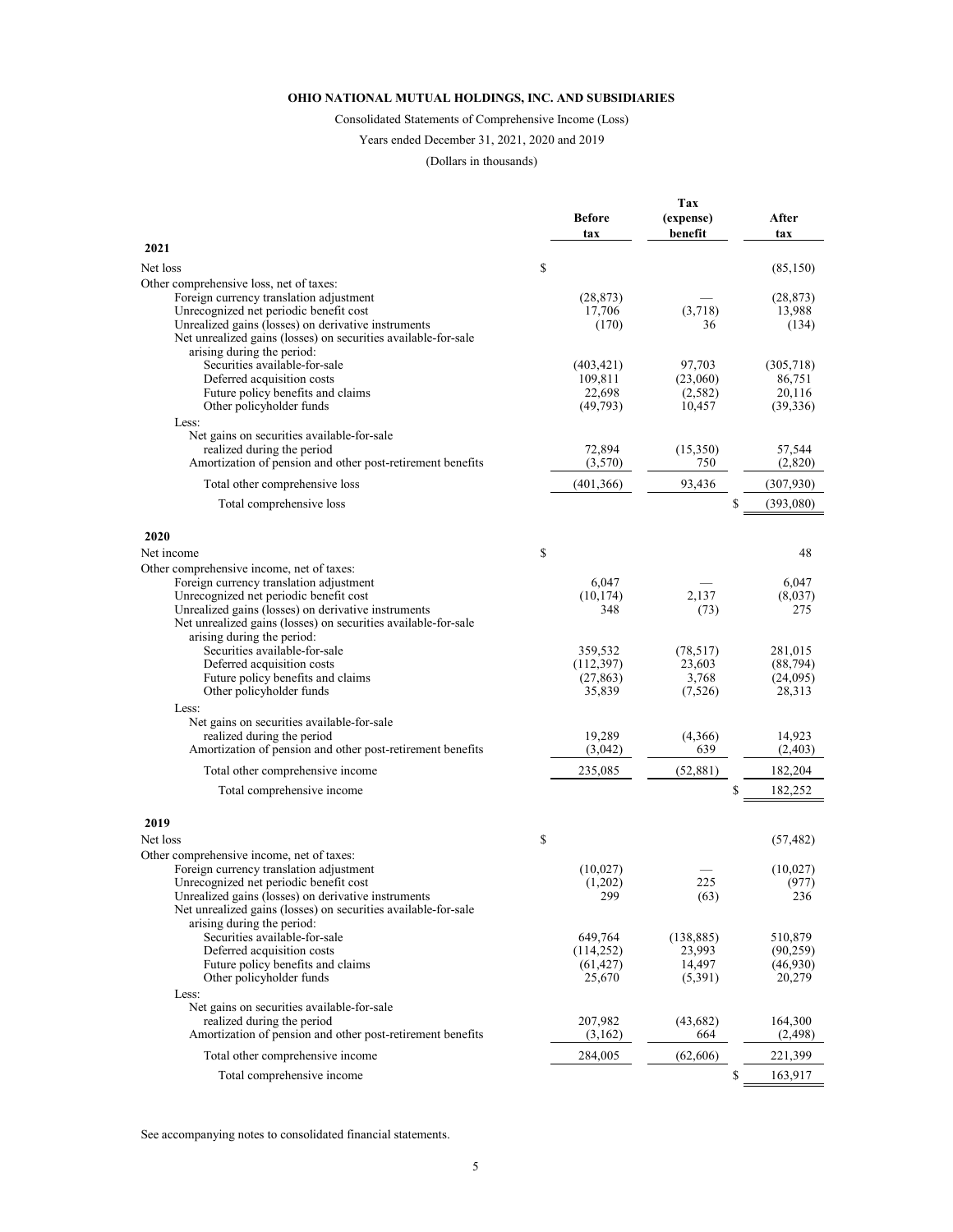Consolidated Statements of Comprehensive Income (Loss)

#### Years ended December 31, 2021, 2020 and 2019

(Dollars in thousands)

|                                                                                                                                                                                                                                                                                     | <b>Before</b><br>tax                         | Tax<br>(expense)<br>benefit               | After<br>tax                                |
|-------------------------------------------------------------------------------------------------------------------------------------------------------------------------------------------------------------------------------------------------------------------------------------|----------------------------------------------|-------------------------------------------|---------------------------------------------|
| 2021                                                                                                                                                                                                                                                                                |                                              |                                           |                                             |
| Net loss                                                                                                                                                                                                                                                                            | \$                                           |                                           | (85,150)                                    |
| Other comprehensive loss, net of taxes:<br>Foreign currency translation adjustment<br>Unrecognized net periodic benefit cost<br>Unrealized gains (losses) on derivative instruments<br>Net unrealized gains (losses) on securities available-for-sale<br>arising during the period: | (28, 873)<br>17,706<br>(170)                 | (3,718)<br>36                             | (28, 873)<br>13,988<br>(134)                |
| Securities available-for-sale<br>Deferred acquisition costs<br>Future policy benefits and claims<br>Other policyholder funds<br>Less:                                                                                                                                               | (403, 421)<br>109,811<br>22,698<br>(49, 793) | 97,703<br>(23,060)<br>(2,582)<br>10,457   | (305, 718)<br>86,751<br>20,116<br>(39, 336) |
| Net gains on securities available-for-sale<br>realized during the period<br>Amortization of pension and other post-retirement benefits                                                                                                                                              | 72,894<br>(3,570)                            | (15,350)<br>750                           | 57,544<br>(2,820)                           |
| Total other comprehensive loss                                                                                                                                                                                                                                                      | (401, 366)                                   | 93,436                                    | (307, 930)                                  |
| Total comprehensive loss                                                                                                                                                                                                                                                            |                                              | \$                                        | (393,080)                                   |
|                                                                                                                                                                                                                                                                                     |                                              |                                           |                                             |
| 2020<br>Net income                                                                                                                                                                                                                                                                  |                                              |                                           |                                             |
| Other comprehensive income, net of taxes:                                                                                                                                                                                                                                           | \$                                           |                                           | 48                                          |
| Foreign currency translation adjustment<br>Unrecognized net periodic benefit cost<br>Unrealized gains (losses) on derivative instruments<br>Net unrealized gains (losses) on securities available-for-sale                                                                          | 6,047<br>(10, 174)<br>348                    | 2,137<br>(73)                             | 6,047<br>(8,037)<br>275                     |
| arising during the period:<br>Securities available-for-sale<br>Deferred acquisition costs<br>Future policy benefits and claims<br>Other policyholder funds                                                                                                                          | 359,532<br>(112,397)<br>(27, 863)<br>35,839  | (78,517)<br>23,603<br>3,768<br>(7,526)    | 281,015<br>(88, 794)<br>(24,095)<br>28,313  |
| Less:                                                                                                                                                                                                                                                                               |                                              |                                           |                                             |
| Net gains on securities available-for-sale<br>realized during the period<br>Amortization of pension and other post-retirement benefits                                                                                                                                              | 19,289<br>(3,042)                            | (4,366)<br>639                            | 14,923<br>(2, 403)                          |
| Total other comprehensive income                                                                                                                                                                                                                                                    | 235,085                                      | (52, 881)                                 | 182,204                                     |
| Total comprehensive income                                                                                                                                                                                                                                                          |                                              |                                           | \$<br>182,252                               |
|                                                                                                                                                                                                                                                                                     |                                              |                                           |                                             |
| 2019<br>Net loss<br>Other comprehensive income, net of taxes:                                                                                                                                                                                                                       | \$                                           |                                           | (57, 482)                                   |
| Foreign currency translation adjustment<br>Unrecognized net periodic benefit cost<br>Unrealized gains (losses) on derivative instruments<br>Net unrealized gains (losses) on securities available-for-sale                                                                          | (10,027)<br>(1,202)<br>299                   | 225<br>(63)                               | (10,027)<br>(977)<br>236                    |
| arising during the period:<br>Securities available-for-sale<br>Deferred acquisition costs<br>Future policy benefits and claims<br>Other policyholder funds                                                                                                                          | 649,764<br>(114, 252)<br>(61, 427)<br>25,670 | (138, 885)<br>23,993<br>14,497<br>(5,391) | 510,879<br>(90, 259)<br>(46,930)<br>20,279  |
| Less:<br>Net gains on securities available-for-sale<br>realized during the period<br>Amortization of pension and other post-retirement benefits                                                                                                                                     | 207,982<br>(3,162)                           | (43, 682)<br>664                          | 164,300<br>(2, 498)                         |
| Total other comprehensive income                                                                                                                                                                                                                                                    | 284,005                                      | (62,606)                                  | 221,399                                     |
| Total comprehensive income                                                                                                                                                                                                                                                          |                                              |                                           | \$<br>163,917                               |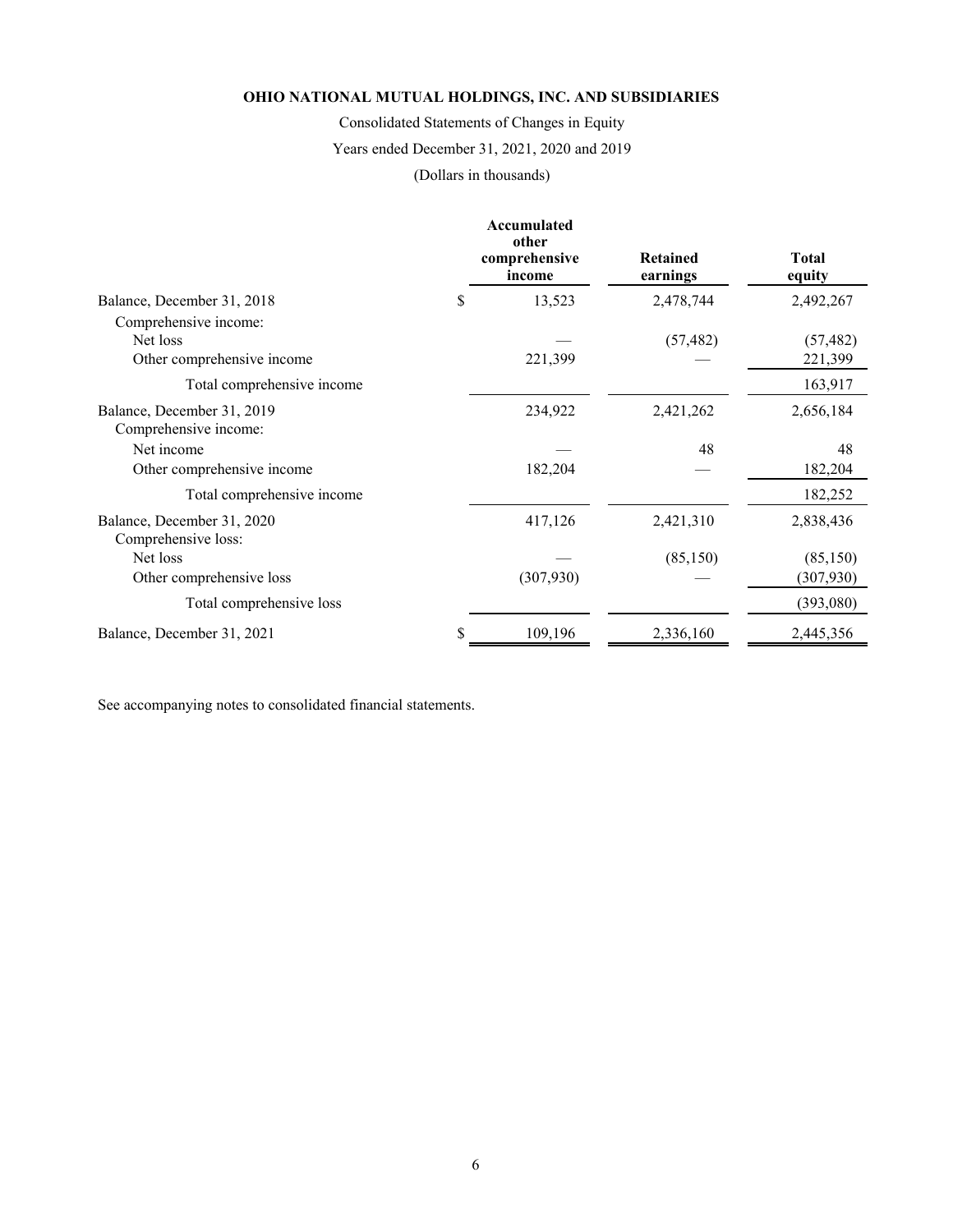Consolidated Statements of Changes in Equity

Years ended December 31, 2021, 2020 and 2019

(Dollars in thousands)

|                                                                 |   | Accumulated<br>other<br>comprehensive<br>income | <b>Retained</b><br>earnings | <b>Total</b><br>equity |
|-----------------------------------------------------------------|---|-------------------------------------------------|-----------------------------|------------------------|
| Balance, December 31, 2018                                      | S | 13,523                                          | 2,478,744                   | 2,492,267              |
| Comprehensive income:<br>Net loss<br>Other comprehensive income |   | 221,399                                         | (57, 482)                   | (57, 482)<br>221,399   |
| Total comprehensive income                                      |   |                                                 |                             | 163,917                |
| Balance, December 31, 2019<br>Comprehensive income:             |   | 234,922                                         | 2,421,262                   | 2,656,184              |
| Net income                                                      |   |                                                 | 48                          | 48                     |
| Other comprehensive income                                      |   | 182,204                                         |                             | 182,204                |
| Total comprehensive income                                      |   |                                                 |                             | 182,252                |
| Balance, December 31, 2020<br>Comprehensive loss:               |   | 417,126                                         | 2,421,310                   | 2,838,436              |
| Net loss                                                        |   |                                                 | (85,150)                    | (85,150)               |
| Other comprehensive loss                                        |   | (307, 930)                                      |                             | (307, 930)             |
| Total comprehensive loss                                        |   |                                                 |                             | (393,080)              |
| Balance, December 31, 2021                                      |   | 109,196                                         | 2,336,160                   | 2,445,356              |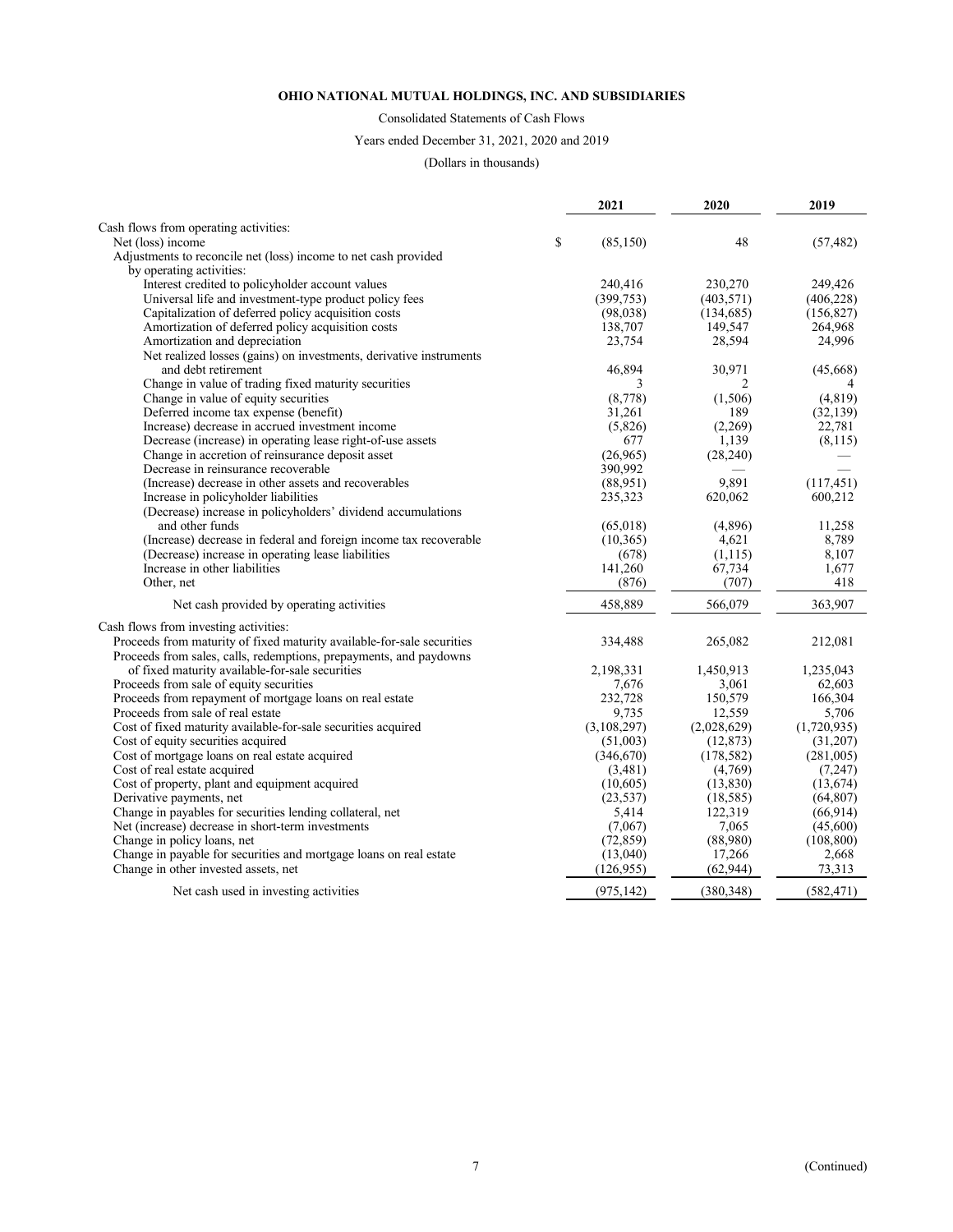### Consolidated Statements of Cash Flows

### Years ended December 31, 2021, 2020 and 2019

### (Dollars in thousands)

|                                                                        | 2021            | 2020        | 2019        |
|------------------------------------------------------------------------|-----------------|-------------|-------------|
| Cash flows from operating activities:                                  |                 |             |             |
| Net (loss) income                                                      | \$<br>(85, 150) | 48          | (57, 482)   |
| Adjustments to reconcile net (loss) income to net cash provided        |                 |             |             |
| by operating activities:                                               |                 |             |             |
| Interest credited to policyholder account values                       | 240,416         | 230,270     | 249,426     |
| Universal life and investment-type product policy fees                 | (399, 753)      | (403, 571)  | (406, 228)  |
| Capitalization of deferred policy acquisition costs                    | (98,038)        | (134, 685)  | (156, 827)  |
| Amortization of deferred policy acquisition costs                      | 138,707         | 149,547     | 264,968     |
| Amortization and depreciation                                          | 23,754          | 28,594      | 24,996      |
| Net realized losses (gains) on investments, derivative instruments     |                 |             |             |
| and debt retirement                                                    | 46,894          | 30,971      | (45,668)    |
| Change in value of trading fixed maturity securities                   | 3               | 2           | 4           |
| Change in value of equity securities                                   | (8,778)         | (1,506)     | (4, 819)    |
| Deferred income tax expense (benefit)                                  | 31,261          | 189         | (32, 139)   |
| Increase) decrease in accrued investment income                        | (5,826)         | (2,269)     | 22,781      |
| Decrease (increase) in operating lease right-of-use assets             | 677             | 1.139       | (8, 115)    |
| Change in accretion of reinsurance deposit asset                       | (26,965)        | (28, 240)   |             |
| Decrease in reinsurance recoverable                                    | 390,992         |             |             |
| (Increase) decrease in other assets and recoverables                   | (88,951)        | 9.891       | (117, 451)  |
| Increase in policyholder liabilities                                   | 235,323         | 620,062     | 600,212     |
| (Decrease) increase in policyholders' dividend accumulations           |                 |             |             |
| and other funds                                                        | (65,018)        | (4,896)     | 11,258      |
| (Increase) decrease in federal and foreign income tax recoverable      | (10, 365)       | 4,621       | 8,789       |
| (Decrease) increase in operating lease liabilities                     | (678)           | (1, 115)    | 8,107       |
| Increase in other liabilities                                          | 141,260         | 67,734      | 1,677       |
| Other, net                                                             | (876)           | (707)       | 418         |
| Net cash provided by operating activities                              | 458,889         | 566,079     | 363,907     |
|                                                                        |                 |             |             |
| Cash flows from investing activities:                                  |                 |             |             |
| Proceeds from maturity of fixed maturity available-for-sale securities | 334,488         | 265,082     | 212,081     |
| Proceeds from sales, calls, redemptions, prepayments, and paydowns     |                 |             |             |
| of fixed maturity available-for-sale securities                        | 2,198,331       | 1,450,913   | 1,235,043   |
| Proceeds from sale of equity securities                                | 7,676           | 3,061       | 62,603      |
| Proceeds from repayment of mortgage loans on real estate               | 232,728         | 150,579     | 166,304     |
| Proceeds from sale of real estate                                      | 9,735           | 12,559      | 5,706       |
| Cost of fixed maturity available-for-sale securities acquired          | (3,108,297)     | (2,028,629) | (1,720,935) |
| Cost of equity securities acquired                                     | (51,003)        | (12, 873)   | (31,207)    |
| Cost of mortgage loans on real estate acquired                         | (346, 670)      | (178, 582)  | (281,005)   |
| Cost of real estate acquired                                           | (3,481)         | (4,769)     | (7,247)     |
| Cost of property, plant and equipment acquired                         | (10,605)        | (13, 830)   | (13, 674)   |
| Derivative payments, net                                               | (23, 537)       | (18, 585)   | (64, 807)   |
| Change in payables for securities lending collateral, net              | 5,414           | 122,319     | (66, 914)   |
| Net (increase) decrease in short-term investments                      | (7,067)         | 7,065       | (45,600)    |
| Change in policy loans, net                                            | (72, 859)       | (88,980)    | (108, 800)  |
| Change in payable for securities and mortgage loans on real estate     | (13,040)        | 17,266      | 2,668       |
| Change in other invested assets, net                                   | (126,955)       | (62, 944)   | 73,313      |
| Net cash used in investing activities                                  | (975, 142)      | (380, 348)  | (582, 471)  |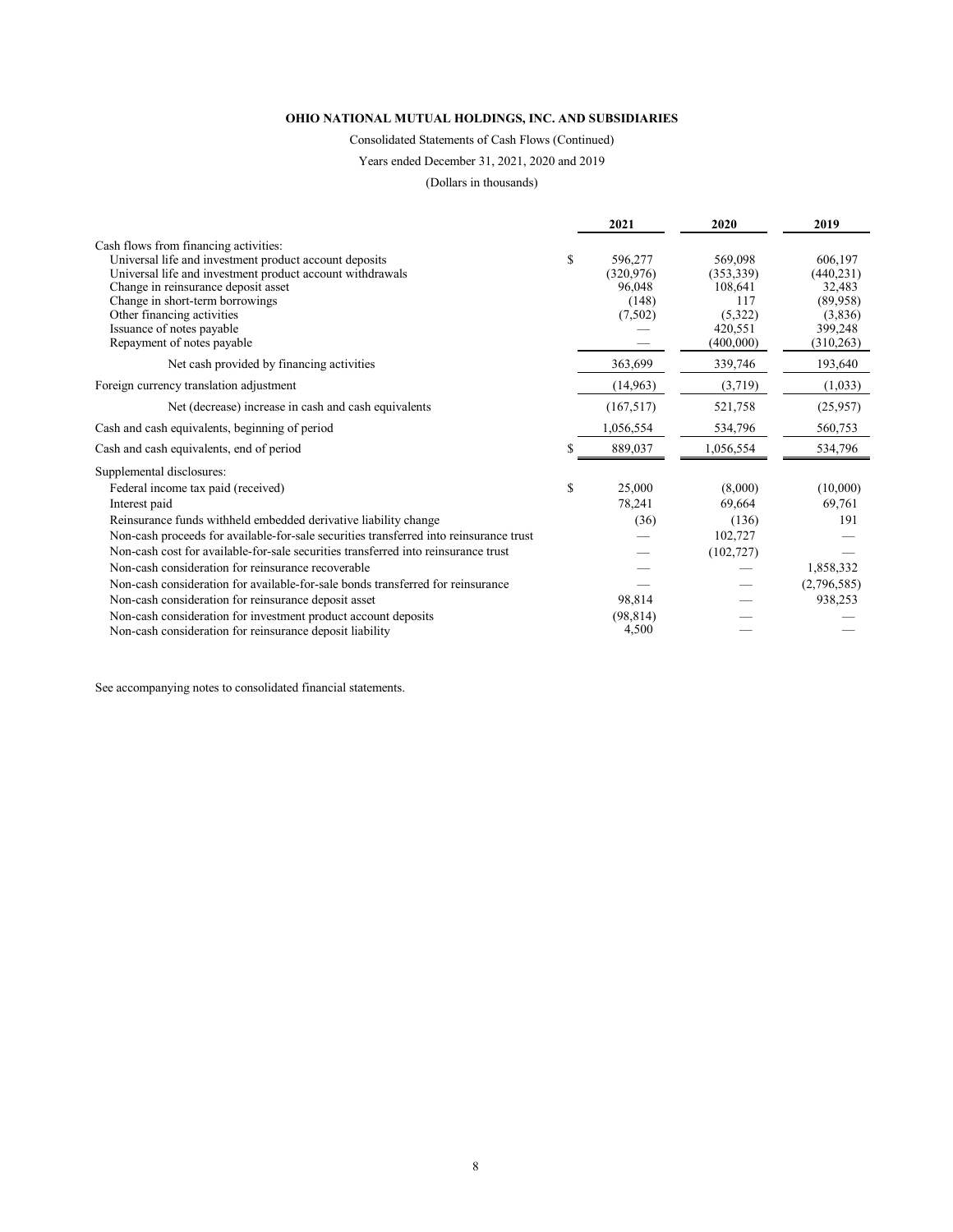Consolidated Statements of Cash Flows (Continued)

Years ended December 31, 2021, 2020 and 2019

(Dollars in thousands)

|                                                                                                                                                                                                                                                                                                                                 | 2021                                                      | 2020                                                                       | 2019                                                                            |
|---------------------------------------------------------------------------------------------------------------------------------------------------------------------------------------------------------------------------------------------------------------------------------------------------------------------------------|-----------------------------------------------------------|----------------------------------------------------------------------------|---------------------------------------------------------------------------------|
| Cash flows from financing activities:<br>Universal life and investment product account deposits<br>Universal life and investment product account withdrawals<br>Change in reinsurance deposit asset<br>Change in short-term borrowings<br>Other financing activities<br>Issuance of notes payable<br>Repayment of notes payable | \$<br>596,277<br>(320, 976)<br>96,048<br>(148)<br>(7,502) | 569,098<br>(353, 339)<br>108.641<br>117<br>(5,322)<br>420,551<br>(400,000) | 606,197<br>(440, 231)<br>32,483<br>(89,958)<br>(3,836)<br>399,248<br>(310, 263) |
| Net cash provided by financing activities                                                                                                                                                                                                                                                                                       | 363,699                                                   | 339,746                                                                    | 193,640                                                                         |
| Foreign currency translation adjustment                                                                                                                                                                                                                                                                                         | (14, 963)                                                 | (3,719)                                                                    | (1,033)                                                                         |
| Net (decrease) increase in cash and cash equivalents                                                                                                                                                                                                                                                                            | (167,517)                                                 | 521,758                                                                    | (25,957)                                                                        |
| Cash and cash equivalents, beginning of period                                                                                                                                                                                                                                                                                  | 1,056,554                                                 | 534,796                                                                    | 560,753                                                                         |
| Cash and cash equivalents, end of period                                                                                                                                                                                                                                                                                        | 889,037                                                   | 1,056,554                                                                  | 534,796                                                                         |
| Supplemental disclosures:<br>Federal income tax paid (received)<br>Interest paid                                                                                                                                                                                                                                                | \$<br>25,000<br>78,241                                    | (8,000)<br>69,664                                                          | (10,000)<br>69,761                                                              |
| Reinsurance funds withheld embedded derivative liability change<br>Non-cash proceeds for available-for-sale securities transferred into reinsurance trust<br>Non-cash cost for available-for-sale securities transferred into reinsurance trust                                                                                 | (36)                                                      | (136)<br>102,727<br>(102, 727)                                             | 191                                                                             |
| Non-cash consideration for reinsurance recoverable<br>Non-cash consideration for available-for-sale bonds transferred for reinsurance<br>Non-cash consideration for reinsurance deposit asset                                                                                                                                   | 98,814                                                    |                                                                            | 1,858,332<br>(2,796,585)<br>938,253                                             |
| Non-cash consideration for investment product account deposits<br>Non-cash consideration for reinsurance deposit liability                                                                                                                                                                                                      | (98, 814)<br>4,500                                        |                                                                            |                                                                                 |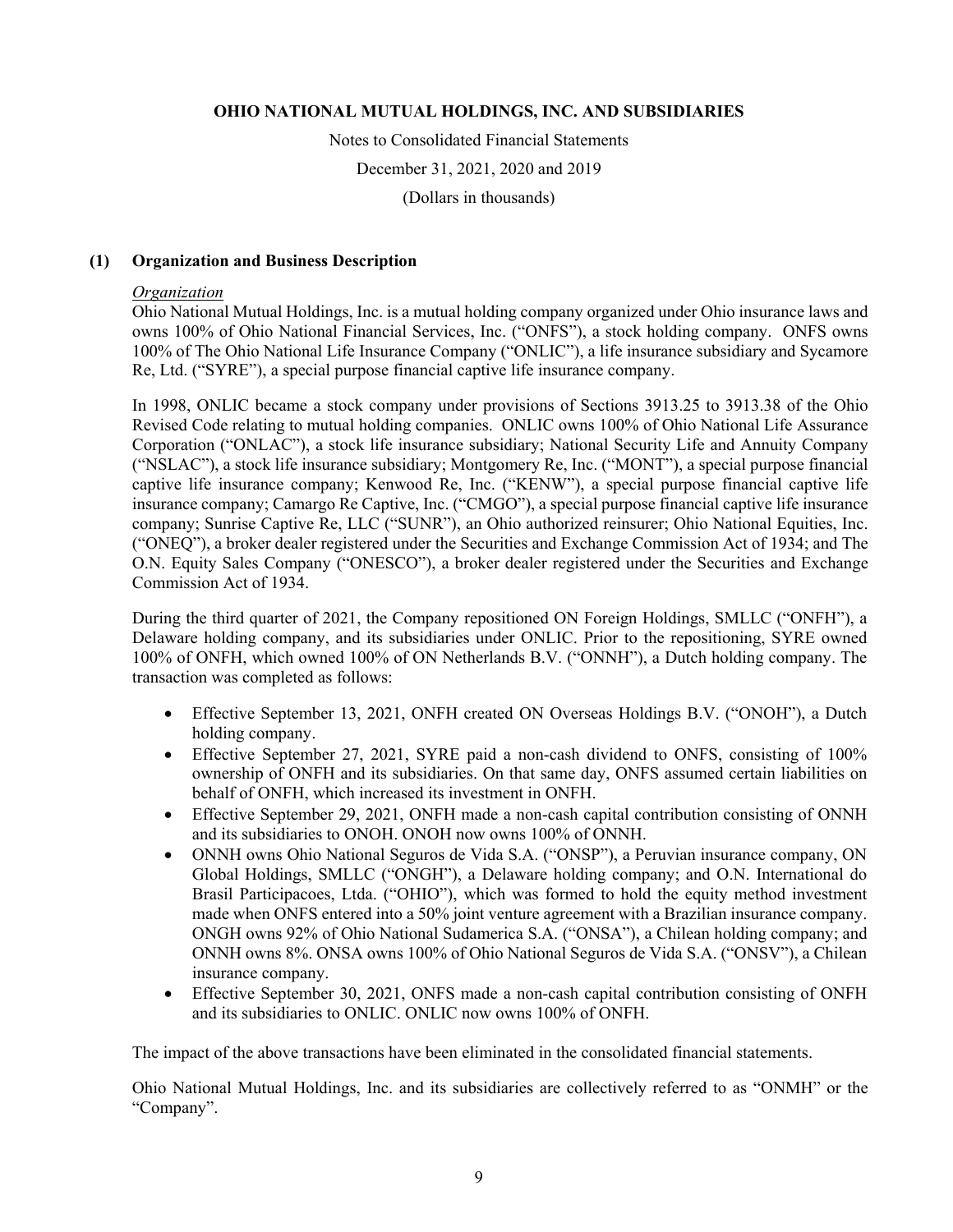Notes to Consolidated Financial Statements

December 31, 2021, 2020 and 2019

(Dollars in thousands)

### **(1) Organization and Business Description**

### *Organization*

Ohio National Mutual Holdings, Inc. is a mutual holding company organized under Ohio insurance laws and owns 100% of Ohio National Financial Services, Inc. ("ONFS"), a stock holding company. ONFS owns 100% of The Ohio National Life Insurance Company ("ONLIC"), a life insurance subsidiary and Sycamore Re, Ltd. ("SYRE"), a special purpose financial captive life insurance company.

In 1998, ONLIC became a stock company under provisions of Sections 3913.25 to 3913.38 of the Ohio Revised Code relating to mutual holding companies. ONLIC owns 100% of Ohio National Life Assurance Corporation ("ONLAC"), a stock life insurance subsidiary; National Security Life and Annuity Company ("NSLAC"), a stock life insurance subsidiary; Montgomery Re, Inc. ("MONT"), a special purpose financial captive life insurance company; Kenwood Re, Inc. ("KENW"), a special purpose financial captive life insurance company; Camargo Re Captive, Inc. ("CMGO"), a special purpose financial captive life insurance company; Sunrise Captive Re, LLC ("SUNR"), an Ohio authorized reinsurer; Ohio National Equities, Inc. ("ONEQ"), a broker dealer registered under the Securities and Exchange Commission Act of 1934; and The O.N. Equity Sales Company ("ONESCO"), a broker dealer registered under the Securities and Exchange Commission Act of 1934.

During the third quarter of 2021, the Company repositioned ON Foreign Holdings, SMLLC ("ONFH"), a Delaware holding company, and its subsidiaries under ONLIC. Prior to the repositioning, SYRE owned 100% of ONFH, which owned 100% of ON Netherlands B.V. ("ONNH"), a Dutch holding company. The transaction was completed as follows:

- Effective September 13, 2021, ONFH created ON Overseas Holdings B.V. ("ONOH"), a Dutch holding company.
- Effective September 27, 2021, SYRE paid a non-cash dividend to ONFS, consisting of 100% ownership of ONFH and its subsidiaries. On that same day, ONFS assumed certain liabilities on behalf of ONFH, which increased its investment in ONFH.
- Effective September 29, 2021, ONFH made a non-cash capital contribution consisting of ONNH and its subsidiaries to ONOH. ONOH now owns 100% of ONNH.
- ONNH owns Ohio National Seguros de Vida S.A. ("ONSP"), a Peruvian insurance company, ON Global Holdings, SMLLC ("ONGH"), a Delaware holding company; and O.N. International do Brasil Participacoes, Ltda. ("OHIO"), which was formed to hold the equity method investment made when ONFS entered into a 50% joint venture agreement with a Brazilian insurance company. ONGH owns 92% of Ohio National Sudamerica S.A. ("ONSA"), a Chilean holding company; and ONNH owns 8%. ONSA owns 100% of Ohio National Seguros de Vida S.A. ("ONSV"), a Chilean insurance company.
- Effective September 30, 2021, ONFS made a non-cash capital contribution consisting of ONFH and its subsidiaries to ONLIC. ONLIC now owns 100% of ONFH.

The impact of the above transactions have been eliminated in the consolidated financial statements.

Ohio National Mutual Holdings, Inc. and its subsidiaries are collectively referred to as "ONMH" or the "Company".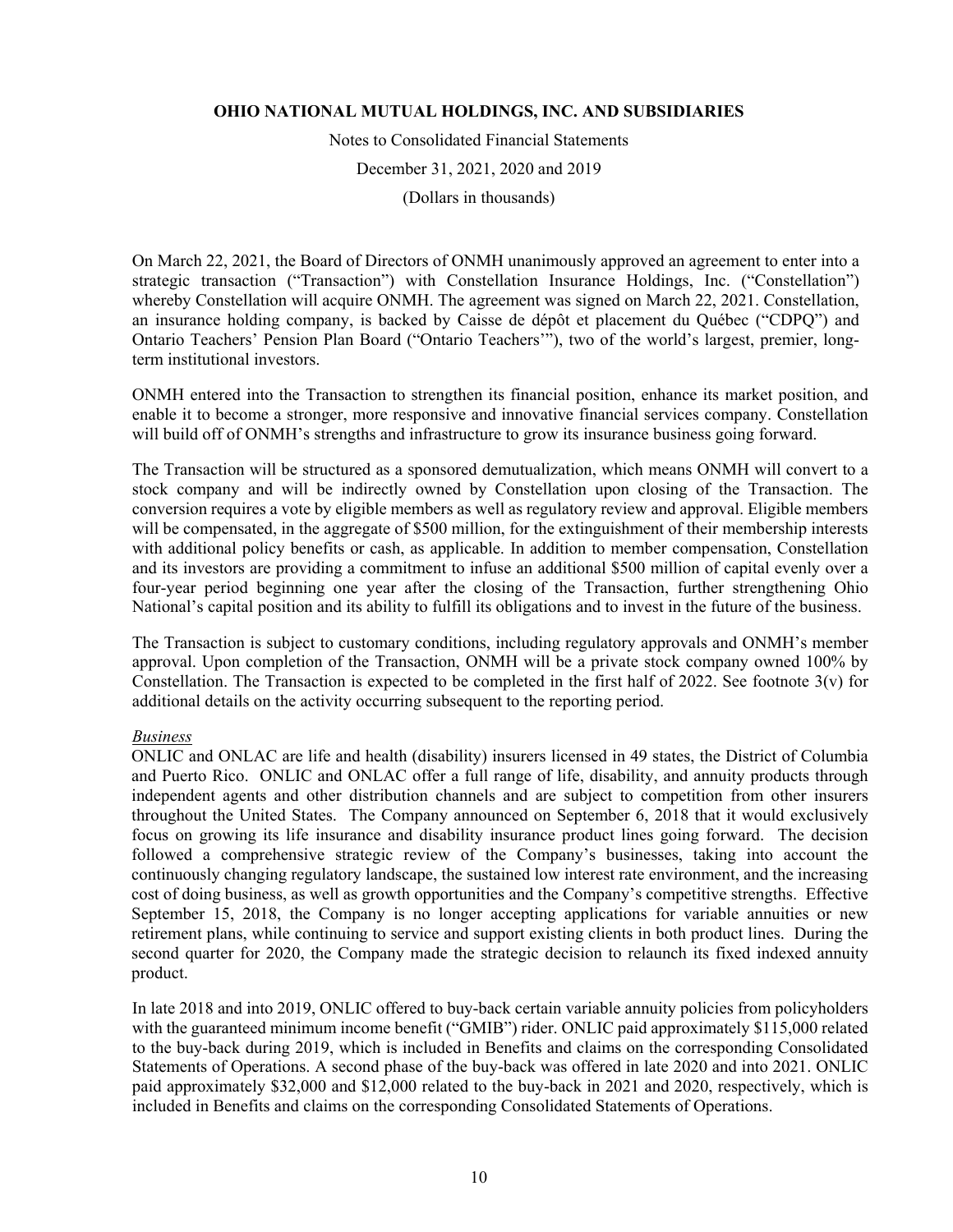Notes to Consolidated Financial Statements

December 31, 2021, 2020 and 2019

(Dollars in thousands)

On March 22, 2021, the Board of Directors of ONMH unanimously approved an agreement to enter into a strategic transaction ("Transaction") with Constellation Insurance Holdings, Inc. ("Constellation") whereby Constellation will acquire ONMH. The agreement was signed on March 22, 2021. Constellation, an insurance holding company, is backed by Caisse de dépôt et placement du Québec ("CDPQ") and Ontario Teachers' Pension Plan Board ("Ontario Teachers'"), two of the world's largest, premier, longterm institutional investors.

ONMH entered into the Transaction to strengthen its financial position, enhance its market position, and enable it to become a stronger, more responsive and innovative financial services company. Constellation will build off of ONMH's strengths and infrastructure to grow its insurance business going forward.

The Transaction will be structured as a sponsored demutualization, which means ONMH will convert to a stock company and will be indirectly owned by Constellation upon closing of the Transaction. The conversion requires a vote by eligible members as well as regulatory review and approval. Eligible members will be compensated, in the aggregate of \$500 million, for the extinguishment of their membership interests with additional policy benefits or cash, as applicable. In addition to member compensation, Constellation and its investors are providing a commitment to infuse an additional \$500 million of capital evenly over a four-year period beginning one year after the closing of the Transaction, further strengthening Ohio National's capital position and its ability to fulfill its obligations and to invest in the future of the business.

The Transaction is subject to customary conditions, including regulatory approvals and ONMH's member approval. Upon completion of the Transaction, ONMH will be a private stock company owned 100% by Constellation. The Transaction is expected to be completed in the first half of 2022. See footnote  $3(v)$  for additional details on the activity occurring subsequent to the reporting period.

### *Business*

ONLIC and ONLAC are life and health (disability) insurers licensed in 49 states, the District of Columbia and Puerto Rico. ONLIC and ONLAC offer a full range of life, disability, and annuity products through independent agents and other distribution channels and are subject to competition from other insurers throughout the United States. The Company announced on September 6, 2018 that it would exclusively focus on growing its life insurance and disability insurance product lines going forward. The decision followed a comprehensive strategic review of the Company's businesses, taking into account the continuously changing regulatory landscape, the sustained low interest rate environment, and the increasing cost of doing business, as well as growth opportunities and the Company's competitive strengths. Effective September 15, 2018, the Company is no longer accepting applications for variable annuities or new retirement plans, while continuing to service and support existing clients in both product lines. During the second quarter for 2020, the Company made the strategic decision to relaunch its fixed indexed annuity product.

In late 2018 and into 2019, ONLIC offered to buy-back certain variable annuity policies from policyholders with the guaranteed minimum income benefit ("GMIB") rider. ONLIC paid approximately \$115,000 related to the buy-back during 2019, which is included in Benefits and claims on the corresponding Consolidated Statements of Operations. A second phase of the buy-back was offered in late 2020 and into 2021. ONLIC paid approximately \$32,000 and \$12,000 related to the buy-back in 2021 and 2020, respectively, which is included in Benefits and claims on the corresponding Consolidated Statements of Operations.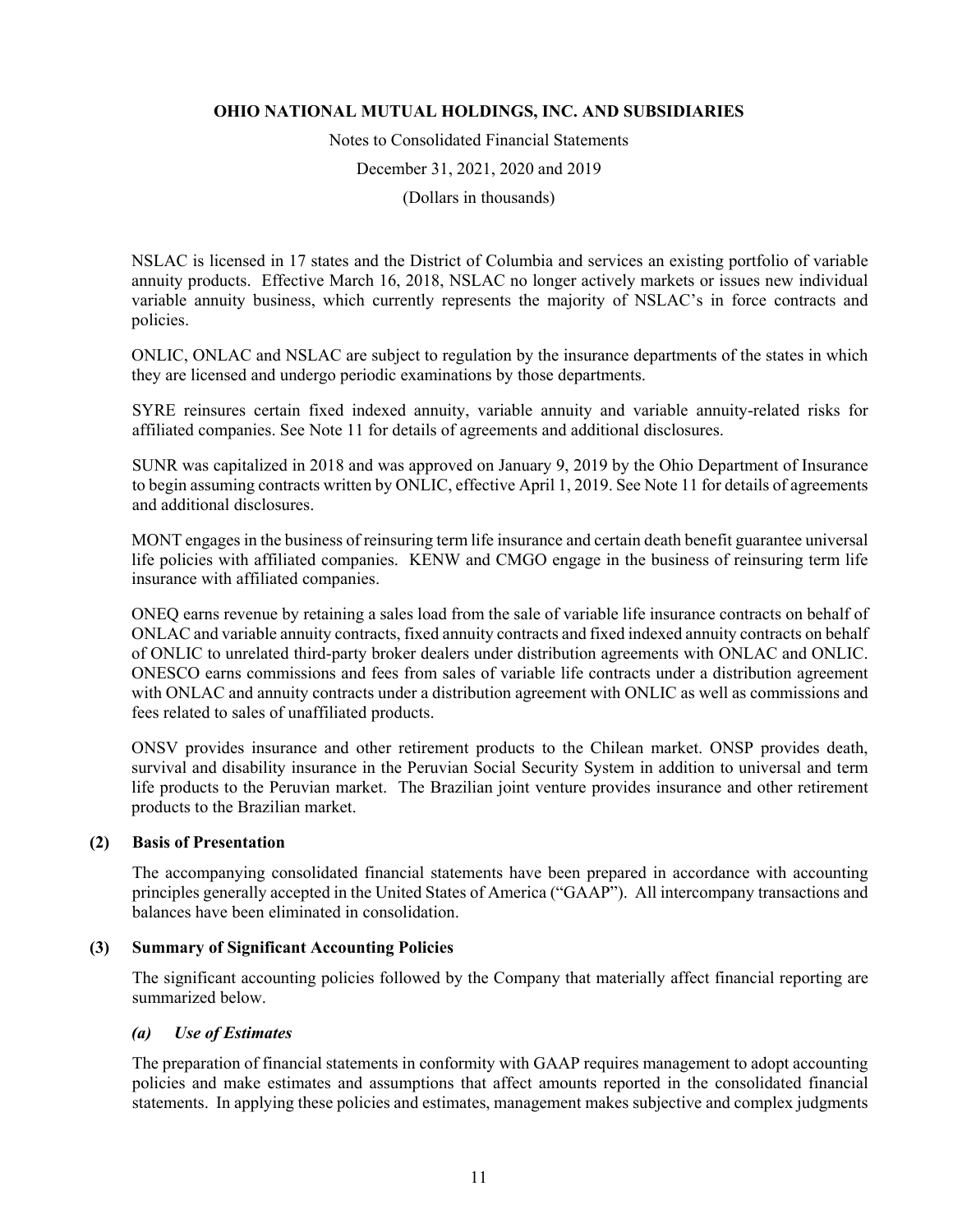Notes to Consolidated Financial Statements

December 31, 2021, 2020 and 2019

(Dollars in thousands)

NSLAC is licensed in 17 states and the District of Columbia and services an existing portfolio of variable annuity products. Effective March 16, 2018, NSLAC no longer actively markets or issues new individual variable annuity business, which currently represents the majority of NSLAC's in force contracts and policies.

ONLIC, ONLAC and NSLAC are subject to regulation by the insurance departments of the states in which they are licensed and undergo periodic examinations by those departments.

SYRE reinsures certain fixed indexed annuity, variable annuity and variable annuity-related risks for affiliated companies. See Note 11 for details of agreements and additional disclosures.

SUNR was capitalized in 2018 and was approved on January 9, 2019 by the Ohio Department of Insurance to begin assuming contracts written by ONLIC, effective April 1, 2019. See Note 11 for details of agreements and additional disclosures.

MONT engages in the business of reinsuring term life insurance and certain death benefit guarantee universal life policies with affiliated companies. KENW and CMGO engage in the business of reinsuring term life insurance with affiliated companies.

ONEQ earns revenue by retaining a sales load from the sale of variable life insurance contracts on behalf of ONLAC and variable annuity contracts, fixed annuity contracts and fixed indexed annuity contracts on behalf of ONLIC to unrelated third-party broker dealers under distribution agreements with ONLAC and ONLIC. ONESCO earns commissions and fees from sales of variable life contracts under a distribution agreement with ONLAC and annuity contracts under a distribution agreement with ONLIC as well as commissions and fees related to sales of unaffiliated products.

ONSV provides insurance and other retirement products to the Chilean market. ONSP provides death, survival and disability insurance in the Peruvian Social Security System in addition to universal and term life products to the Peruvian market. The Brazilian joint venture provides insurance and other retirement products to the Brazilian market.

### **(2) Basis of Presentation**

The accompanying consolidated financial statements have been prepared in accordance with accounting principles generally accepted in the United States of America ("GAAP"). All intercompany transactions and balances have been eliminated in consolidation.

### **(3) Summary of Significant Accounting Policies**

The significant accounting policies followed by the Company that materially affect financial reporting are summarized below.

# *(a) Use of Estimates*

The preparation of financial statements in conformity with GAAP requires management to adopt accounting policies and make estimates and assumptions that affect amounts reported in the consolidated financial statements. In applying these policies and estimates, management makes subjective and complex judgments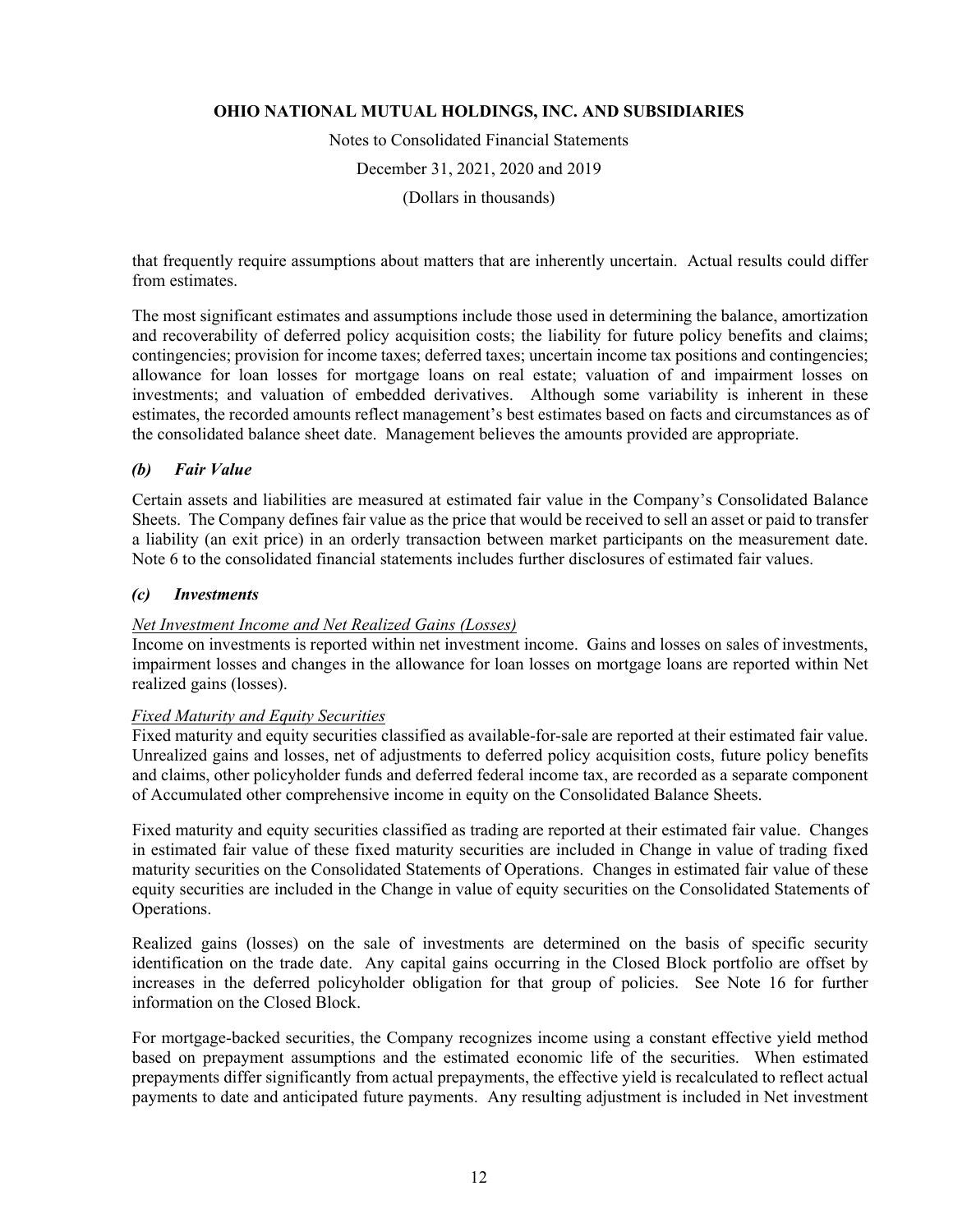Notes to Consolidated Financial Statements December 31, 2021, 2020 and 2019 (Dollars in thousands)

that frequently require assumptions about matters that are inherently uncertain. Actual results could differ from estimates.

The most significant estimates and assumptions include those used in determining the balance, amortization and recoverability of deferred policy acquisition costs; the liability for future policy benefits and claims; contingencies; provision for income taxes; deferred taxes; uncertain income tax positions and contingencies; allowance for loan losses for mortgage loans on real estate; valuation of and impairment losses on investments; and valuation of embedded derivatives. Although some variability is inherent in these estimates, the recorded amounts reflect management's best estimates based on facts and circumstances as of the consolidated balance sheet date. Management believes the amounts provided are appropriate.

# *(b) Fair Value*

Certain assets and liabilities are measured at estimated fair value in the Company's Consolidated Balance Sheets. The Company defines fair value as the price that would be received to sell an asset or paid to transfer a liability (an exit price) in an orderly transaction between market participants on the measurement date. Note 6 to the consolidated financial statements includes further disclosures of estimated fair values.

### *(c) Investments*

# *Net Investment Income and Net Realized Gains (Losses)*

Income on investments is reported within net investment income. Gains and losses on sales of investments, impairment losses and changes in the allowance for loan losses on mortgage loans are reported within Net realized gains (losses).

### *Fixed Maturity and Equity Securities*

Fixed maturity and equity securities classified as available-for-sale are reported at their estimated fair value. Unrealized gains and losses, net of adjustments to deferred policy acquisition costs, future policy benefits and claims, other policyholder funds and deferred federal income tax, are recorded as a separate component of Accumulated other comprehensive income in equity on the Consolidated Balance Sheets.

Fixed maturity and equity securities classified as trading are reported at their estimated fair value. Changes in estimated fair value of these fixed maturity securities are included in Change in value of trading fixed maturity securities on the Consolidated Statements of Operations. Changes in estimated fair value of these equity securities are included in the Change in value of equity securities on the Consolidated Statements of Operations.

Realized gains (losses) on the sale of investments are determined on the basis of specific security identification on the trade date. Any capital gains occurring in the Closed Block portfolio are offset by increases in the deferred policyholder obligation for that group of policies. See Note 16 for further information on the Closed Block.

For mortgage-backed securities, the Company recognizes income using a constant effective yield method based on prepayment assumptions and the estimated economic life of the securities. When estimated prepayments differ significantly from actual prepayments, the effective yield is recalculated to reflect actual payments to date and anticipated future payments. Any resulting adjustment is included in Net investment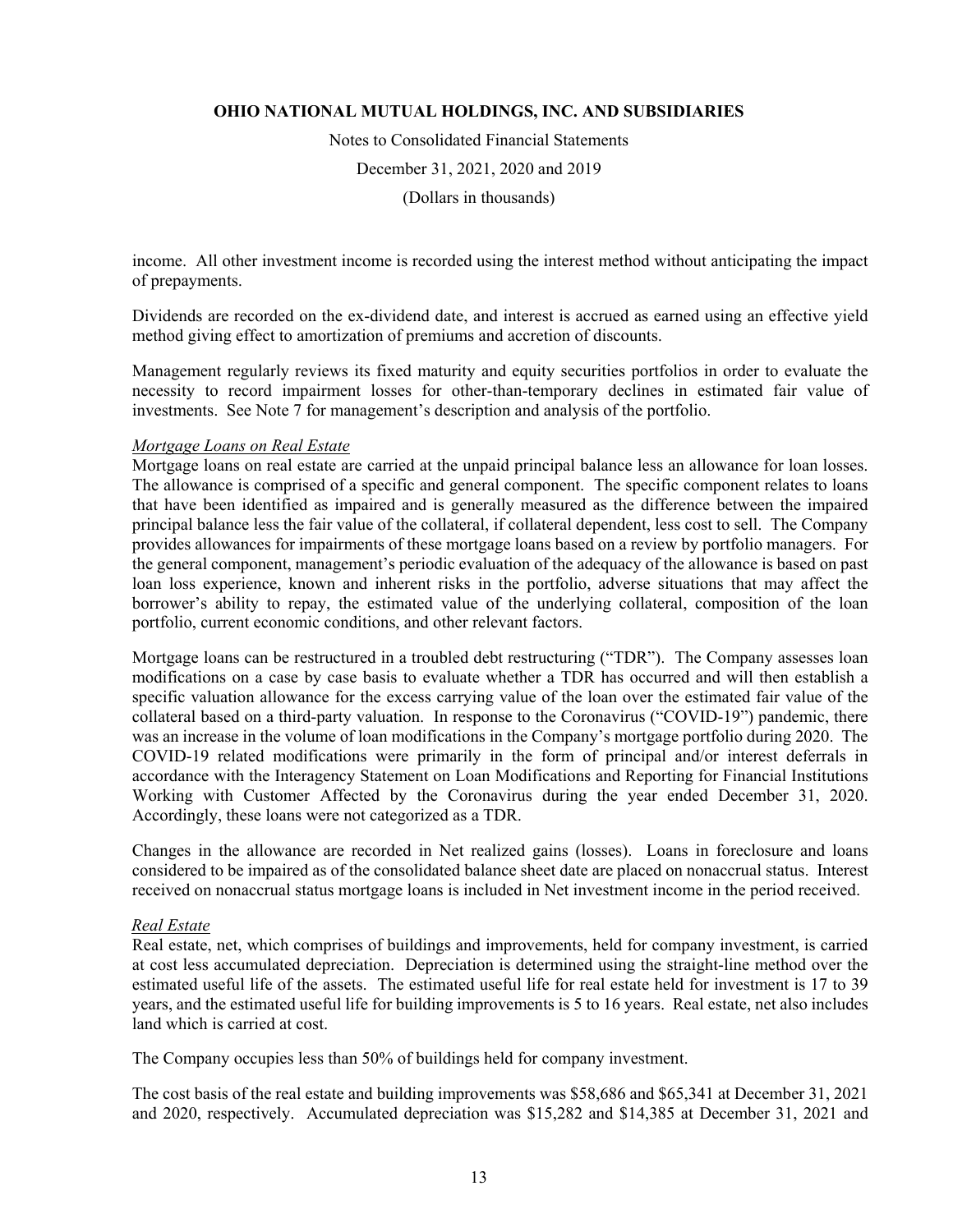Notes to Consolidated Financial Statements December 31, 2021, 2020 and 2019 (Dollars in thousands)

income. All other investment income is recorded using the interest method without anticipating the impact of prepayments.

Dividends are recorded on the ex-dividend date, and interest is accrued as earned using an effective yield method giving effect to amortization of premiums and accretion of discounts.

Management regularly reviews its fixed maturity and equity securities portfolios in order to evaluate the necessity to record impairment losses for other-than-temporary declines in estimated fair value of investments. See Note 7 for management's description and analysis of the portfolio.

### *Mortgage Loans on Real Estate*

Mortgage loans on real estate are carried at the unpaid principal balance less an allowance for loan losses. The allowance is comprised of a specific and general component. The specific component relates to loans that have been identified as impaired and is generally measured as the difference between the impaired principal balance less the fair value of the collateral, if collateral dependent, less cost to sell. The Company provides allowances for impairments of these mortgage loans based on a review by portfolio managers. For the general component, management's periodic evaluation of the adequacy of the allowance is based on past loan loss experience, known and inherent risks in the portfolio, adverse situations that may affect the borrower's ability to repay, the estimated value of the underlying collateral, composition of the loan portfolio, current economic conditions, and other relevant factors.

Mortgage loans can be restructured in a troubled debt restructuring ("TDR"). The Company assesses loan modifications on a case by case basis to evaluate whether a TDR has occurred and will then establish a specific valuation allowance for the excess carrying value of the loan over the estimated fair value of the collateral based on a third-party valuation. In response to the Coronavirus ("COVID-19") pandemic, there was an increase in the volume of loan modifications in the Company's mortgage portfolio during 2020. The COVID-19 related modifications were primarily in the form of principal and/or interest deferrals in accordance with the Interagency Statement on Loan Modifications and Reporting for Financial Institutions Working with Customer Affected by the Coronavirus during the year ended December 31, 2020. Accordingly, these loans were not categorized as a TDR.

Changes in the allowance are recorded in Net realized gains (losses). Loans in foreclosure and loans considered to be impaired as of the consolidated balance sheet date are placed on nonaccrual status. Interest received on nonaccrual status mortgage loans is included in Net investment income in the period received.

# *Real Estate*

Real estate, net, which comprises of buildings and improvements, held for company investment, is carried at cost less accumulated depreciation. Depreciation is determined using the straight-line method over the estimated useful life of the assets. The estimated useful life for real estate held for investment is 17 to 39 years, and the estimated useful life for building improvements is 5 to 16 years. Real estate, net also includes land which is carried at cost.

The Company occupies less than 50% of buildings held for company investment.

The cost basis of the real estate and building improvements was \$58,686 and \$65,341 at December 31, 2021 and 2020, respectively. Accumulated depreciation was \$15,282 and \$14,385 at December 31, 2021 and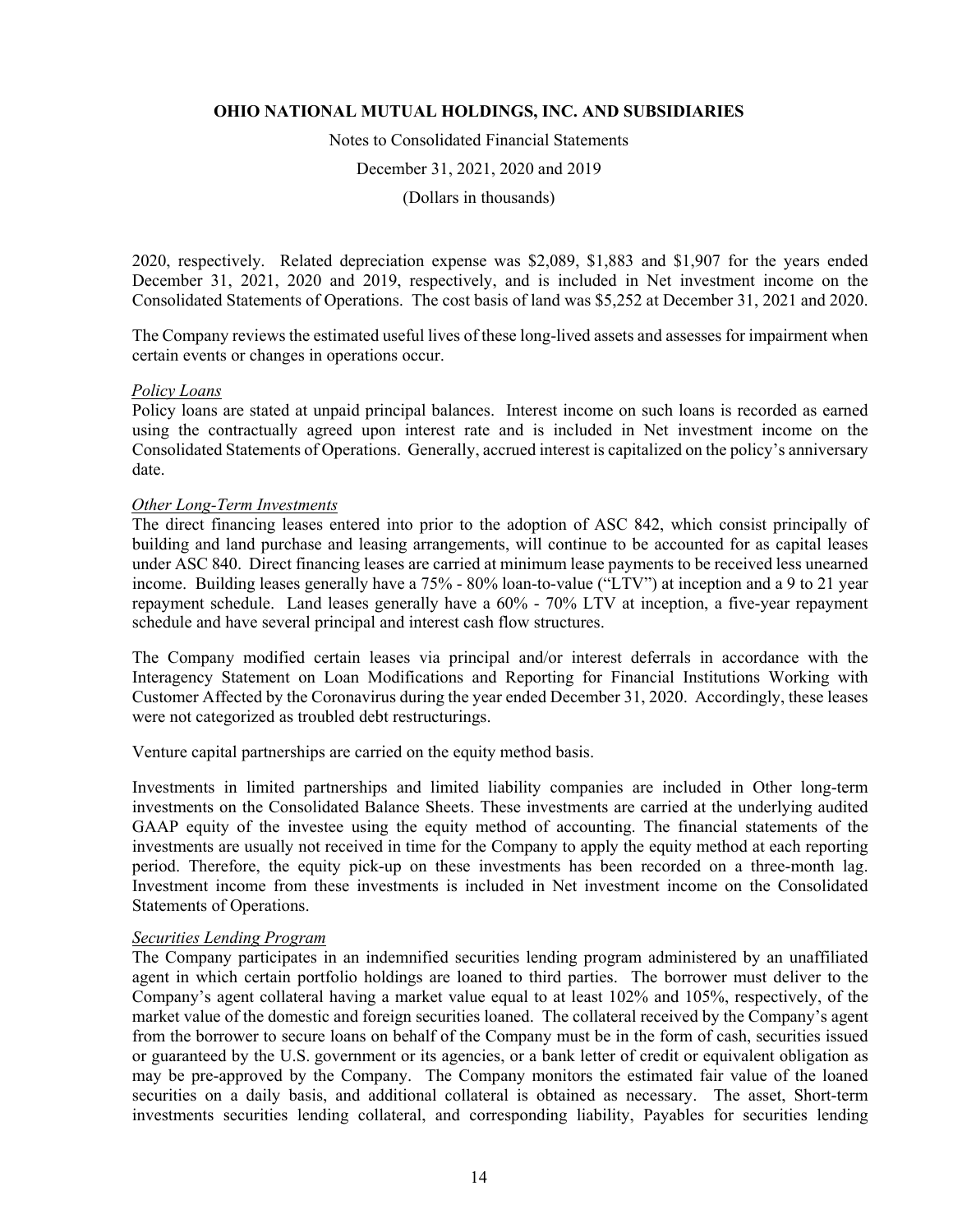Notes to Consolidated Financial Statements

December 31, 2021, 2020 and 2019

(Dollars in thousands)

2020, respectively. Related depreciation expense was \$2,089, \$1,883 and \$1,907 for the years ended December 31, 2021, 2020 and 2019, respectively, and is included in Net investment income on the Consolidated Statements of Operations. The cost basis of land was \$5,252 at December 31, 2021 and 2020.

The Company reviews the estimated useful lives of these long-lived assets and assesses for impairment when certain events or changes in operations occur.

### *Policy Loans*

Policy loans are stated at unpaid principal balances. Interest income on such loans is recorded as earned using the contractually agreed upon interest rate and is included in Net investment income on the Consolidated Statements of Operations. Generally, accrued interest is capitalized on the policy's anniversary date.

### *Other Long-Term Investments*

The direct financing leases entered into prior to the adoption of ASC 842, which consist principally of building and land purchase and leasing arrangements, will continue to be accounted for as capital leases under ASC 840. Direct financing leases are carried at minimum lease payments to be received less unearned income. Building leases generally have a 75% - 80% loan-to-value ("LTV") at inception and a 9 to 21 year repayment schedule. Land leases generally have a 60% - 70% LTV at inception, a five-year repayment schedule and have several principal and interest cash flow structures.

The Company modified certain leases via principal and/or interest deferrals in accordance with the Interagency Statement on Loan Modifications and Reporting for Financial Institutions Working with Customer Affected by the Coronavirus during the year ended December 31, 2020. Accordingly, these leases were not categorized as troubled debt restructurings.

Venture capital partnerships are carried on the equity method basis.

Investments in limited partnerships and limited liability companies are included in Other long-term investments on the Consolidated Balance Sheets. These investments are carried at the underlying audited GAAP equity of the investee using the equity method of accounting. The financial statements of the investments are usually not received in time for the Company to apply the equity method at each reporting period. Therefore, the equity pick-up on these investments has been recorded on a three-month lag. Investment income from these investments is included in Net investment income on the Consolidated Statements of Operations.

### *Securities Lending Program*

The Company participates in an indemnified securities lending program administered by an unaffiliated agent in which certain portfolio holdings are loaned to third parties. The borrower must deliver to the Company's agent collateral having a market value equal to at least 102% and 105%, respectively, of the market value of the domestic and foreign securities loaned. The collateral received by the Company's agent from the borrower to secure loans on behalf of the Company must be in the form of cash, securities issued or guaranteed by the U.S. government or its agencies, or a bank letter of credit or equivalent obligation as may be pre-approved by the Company. The Company monitors the estimated fair value of the loaned securities on a daily basis, and additional collateral is obtained as necessary. The asset, Short-term investments securities lending collateral, and corresponding liability, Payables for securities lending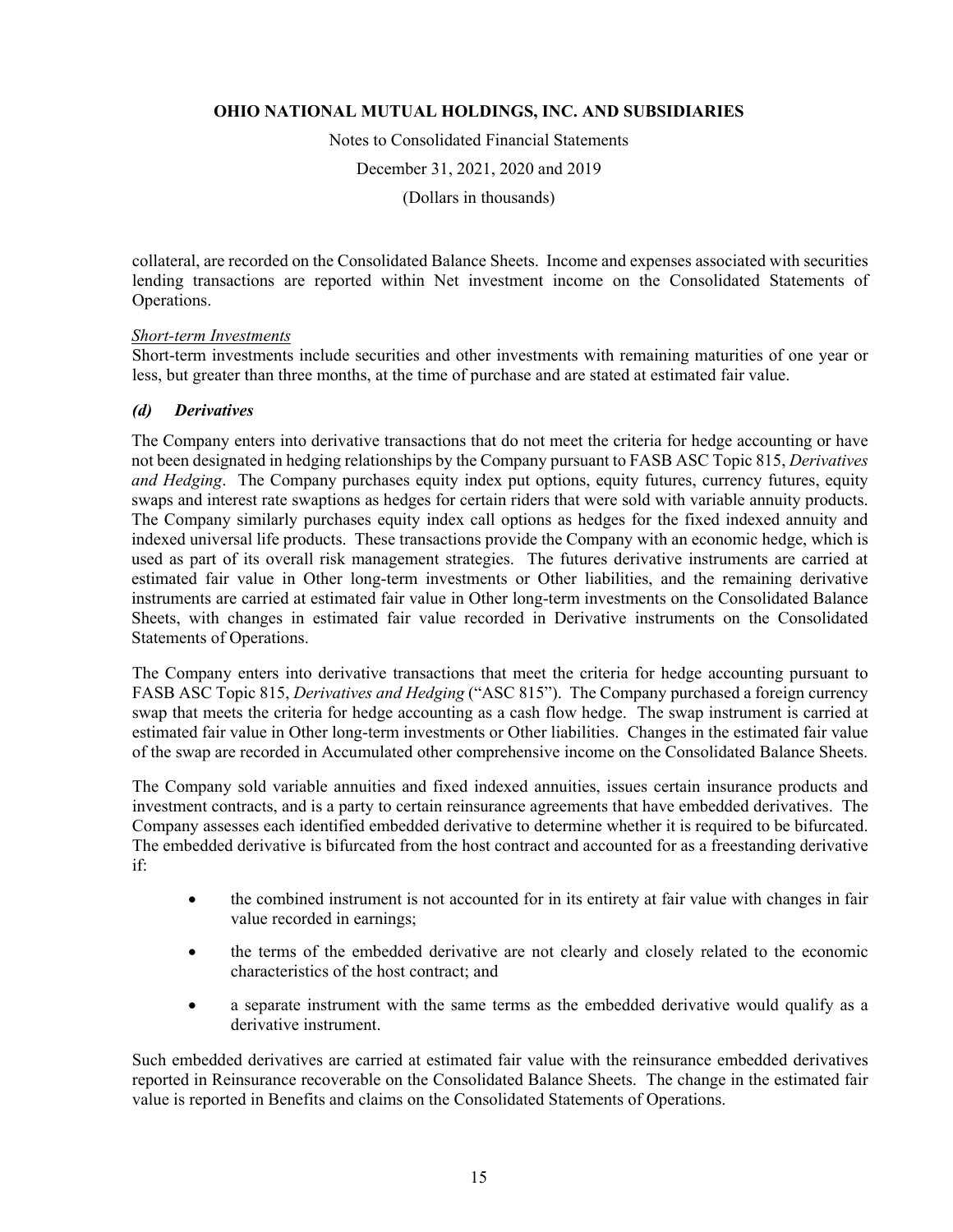Notes to Consolidated Financial Statements

December 31, 2021, 2020 and 2019

(Dollars in thousands)

collateral, are recorded on the Consolidated Balance Sheets. Income and expenses associated with securities lending transactions are reported within Net investment income on the Consolidated Statements of Operations.

### *Short-term Investments*

Short-term investments include securities and other investments with remaining maturities of one year or less, but greater than three months, at the time of purchase and are stated at estimated fair value.

### *(d) Derivatives*

The Company enters into derivative transactions that do not meet the criteria for hedge accounting or have not been designated in hedging relationships by the Company pursuant to FASB ASC Topic 815, *Derivatives and Hedging*. The Company purchases equity index put options, equity futures, currency futures, equity swaps and interest rate swaptions as hedges for certain riders that were sold with variable annuity products. The Company similarly purchases equity index call options as hedges for the fixed indexed annuity and indexed universal life products. These transactions provide the Company with an economic hedge, which is used as part of its overall risk management strategies. The futures derivative instruments are carried at estimated fair value in Other long-term investments or Other liabilities, and the remaining derivative instruments are carried at estimated fair value in Other long-term investments on the Consolidated Balance Sheets, with changes in estimated fair value recorded in Derivative instruments on the Consolidated Statements of Operations.

The Company enters into derivative transactions that meet the criteria for hedge accounting pursuant to FASB ASC Topic 815, *Derivatives and Hedging* ("ASC 815"). The Company purchased a foreign currency swap that meets the criteria for hedge accounting as a cash flow hedge. The swap instrument is carried at estimated fair value in Other long-term investments or Other liabilities. Changes in the estimated fair value of the swap are recorded in Accumulated other comprehensive income on the Consolidated Balance Sheets.

The Company sold variable annuities and fixed indexed annuities, issues certain insurance products and investment contracts, and is a party to certain reinsurance agreements that have embedded derivatives. The Company assesses each identified embedded derivative to determine whether it is required to be bifurcated. The embedded derivative is bifurcated from the host contract and accounted for as a freestanding derivative if:

- the combined instrument is not accounted for in its entirety at fair value with changes in fair value recorded in earnings;
- the terms of the embedded derivative are not clearly and closely related to the economic characteristics of the host contract; and
- a separate instrument with the same terms as the embedded derivative would qualify as a derivative instrument.

Such embedded derivatives are carried at estimated fair value with the reinsurance embedded derivatives reported in Reinsurance recoverable on the Consolidated Balance Sheets. The change in the estimated fair value is reported in Benefits and claims on the Consolidated Statements of Operations.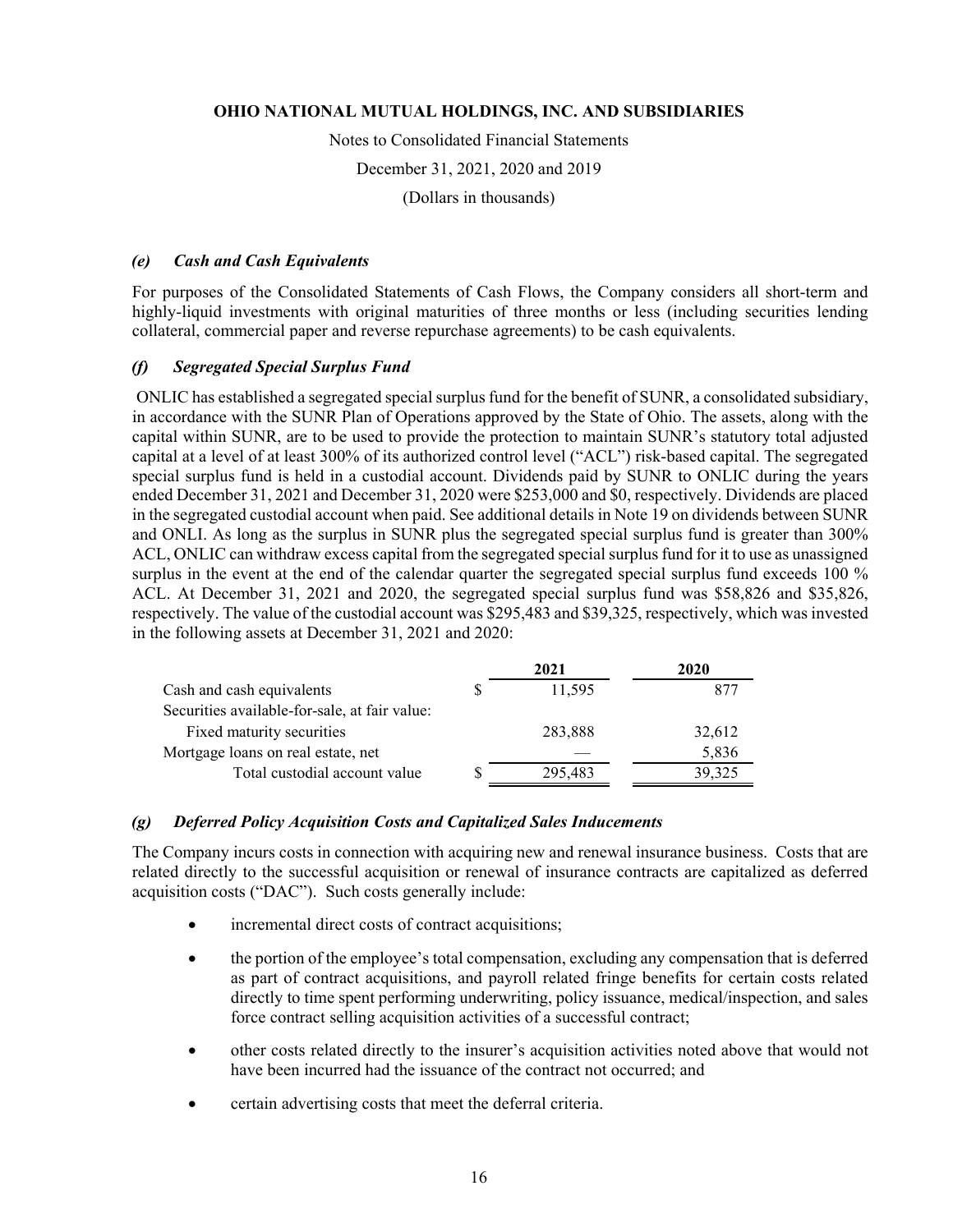Notes to Consolidated Financial Statements

December 31, 2021, 2020 and 2019

(Dollars in thousands)

### *(e) Cash and Cash Equivalents*

For purposes of the Consolidated Statements of Cash Flows, the Company considers all short-term and highly-liquid investments with original maturities of three months or less (including securities lending collateral, commercial paper and reverse repurchase agreements) to be cash equivalents.

### *(f) Segregated Special Surplus Fund*

 ONLIC has established a segregated special surplus fund for the benefit of SUNR, a consolidated subsidiary, in accordance with the SUNR Plan of Operations approved by the State of Ohio. The assets, along with the capital within SUNR, are to be used to provide the protection to maintain SUNR's statutory total adjusted capital at a level of at least 300% of its authorized control level ("ACL") risk-based capital. The segregated special surplus fund is held in a custodial account. Dividends paid by SUNR to ONLIC during the years ended December 31, 2021 and December 31, 2020 were \$253,000 and \$0, respectively. Dividends are placed in the segregated custodial account when paid. See additional details in Note 19 on dividends between SUNR and ONLI. As long as the surplus in SUNR plus the segregated special surplus fund is greater than 300% ACL, ONLIC can withdraw excess capital from the segregated special surplus fund for it to use as unassigned surplus in the event at the end of the calendar quarter the segregated special surplus fund exceeds 100 % ACL. At December 31, 2021 and 2020, the segregated special surplus fund was \$58,826 and \$35,826, respectively. The value of the custodial account was \$295,483 and \$39,325, respectively, which was invested in the following assets at December 31, 2021 and 2020:

|                                               | 2021    | 2020   |
|-----------------------------------------------|---------|--------|
| Cash and cash equivalents                     | 11,595  | 877    |
| Securities available-for-sale, at fair value: |         |        |
| Fixed maturity securities                     | 283,888 | 32,612 |
| Mortgage loans on real estate, net            |         | 5,836  |
| Total custodial account value                 | 295,483 | 39,325 |

# *(g) Deferred Policy Acquisition Costs and Capitalized Sales Inducements*

The Company incurs costs in connection with acquiring new and renewal insurance business. Costs that are related directly to the successful acquisition or renewal of insurance contracts are capitalized as deferred acquisition costs ("DAC"). Such costs generally include:

- incremental direct costs of contract acquisitions;
- the portion of the employee's total compensation, excluding any compensation that is deferred as part of contract acquisitions, and payroll related fringe benefits for certain costs related directly to time spent performing underwriting, policy issuance, medical/inspection, and sales force contract selling acquisition activities of a successful contract;
- other costs related directly to the insurer's acquisition activities noted above that would not have been incurred had the issuance of the contract not occurred; and
- certain advertising costs that meet the deferral criteria.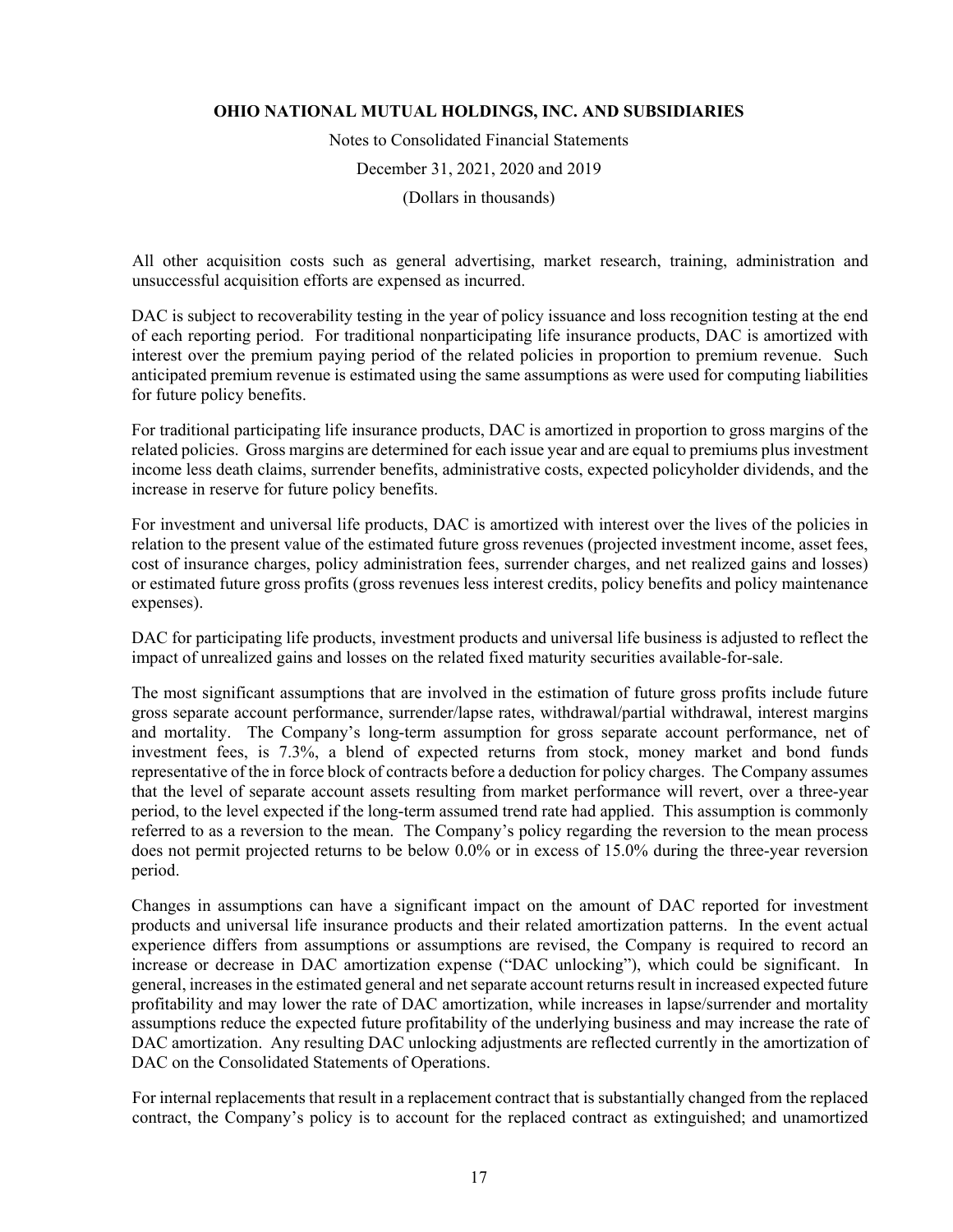Notes to Consolidated Financial Statements December 31, 2021, 2020 and 2019 (Dollars in thousands)

All other acquisition costs such as general advertising, market research, training, administration and unsuccessful acquisition efforts are expensed as incurred.

DAC is subject to recoverability testing in the year of policy issuance and loss recognition testing at the end of each reporting period. For traditional nonparticipating life insurance products, DAC is amortized with interest over the premium paying period of the related policies in proportion to premium revenue. Such anticipated premium revenue is estimated using the same assumptions as were used for computing liabilities for future policy benefits.

For traditional participating life insurance products, DAC is amortized in proportion to gross margins of the related policies. Gross margins are determined for each issue year and are equal to premiums plus investment income less death claims, surrender benefits, administrative costs, expected policyholder dividends, and the increase in reserve for future policy benefits.

For investment and universal life products, DAC is amortized with interest over the lives of the policies in relation to the present value of the estimated future gross revenues (projected investment income, asset fees, cost of insurance charges, policy administration fees, surrender charges, and net realized gains and losses) or estimated future gross profits (gross revenues less interest credits, policy benefits and policy maintenance expenses).

DAC for participating life products, investment products and universal life business is adjusted to reflect the impact of unrealized gains and losses on the related fixed maturity securities available-for-sale.

The most significant assumptions that are involved in the estimation of future gross profits include future gross separate account performance, surrender/lapse rates, withdrawal/partial withdrawal, interest margins and mortality. The Company's long-term assumption for gross separate account performance, net of investment fees, is 7.3%, a blend of expected returns from stock, money market and bond funds representative of the in force block of contracts before a deduction for policy charges. The Company assumes that the level of separate account assets resulting from market performance will revert, over a three-year period, to the level expected if the long-term assumed trend rate had applied. This assumption is commonly referred to as a reversion to the mean. The Company's policy regarding the reversion to the mean process does not permit projected returns to be below 0.0% or in excess of 15.0% during the three-year reversion period.

Changes in assumptions can have a significant impact on the amount of DAC reported for investment products and universal life insurance products and their related amortization patterns. In the event actual experience differs from assumptions or assumptions are revised, the Company is required to record an increase or decrease in DAC amortization expense ("DAC unlocking"), which could be significant. In general, increases in the estimated general and net separate account returns result in increased expected future profitability and may lower the rate of DAC amortization, while increases in lapse/surrender and mortality assumptions reduce the expected future profitability of the underlying business and may increase the rate of DAC amortization. Any resulting DAC unlocking adjustments are reflected currently in the amortization of DAC on the Consolidated Statements of Operations.

For internal replacements that result in a replacement contract that is substantially changed from the replaced contract, the Company's policy is to account for the replaced contract as extinguished; and unamortized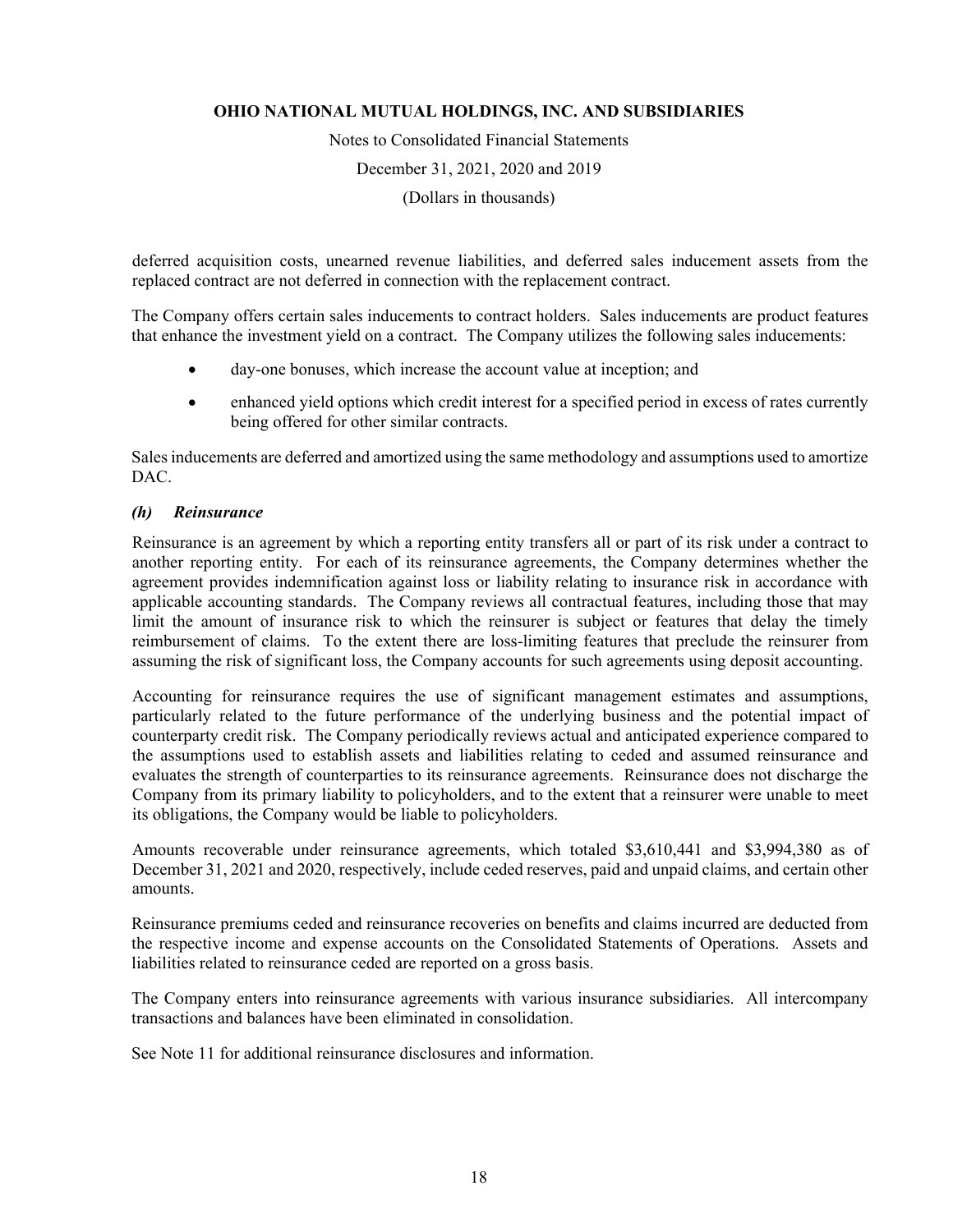Notes to Consolidated Financial Statements

December 31, 2021, 2020 and 2019

(Dollars in thousands)

deferred acquisition costs, unearned revenue liabilities, and deferred sales inducement assets from the replaced contract are not deferred in connection with the replacement contract.

The Company offers certain sales inducements to contract holders. Sales inducements are product features that enhance the investment yield on a contract. The Company utilizes the following sales inducements:

- day-one bonuses, which increase the account value at inception; and
- enhanced yield options which credit interest for a specified period in excess of rates currently being offered for other similar contracts.

Sales inducements are deferred and amortized using the same methodology and assumptions used to amortize DAC.

# *(h) Reinsurance*

Reinsurance is an agreement by which a reporting entity transfers all or part of its risk under a contract to another reporting entity. For each of its reinsurance agreements, the Company determines whether the agreement provides indemnification against loss or liability relating to insurance risk in accordance with applicable accounting standards. The Company reviews all contractual features, including those that may limit the amount of insurance risk to which the reinsurer is subject or features that delay the timely reimbursement of claims. To the extent there are loss-limiting features that preclude the reinsurer from assuming the risk of significant loss, the Company accounts for such agreements using deposit accounting.

Accounting for reinsurance requires the use of significant management estimates and assumptions, particularly related to the future performance of the underlying business and the potential impact of counterparty credit risk. The Company periodically reviews actual and anticipated experience compared to the assumptions used to establish assets and liabilities relating to ceded and assumed reinsurance and evaluates the strength of counterparties to its reinsurance agreements. Reinsurance does not discharge the Company from its primary liability to policyholders, and to the extent that a reinsurer were unable to meet its obligations, the Company would be liable to policyholders.

Amounts recoverable under reinsurance agreements, which totaled \$3,610,441 and \$3,994,380 as of December 31, 2021 and 2020, respectively, include ceded reserves, paid and unpaid claims, and certain other amounts.

Reinsurance premiums ceded and reinsurance recoveries on benefits and claims incurred are deducted from the respective income and expense accounts on the Consolidated Statements of Operations. Assets and liabilities related to reinsurance ceded are reported on a gross basis.

The Company enters into reinsurance agreements with various insurance subsidiaries. All intercompany transactions and balances have been eliminated in consolidation.

See Note 11 for additional reinsurance disclosures and information.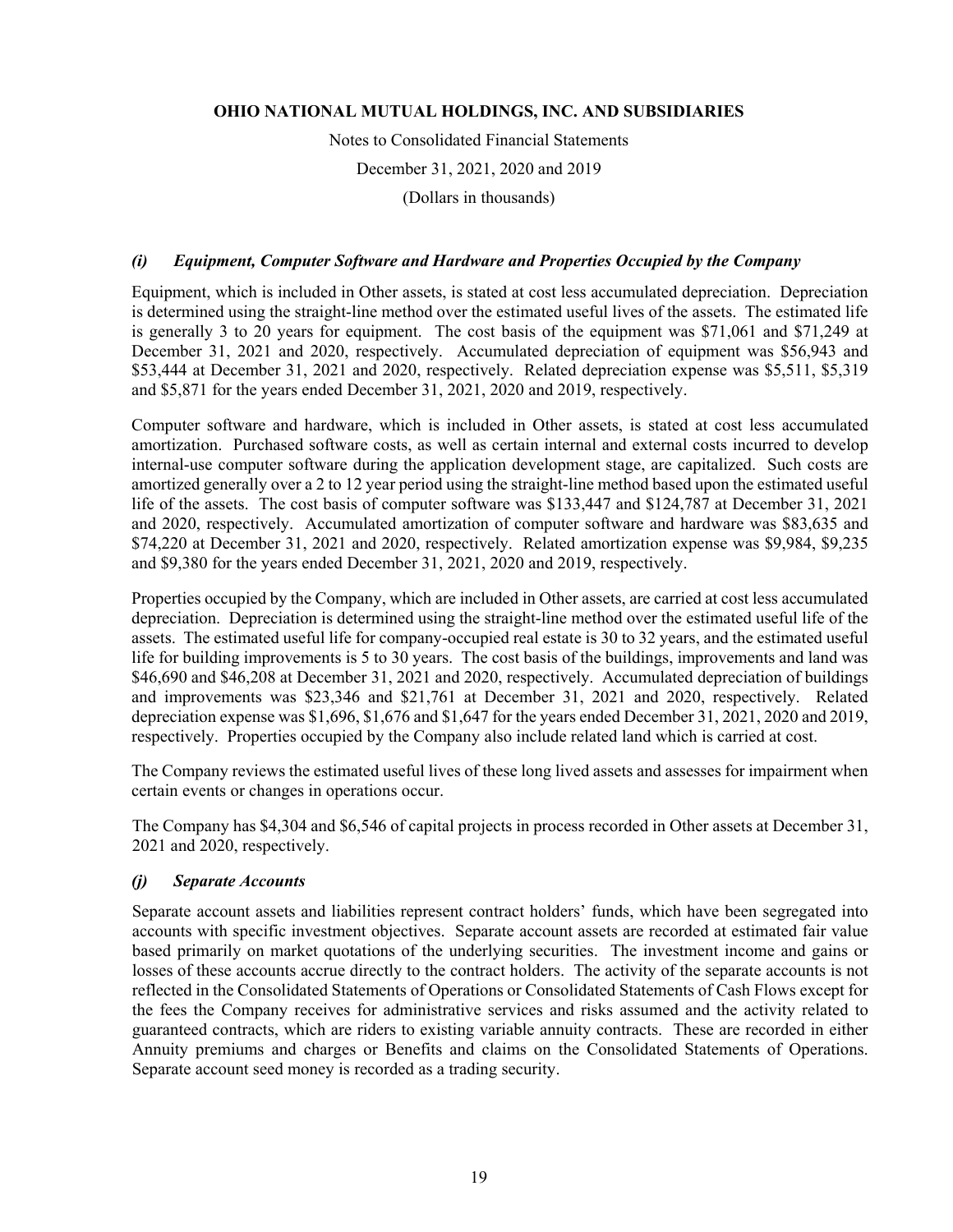Notes to Consolidated Financial Statements December 31, 2021, 2020 and 2019 (Dollars in thousands)

*(i) Equipment, Computer Software and Hardware and Properties Occupied by the Company* 

Equipment, which is included in Other assets, is stated at cost less accumulated depreciation. Depreciation is determined using the straight-line method over the estimated useful lives of the assets. The estimated life is generally 3 to 20 years for equipment. The cost basis of the equipment was \$71,061 and \$71,249 at December 31, 2021 and 2020, respectively. Accumulated depreciation of equipment was \$56,943 and \$53,444 at December 31, 2021 and 2020, respectively. Related depreciation expense was \$5,511, \$5,319 and \$5,871 for the years ended December 31, 2021, 2020 and 2019, respectively.

Computer software and hardware, which is included in Other assets, is stated at cost less accumulated amortization. Purchased software costs, as well as certain internal and external costs incurred to develop internal-use computer software during the application development stage, are capitalized. Such costs are amortized generally over a 2 to 12 year period using the straight-line method based upon the estimated useful life of the assets. The cost basis of computer software was \$133,447 and \$124,787 at December 31, 2021 and 2020, respectively. Accumulated amortization of computer software and hardware was \$83,635 and \$74,220 at December 31, 2021 and 2020, respectively. Related amortization expense was \$9,984, \$9,235 and \$9,380 for the years ended December 31, 2021, 2020 and 2019, respectively.

Properties occupied by the Company, which are included in Other assets, are carried at cost less accumulated depreciation. Depreciation is determined using the straight-line method over the estimated useful life of the assets. The estimated useful life for company-occupied real estate is 30 to 32 years, and the estimated useful life for building improvements is 5 to 30 years. The cost basis of the buildings, improvements and land was \$46,690 and \$46,208 at December 31, 2021 and 2020, respectively. Accumulated depreciation of buildings and improvements was \$23,346 and \$21,761 at December 31, 2021 and 2020, respectively. Related depreciation expense was \$1,696, \$1,676 and \$1,647 for the years ended December 31, 2021, 2020 and 2019, respectively. Properties occupied by the Company also include related land which is carried at cost.

The Company reviews the estimated useful lives of these long lived assets and assesses for impairment when certain events or changes in operations occur.

The Company has \$4,304 and \$6,546 of capital projects in process recorded in Other assets at December 31, 2021 and 2020, respectively.

# *(j) Separate Accounts*

Separate account assets and liabilities represent contract holders' funds, which have been segregated into accounts with specific investment objectives. Separate account assets are recorded at estimated fair value based primarily on market quotations of the underlying securities. The investment income and gains or losses of these accounts accrue directly to the contract holders. The activity of the separate accounts is not reflected in the Consolidated Statements of Operations or Consolidated Statements of Cash Flows except for the fees the Company receives for administrative services and risks assumed and the activity related to guaranteed contracts, which are riders to existing variable annuity contracts. These are recorded in either Annuity premiums and charges or Benefits and claims on the Consolidated Statements of Operations. Separate account seed money is recorded as a trading security.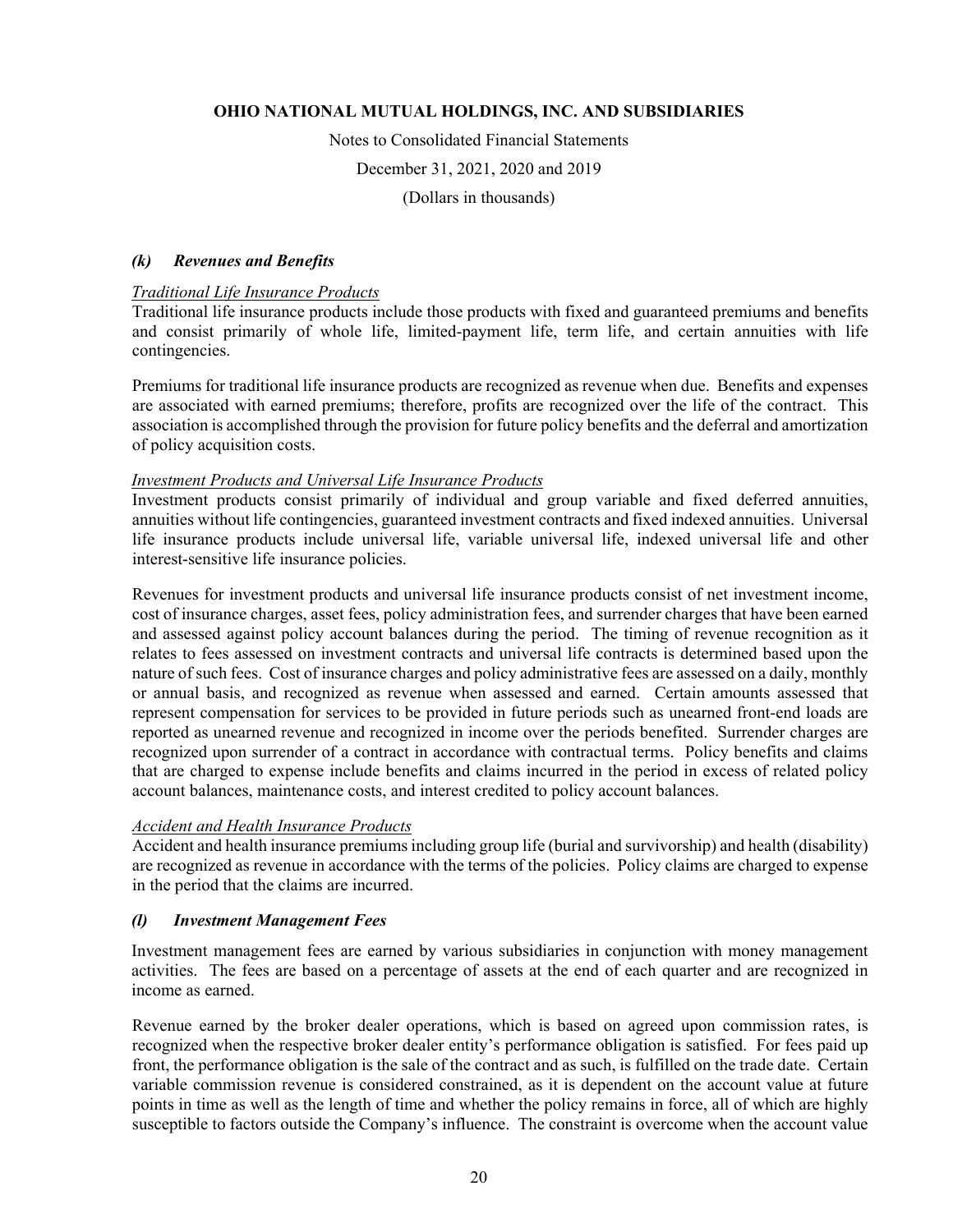Notes to Consolidated Financial Statements

December 31, 2021, 2020 and 2019

(Dollars in thousands)

### *(k) Revenues and Benefits*

### *Traditional Life Insurance Products*

Traditional life insurance products include those products with fixed and guaranteed premiums and benefits and consist primarily of whole life, limited-payment life, term life, and certain annuities with life contingencies.

Premiums for traditional life insurance products are recognized as revenue when due. Benefits and expenses are associated with earned premiums; therefore, profits are recognized over the life of the contract. This association is accomplished through the provision for future policy benefits and the deferral and amortization of policy acquisition costs.

### *Investment Products and Universal Life Insurance Products*

Investment products consist primarily of individual and group variable and fixed deferred annuities, annuities without life contingencies, guaranteed investment contracts and fixed indexed annuities. Universal life insurance products include universal life, variable universal life, indexed universal life and other interest-sensitive life insurance policies.

Revenues for investment products and universal life insurance products consist of net investment income, cost of insurance charges, asset fees, policy administration fees, and surrender charges that have been earned and assessed against policy account balances during the period. The timing of revenue recognition as it relates to fees assessed on investment contracts and universal life contracts is determined based upon the nature of such fees. Cost of insurance charges and policy administrative fees are assessed on a daily, monthly or annual basis, and recognized as revenue when assessed and earned. Certain amounts assessed that represent compensation for services to be provided in future periods such as unearned front-end loads are reported as unearned revenue and recognized in income over the periods benefited. Surrender charges are recognized upon surrender of a contract in accordance with contractual terms. Policy benefits and claims that are charged to expense include benefits and claims incurred in the period in excess of related policy account balances, maintenance costs, and interest credited to policy account balances.

# *Accident and Health Insurance Products*

Accident and health insurance premiums including group life (burial and survivorship) and health (disability) are recognized as revenue in accordance with the terms of the policies. Policy claims are charged to expense in the period that the claims are incurred.

# *(l) Investment Management Fees*

Investment management fees are earned by various subsidiaries in conjunction with money management activities. The fees are based on a percentage of assets at the end of each quarter and are recognized in income as earned.

Revenue earned by the broker dealer operations, which is based on agreed upon commission rates, is recognized when the respective broker dealer entity's performance obligation is satisfied. For fees paid up front, the performance obligation is the sale of the contract and as such, is fulfilled on the trade date. Certain variable commission revenue is considered constrained, as it is dependent on the account value at future points in time as well as the length of time and whether the policy remains in force, all of which are highly susceptible to factors outside the Company's influence. The constraint is overcome when the account value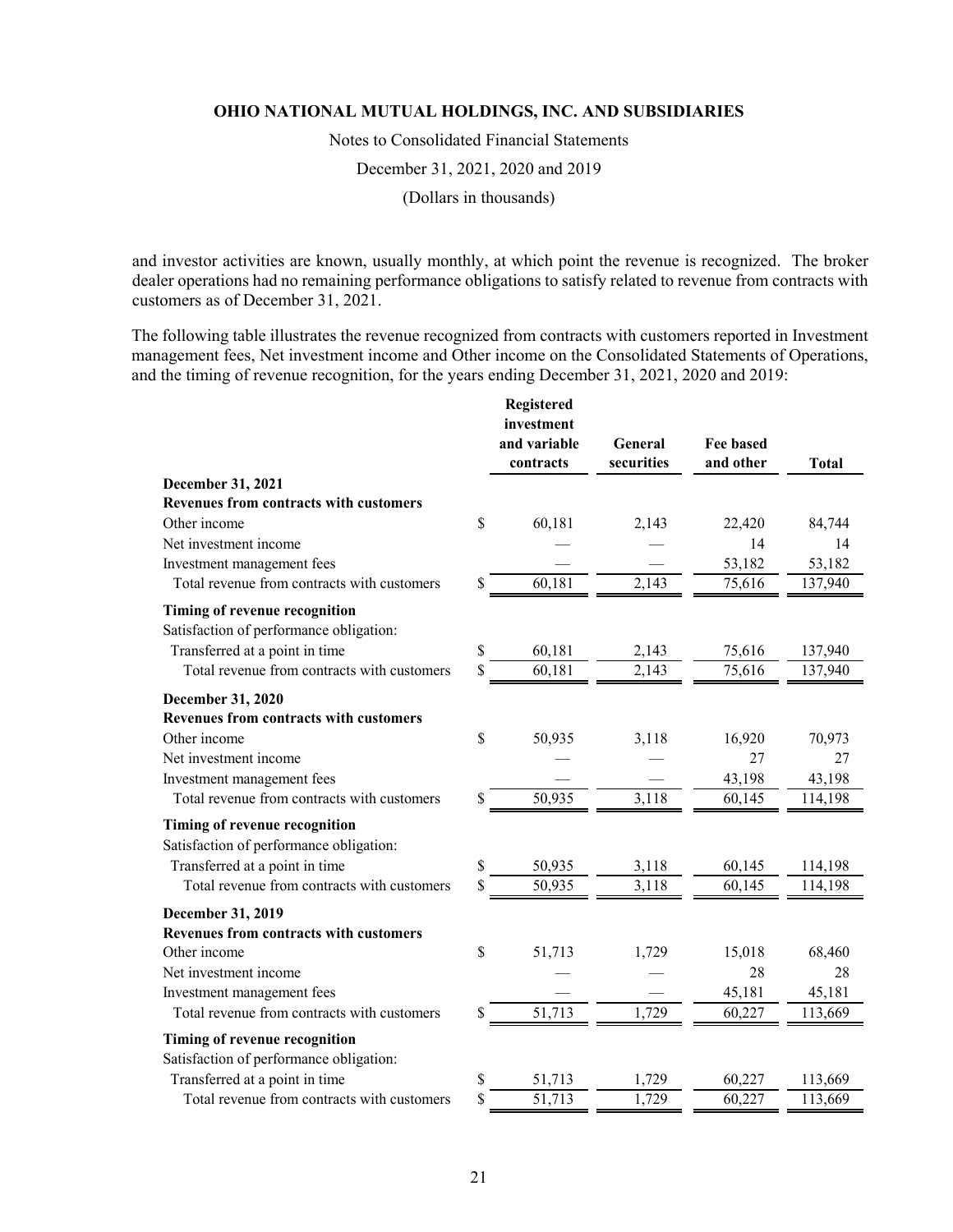Notes to Consolidated Financial Statements

December 31, 2021, 2020 and 2019

(Dollars in thousands)

and investor activities are known, usually monthly, at which point the revenue is recognized. The broker dealer operations had no remaining performance obligations to satisfy related to revenue from contracts with customers as of December 31, 2021.

The following table illustrates the revenue recognized from contracts with customers reported in Investment management fees, Net investment income and Other income on the Consolidated Statements of Operations, and the timing of revenue recognition, for the years ending December 31, 2021, 2020 and 2019:

|                                                                          |    | <b>Registered</b><br>investment<br>and variable<br>contracts | General<br>securities | <b>Fee based</b><br>and other | <b>Total</b> |
|--------------------------------------------------------------------------|----|--------------------------------------------------------------|-----------------------|-------------------------------|--------------|
| December 31, 2021                                                        |    |                                                              |                       |                               |              |
| <b>Revenues from contracts with customers</b>                            |    |                                                              |                       |                               |              |
| Other income                                                             | \$ | 60,181                                                       | 2,143                 | 22,420                        | 84,744       |
| Net investment income                                                    |    |                                                              |                       | 14                            | 14           |
| Investment management fees                                               |    |                                                              |                       | 53,182                        | 53,182       |
| Total revenue from contracts with customers                              | \$ | 60,181                                                       | 2,143                 | 75,616                        | 137,940      |
| Timing of revenue recognition                                            |    |                                                              |                       |                               |              |
| Satisfaction of performance obligation:                                  |    |                                                              |                       |                               |              |
| Transferred at a point in time                                           | \$ | 60,181                                                       | 2,143                 | 75,616                        | 137,940      |
| Total revenue from contracts with customers                              | \$ | 60,181                                                       | 2,143                 | 75,616                        | 137,940      |
| December 31, 2020                                                        |    |                                                              |                       |                               |              |
| <b>Revenues from contracts with customers</b>                            |    |                                                              |                       |                               |              |
| Other income                                                             | \$ | 50,935                                                       | 3,118                 | 16,920                        | 70,973       |
| Net investment income                                                    |    |                                                              |                       | 27                            | 27           |
| Investment management fees                                               |    |                                                              |                       | 43,198                        | 43,198       |
| Total revenue from contracts with customers                              | \$ | 50,935                                                       | 3,118                 | 60,145                        | 114,198      |
| Timing of revenue recognition                                            |    |                                                              |                       |                               |              |
| Satisfaction of performance obligation:                                  |    |                                                              |                       |                               |              |
| Transferred at a point in time                                           | \$ | 50,935                                                       | 3,118                 | 60,145                        | 114,198      |
| Total revenue from contracts with customers                              | \$ | 50,935                                                       | 3,118                 | 60,145                        | 114,198      |
| December 31, 2019                                                        |    |                                                              |                       |                               |              |
| <b>Revenues from contracts with customers</b>                            |    |                                                              |                       |                               |              |
| Other income                                                             | \$ | 51,713                                                       | 1,729                 | 15,018                        | 68,460       |
| Net investment income                                                    |    |                                                              |                       | 28                            | 28           |
| Investment management fees                                               |    |                                                              |                       | 45,181                        | 45,181       |
| Total revenue from contracts with customers                              | S  | 51,713                                                       | 1,729                 | 60,227                        | 113,669      |
| Timing of revenue recognition<br>Satisfaction of performance obligation: |    |                                                              |                       |                               |              |
| Transferred at a point in time                                           | \$ | 51,713                                                       | 1,729                 | 60,227                        | 113,669      |
| Total revenue from contracts with customers                              | \$ | 51,713                                                       | 1,729                 | 60,227                        | 113,669      |
|                                                                          |    |                                                              |                       |                               |              |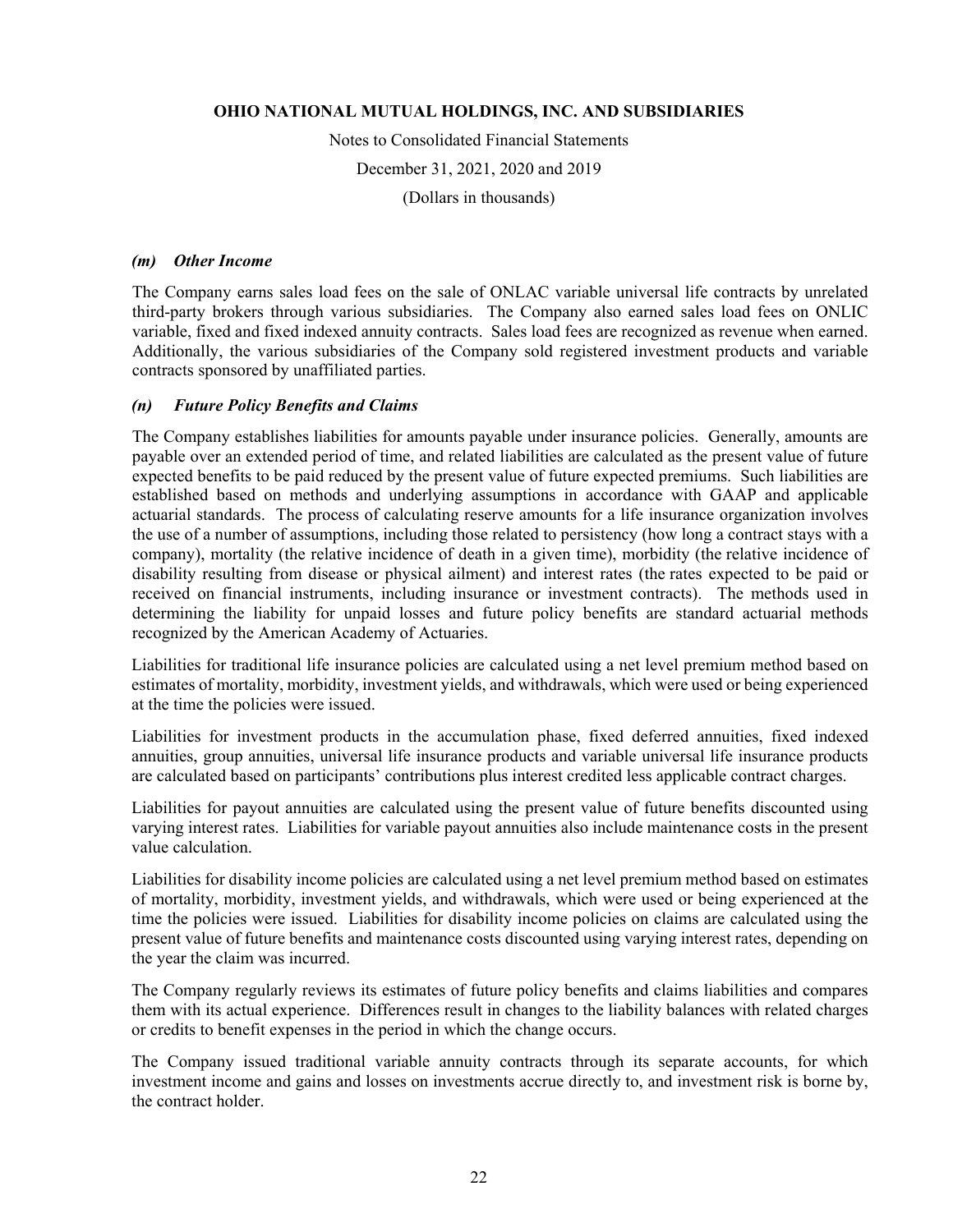Notes to Consolidated Financial Statements

December 31, 2021, 2020 and 2019

(Dollars in thousands)

### *(m) Other Income*

The Company earns sales load fees on the sale of ONLAC variable universal life contracts by unrelated third-party brokers through various subsidiaries. The Company also earned sales load fees on ONLIC variable, fixed and fixed indexed annuity contracts. Sales load fees are recognized as revenue when earned. Additionally, the various subsidiaries of the Company sold registered investment products and variable contracts sponsored by unaffiliated parties.

# *(n) Future Policy Benefits and Claims*

The Company establishes liabilities for amounts payable under insurance policies. Generally, amounts are payable over an extended period of time, and related liabilities are calculated as the present value of future expected benefits to be paid reduced by the present value of future expected premiums. Such liabilities are established based on methods and underlying assumptions in accordance with GAAP and applicable actuarial standards. The process of calculating reserve amounts for a life insurance organization involves the use of a number of assumptions, including those related to persistency (how long a contract stays with a company), mortality (the relative incidence of death in a given time), morbidity (the relative incidence of disability resulting from disease or physical ailment) and interest rates (the rates expected to be paid or received on financial instruments, including insurance or investment contracts). The methods used in determining the liability for unpaid losses and future policy benefits are standard actuarial methods recognized by the American Academy of Actuaries.

Liabilities for traditional life insurance policies are calculated using a net level premium method based on estimates of mortality, morbidity, investment yields, and withdrawals, which were used or being experienced at the time the policies were issued.

Liabilities for investment products in the accumulation phase, fixed deferred annuities, fixed indexed annuities, group annuities, universal life insurance products and variable universal life insurance products are calculated based on participants' contributions plus interest credited less applicable contract charges.

Liabilities for payout annuities are calculated using the present value of future benefits discounted using varying interest rates. Liabilities for variable payout annuities also include maintenance costs in the present value calculation.

Liabilities for disability income policies are calculated using a net level premium method based on estimates of mortality, morbidity, investment yields, and withdrawals, which were used or being experienced at the time the policies were issued. Liabilities for disability income policies on claims are calculated using the present value of future benefits and maintenance costs discounted using varying interest rates, depending on the year the claim was incurred.

The Company regularly reviews its estimates of future policy benefits and claims liabilities and compares them with its actual experience. Differences result in changes to the liability balances with related charges or credits to benefit expenses in the period in which the change occurs.

The Company issued traditional variable annuity contracts through its separate accounts, for which investment income and gains and losses on investments accrue directly to, and investment risk is borne by, the contract holder.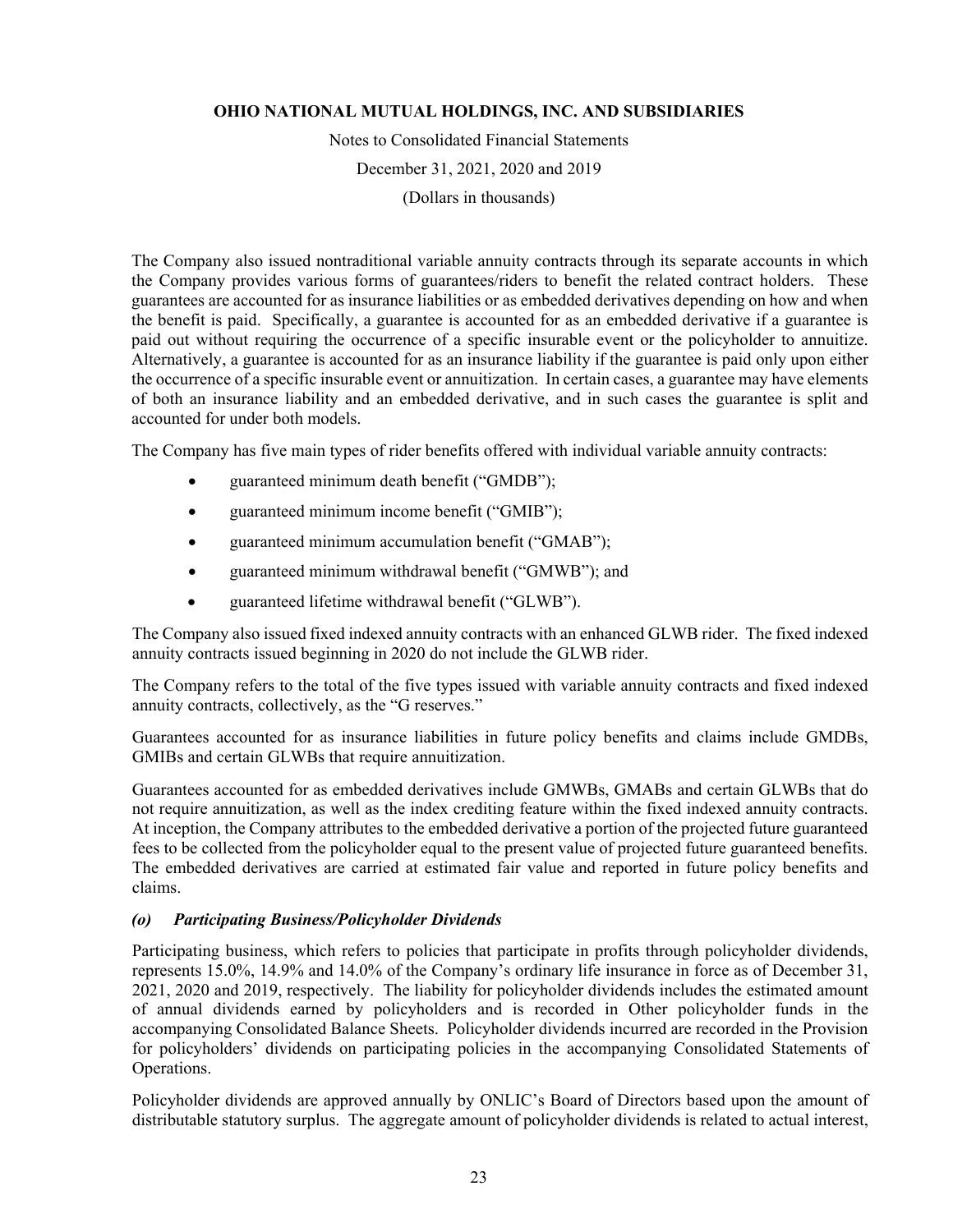Notes to Consolidated Financial Statements

December 31, 2021, 2020 and 2019

(Dollars in thousands)

The Company also issued nontraditional variable annuity contracts through its separate accounts in which the Company provides various forms of guarantees/riders to benefit the related contract holders. These guarantees are accounted for as insurance liabilities or as embedded derivatives depending on how and when the benefit is paid. Specifically, a guarantee is accounted for as an embedded derivative if a guarantee is paid out without requiring the occurrence of a specific insurable event or the policyholder to annuitize. Alternatively, a guarantee is accounted for as an insurance liability if the guarantee is paid only upon either the occurrence of a specific insurable event or annuitization. In certain cases, a guarantee may have elements of both an insurance liability and an embedded derivative, and in such cases the guarantee is split and accounted for under both models.

The Company has five main types of rider benefits offered with individual variable annuity contracts:

- guaranteed minimum death benefit ("GMDB");
- guaranteed minimum income benefit ("GMIB");
- guaranteed minimum accumulation benefit ("GMAB");
- guaranteed minimum withdrawal benefit ("GMWB"); and
- guaranteed lifetime withdrawal benefit ("GLWB").

The Company also issued fixed indexed annuity contracts with an enhanced GLWB rider. The fixed indexed annuity contracts issued beginning in 2020 do not include the GLWB rider.

The Company refers to the total of the five types issued with variable annuity contracts and fixed indexed annuity contracts, collectively, as the "G reserves."

Guarantees accounted for as insurance liabilities in future policy benefits and claims include GMDBs, GMIBs and certain GLWBs that require annuitization.

Guarantees accounted for as embedded derivatives include GMWBs, GMABs and certain GLWBs that do not require annuitization, as well as the index crediting feature within the fixed indexed annuity contracts. At inception, the Company attributes to the embedded derivative a portion of the projected future guaranteed fees to be collected from the policyholder equal to the present value of projected future guaranteed benefits. The embedded derivatives are carried at estimated fair value and reported in future policy benefits and claims.

# *(o) Participating Business/Policyholder Dividends*

Participating business, which refers to policies that participate in profits through policyholder dividends, represents 15.0%, 14.9% and 14.0% of the Company's ordinary life insurance in force as of December 31, 2021, 2020 and 2019, respectively. The liability for policyholder dividends includes the estimated amount of annual dividends earned by policyholders and is recorded in Other policyholder funds in the accompanying Consolidated Balance Sheets. Policyholder dividends incurred are recorded in the Provision for policyholders' dividends on participating policies in the accompanying Consolidated Statements of Operations.

Policyholder dividends are approved annually by ONLIC's Board of Directors based upon the amount of distributable statutory surplus. The aggregate amount of policyholder dividends is related to actual interest,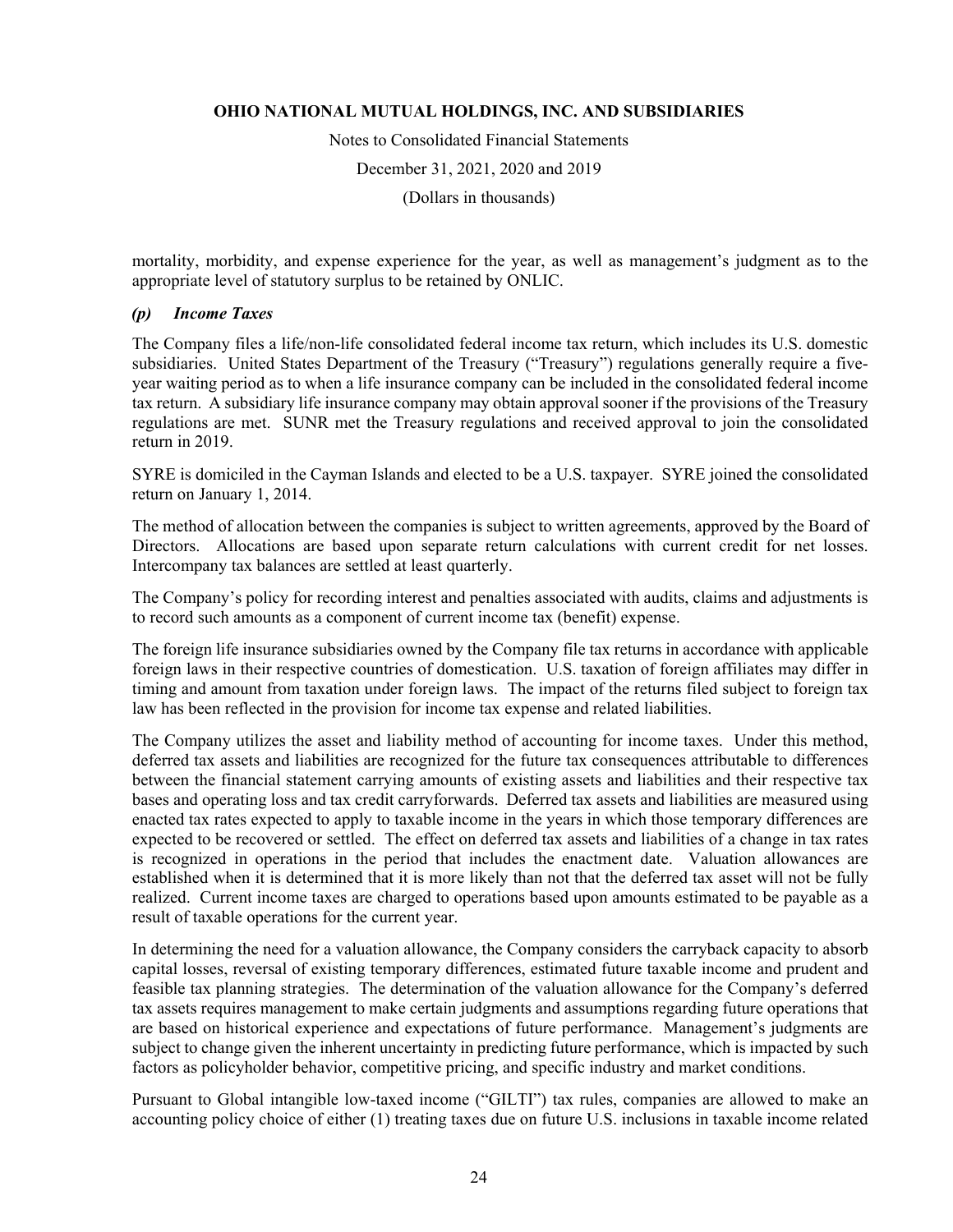Notes to Consolidated Financial Statements

December 31, 2021, 2020 and 2019

(Dollars in thousands)

mortality, morbidity, and expense experience for the year, as well as management's judgment as to the appropriate level of statutory surplus to be retained by ONLIC.

### *(p) Income Taxes*

The Company files a life/non-life consolidated federal income tax return, which includes its U.S. domestic subsidiaries. United States Department of the Treasury ("Treasury") regulations generally require a fiveyear waiting period as to when a life insurance company can be included in the consolidated federal income tax return. A subsidiary life insurance company may obtain approval sooner if the provisions of the Treasury regulations are met. SUNR met the Treasury regulations and received approval to join the consolidated return in 2019.

SYRE is domiciled in the Cayman Islands and elected to be a U.S. taxpayer. SYRE joined the consolidated return on January 1, 2014.

The method of allocation between the companies is subject to written agreements, approved by the Board of Directors. Allocations are based upon separate return calculations with current credit for net losses. Intercompany tax balances are settled at least quarterly.

The Company's policy for recording interest and penalties associated with audits, claims and adjustments is to record such amounts as a component of current income tax (benefit) expense.

The foreign life insurance subsidiaries owned by the Company file tax returns in accordance with applicable foreign laws in their respective countries of domestication. U.S. taxation of foreign affiliates may differ in timing and amount from taxation under foreign laws. The impact of the returns filed subject to foreign tax law has been reflected in the provision for income tax expense and related liabilities.

The Company utilizes the asset and liability method of accounting for income taxes. Under this method, deferred tax assets and liabilities are recognized for the future tax consequences attributable to differences between the financial statement carrying amounts of existing assets and liabilities and their respective tax bases and operating loss and tax credit carryforwards. Deferred tax assets and liabilities are measured using enacted tax rates expected to apply to taxable income in the years in which those temporary differences are expected to be recovered or settled. The effect on deferred tax assets and liabilities of a change in tax rates is recognized in operations in the period that includes the enactment date. Valuation allowances are established when it is determined that it is more likely than not that the deferred tax asset will not be fully realized. Current income taxes are charged to operations based upon amounts estimated to be payable as a result of taxable operations for the current year.

In determining the need for a valuation allowance, the Company considers the carryback capacity to absorb capital losses, reversal of existing temporary differences, estimated future taxable income and prudent and feasible tax planning strategies. The determination of the valuation allowance for the Company's deferred tax assets requires management to make certain judgments and assumptions regarding future operations that are based on historical experience and expectations of future performance. Management's judgments are subject to change given the inherent uncertainty in predicting future performance, which is impacted by such factors as policyholder behavior, competitive pricing, and specific industry and market conditions.

Pursuant to Global intangible low-taxed income ("GILTI") tax rules, companies are allowed to make an accounting policy choice of either (1) treating taxes due on future U.S. inclusions in taxable income related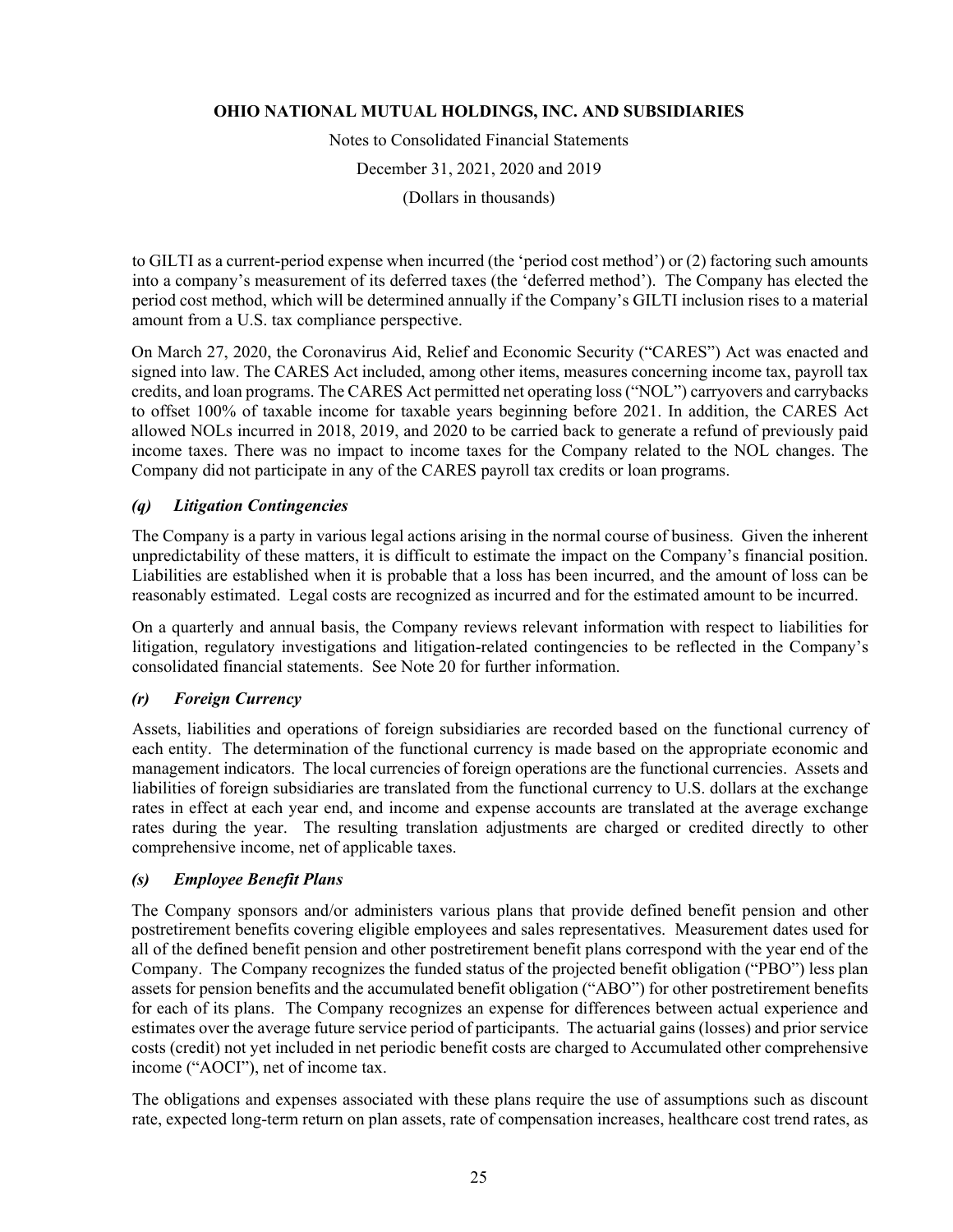Notes to Consolidated Financial Statements

December 31, 2021, 2020 and 2019

(Dollars in thousands)

to GILTI as a current-period expense when incurred (the 'period cost method') or (2) factoring such amounts into a company's measurement of its deferred taxes (the 'deferred method'). The Company has elected the period cost method, which will be determined annually if the Company's GILTI inclusion rises to a material amount from a U.S. tax compliance perspective.

On March 27, 2020, the Coronavirus Aid, Relief and Economic Security ("CARES") Act was enacted and signed into law. The CARES Act included, among other items, measures concerning income tax, payroll tax credits, and loan programs. The CARES Act permitted net operating loss ("NOL") carryovers and carrybacks to offset 100% of taxable income for taxable years beginning before 2021. In addition, the CARES Act allowed NOLs incurred in 2018, 2019, and 2020 to be carried back to generate a refund of previously paid income taxes. There was no impact to income taxes for the Company related to the NOL changes. The Company did not participate in any of the CARES payroll tax credits or loan programs.

# *(q) Litigation Contingencies*

The Company is a party in various legal actions arising in the normal course of business. Given the inherent unpredictability of these matters, it is difficult to estimate the impact on the Company's financial position. Liabilities are established when it is probable that a loss has been incurred, and the amount of loss can be reasonably estimated. Legal costs are recognized as incurred and for the estimated amount to be incurred.

On a quarterly and annual basis, the Company reviews relevant information with respect to liabilities for litigation, regulatory investigations and litigation-related contingencies to be reflected in the Company's consolidated financial statements. See Note 20 for further information.

# *(r) Foreign Currency*

Assets, liabilities and operations of foreign subsidiaries are recorded based on the functional currency of each entity. The determination of the functional currency is made based on the appropriate economic and management indicators. The local currencies of foreign operations are the functional currencies. Assets and liabilities of foreign subsidiaries are translated from the functional currency to U.S. dollars at the exchange rates in effect at each year end, and income and expense accounts are translated at the average exchange rates during the year. The resulting translation adjustments are charged or credited directly to other comprehensive income, net of applicable taxes.

# *(s) Employee Benefit Plans*

The Company sponsors and/or administers various plans that provide defined benefit pension and other postretirement benefits covering eligible employees and sales representatives. Measurement dates used for all of the defined benefit pension and other postretirement benefit plans correspond with the year end of the Company. The Company recognizes the funded status of the projected benefit obligation ("PBO") less plan assets for pension benefits and the accumulated benefit obligation ("ABO") for other postretirement benefits for each of its plans. The Company recognizes an expense for differences between actual experience and estimates over the average future service period of participants. The actuarial gains (losses) and prior service costs (credit) not yet included in net periodic benefit costs are charged to Accumulated other comprehensive income ("AOCI"), net of income tax.

The obligations and expenses associated with these plans require the use of assumptions such as discount rate, expected long-term return on plan assets, rate of compensation increases, healthcare cost trend rates, as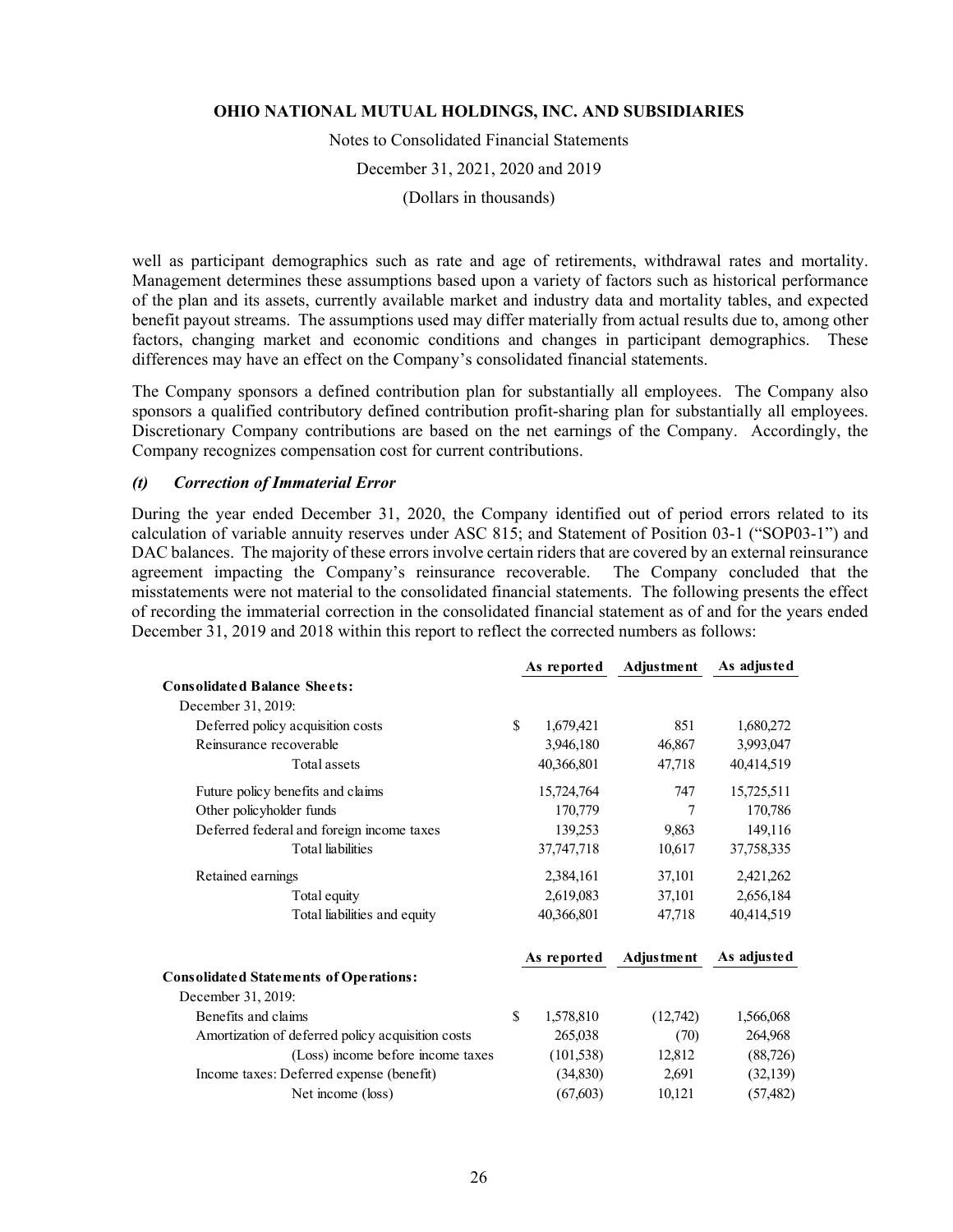Notes to Consolidated Financial Statements

December 31, 2021, 2020 and 2019

(Dollars in thousands)

well as participant demographics such as rate and age of retirements, withdrawal rates and mortality. Management determines these assumptions based upon a variety of factors such as historical performance of the plan and its assets, currently available market and industry data and mortality tables, and expected benefit payout streams. The assumptions used may differ materially from actual results due to, among other factors, changing market and economic conditions and changes in participant demographics. These differences may have an effect on the Company's consolidated financial statements.

The Company sponsors a defined contribution plan for substantially all employees. The Company also sponsors a qualified contributory defined contribution profit-sharing plan for substantially all employees. Discretionary Company contributions are based on the net earnings of the Company. Accordingly, the Company recognizes compensation cost for current contributions.

### *(t) Correction of Immaterial Error*

During the year ended December 31, 2020, the Company identified out of period errors related to its calculation of variable annuity reserves under ASC 815; and Statement of Position 03-1 ("SOP03-1") and DAC balances. The majority of these errors involve certain riders that are covered by an external reinsurance agreement impacting the Company's reinsurance recoverable. The Company concluded that the misstatements were not material to the consolidated financial statements. The following presents the effect of recording the immaterial correction in the consolidated financial statement as of and for the years ended December 31, 2019 and 2018 within this report to reflect the corrected numbers as follows:

|                                                   |              | As reported | Adjustment        | As adjusted |
|---------------------------------------------------|--------------|-------------|-------------------|-------------|
| <b>Consolidated Balance Sheets:</b>               |              |             |                   |             |
| December 31, 2019:                                |              |             |                   |             |
| Deferred policy acquisition costs                 | $\mathbb{S}$ | 1,679,421   | 851               | 1,680,272   |
| Reinsurance recoverable                           |              | 3,946,180   | 46,867            | 3,993,047   |
| Total assets                                      |              | 40,366,801  | 47,718            | 40,414,519  |
| Future policy benefits and claims                 |              | 15,724,764  | 747               | 15,725,511  |
| Other policyholder funds                          |              | 170,779     | 7                 | 170,786     |
| Deferred federal and foreign income taxes         |              | 139,253     | 9,863             | 149,116     |
| <b>Total liabilities</b>                          |              | 37,747,718  | 10,617            | 37,758,335  |
| Retained earnings                                 |              | 2,384,161   | 37,101            | 2,421,262   |
| Total equity                                      |              | 2,619,083   | 37,101            | 2,656,184   |
| Total liabilities and equity                      |              | 40,366,801  | 47,718            | 40,414,519  |
|                                                   |              | As reported | <b>Adjustment</b> | As adjusted |
| <b>Consolidated Statements of Operations:</b>     |              |             |                   |             |
| December 31, 2019:                                |              |             |                   |             |
| Benefits and claims                               | \$           | 1,578,810   | (12,742)          | 1,566,068   |
| Amortization of deferred policy acquisition costs |              | 265,038     | (70)              | 264,968     |
| (Loss) income before income taxes                 |              | (101, 538)  | 12,812            | (88, 726)   |
| Income taxes: Deferred expense (benefit)          |              | (34,830)    | 2,691             | (32, 139)   |
| Net income (loss)                                 |              | (67, 603)   | 10,121            | (57, 482)   |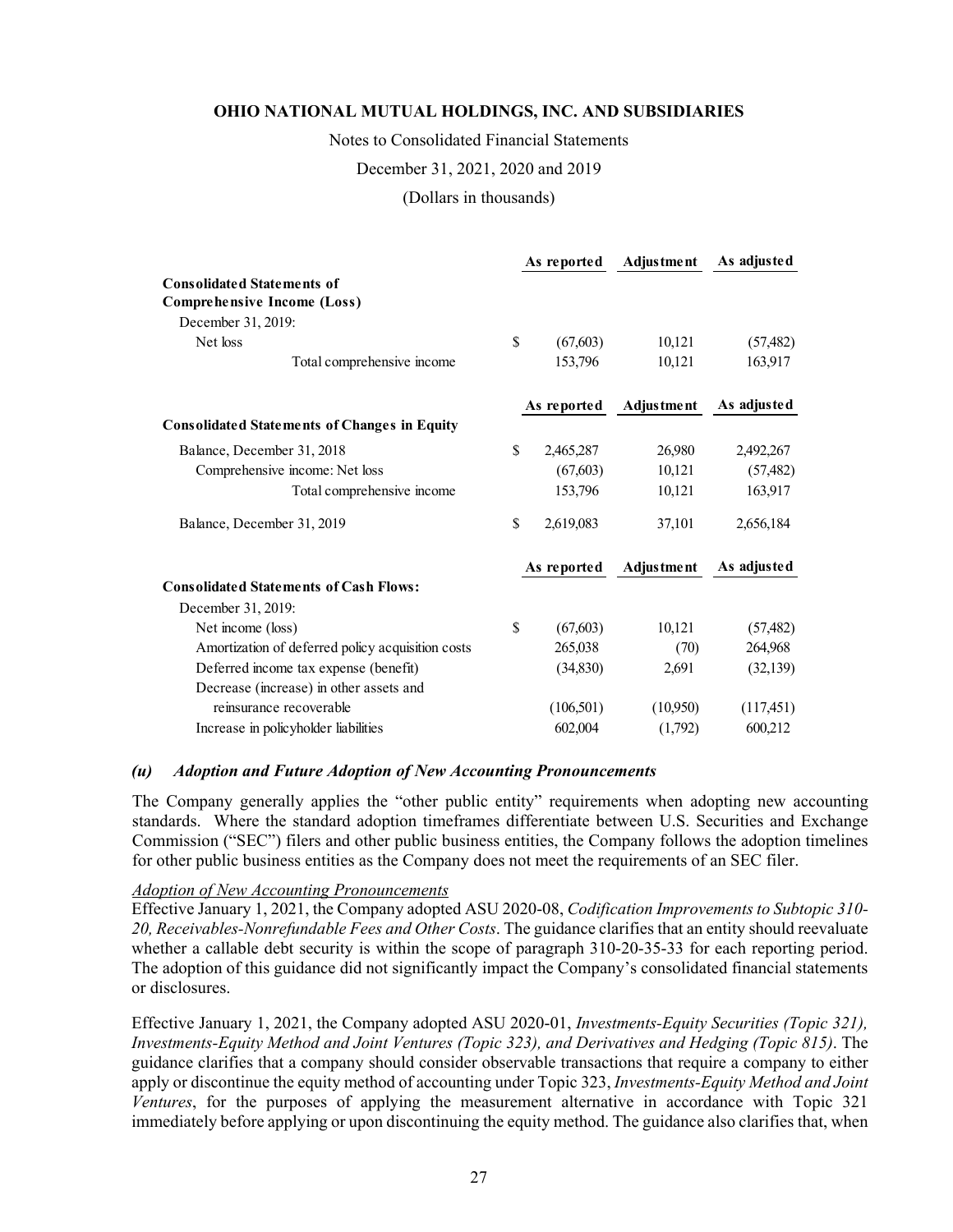#### Notes to Consolidated Financial Statements

### December 31, 2021, 2020 and 2019

(Dollars in thousands)

|                                                     | As reported     | <b>Adjustment</b> | As adjusted |
|-----------------------------------------------------|-----------------|-------------------|-------------|
| <b>Consolidated Statements of</b>                   |                 |                   |             |
| Comprehensive Income (Loss)                         |                 |                   |             |
| December 31, 2019:                                  |                 |                   |             |
| Net loss                                            | \$<br>(67, 603) | 10,121            | (57, 482)   |
| Total comprehensive income                          | 153,796         | 10,121            | 163,917     |
|                                                     | As reported     | <b>Adjustment</b> | As adjusted |
| <b>Consolidated Statements of Changes in Equity</b> |                 |                   |             |
| Balance, December 31, 2018                          | \$<br>2,465,287 | 26,980            | 2,492,267   |
| Comprehensive income: Net loss                      | (67,603)        | 10,121            | (57, 482)   |
| Total comprehensive income                          | 153,796         | 10,121            | 163,917     |
| Balance, December 31, 2019                          | \$<br>2,619,083 | 37,101            | 2,656,184   |
|                                                     | As reported     | <b>Adjustment</b> | As adjusted |
| <b>Consolidated Statements of Cash Flows:</b>       |                 |                   |             |
| December 31, 2019:                                  |                 |                   |             |
| Net income (loss)                                   | \$<br>(67, 603) | 10,121            | (57, 482)   |
| Amortization of deferred policy acquisition costs   | 265,038         | (70)              | 264,968     |
| Deferred income tax expense (benefit)               | (34,830)        | 2,691             | (32, 139)   |
| Decrease (increase) in other assets and             |                 |                   |             |
| reinsurance recoverable                             | (106, 501)      | (10,950)          | (117, 451)  |
| Increase in policyholder liabilities                | 602,004         | (1,792)           | 600,212     |

### *(u) Adoption and Future Adoption of New Accounting Pronouncements*

The Company generally applies the "other public entity" requirements when adopting new accounting standards. Where the standard adoption timeframes differentiate between U.S. Securities and Exchange Commission ("SEC") filers and other public business entities, the Company follows the adoption timelines for other public business entities as the Company does not meet the requirements of an SEC filer.

### *Adoption of New Accounting Pronouncements*

Effective January 1, 2021, the Company adopted ASU 2020-08, *Codification Improvements to Subtopic 310- 20, Receivables-Nonrefundable Fees and Other Costs*. The guidance clarifies that an entity should reevaluate whether a callable debt security is within the scope of paragraph 310-20-35-33 for each reporting period. The adoption of this guidance did not significantly impact the Company's consolidated financial statements or disclosures.

Effective January 1, 2021, the Company adopted ASU 2020-01, *Investments-Equity Securities (Topic 321), Investments-Equity Method and Joint Ventures (Topic 323), and Derivatives and Hedging (Topic 815)*. The guidance clarifies that a company should consider observable transactions that require a company to either apply or discontinue the equity method of accounting under Topic 323, *Investments-Equity Method and Joint Ventures*, for the purposes of applying the measurement alternative in accordance with Topic 321 immediately before applying or upon discontinuing the equity method. The guidance also clarifies that, when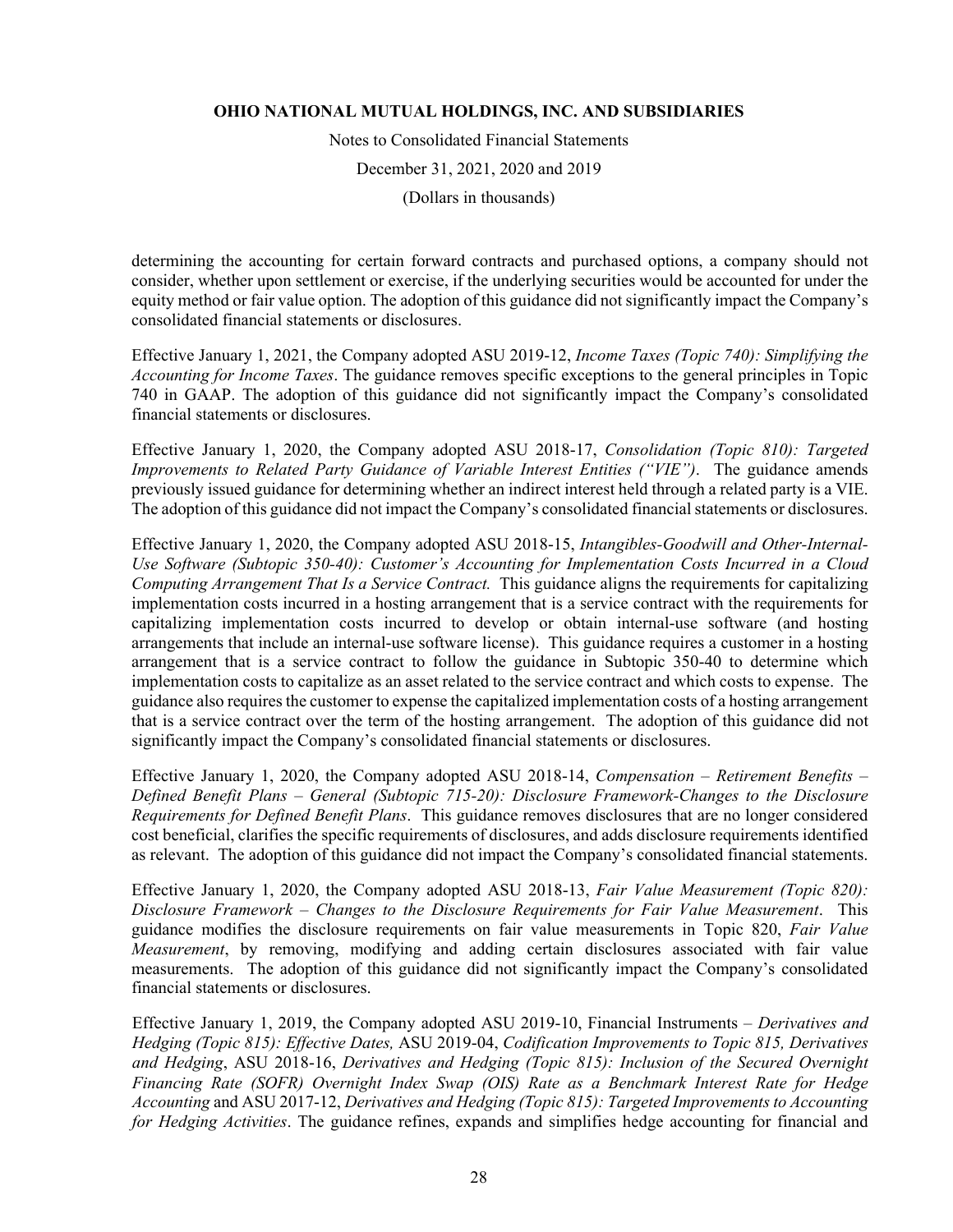Notes to Consolidated Financial Statements

December 31, 2021, 2020 and 2019

(Dollars in thousands)

determining the accounting for certain forward contracts and purchased options, a company should not consider, whether upon settlement or exercise, if the underlying securities would be accounted for under the equity method or fair value option. The adoption of this guidance did not significantly impact the Company's consolidated financial statements or disclosures.

Effective January 1, 2021, the Company adopted ASU 2019-12, *Income Taxes (Topic 740): Simplifying the Accounting for Income Taxes*. The guidance removes specific exceptions to the general principles in Topic 740 in GAAP. The adoption of this guidance did not significantly impact the Company's consolidated financial statements or disclosures.

Effective January 1, 2020, the Company adopted ASU 2018-17, *Consolidation (Topic 810): Targeted Improvements to Related Party Guidance of Variable Interest Entities ("VIE")*. The guidance amends previously issued guidance for determining whether an indirect interest held through a related party is a VIE. The adoption of this guidance did not impact the Company's consolidated financial statements or disclosures.

Effective January 1, 2020, the Company adopted ASU 2018-15, *Intangibles-Goodwill and Other-Internal-Use Software (Subtopic 350-40): Customer's Accounting for Implementation Costs Incurred in a Cloud Computing Arrangement That Is a Service Contract.* This guidance aligns the requirements for capitalizing implementation costs incurred in a hosting arrangement that is a service contract with the requirements for capitalizing implementation costs incurred to develop or obtain internal-use software (and hosting arrangements that include an internal-use software license). This guidance requires a customer in a hosting arrangement that is a service contract to follow the guidance in Subtopic 350-40 to determine which implementation costs to capitalize as an asset related to the service contract and which costs to expense. The guidance also requires the customer to expense the capitalized implementation costs of a hosting arrangement that is a service contract over the term of the hosting arrangement. The adoption of this guidance did not significantly impact the Company's consolidated financial statements or disclosures.

Effective January 1, 2020, the Company adopted ASU 2018-14, *Compensation – Retirement Benefits – Defined Benefit Plans – General (Subtopic 715-20): Disclosure Framework-Changes to the Disclosure Requirements for Defined Benefit Plans*. This guidance removes disclosures that are no longer considered cost beneficial, clarifies the specific requirements of disclosures, and adds disclosure requirements identified as relevant. The adoption of this guidance did not impact the Company's consolidated financial statements.

Effective January 1, 2020, the Company adopted ASU 2018-13, *Fair Value Measurement (Topic 820): Disclosure Framework – Changes to the Disclosure Requirements for Fair Value Measurement*. This guidance modifies the disclosure requirements on fair value measurements in Topic 820, *Fair Value Measurement*, by removing, modifying and adding certain disclosures associated with fair value measurements. The adoption of this guidance did not significantly impact the Company's consolidated financial statements or disclosures.

Effective January 1, 2019, the Company adopted ASU 2019-10, Financial Instruments – *Derivatives and Hedging (Topic 815): Effective Dates,* ASU 2019-04, *Codification Improvements to Topic 815, Derivatives and Hedging*, ASU 2018-16, *Derivatives and Hedging (Topic 815): Inclusion of the Secured Overnight Financing Rate (SOFR) Overnight Index Swap (OIS) Rate as a Benchmark Interest Rate for Hedge Accounting* and ASU 2017-12, *Derivatives and Hedging (Topic 815): Targeted Improvements to Accounting for Hedging Activities*. The guidance refines, expands and simplifies hedge accounting for financial and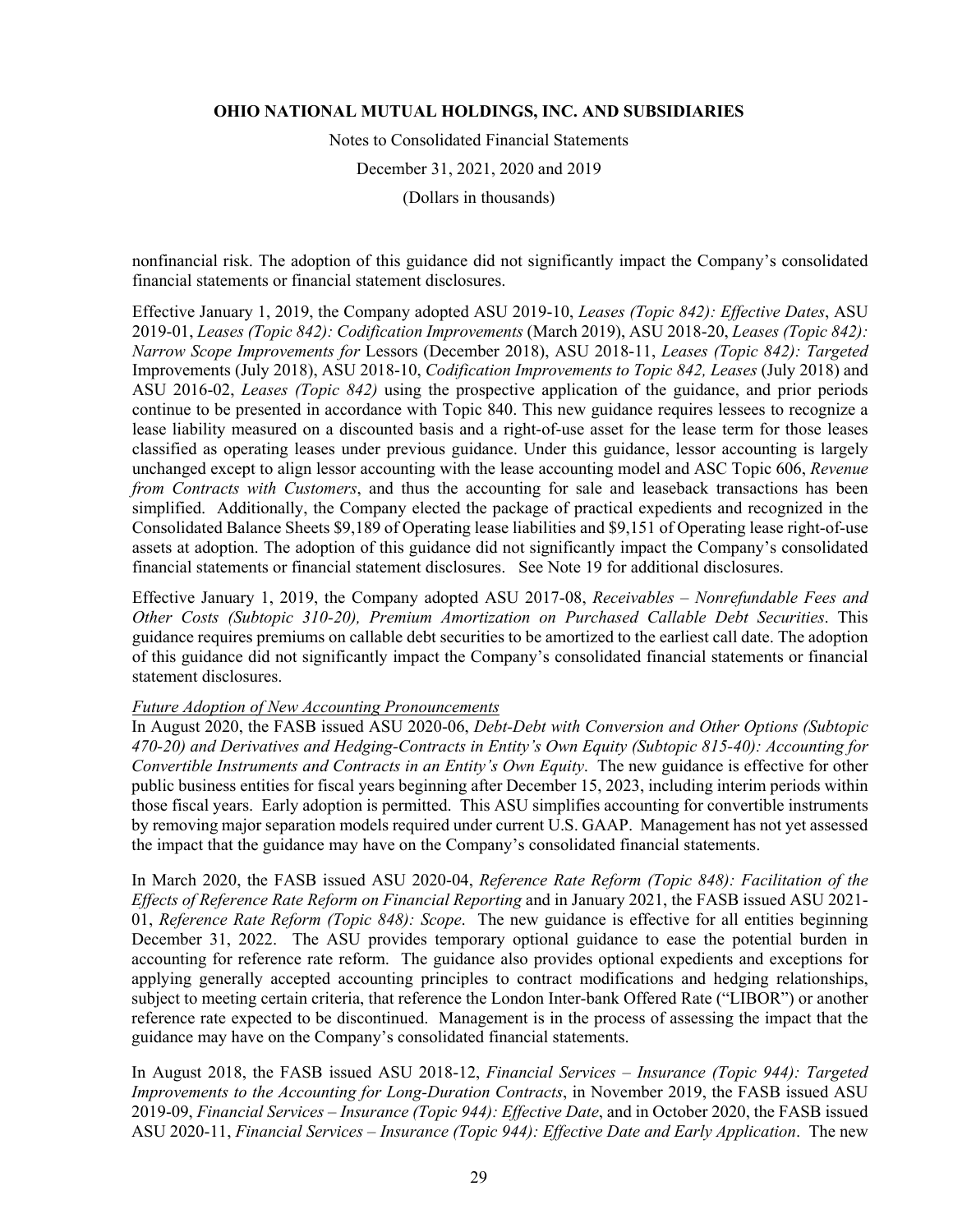Notes to Consolidated Financial Statements December 31, 2021, 2020 and 2019 (Dollars in thousands)

nonfinancial risk. The adoption of this guidance did not significantly impact the Company's consolidated financial statements or financial statement disclosures.

Effective January 1, 2019, the Company adopted ASU 2019-10, *Leases (Topic 842): Effective Dates*, ASU 2019-01, *Leases (Topic 842): Codification Improvements* (March 2019), ASU 2018-20, *Leases (Topic 842): Narrow Scope Improvements for* Lessors (December 2018), ASU 2018-11, *Leases (Topic 842): Targeted*  Improvements (July 2018), ASU 2018-10, *Codification Improvements to Topic 842, Leases* (July 2018) and ASU 2016-02, *Leases (Topic 842)* using the prospective application of the guidance, and prior periods continue to be presented in accordance with Topic 840. This new guidance requires lessees to recognize a lease liability measured on a discounted basis and a right-of-use asset for the lease term for those leases classified as operating leases under previous guidance. Under this guidance, lessor accounting is largely unchanged except to align lessor accounting with the lease accounting model and ASC Topic 606, *Revenue from Contracts with Customers*, and thus the accounting for sale and leaseback transactions has been simplified. Additionally, the Company elected the package of practical expedients and recognized in the Consolidated Balance Sheets \$9,189 of Operating lease liabilities and \$9,151 of Operating lease right-of-use assets at adoption. The adoption of this guidance did not significantly impact the Company's consolidated financial statements or financial statement disclosures. See Note 19 for additional disclosures.

Effective January 1, 2019, the Company adopted ASU 2017-08, *Receivables – Nonrefundable Fees and Other Costs (Subtopic 310-20), Premium Amortization on Purchased Callable Debt Securities*. This guidance requires premiums on callable debt securities to be amortized to the earliest call date. The adoption of this guidance did not significantly impact the Company's consolidated financial statements or financial statement disclosures.

### *Future Adoption of New Accounting Pronouncements*

In August 2020, the FASB issued ASU 2020-06, *Debt-Debt with Conversion and Other Options (Subtopic 470-20) and Derivatives and Hedging-Contracts in Entity's Own Equity (Subtopic 815-40): Accounting for Convertible Instruments and Contracts in an Entity's Own Equity*. The new guidance is effective for other public business entities for fiscal years beginning after December 15, 2023, including interim periods within those fiscal years. Early adoption is permitted. This ASU simplifies accounting for convertible instruments by removing major separation models required under current U.S. GAAP. Management has not yet assessed the impact that the guidance may have on the Company's consolidated financial statements.

In March 2020, the FASB issued ASU 2020-04, *Reference Rate Reform (Topic 848): Facilitation of the Effects of Reference Rate Reform on Financial Reporting* and in January 2021, the FASB issued ASU 2021- 01, *Reference Rate Reform (Topic 848): Scope*. The new guidance is effective for all entities beginning December 31, 2022. The ASU provides temporary optional guidance to ease the potential burden in accounting for reference rate reform. The guidance also provides optional expedients and exceptions for applying generally accepted accounting principles to contract modifications and hedging relationships, subject to meeting certain criteria, that reference the London Inter-bank Offered Rate ("LIBOR") or another reference rate expected to be discontinued. Management is in the process of assessing the impact that the guidance may have on the Company's consolidated financial statements.

In August 2018, the FASB issued ASU 2018-12, *Financial Services – Insurance (Topic 944): Targeted Improvements to the Accounting for Long-Duration Contracts*, in November 2019, the FASB issued ASU 2019-09, *Financial Services – Insurance (Topic 944): Effective Date*, and in October 2020, the FASB issued ASU 2020-11, *Financial Services – Insurance (Topic 944): Effective Date and Early Application*.The new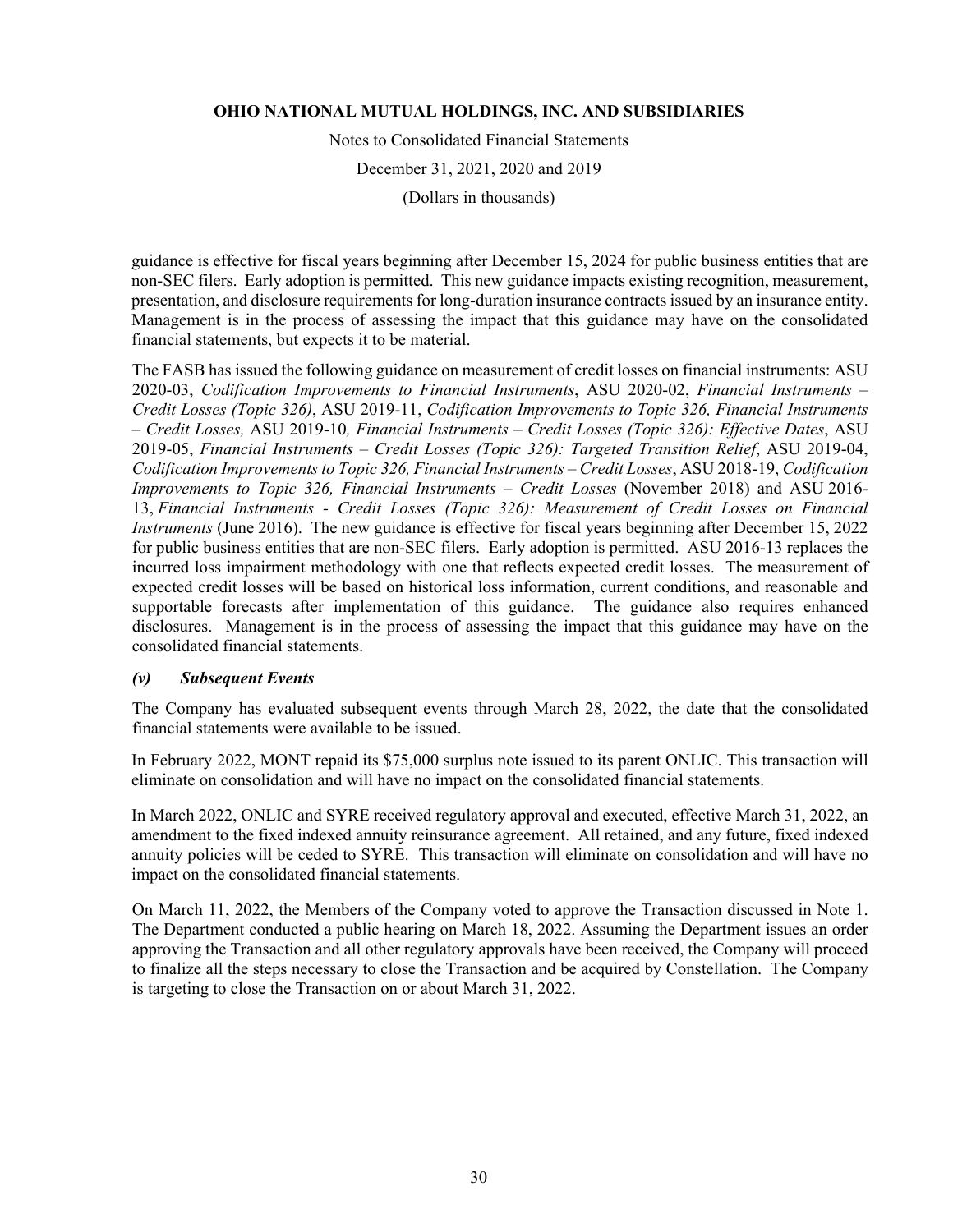Notes to Consolidated Financial Statements

December 31, 2021, 2020 and 2019

(Dollars in thousands)

guidance is effective for fiscal years beginning after December 15, 2024 for public business entities that are non-SEC filers. Early adoption is permitted. This new guidance impacts existing recognition, measurement, presentation, and disclosure requirements for long-duration insurance contracts issued by an insurance entity. Management is in the process of assessing the impact that this guidance may have on the consolidated financial statements, but expects it to be material.

The FASB has issued the following guidance on measurement of credit losses on financial instruments: ASU 2020-03, *Codification Improvements to Financial Instruments*, ASU 2020-02, *Financial Instruments – Credit Losses (Topic 326)*, ASU 2019-11, *Codification Improvements to Topic 326, Financial Instruments – Credit Losses,* ASU 2019-10*, Financial Instruments – Credit Losses (Topic 326): Effective Dates*, ASU 2019-05, *Financial Instruments – Credit Losses (Topic 326): Targeted Transition Relief*, ASU 2019-04, *Codification Improvements to Topic 326, Financial Instruments – Credit Losses*, ASU 2018-19, *Codification Improvements to Topic 326, Financial Instruments – Credit Losses* (November 2018) and ASU 2016-13, *Financial Instruments - Credit Losses (Topic 326): Measurement of Credit Losses on Financial Instruments* (June 2016). The new guidance is effective for fiscal years beginning after December 15, 2022 for public business entities that are non-SEC filers. Early adoption is permitted. ASU 2016-13 replaces the incurred loss impairment methodology with one that reflects expected credit losses. The measurement of expected credit losses will be based on historical loss information, current conditions, and reasonable and supportable forecasts after implementation of this guidance. The guidance also requires enhanced disclosures. Management is in the process of assessing the impact that this guidance may have on the consolidated financial statements.

### *(v) Subsequent Events*

The Company has evaluated subsequent events through March 28, 2022, the date that the consolidated financial statements were available to be issued.

In February 2022, MONT repaid its \$75,000 surplus note issued to its parent ONLIC. This transaction will eliminate on consolidation and will have no impact on the consolidated financial statements.

In March 2022, ONLIC and SYRE received regulatory approval and executed, effective March 31, 2022, an amendment to the fixed indexed annuity reinsurance agreement. All retained, and any future, fixed indexed annuity policies will be ceded to SYRE. This transaction will eliminate on consolidation and will have no impact on the consolidated financial statements.

On March 11, 2022, the Members of the Company voted to approve the Transaction discussed in Note 1. The Department conducted a public hearing on March 18, 2022. Assuming the Department issues an order approving the Transaction and all other regulatory approvals have been received, the Company will proceed to finalize all the steps necessary to close the Transaction and be acquired by Constellation. The Company is targeting to close the Transaction on or about March 31, 2022.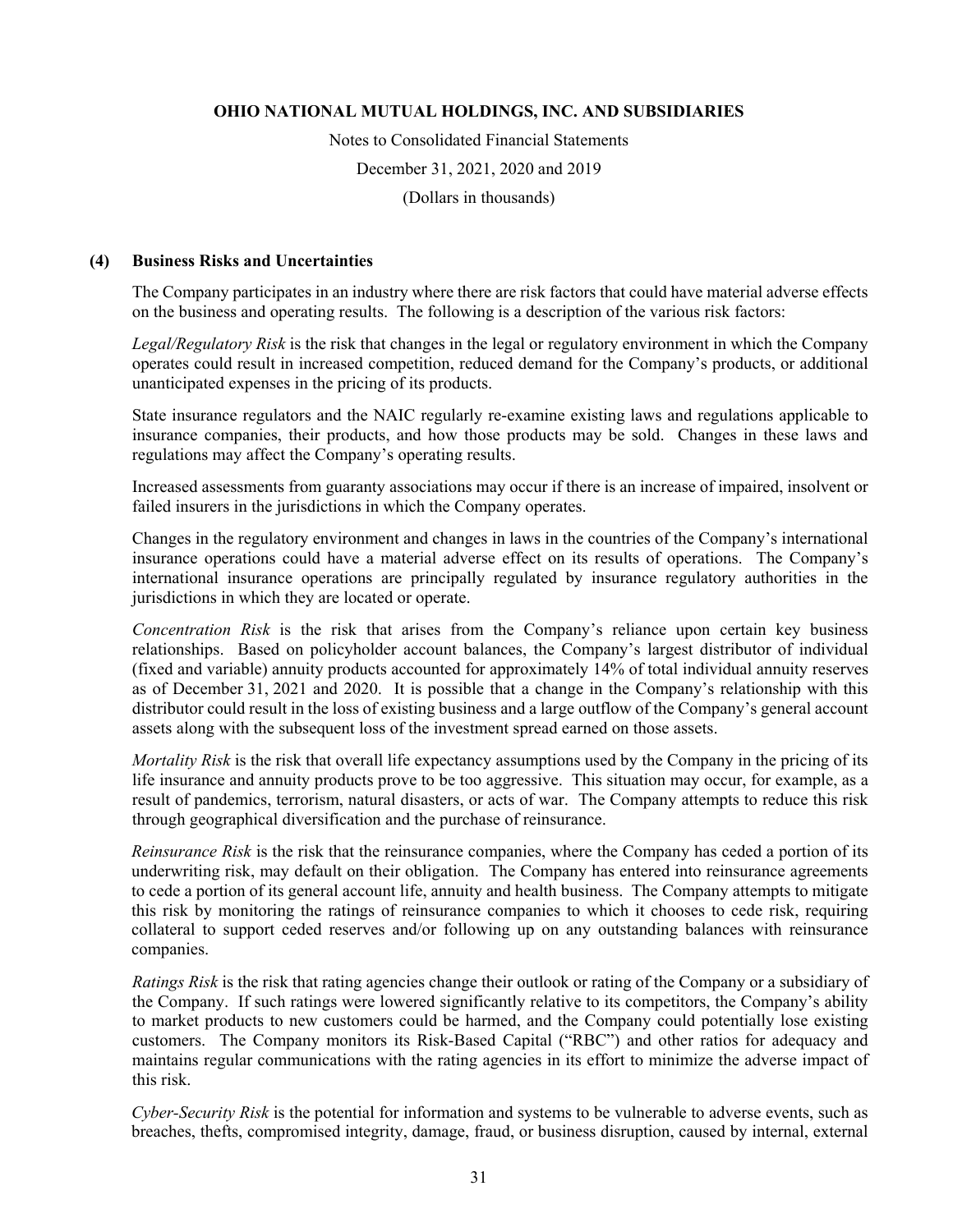Notes to Consolidated Financial Statements

December 31, 2021, 2020 and 2019

(Dollars in thousands)

### **(4) Business Risks and Uncertainties**

The Company participates in an industry where there are risk factors that could have material adverse effects on the business and operating results. The following is a description of the various risk factors:

*Legal/Regulatory Risk* is the risk that changes in the legal or regulatory environment in which the Company operates could result in increased competition, reduced demand for the Company's products, or additional unanticipated expenses in the pricing of its products.

State insurance regulators and the NAIC regularly re-examine existing laws and regulations applicable to insurance companies, their products, and how those products may be sold. Changes in these laws and regulations may affect the Company's operating results.

Increased assessments from guaranty associations may occur if there is an increase of impaired, insolvent or failed insurers in the jurisdictions in which the Company operates.

Changes in the regulatory environment and changes in laws in the countries of the Company's international insurance operations could have a material adverse effect on its results of operations. The Company's international insurance operations are principally regulated by insurance regulatory authorities in the jurisdictions in which they are located or operate.

*Concentration Risk* is the risk that arises from the Company's reliance upon certain key business relationships. Based on policyholder account balances, the Company's largest distributor of individual (fixed and variable) annuity products accounted for approximately 14% of total individual annuity reserves as of December 31, 2021 and 2020. It is possible that a change in the Company's relationship with this distributor could result in the loss of existing business and a large outflow of the Company's general account assets along with the subsequent loss of the investment spread earned on those assets.

*Mortality Risk* is the risk that overall life expectancy assumptions used by the Company in the pricing of its life insurance and annuity products prove to be too aggressive. This situation may occur, for example, as a result of pandemics, terrorism, natural disasters, or acts of war. The Company attempts to reduce this risk through geographical diversification and the purchase of reinsurance.

*Reinsurance Risk* is the risk that the reinsurance companies, where the Company has ceded a portion of its underwriting risk, may default on their obligation. The Company has entered into reinsurance agreements to cede a portion of its general account life, annuity and health business. The Company attempts to mitigate this risk by monitoring the ratings of reinsurance companies to which it chooses to cede risk, requiring collateral to support ceded reserves and/or following up on any outstanding balances with reinsurance companies.

*Ratings Risk* is the risk that rating agencies change their outlook or rating of the Company or a subsidiary of the Company. If such ratings were lowered significantly relative to its competitors, the Company's ability to market products to new customers could be harmed, and the Company could potentially lose existing customers. The Company monitors its Risk-Based Capital ("RBC") and other ratios for adequacy and maintains regular communications with the rating agencies in its effort to minimize the adverse impact of this risk.

*Cyber-Security Risk* is the potential for information and systems to be vulnerable to adverse events, such as breaches, thefts, compromised integrity, damage, fraud, or business disruption, caused by internal, external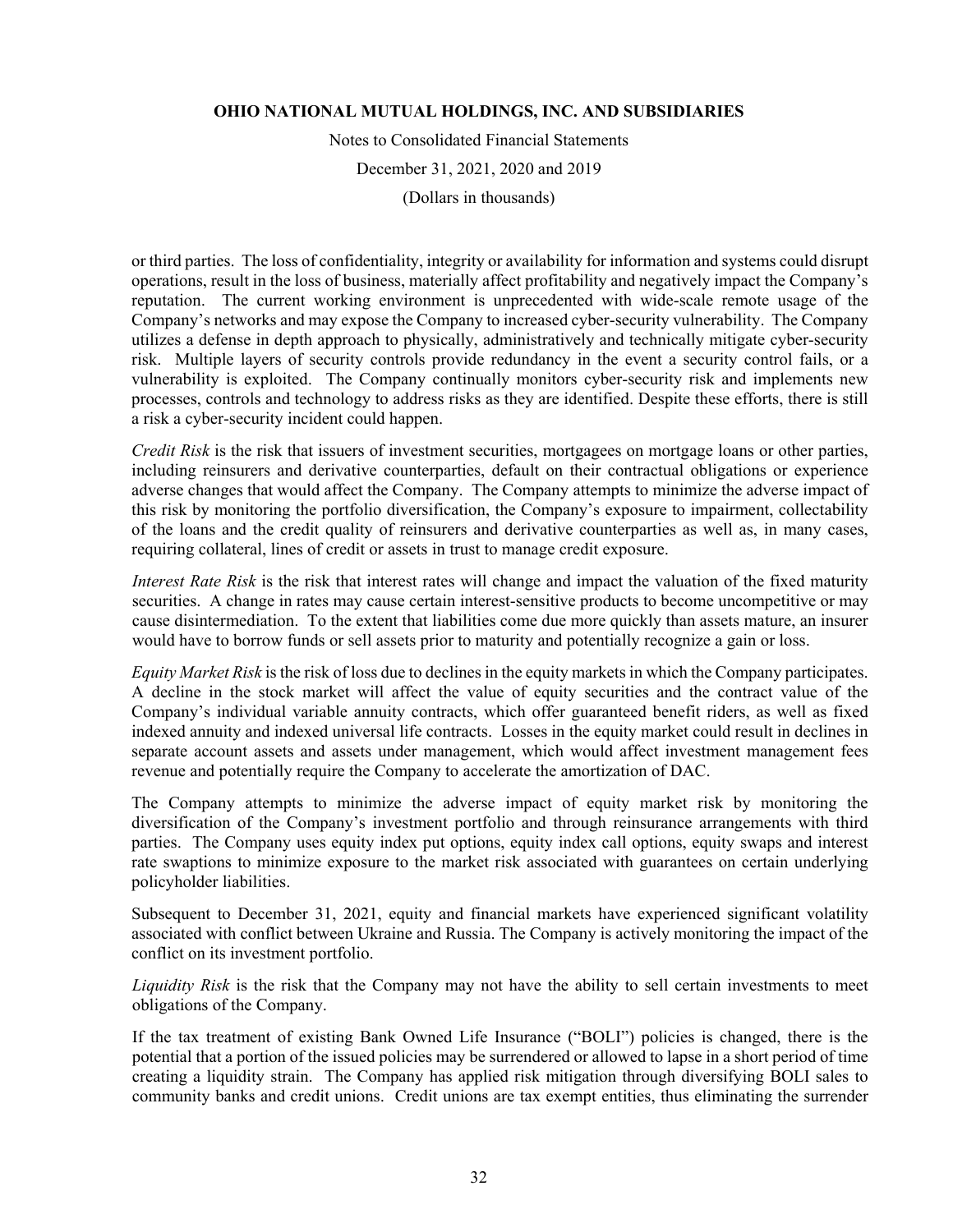Notes to Consolidated Financial Statements

December 31, 2021, 2020 and 2019

(Dollars in thousands)

or third parties. The loss of confidentiality, integrity or availability for information and systems could disrupt operations, result in the loss of business, materially affect profitability and negatively impact the Company's reputation. The current working environment is unprecedented with wide-scale remote usage of the Company's networks and may expose the Company to increased cyber-security vulnerability. The Company utilizes a defense in depth approach to physically, administratively and technically mitigate cyber-security risk. Multiple layers of security controls provide redundancy in the event a security control fails, or a vulnerability is exploited. The Company continually monitors cyber-security risk and implements new processes, controls and technology to address risks as they are identified. Despite these efforts, there is still a risk a cyber-security incident could happen.

*Credit Risk* is the risk that issuers of investment securities, mortgagees on mortgage loans or other parties, including reinsurers and derivative counterparties, default on their contractual obligations or experience adverse changes that would affect the Company. The Company attempts to minimize the adverse impact of this risk by monitoring the portfolio diversification, the Company's exposure to impairment, collectability of the loans and the credit quality of reinsurers and derivative counterparties as well as, in many cases, requiring collateral, lines of credit or assets in trust to manage credit exposure.

*Interest Rate Risk* is the risk that interest rates will change and impact the valuation of the fixed maturity securities. A change in rates may cause certain interest-sensitive products to become uncompetitive or may cause disintermediation. To the extent that liabilities come due more quickly than assets mature, an insurer would have to borrow funds or sell assets prior to maturity and potentially recognize a gain or loss.

*Equity Market Risk* is the risk of loss due to declines in the equity markets in which the Company participates. A decline in the stock market will affect the value of equity securities and the contract value of the Company's individual variable annuity contracts, which offer guaranteed benefit riders, as well as fixed indexed annuity and indexed universal life contracts. Losses in the equity market could result in declines in separate account assets and assets under management, which would affect investment management fees revenue and potentially require the Company to accelerate the amortization of DAC.

The Company attempts to minimize the adverse impact of equity market risk by monitoring the diversification of the Company's investment portfolio and through reinsurance arrangements with third parties. The Company uses equity index put options, equity index call options, equity swaps and interest rate swaptions to minimize exposure to the market risk associated with guarantees on certain underlying policyholder liabilities.

Subsequent to December 31, 2021, equity and financial markets have experienced significant volatility associated with conflict between Ukraine and Russia. The Company is actively monitoring the impact of the conflict on its investment portfolio.

*Liquidity Risk* is the risk that the Company may not have the ability to sell certain investments to meet obligations of the Company.

If the tax treatment of existing Bank Owned Life Insurance ("BOLI") policies is changed, there is the potential that a portion of the issued policies may be surrendered or allowed to lapse in a short period of time creating a liquidity strain. The Company has applied risk mitigation through diversifying BOLI sales to community banks and credit unions. Credit unions are tax exempt entities, thus eliminating the surrender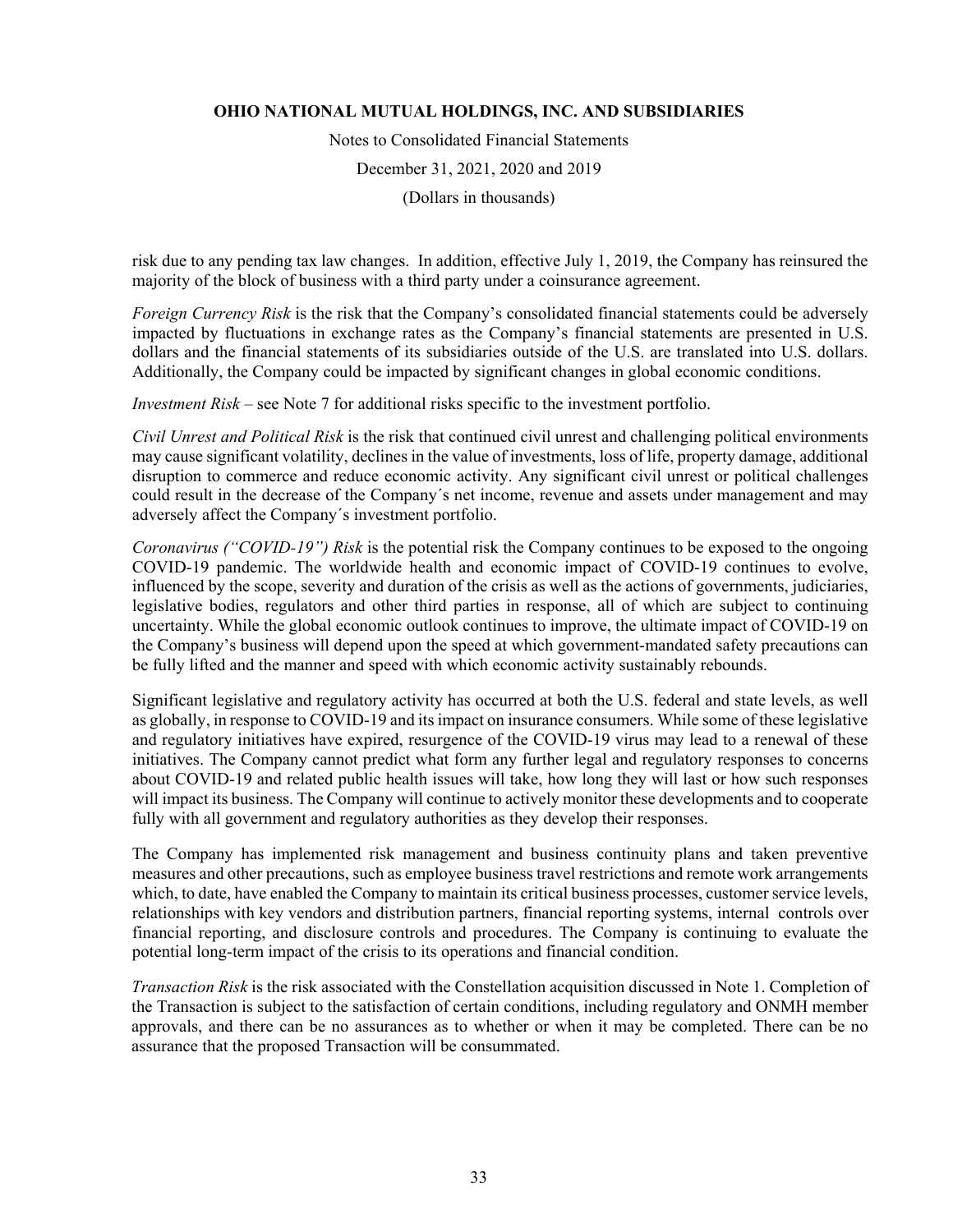Notes to Consolidated Financial Statements December 31, 2021, 2020 and 2019 (Dollars in thousands)

risk due to any pending tax law changes. In addition, effective July 1, 2019, the Company has reinsured the majority of the block of business with a third party under a coinsurance agreement.

*Foreign Currency Risk* is the risk that the Company's consolidated financial statements could be adversely impacted by fluctuations in exchange rates as the Company's financial statements are presented in U.S. dollars and the financial statements of its subsidiaries outside of the U.S. are translated into U.S. dollars. Additionally, the Company could be impacted by significant changes in global economic conditions.

*Investment Risk* – see Note 7 for additional risks specific to the investment portfolio.

*Civil Unrest and Political Risk* is the risk that continued civil unrest and challenging political environments may cause significant volatility, declines in the value of investments, loss of life, property damage, additional disruption to commerce and reduce economic activity. Any significant civil unrest or political challenges could result in the decrease of the Company´s net income, revenue and assets under management and may adversely affect the Company´s investment portfolio.

*Coronavirus ("COVID-19") Risk* is the potential risk the Company continues to be exposed to the ongoing COVID-19 pandemic. The worldwide health and economic impact of COVID-19 continues to evolve, influenced by the scope, severity and duration of the crisis as well as the actions of governments, judiciaries, legislative bodies, regulators and other third parties in response, all of which are subject to continuing uncertainty. While the global economic outlook continues to improve, the ultimate impact of COVID-19 on the Company's business will depend upon the speed at which government-mandated safety precautions can be fully lifted and the manner and speed with which economic activity sustainably rebounds.

Significant legislative and regulatory activity has occurred at both the U.S. federal and state levels, as well as globally, in response to COVID-19 and its impact on insurance consumers. While some of these legislative and regulatory initiatives have expired, resurgence of the COVID-19 virus may lead to a renewal of these initiatives. The Company cannot predict what form any further legal and regulatory responses to concerns about COVID-19 and related public health issues will take, how long they will last or how such responses will impact its business. The Company will continue to actively monitor these developments and to cooperate fully with all government and regulatory authorities as they develop their responses.

The Company has implemented risk management and business continuity plans and taken preventive measures and other precautions, such as employee business travel restrictions and remote work arrangements which, to date, have enabled the Company to maintain its critical business processes, customer service levels, relationships with key vendors and distribution partners, financial reporting systems, internal controls over financial reporting, and disclosure controls and procedures. The Company is continuing to evaluate the potential long-term impact of the crisis to its operations and financial condition.

*Transaction Risk* is the risk associated with the Constellation acquisition discussed in Note 1. Completion of the Transaction is subject to the satisfaction of certain conditions, including regulatory and ONMH member approvals, and there can be no assurances as to whether or when it may be completed. There can be no assurance that the proposed Transaction will be consummated.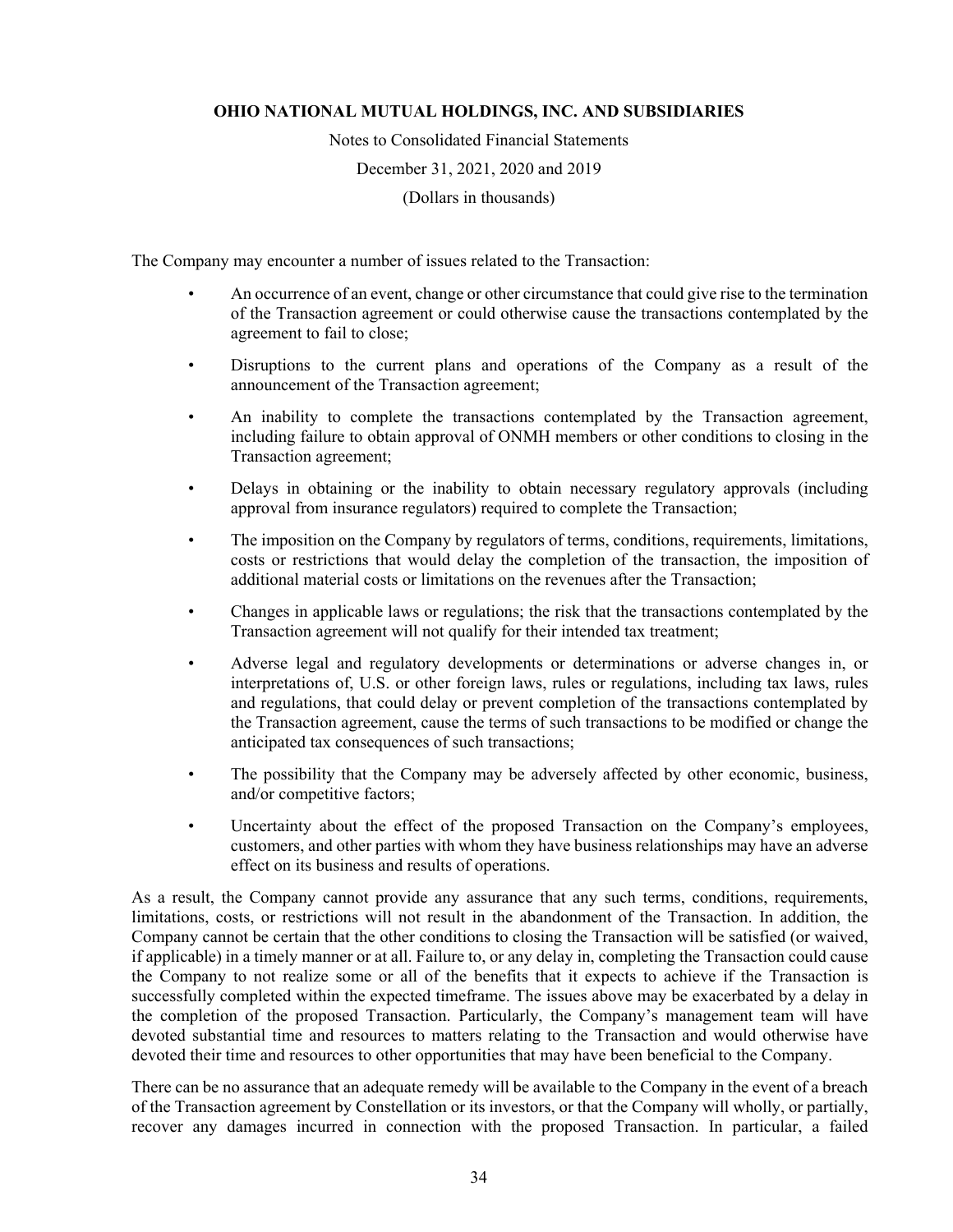Notes to Consolidated Financial Statements December 31, 2021, 2020 and 2019 (Dollars in thousands)

The Company may encounter a number of issues related to the Transaction:

- An occurrence of an event, change or other circumstance that could give rise to the termination of the Transaction agreement or could otherwise cause the transactions contemplated by the agreement to fail to close;
- Disruptions to the current plans and operations of the Company as a result of the announcement of the Transaction agreement;
- An inability to complete the transactions contemplated by the Transaction agreement, including failure to obtain approval of ONMH members or other conditions to closing in the Transaction agreement;
- Delays in obtaining or the inability to obtain necessary regulatory approvals (including approval from insurance regulators) required to complete the Transaction;
- The imposition on the Company by regulators of terms, conditions, requirements, limitations, costs or restrictions that would delay the completion of the transaction, the imposition of additional material costs or limitations on the revenues after the Transaction;
- Changes in applicable laws or regulations; the risk that the transactions contemplated by the Transaction agreement will not qualify for their intended tax treatment;
- Adverse legal and regulatory developments or determinations or adverse changes in, or interpretations of, U.S. or other foreign laws, rules or regulations, including tax laws, rules and regulations, that could delay or prevent completion of the transactions contemplated by the Transaction agreement, cause the terms of such transactions to be modified or change the anticipated tax consequences of such transactions;
- The possibility that the Company may be adversely affected by other economic, business, and/or competitive factors;
- Uncertainty about the effect of the proposed Transaction on the Company's employees, customers, and other parties with whom they have business relationships may have an adverse effect on its business and results of operations.

As a result, the Company cannot provide any assurance that any such terms, conditions, requirements, limitations, costs, or restrictions will not result in the abandonment of the Transaction. In addition, the Company cannot be certain that the other conditions to closing the Transaction will be satisfied (or waived, if applicable) in a timely manner or at all. Failure to, or any delay in, completing the Transaction could cause the Company to not realize some or all of the benefits that it expects to achieve if the Transaction is successfully completed within the expected timeframe. The issues above may be exacerbated by a delay in the completion of the proposed Transaction. Particularly, the Company's management team will have devoted substantial time and resources to matters relating to the Transaction and would otherwise have devoted their time and resources to other opportunities that may have been beneficial to the Company.

There can be no assurance that an adequate remedy will be available to the Company in the event of a breach of the Transaction agreement by Constellation or its investors, or that the Company will wholly, or partially, recover any damages incurred in connection with the proposed Transaction. In particular, a failed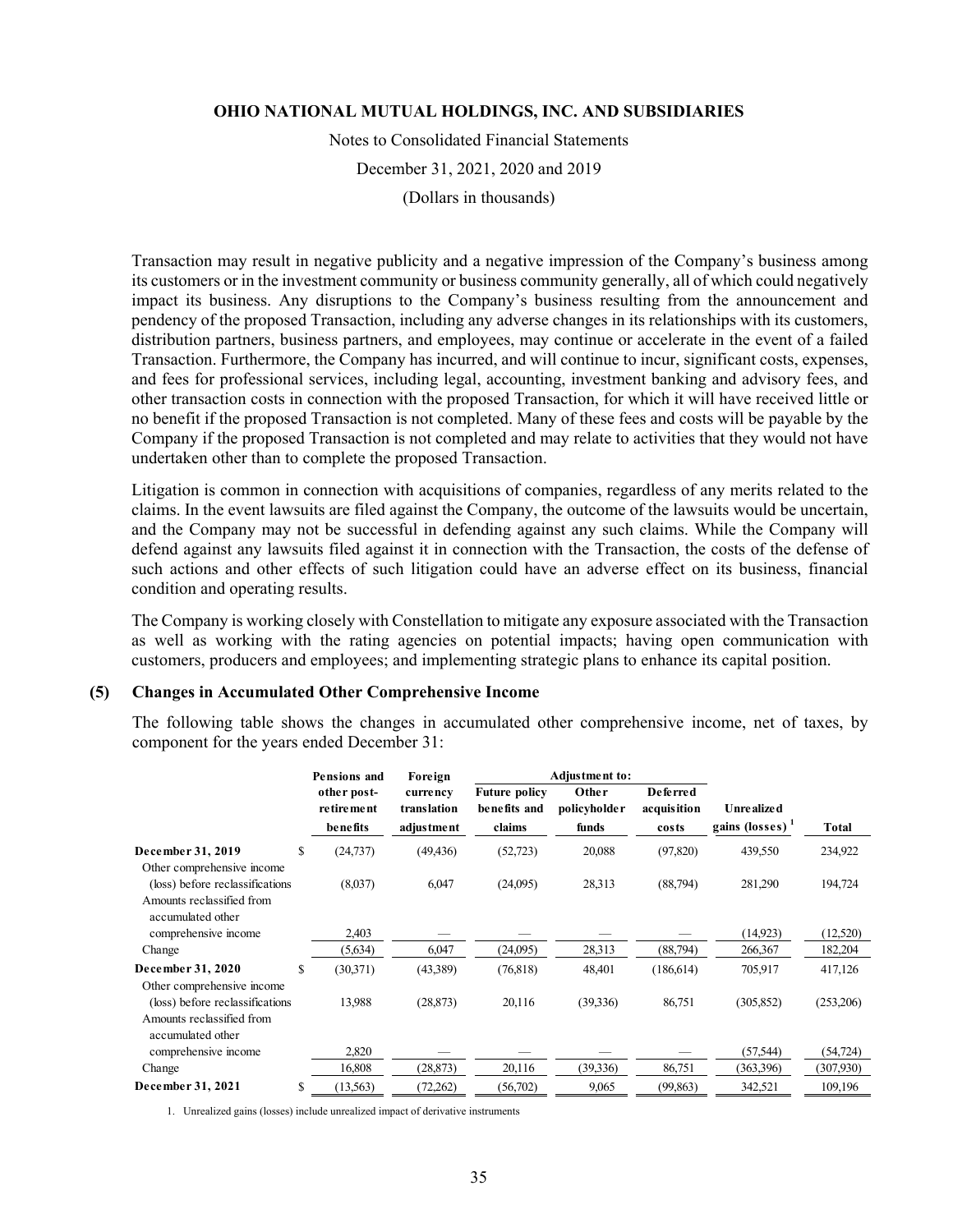Notes to Consolidated Financial Statements

December 31, 2021, 2020 and 2019

(Dollars in thousands)

Transaction may result in negative publicity and a negative impression of the Company's business among its customers or in the investment community or business community generally, all of which could negatively impact its business. Any disruptions to the Company's business resulting from the announcement and pendency of the proposed Transaction, including any adverse changes in its relationships with its customers, distribution partners, business partners, and employees, may continue or accelerate in the event of a failed Transaction. Furthermore, the Company has incurred, and will continue to incur, significant costs, expenses, and fees for professional services, including legal, accounting, investment banking and advisory fees, and other transaction costs in connection with the proposed Transaction, for which it will have received little or no benefit if the proposed Transaction is not completed. Many of these fees and costs will be payable by the Company if the proposed Transaction is not completed and may relate to activities that they would not have undertaken other than to complete the proposed Transaction.

Litigation is common in connection with acquisitions of companies, regardless of any merits related to the claims. In the event lawsuits are filed against the Company, the outcome of the lawsuits would be uncertain, and the Company may not be successful in defending against any such claims. While the Company will defend against any lawsuits filed against it in connection with the Transaction, the costs of the defense of such actions and other effects of such litigation could have an adverse effect on its business, financial condition and operating results.

The Company is working closely with Constellation to mitigate any exposure associated with the Transaction as well as working with the rating agencies on potential impacts; having open communication with customers, producers and employees; and implementing strategic plans to enhance its capital position.

# **(5) Changes in Accumulated Other Comprehensive Income**

The following table shows the changes in accumulated other comprehensive income, net of taxes, by component for the years ended December 31:

|                                                                                   |    | <b>Pensions and</b>                              | Foreign                               |                                                  | Adjustment to:                 |                                         |                                     |           |
|-----------------------------------------------------------------------------------|----|--------------------------------------------------|---------------------------------------|--------------------------------------------------|--------------------------------|-----------------------------------------|-------------------------------------|-----------|
|                                                                                   |    | other post-<br>re tire me nt<br><b>be nefits</b> | currency<br>translation<br>adjustment | <b>Future policy</b><br>be ne fits and<br>claims | Other<br>policyholder<br>funds | <b>Deferred</b><br>acquisition<br>costs | <b>Unrealized</b><br>gains (losses) | Total     |
| December 31, 2019<br>Other comprehensive income                                   | S  | (24, 737)                                        | (49, 436)                             | (52, 723)                                        | 20,088                         | (97, 820)                               | 439,550                             | 234,922   |
| (loss) before reclassifications<br>Amounts reclassified from<br>accumulated other |    | (8,037)                                          | 6,047                                 | (24,095)                                         | 28,313                         | (88, 794)                               | 281,290                             | 194,724   |
| comprehensive income                                                              |    | 2,403                                            |                                       |                                                  |                                |                                         | (14, 923)                           | (12,520)  |
| Change                                                                            |    | (5,634)                                          | 6,047                                 | (24,095)                                         | 28,313                         | (88, 794)                               | 266,367                             | 182,204   |
| December 31, 2020<br>Other comprehensive income                                   | \$ | (30, 371)                                        | (43,389)                              | (76,818)                                         | 48,401                         | (186, 614)                              | 705.917                             | 417,126   |
| (loss) before reclassifications<br>Amounts reclassified from<br>accumulated other |    | 13,988                                           | (28, 873)                             | 20,116                                           | (39, 336)                      | 86,751                                  | (305, 852)                          | (253,206) |
| comprehensive income                                                              |    | 2,820                                            |                                       |                                                  |                                |                                         | (57, 544)                           | (54, 724) |
| Change                                                                            |    | 16,808                                           | (28, 873)                             | 20,116                                           | (39, 336)                      | 86,751                                  | (363,396)                           | (307,930) |
| December 31, 2021                                                                 |    | (13, 563)                                        | (72,262)                              | (56,702)                                         | 9,065                          | (99, 863)                               | 342,521                             | 109,196   |

1. Unrealized gains (losses) include unrealized impact of derivative instruments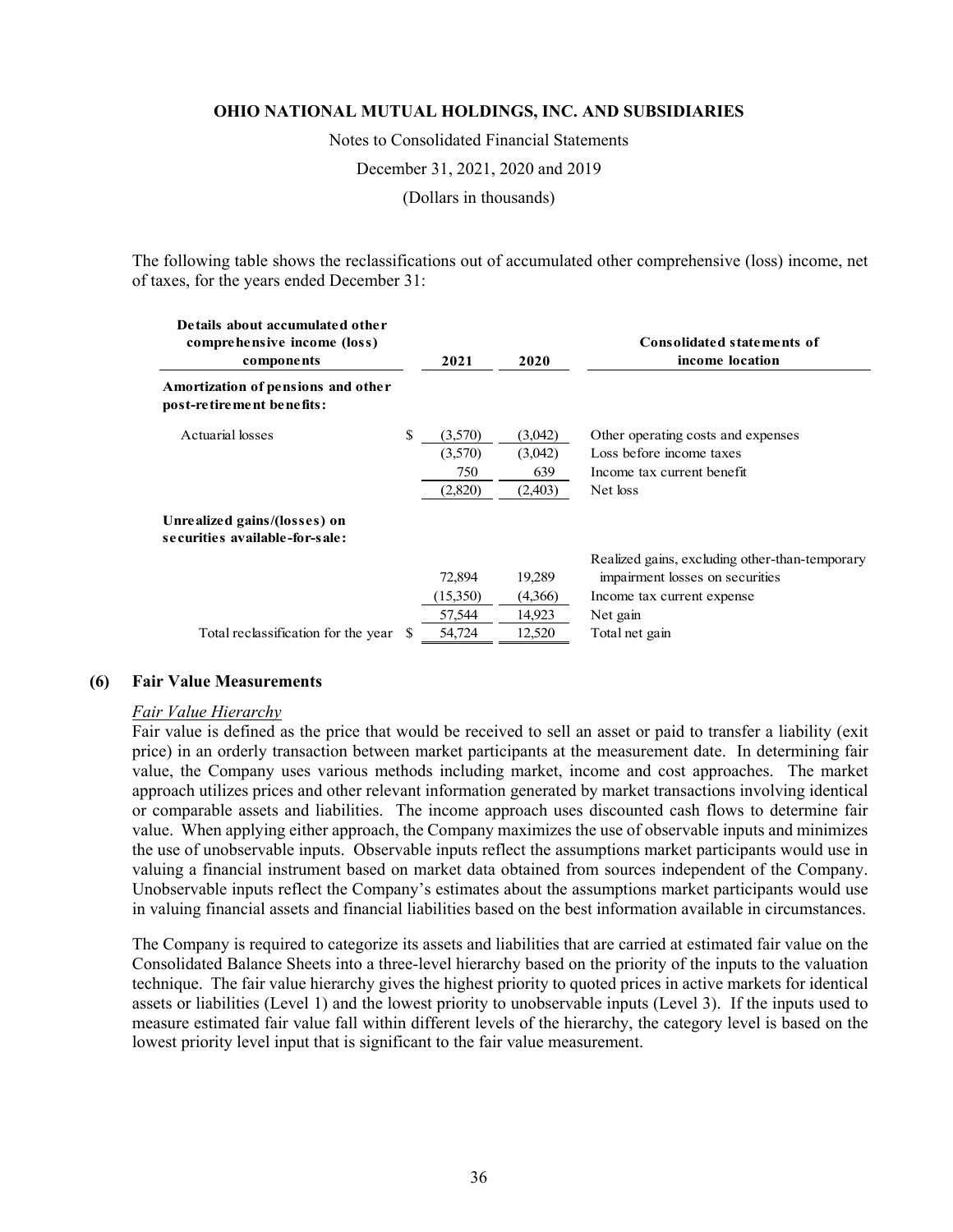Notes to Consolidated Financial Statements

December 31, 2021, 2020 and 2019

(Dollars in thousands)

The following table shows the reclassifications out of accumulated other comprehensive (loss) income, net of taxes, for the years ended December 31:

| Details about accumulated other<br>comprehensive income (loss)<br>components |    | 2021     | 2020    | Consolidated statements of<br>income location  |
|------------------------------------------------------------------------------|----|----------|---------|------------------------------------------------|
| Amortization of pensions and other<br>post-retirement benefits:              |    |          |         |                                                |
| Actuarial losses                                                             | \$ | (3,570)  | (3,042) | Other operating costs and expenses             |
|                                                                              |    | (3,570)  | (3,042) | Loss before income taxes                       |
|                                                                              |    | 750      | 639     | Income tax current benefit                     |
|                                                                              |    | (2,820)  | (2,403) | Net loss                                       |
| Unrealized gains/(losses) on<br>securities available-for-sale:               |    |          |         |                                                |
|                                                                              |    |          |         | Realized gains, excluding other-than-temporary |
|                                                                              |    | 72,894   | 19,289  | impairment losses on securities                |
|                                                                              |    | (15,350) | (4,366) | Income tax current expense                     |
|                                                                              |    | 57,544   | 14,923  | Net gain                                       |
| Total reclassification for the year                                          | S. | 54,724   | 12,520  | Total net gain                                 |

### **(6) Fair Value Measurements**

#### *Fair Value Hierarchy*

Fair value is defined as the price that would be received to sell an asset or paid to transfer a liability (exit price) in an orderly transaction between market participants at the measurement date. In determining fair value, the Company uses various methods including market, income and cost approaches. The market approach utilizes prices and other relevant information generated by market transactions involving identical or comparable assets and liabilities. The income approach uses discounted cash flows to determine fair value. When applying either approach, the Company maximizes the use of observable inputs and minimizes the use of unobservable inputs. Observable inputs reflect the assumptions market participants would use in valuing a financial instrument based on market data obtained from sources independent of the Company. Unobservable inputs reflect the Company's estimates about the assumptions market participants would use in valuing financial assets and financial liabilities based on the best information available in circumstances.

The Company is required to categorize its assets and liabilities that are carried at estimated fair value on the Consolidated Balance Sheets into a three-level hierarchy based on the priority of the inputs to the valuation technique. The fair value hierarchy gives the highest priority to quoted prices in active markets for identical assets or liabilities (Level 1) and the lowest priority to unobservable inputs (Level 3). If the inputs used to measure estimated fair value fall within different levels of the hierarchy, the category level is based on the lowest priority level input that is significant to the fair value measurement.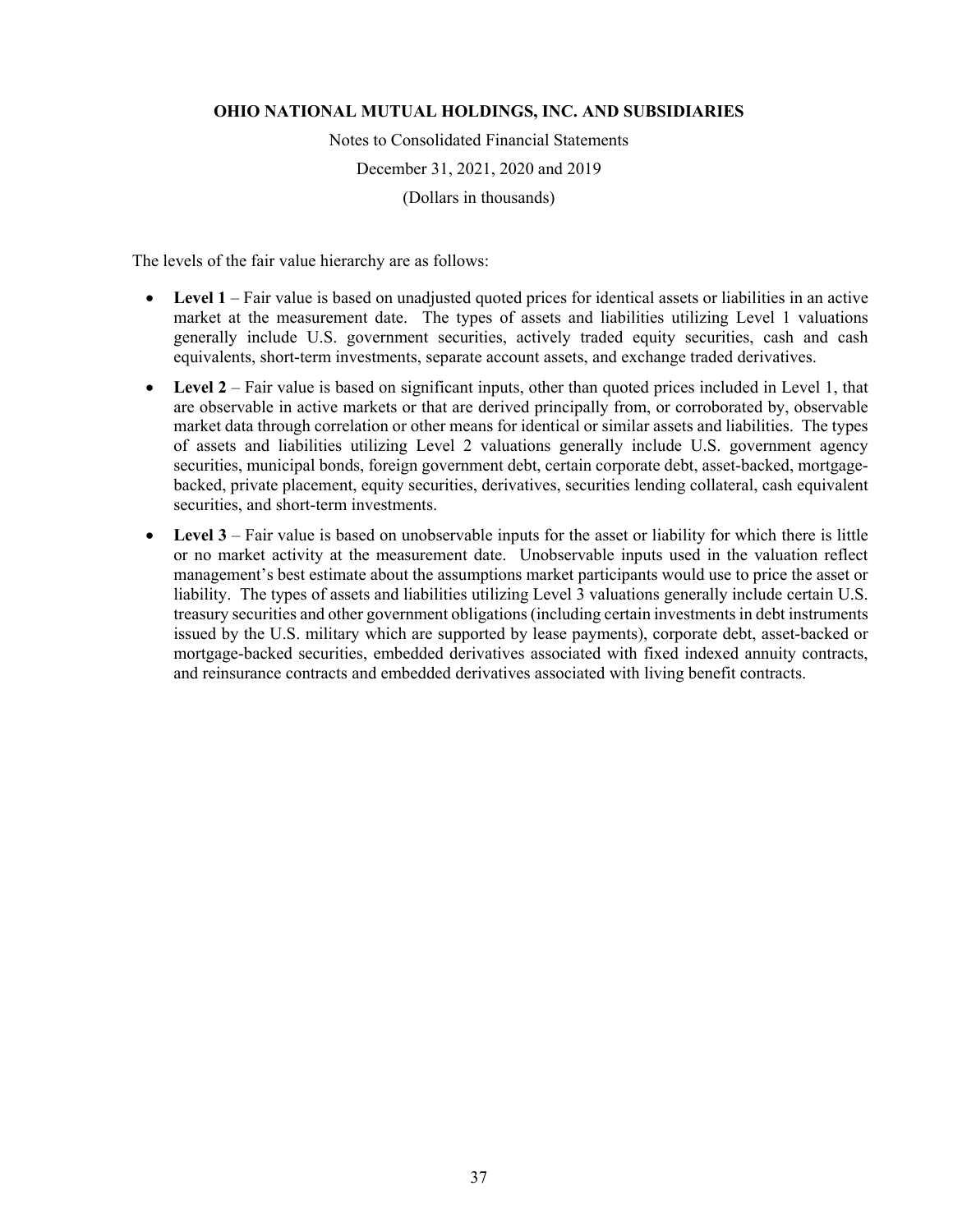Notes to Consolidated Financial Statements December 31, 2021, 2020 and 2019 (Dollars in thousands)

The levels of the fair value hierarchy are as follows:

- Level 1 Fair value is based on unadjusted quoted prices for identical assets or liabilities in an active market at the measurement date. The types of assets and liabilities utilizing Level 1 valuations generally include U.S. government securities, actively traded equity securities, cash and cash equivalents, short-term investments, separate account assets, and exchange traded derivatives.
- **Level 2** Fair value is based on significant inputs, other than quoted prices included in Level 1, that are observable in active markets or that are derived principally from, or corroborated by, observable market data through correlation or other means for identical or similar assets and liabilities. The types of assets and liabilities utilizing Level 2 valuations generally include U.S. government agency securities, municipal bonds, foreign government debt, certain corporate debt, asset-backed, mortgagebacked, private placement, equity securities, derivatives, securities lending collateral, cash equivalent securities, and short-term investments.
- **Level 3** Fair value is based on unobservable inputs for the asset or liability for which there is little or no market activity at the measurement date. Unobservable inputs used in the valuation reflect management's best estimate about the assumptions market participants would use to price the asset or liability. The types of assets and liabilities utilizing Level 3 valuations generally include certain U.S. treasury securities and other government obligations (including certain investments in debt instruments issued by the U.S. military which are supported by lease payments), corporate debt, asset-backed or mortgage-backed securities, embedded derivatives associated with fixed indexed annuity contracts, and reinsurance contracts and embedded derivatives associated with living benefit contracts.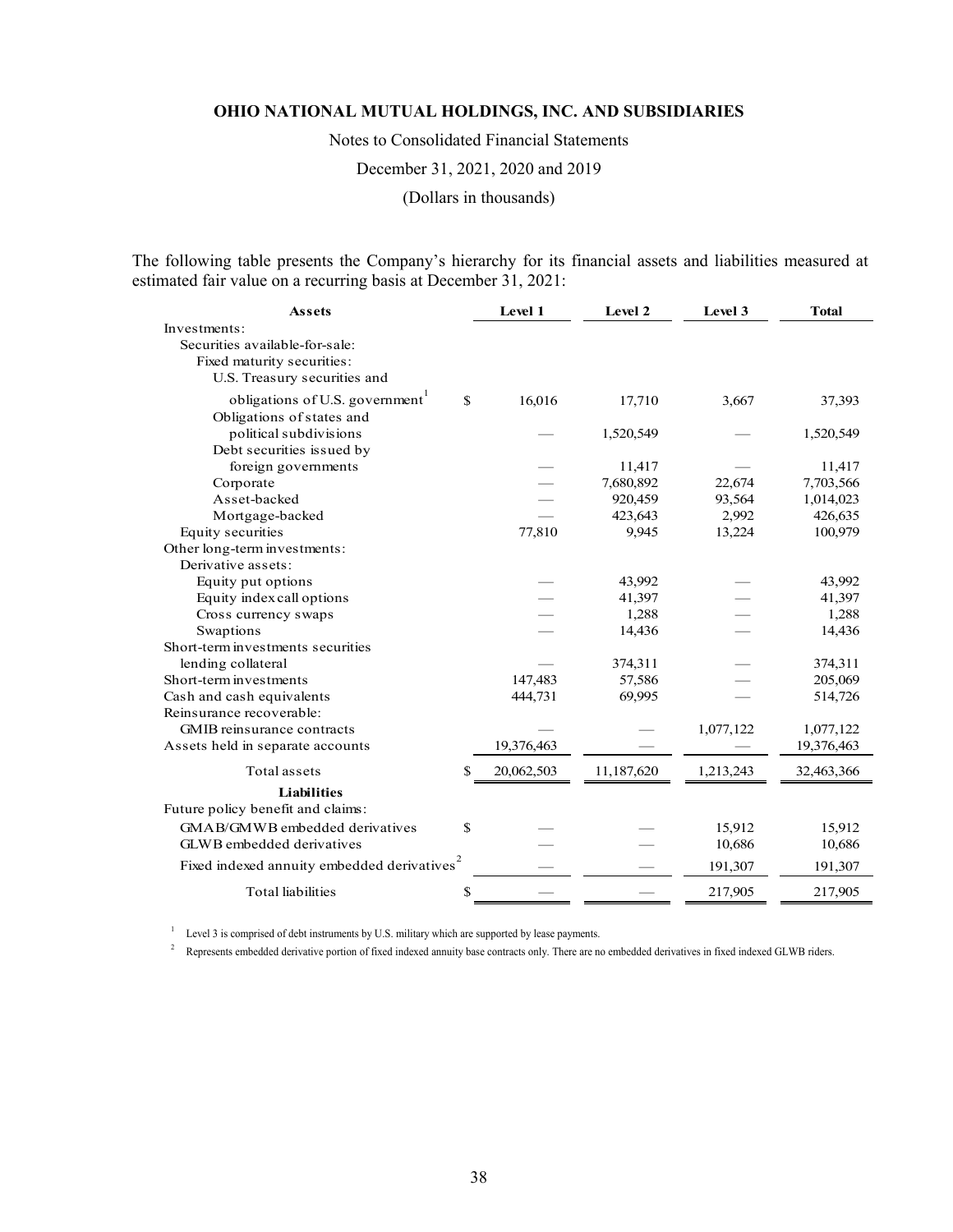Notes to Consolidated Financial Statements

December 31, 2021, 2020 and 2019

(Dollars in thousands)

The following table presents the Company's hierarchy for its financial assets and liabilities measured at estimated fair value on a recurring basis at December 31, 2021:

| <b>Assets</b>                               |              | Level 1    | Level 2    | Level 3   | <b>Total</b> |
|---------------------------------------------|--------------|------------|------------|-----------|--------------|
| Investments:                                |              |            |            |           |              |
| Securities available-for-sale:              |              |            |            |           |              |
| Fixed maturity securities:                  |              |            |            |           |              |
| U.S. Treasury securities and                |              |            |            |           |              |
| obligations of U.S. government <sup>1</sup> | $\mathbb{S}$ | 16,016     | 17,710     | 3,667     | 37,393       |
| Obligations of states and                   |              |            |            |           |              |
| political subdivisions                      |              |            | 1,520,549  |           | 1,520,549    |
| Debt securities issued by                   |              |            |            |           |              |
| foreign governments                         |              |            | 11,417     |           | 11,417       |
| Corporate                                   |              |            | 7,680,892  | 22,674    | 7,703,566    |
| Asset-backed                                |              |            | 920,459    | 93,564    | 1,014,023    |
| Mortgage-backed                             |              |            | 423,643    | 2,992     | 426,635      |
| Equity securities                           |              | 77,810     | 9,945      | 13,224    | 100,979      |
| Other long-term investments:                |              |            |            |           |              |
| Derivative assets:                          |              |            |            |           |              |
| Equity put options                          |              |            | 43,992     |           | 43,992       |
| Equity index call options                   |              |            | 41,397     |           | 41,397       |
| Cross currency swaps                        |              |            | 1,288      |           | 1,288        |
| Swaptions                                   |              |            | 14,436     |           | 14,436       |
| Short-term investments securities           |              |            |            |           |              |
| lending collateral                          |              |            | 374,311    |           | 374,311      |
| Short-term investments                      |              | 147,483    | 57,586     |           | 205,069      |
| Cash and cash equivalents                   |              | 444,731    | 69,995     |           | 514,726      |
| Reinsurance recoverable:                    |              |            |            |           |              |
| GMIB reinsurance contracts                  |              |            |            | 1,077,122 | 1,077,122    |
| Assets held in separate accounts            |              | 19,376,463 |            |           | 19,376,463   |
| Total assets                                | \$           | 20,062,503 | 11,187,620 | 1,213,243 | 32,463,366   |
| <b>Liabilities</b>                          |              |            |            |           |              |
| Future policy benefit and claims:           |              |            |            |           |              |
| GMAB/GMWB embedded derivatives              | \$           |            |            | 15,912    | 15,912       |
| GLWB embedded derivatives                   |              |            |            | 10,686    | 10,686       |
| Fixed indexed annuity embedded derivatives  |              |            |            | 191,307   | 191,307      |
| <b>Total</b> liabilities                    | \$           |            |            | 217,905   | 217,905      |
|                                             |              |            |            |           |              |

<sup>1</sup> Level 3 is comprised of debt instruments by U.S. military which are supported by lease payments.

<sup>2</sup> Represents embedded derivative portion of fixed indexed annuity base contracts only. There are no embedded derivatives in fixed indexed GLWB riders.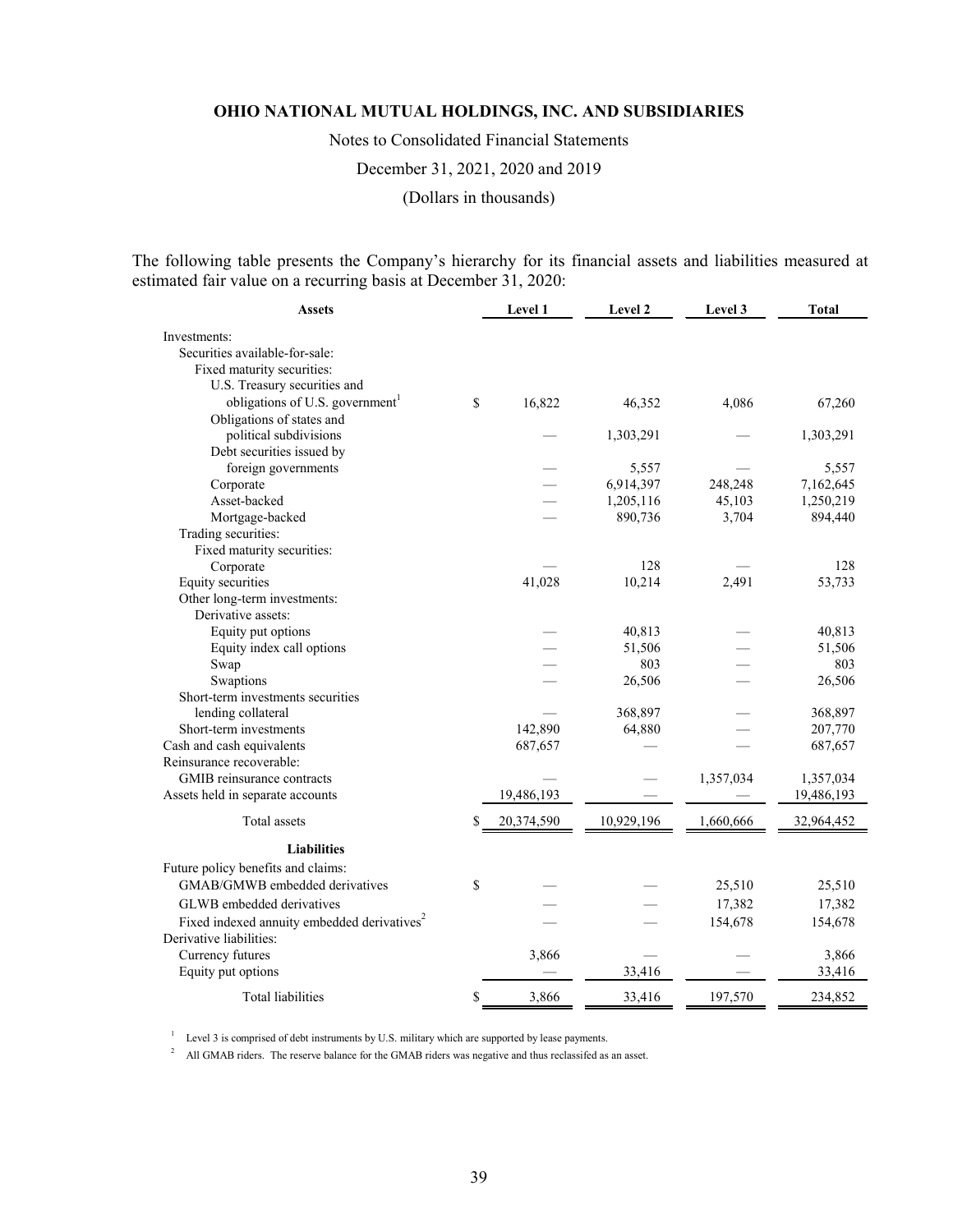Notes to Consolidated Financial Statements

December 31, 2021, 2020 and 2019

(Dollars in thousands)

The following table presents the Company's hierarchy for its financial assets and liabilities measured at estimated fair value on a recurring basis at December 31, 2020:

| <b>Assets</b>                                           | Level 1          | Level 2    | Level 3   | <b>Total</b> |
|---------------------------------------------------------|------------------|------------|-----------|--------------|
| Investments:                                            |                  |            |           |              |
| Securities available-for-sale:                          |                  |            |           |              |
| Fixed maturity securities:                              |                  |            |           |              |
| U.S. Treasury securities and                            |                  |            |           |              |
| obligations of U.S. government <sup>1</sup>             | \$<br>16,822     | 46,352     | 4,086     | 67,260       |
| Obligations of states and                               |                  |            |           |              |
| political subdivisions                                  |                  | 1,303,291  |           | 1,303,291    |
| Debt securities issued by                               |                  |            |           |              |
| foreign governments                                     |                  | 5,557      |           | 5,557        |
|                                                         |                  |            |           |              |
| Corporate<br>Asset-backed                               |                  | 6,914,397  | 248,248   | 7,162,645    |
|                                                         |                  | 1,205,116  | 45,103    | 1,250,219    |
| Mortgage-backed                                         |                  | 890,736    | 3,704     | 894,440      |
| Trading securities:                                     |                  |            |           |              |
| Fixed maturity securities:                              |                  |            |           |              |
| Corporate                                               |                  | 128        |           | 128          |
| Equity securities                                       | 41,028           | 10,214     | 2,491     | 53,733       |
| Other long-term investments:                            |                  |            |           |              |
| Derivative assets:                                      |                  |            |           |              |
| Equity put options                                      |                  | 40,813     |           | 40,813       |
| Equity index call options                               |                  | 51,506     |           | 51,506       |
| Swap                                                    |                  | 803        |           | 803          |
| Swaptions                                               |                  | 26,506     |           | 26,506       |
| Short-term investments securities                       |                  |            |           |              |
| lending collateral                                      |                  | 368,897    |           | 368,897      |
| Short-term investments                                  | 142,890          | 64,880     |           | 207,770      |
| Cash and cash equivalents                               | 687,657          |            |           | 687,657      |
| Reinsurance recoverable:                                |                  |            |           |              |
| GMIB reinsurance contracts                              |                  |            | 1,357,034 | 1,357,034    |
| Assets held in separate accounts                        | 19,486,193       |            |           | 19,486,193   |
| Total assets                                            | \$<br>20,374,590 | 10,929,196 | 1,660,666 | 32,964,452   |
| <b>Liabilities</b>                                      |                  |            |           |              |
| Future policy benefits and claims:                      |                  |            |           |              |
| GMAB/GMWB embedded derivatives                          | \$               |            | 25,510    | 25,510       |
| GLWB embedded derivatives                               |                  |            | 17,382    | 17,382       |
| Fixed indexed annuity embedded derivatives <sup>2</sup> |                  |            |           |              |
|                                                         |                  |            | 154,678   | 154,678      |
| Derivative liabilities:                                 |                  |            |           |              |
| Currency futures                                        | 3,866            |            |           | 3,866        |
| Equity put options                                      |                  | 33,416     |           | 33,416       |
| <b>Total liabilities</b>                                | \$<br>3,866      | 33,416     | 197,570   | 234,852      |

<sup>1</sup> Level 3 is comprised of debt instruments by U.S. military which are supported by lease payments.

<sup>2</sup> All GMAB riders. The reserve balance for the GMAB riders was negative and thus reclassifed as an asset.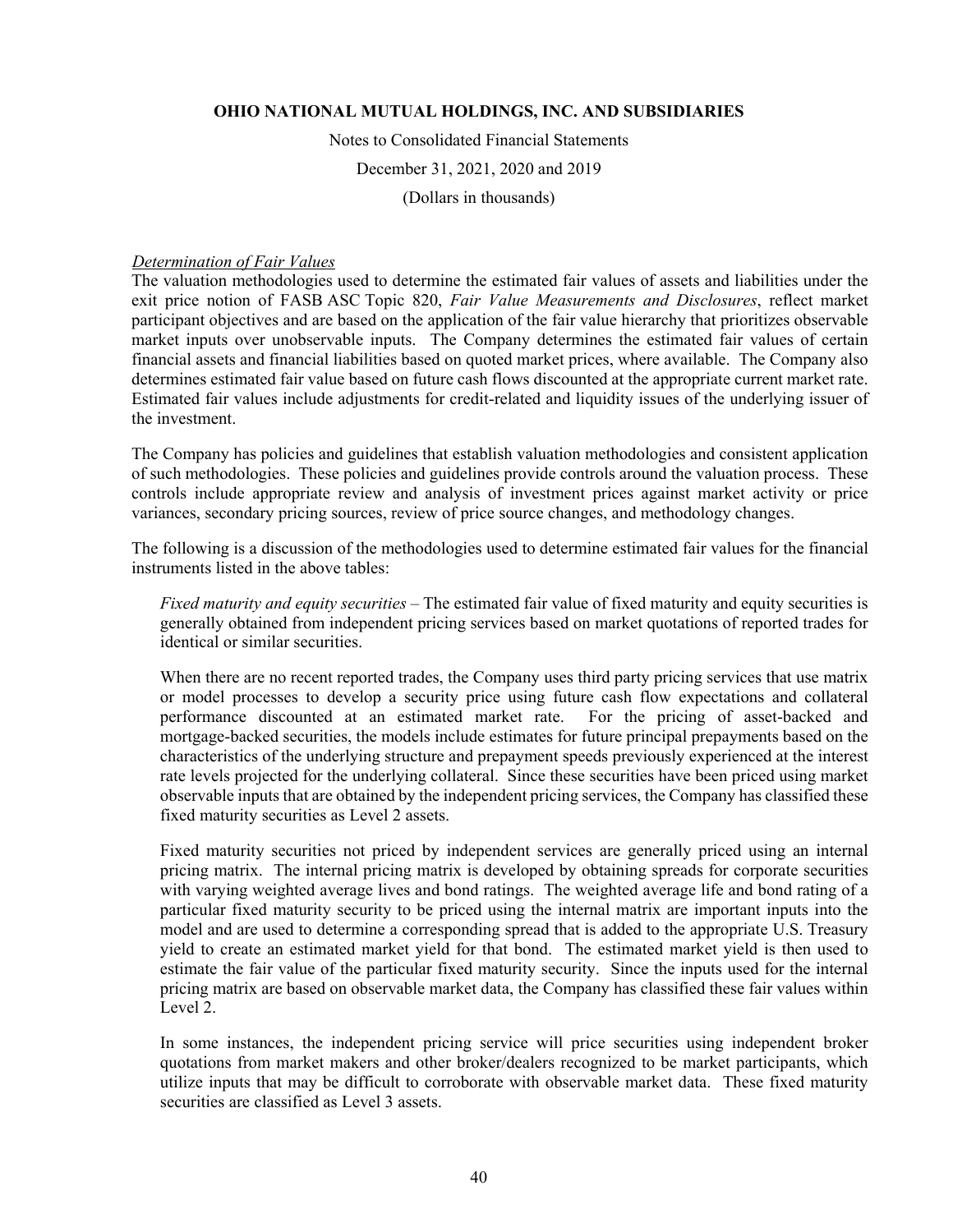Notes to Consolidated Financial Statements

December 31, 2021, 2020 and 2019

(Dollars in thousands)

#### *Determination of Fair Values*

The valuation methodologies used to determine the estimated fair values of assets and liabilities under the exit price notion of FASB ASC Topic 820, *Fair Value Measurements and Disclosures*, reflect market participant objectives and are based on the application of the fair value hierarchy that prioritizes observable market inputs over unobservable inputs. The Company determines the estimated fair values of certain financial assets and financial liabilities based on quoted market prices, where available. The Company also determines estimated fair value based on future cash flows discounted at the appropriate current market rate. Estimated fair values include adjustments for credit-related and liquidity issues of the underlying issuer of the investment.

The Company has policies and guidelines that establish valuation methodologies and consistent application of such methodologies. These policies and guidelines provide controls around the valuation process. These controls include appropriate review and analysis of investment prices against market activity or price variances, secondary pricing sources, review of price source changes, and methodology changes.

The following is a discussion of the methodologies used to determine estimated fair values for the financial instruments listed in the above tables:

*Fixed maturity and equity securities –* The estimated fair value of fixed maturity and equity securities is generally obtained from independent pricing services based on market quotations of reported trades for identical or similar securities.

When there are no recent reported trades, the Company uses third party pricing services that use matrix or model processes to develop a security price using future cash flow expectations and collateral performance discounted at an estimated market rate. For the pricing of asset-backed and mortgage-backed securities, the models include estimates for future principal prepayments based on the characteristics of the underlying structure and prepayment speeds previously experienced at the interest rate levels projected for the underlying collateral. Since these securities have been priced using market observable inputs that are obtained by the independent pricing services, the Company has classified these fixed maturity securities as Level 2 assets.

Fixed maturity securities not priced by independent services are generally priced using an internal pricing matrix. The internal pricing matrix is developed by obtaining spreads for corporate securities with varying weighted average lives and bond ratings. The weighted average life and bond rating of a particular fixed maturity security to be priced using the internal matrix are important inputs into the model and are used to determine a corresponding spread that is added to the appropriate U.S. Treasury yield to create an estimated market yield for that bond. The estimated market yield is then used to estimate the fair value of the particular fixed maturity security. Since the inputs used for the internal pricing matrix are based on observable market data, the Company has classified these fair values within Level 2.

In some instances, the independent pricing service will price securities using independent broker quotations from market makers and other broker/dealers recognized to be market participants, which utilize inputs that may be difficult to corroborate with observable market data. These fixed maturity securities are classified as Level 3 assets.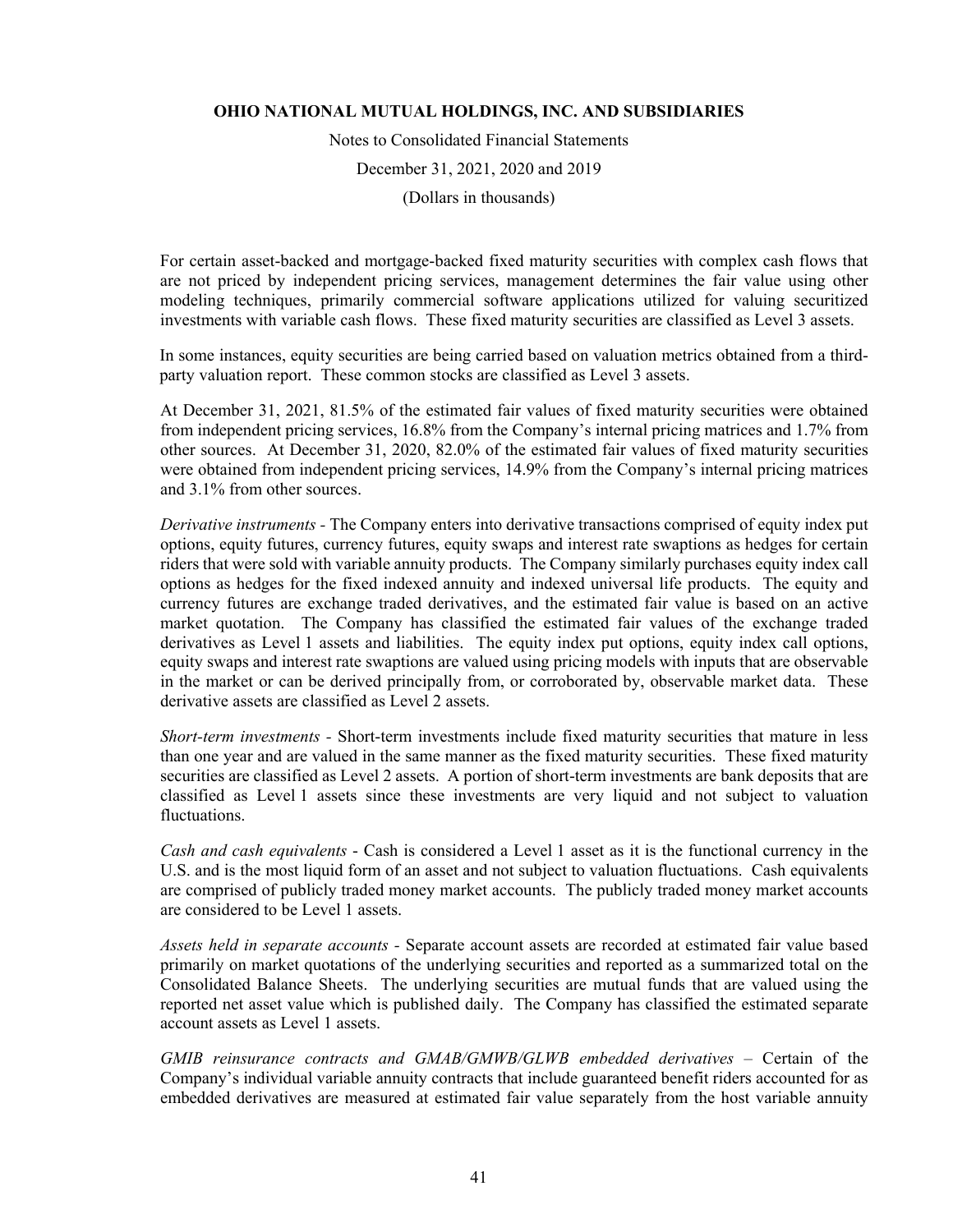Notes to Consolidated Financial Statements

December 31, 2021, 2020 and 2019

(Dollars in thousands)

For certain asset-backed and mortgage-backed fixed maturity securities with complex cash flows that are not priced by independent pricing services, management determines the fair value using other modeling techniques, primarily commercial software applications utilized for valuing securitized investments with variable cash flows. These fixed maturity securities are classified as Level 3 assets.

In some instances, equity securities are being carried based on valuation metrics obtained from a thirdparty valuation report. These common stocks are classified as Level 3 assets.

At December 31, 2021, 81.5% of the estimated fair values of fixed maturity securities were obtained from independent pricing services, 16.8% from the Company's internal pricing matrices and 1.7% from other sources. At December 31, 2020, 82.0% of the estimated fair values of fixed maturity securities were obtained from independent pricing services, 14.9% from the Company's internal pricing matrices and 3.1% from other sources.

*Derivative instruments -* The Company enters into derivative transactions comprised of equity index put options, equity futures, currency futures, equity swaps and interest rate swaptions as hedges for certain riders that were sold with variable annuity products. The Company similarly purchases equity index call options as hedges for the fixed indexed annuity and indexed universal life products. The equity and currency futures are exchange traded derivatives, and the estimated fair value is based on an active market quotation. The Company has classified the estimated fair values of the exchange traded derivatives as Level 1 assets and liabilities. The equity index put options, equity index call options, equity swaps and interest rate swaptions are valued using pricing models with inputs that are observable in the market or can be derived principally from, or corroborated by, observable market data. These derivative assets are classified as Level 2 assets.

*Short-term investments -* Short-term investments include fixed maturity securities that mature in less than one year and are valued in the same manner as the fixed maturity securities. These fixed maturity securities are classified as Level 2 assets. A portion of short-term investments are bank deposits that are classified as Level 1 assets since these investments are very liquid and not subject to valuation fluctuations.

*Cash and cash equivalents* - Cash is considered a Level 1 asset as it is the functional currency in the U.S. and is the most liquid form of an asset and not subject to valuation fluctuations. Cash equivalents are comprised of publicly traded money market accounts. The publicly traded money market accounts are considered to be Level 1 assets.

*Assets held in separate accounts -* Separate account assets are recorded at estimated fair value based primarily on market quotations of the underlying securities and reported as a summarized total on the Consolidated Balance Sheets. The underlying securities are mutual funds that are valued using the reported net asset value which is published daily. The Company has classified the estimated separate account assets as Level 1 assets.

GMIB reinsurance contracts and GMAB/GMWB/GLWB embedded derivatives – Certain of the Company's individual variable annuity contracts that include guaranteed benefit riders accounted for as embedded derivatives are measured at estimated fair value separately from the host variable annuity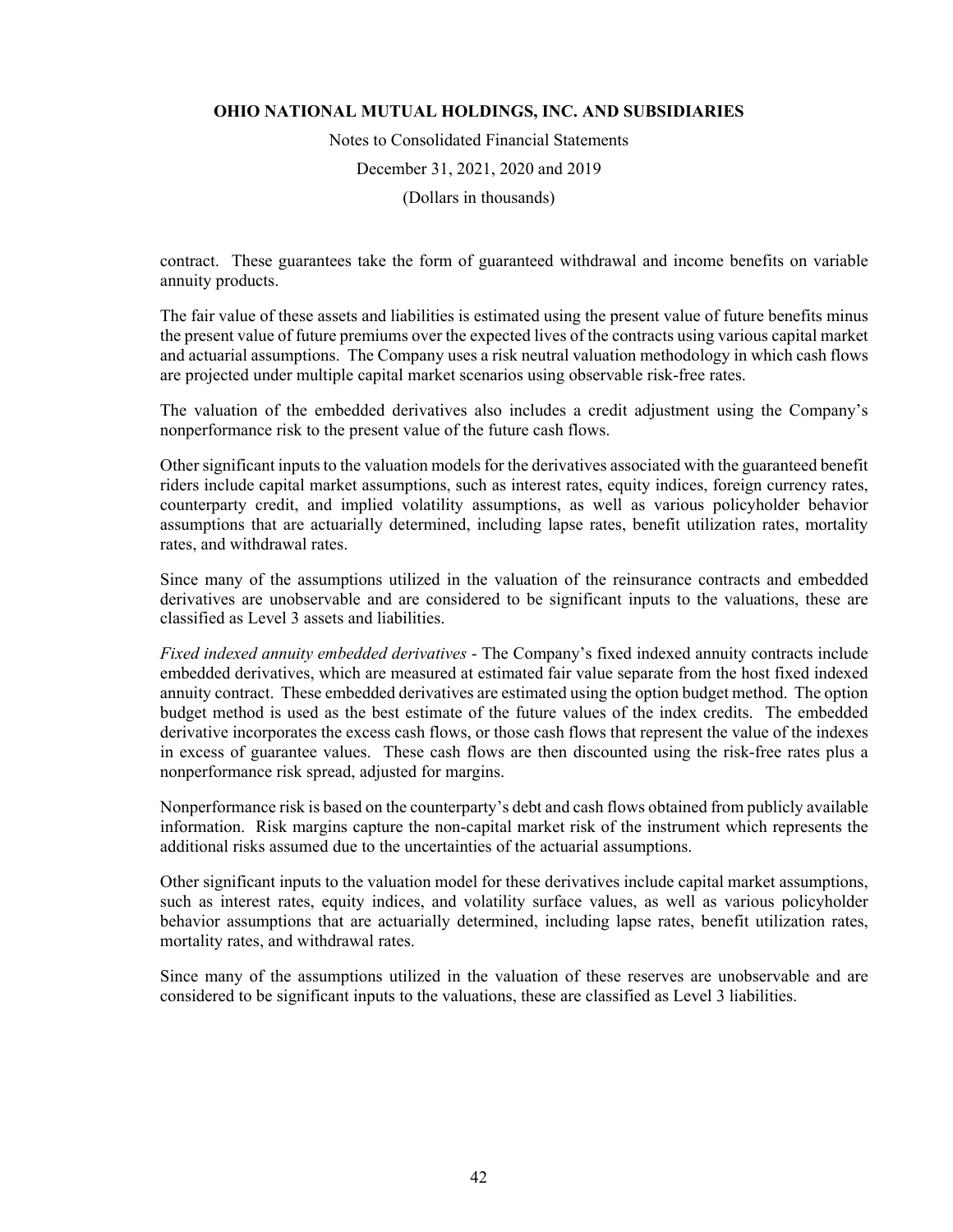Notes to Consolidated Financial Statements December 31, 2021, 2020 and 2019 (Dollars in thousands)

contract. These guarantees take the form of guaranteed withdrawal and income benefits on variable annuity products.

The fair value of these assets and liabilities is estimated using the present value of future benefits minus the present value of future premiums over the expected lives of the contracts using various capital market and actuarial assumptions. The Company uses a risk neutral valuation methodology in which cash flows are projected under multiple capital market scenarios using observable risk-free rates.

The valuation of the embedded derivatives also includes a credit adjustment using the Company's nonperformance risk to the present value of the future cash flows.

Other significant inputs to the valuation models for the derivatives associated with the guaranteed benefit riders include capital market assumptions, such as interest rates, equity indices, foreign currency rates, counterparty credit, and implied volatility assumptions, as well as various policyholder behavior assumptions that are actuarially determined, including lapse rates, benefit utilization rates, mortality rates, and withdrawal rates.

Since many of the assumptions utilized in the valuation of the reinsurance contracts and embedded derivatives are unobservable and are considered to be significant inputs to the valuations, these are classified as Level 3 assets and liabilities.

*Fixed indexed annuity embedded derivatives* - The Company's fixed indexed annuity contracts include embedded derivatives, which are measured at estimated fair value separate from the host fixed indexed annuity contract. These embedded derivatives are estimated using the option budget method. The option budget method is used as the best estimate of the future values of the index credits. The embedded derivative incorporates the excess cash flows, or those cash flows that represent the value of the indexes in excess of guarantee values. These cash flows are then discounted using the risk-free rates plus a nonperformance risk spread, adjusted for margins.

Nonperformance risk is based on the counterparty's debt and cash flows obtained from publicly available information. Risk margins capture the non-capital market risk of the instrument which represents the additional risks assumed due to the uncertainties of the actuarial assumptions.

Other significant inputs to the valuation model for these derivatives include capital market assumptions, such as interest rates, equity indices, and volatility surface values, as well as various policyholder behavior assumptions that are actuarially determined, including lapse rates, benefit utilization rates, mortality rates, and withdrawal rates.

Since many of the assumptions utilized in the valuation of these reserves are unobservable and are considered to be significant inputs to the valuations, these are classified as Level 3 liabilities.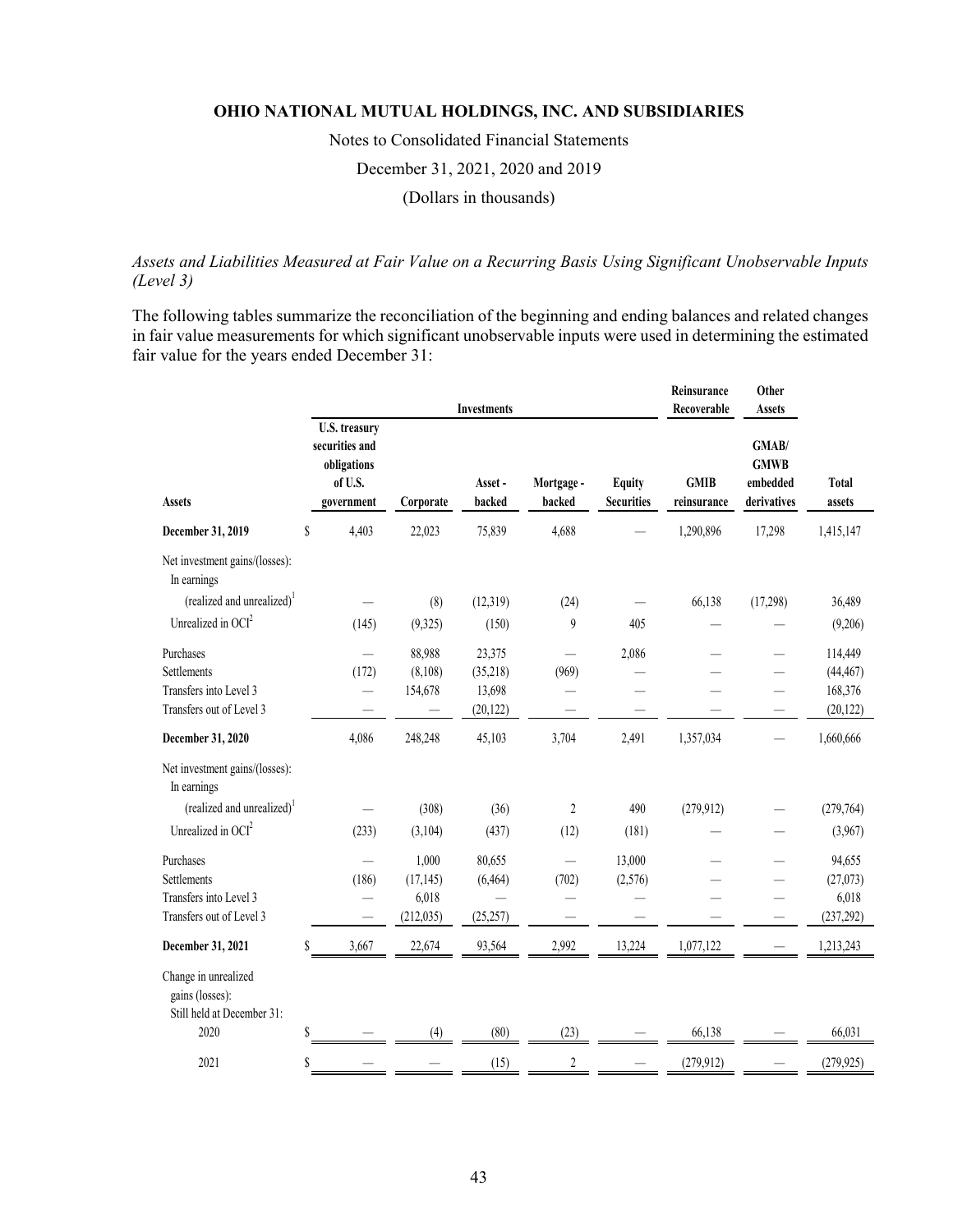Notes to Consolidated Financial Statements December 31, 2021, 2020 and 2019

(Dollars in thousands)

## *Assets and Liabilities Measured at Fair Value on a Recurring Basis Using Significant Unobservable Inputs (Level 3)*

The following tables summarize the reconciliation of the beginning and ending balances and related changes in fair value measurements for which significant unobservable inputs were used in determining the estimated fair value for the years ended December 31:

|                                                                                                                 | <b>Investments</b> |                                                                                |                                           |                                           |                          |                                    |                            | <b>Other</b><br><b>Assets</b>                   |                                              |  |
|-----------------------------------------------------------------------------------------------------------------|--------------------|--------------------------------------------------------------------------------|-------------------------------------------|-------------------------------------------|--------------------------|------------------------------------|----------------------------|-------------------------------------------------|----------------------------------------------|--|
| <b>Assets</b>                                                                                                   |                    | <b>U.S. treasury</b><br>securities and<br>obligations<br>of U.S.<br>government | Corporate                                 | Asset-<br>backed                          | Mortgage -<br>backed     | <b>Equity</b><br><b>Securities</b> | <b>GMIB</b><br>reinsurance | GMAB/<br><b>GMWB</b><br>embedded<br>derivatives | <b>Total</b><br>assets                       |  |
| December 31, 2019                                                                                               | \$                 | 4,403                                                                          | 22,023                                    | 75,839                                    | 4,688                    |                                    | 1,290,896                  | 17,298                                          | 1,415,147                                    |  |
| Net investment gains/(losses):<br>In earnings<br>(realized and unrealized) <sup>1</sup><br>Unrealized in $OCI2$ |                    | (145)                                                                          | (8)<br>(9,325)                            | (12,319)<br>(150)                         | (24)<br>9                | 405                                | 66,138                     | (17,298)                                        | 36,489<br>(9,206)                            |  |
| Purchases<br><b>Settlements</b><br>Transfers into Level 3<br>Transfers out of Level 3                           |                    | (172)                                                                          | 88,988<br>(8,108)<br>154,678              | 23,375<br>(35,218)<br>13,698<br>(20, 122) | (969)                    | 2,086                              |                            |                                                 | 114,449<br>(44, 467)<br>168,376<br>(20, 122) |  |
| December 31, 2020                                                                                               |                    | 4,086                                                                          | 248,248                                   | 45,103                                    | 3,704                    | 2,491                              | 1,357,034                  |                                                 | 1,660,666                                    |  |
| Net investment gains/(losses):<br>In earnings<br>(realized and unrealized) <sup>1</sup><br>Unrealized in $OCI2$ |                    | (233)                                                                          | (308)<br>(3,104)                          | (36)<br>(437)                             | $\boldsymbol{2}$<br>(12) | 490<br>(181)                       | (279, 912)                 |                                                 | (279, 764)<br>(3,967)                        |  |
| Purchases<br>Settlements<br>Transfers into Level 3<br>Transfers out of Level 3                                  |                    | (186)                                                                          | 1,000<br>(17, 145)<br>6,018<br>(212, 035) | 80,655<br>(6, 464)<br>(25, 257)           | $-$<br>(702)             | 13,000<br>(2,576)                  |                            |                                                 | 94,655<br>(27,073)<br>6,018<br>(237, 292)    |  |
| December 31, 2021                                                                                               | Ŝ                  | 3,667                                                                          | 22,674                                    | 93,564                                    | 2,992                    | 13,224                             | 1,077,122                  |                                                 | 1,213,243                                    |  |
| Change in unrealized<br>gains (losses):<br>Still held at December 31:<br>2020                                   | \$                 |                                                                                | (4)                                       | (80)                                      | (23)                     |                                    | 66,138                     |                                                 | 66,031                                       |  |
| 2021                                                                                                            | \$                 |                                                                                |                                           | (15)                                      | $\sqrt{2}$               |                                    | (279, 912)                 |                                                 | (279, 925)                                   |  |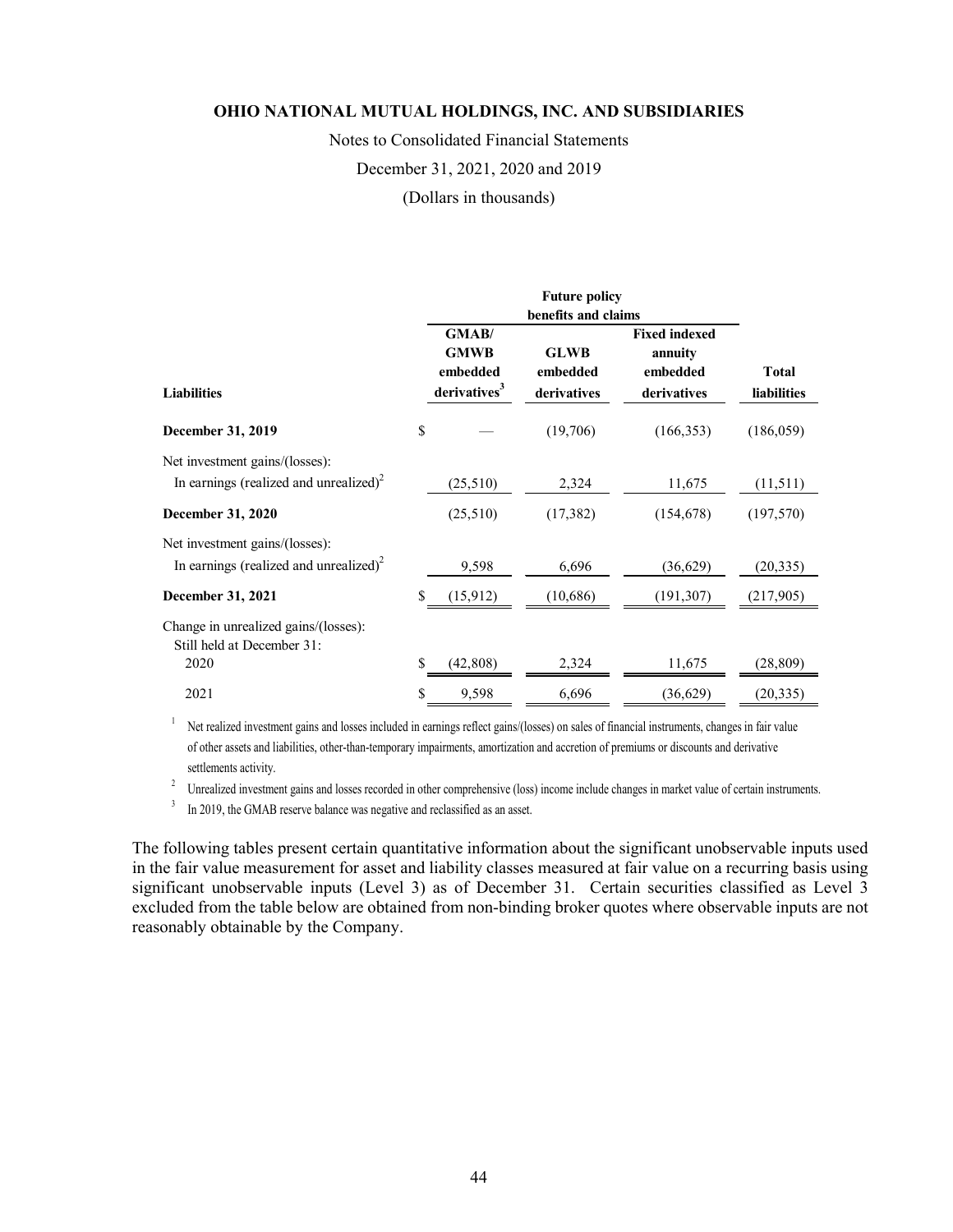Notes to Consolidated Financial Statements

December 31, 2021, 2020 and 2019

(Dollars in thousands)

|                                                                                                  |                                                                    | <b>Future policy</b>                                          |                                                            |                                    |
|--------------------------------------------------------------------------------------------------|--------------------------------------------------------------------|---------------------------------------------------------------|------------------------------------------------------------|------------------------------------|
| <b>Liabilities</b>                                                                               | <b>GMAB</b><br><b>GMWB</b><br>embedded<br>derivatives <sup>3</sup> | benefits and claims<br><b>GLWB</b><br>embedded<br>derivatives | <b>Fixed indexed</b><br>annuity<br>embedded<br>derivatives | <b>Total</b><br><b>liabilities</b> |
| December 31, 2019                                                                                | \$                                                                 | (19,706)                                                      | (166, 353)                                                 | (186, 059)                         |
| Net investment gains/(losses):<br>In earnings (realized and unrealized) $2$<br>December 31, 2020 | (25,510)<br>(25,510)                                               | 2,324<br>(17, 382)                                            | 11,675<br>(154, 678)                                       | (11,511)<br>(197,570)              |
| Net investment gains/(losses):<br>In earnings (realized and unrealized) $\sigma$                 | 9,598                                                              | 6,696                                                         | (36,629)                                                   | (20, 335)                          |
| December 31, 2021                                                                                | \$<br>(15,912)                                                     | (10,686)                                                      | (191, 307)                                                 | (217,905)                          |
| Change in unrealized gains/(losses):<br>Still held at December 31:<br>2020                       | \$<br>(42, 808)                                                    | 2,324                                                         | 11,675                                                     | (28, 809)                          |
| 2021                                                                                             | \$<br>9,598                                                        | 6,696                                                         | (36,629)                                                   | (20, 335)                          |

<sup>1</sup> Net realized investment gains and losses included in earnings reflect gains/(losses) on sales of financial instruments, changes in fair value of other assets and liabilities, other-than-temporary impairments, amortization and accretion of premiums or discounts and derivative settlements activity.<br><sup>2</sup> Unrealized investment gains and losses recorded in other comprehensive (loss) income include changes in market value of certain instruments.

<sup>3</sup> In 2019, the GMAB reserve balance was negative and reclassified as an asset.

The following tables present certain quantitative information about the significant unobservable inputs used in the fair value measurement for asset and liability classes measured at fair value on a recurring basis using significant unobservable inputs (Level 3) as of December 31. Certain securities classified as Level 3 excluded from the table below are obtained from non-binding broker quotes where observable inputs are not reasonably obtainable by the Company.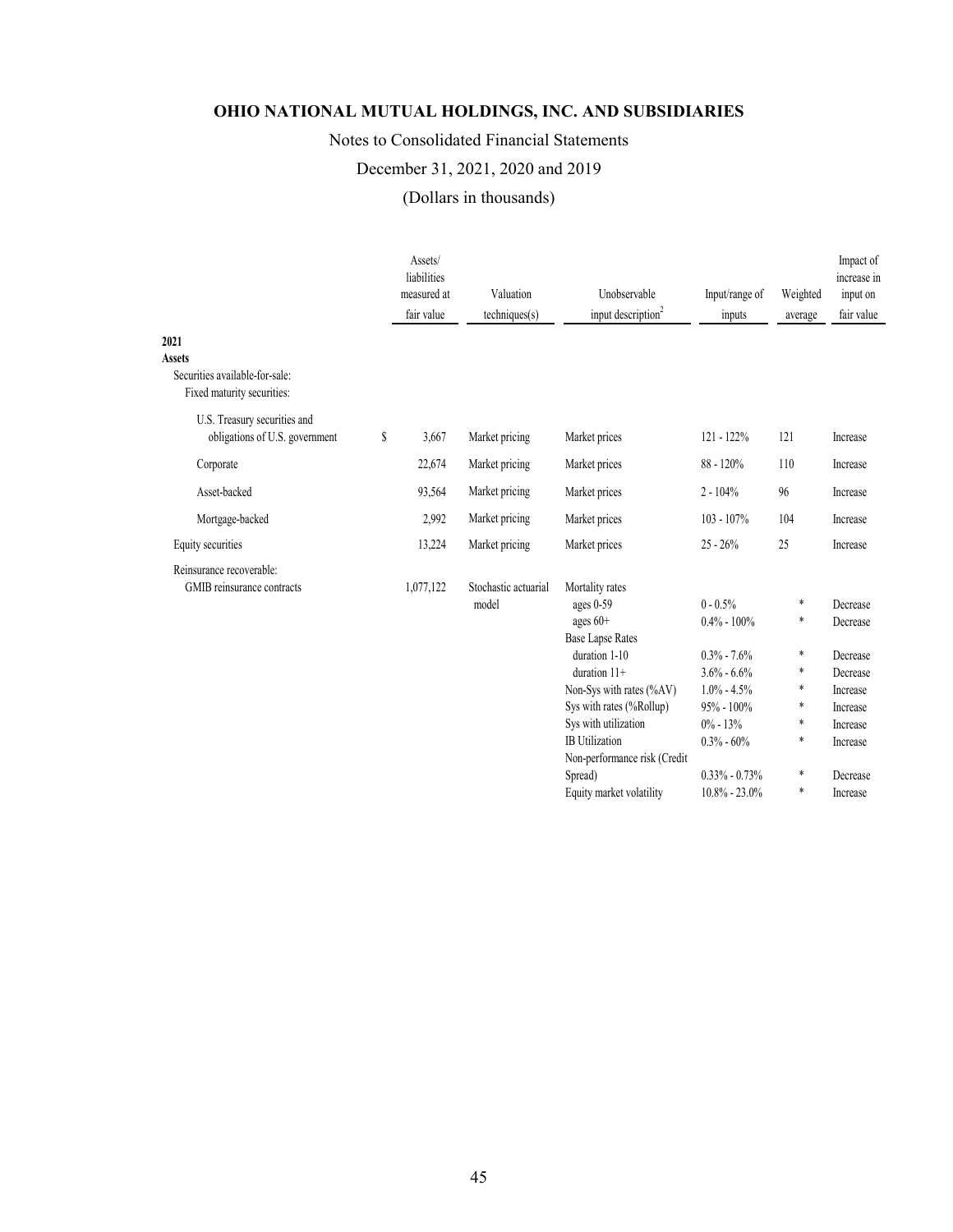# Notes to Consolidated Financial Statements

# December 31, 2021, 2020 and 2019

## (Dollars in thousands)

|                                                                                       | Assets/<br>liabilities<br>measured at<br>fair value | Valuation<br>techniques(s)    | Unobservable<br>input description <sup>2</sup>                                                                                                                                                                                                    | Input/range of<br>inputs                                                                                                                   | Weighted<br>average                                      | Impact of<br>increase in<br>input on<br>fair value                                           |
|---------------------------------------------------------------------------------------|-----------------------------------------------------|-------------------------------|---------------------------------------------------------------------------------------------------------------------------------------------------------------------------------------------------------------------------------------------------|--------------------------------------------------------------------------------------------------------------------------------------------|----------------------------------------------------------|----------------------------------------------------------------------------------------------|
| 2021<br><b>Assets</b><br>Securities available-for-sale:<br>Fixed maturity securities: |                                                     |                               |                                                                                                                                                                                                                                                   |                                                                                                                                            |                                                          |                                                                                              |
| U.S. Treasury securities and<br>obligations of U.S. government                        | \$<br>3,667                                         | Market pricing                | Market prices                                                                                                                                                                                                                                     | $121 - 122\%$                                                                                                                              | 121                                                      | Increase                                                                                     |
| Corporate                                                                             | 22,674                                              | Market pricing                | Market prices                                                                                                                                                                                                                                     | 88 - 120%                                                                                                                                  | 110                                                      | Increase                                                                                     |
| Asset-backed                                                                          | 93,564                                              | Market pricing                | Market prices                                                                                                                                                                                                                                     | $2 - 104%$                                                                                                                                 | 96                                                       | Increase                                                                                     |
| Mortgage-backed                                                                       | 2,992                                               | Market pricing                | Market prices                                                                                                                                                                                                                                     | $103 - 107\%$                                                                                                                              | 104                                                      | Increase                                                                                     |
| Equity securities                                                                     | 13,224                                              | Market pricing                | Market prices                                                                                                                                                                                                                                     | $25 - 26%$                                                                                                                                 | 25                                                       | Increase                                                                                     |
| Reinsurance recoverable:<br>GMIB reinsurance contracts                                | 1,077,122                                           | Stochastic actuarial<br>model | Mortality rates<br>ages 0-59<br>ages $60+$<br><b>Base Lapse Rates</b><br>duration 1-10<br>duration $11+$<br>Non-Sys with rates (%AV)<br>Sys with rates (%Rollup)<br>Sys with utilization<br><b>IB</b> Utilization<br>Non-performance risk (Credit | $0 - 0.5%$<br>$0.4\% - 100\%$<br>$0.3\% - 7.6\%$<br>$3.6\% - 6.6\%$<br>$1.0\% - 4.5\%$<br>$95\% - 100\%$<br>$0\% - 13\%$<br>$0.3\% - 60\%$ | *<br>$\ast$<br>*<br>$\ast$<br>$\ast$<br>*<br>*<br>$\ast$ | Decrease<br>Decrease<br>Decrease<br>Decrease<br>Increase<br>Increase<br>Increase<br>Increase |
|                                                                                       |                                                     |                               | Spread)<br>Equity market volatility                                                                                                                                                                                                               | $0.33\% - 0.73\%$<br>$10.8\% - 23.0\%$                                                                                                     | $\ast$<br>$\ast$                                         | Decrease<br>Increase                                                                         |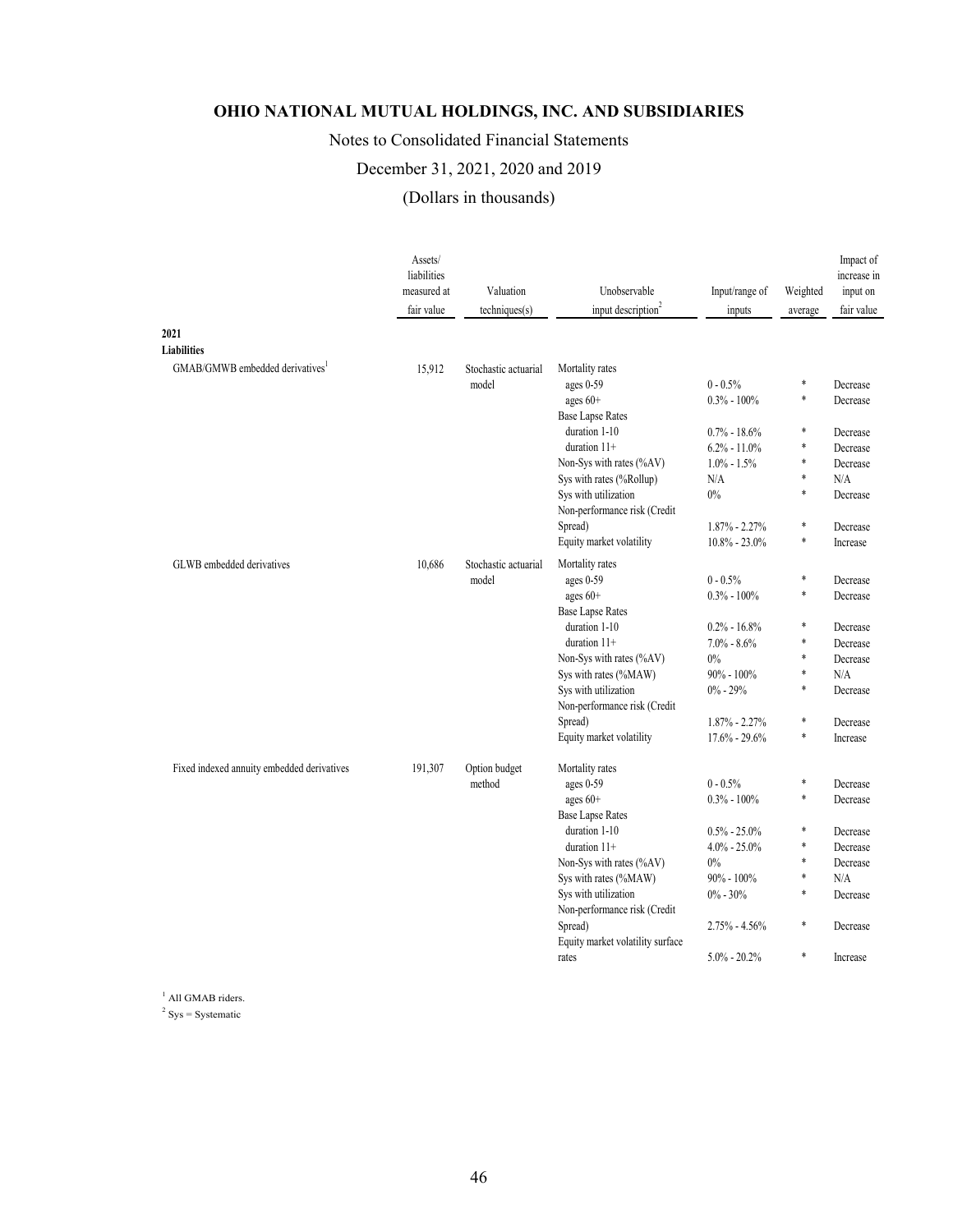# Notes to Consolidated Financial Statements

# December 31, 2021, 2020 and 2019

## (Dollars in thousands)

|                                             | Assets/<br>liabilities<br>measured at<br>fair value | Valuation<br>techniques(s) | Unobservable<br>input description <sup>2</sup> | Input/range of<br>inputs            | Weighted<br>average | Impact of<br>increase in<br>input on<br>fair value |
|---------------------------------------------|-----------------------------------------------------|----------------------------|------------------------------------------------|-------------------------------------|---------------------|----------------------------------------------------|
| 2021                                        |                                                     |                            |                                                |                                     |                     |                                                    |
| <b>Liabilities</b>                          |                                                     |                            |                                                |                                     |                     |                                                    |
| GMAB/GMWB embedded derivatives <sup>1</sup> | 15,912                                              | Stochastic actuarial       | Mortality rates                                |                                     |                     |                                                    |
|                                             |                                                     | model                      | ages 0-59                                      | $0 - 0.5%$                          | *                   | Decrease                                           |
|                                             |                                                     |                            | ages $60+$                                     | $0.3\% - 100\%$                     | $\ast$              | Decrease                                           |
|                                             |                                                     |                            | <b>Base Lapse Rates</b>                        |                                     |                     |                                                    |
|                                             |                                                     |                            | duration 1-10                                  | $0.7\% - 18.6\%$                    | $\ast$              | Decrease                                           |
|                                             |                                                     |                            | duration $11+$                                 | $6.2\% - 11.0\%$                    | $\ast$              | Decrease                                           |
|                                             |                                                     |                            | Non-Sys with rates (%AV)                       | $1.0\% - 1.5\%$                     | $\ast$              | Decrease                                           |
|                                             |                                                     |                            | Sys with rates (%Rollup)                       | N/A                                 | *                   | N/A                                                |
|                                             |                                                     |                            | Sys with utilization                           | 0%                                  | $\ast$              | Decrease                                           |
|                                             |                                                     |                            | Non-performance risk (Credit                   |                                     |                     |                                                    |
|                                             |                                                     |                            | Spread)                                        | $1.87\% - 2.27\%$                   | $\ast$              | Decrease                                           |
|                                             |                                                     |                            | Equity market volatility                       | $10.8\% - 23.0\%$                   | *                   | Increase                                           |
|                                             |                                                     |                            |                                                |                                     |                     |                                                    |
| GLWB embedded derivatives                   | 10,686                                              | Stochastic actuarial       | Mortality rates                                |                                     | $\ast$              |                                                    |
|                                             |                                                     | model                      | ages 0-59                                      | $0 - 0.5%$                          | $\ast$              | Decrease                                           |
|                                             |                                                     |                            | ages 60+                                       | $0.3\% - 100\%$                     |                     | Decrease                                           |
|                                             |                                                     |                            | <b>Base Lapse Rates</b><br>duration 1-10       |                                     | $\ast$              | Decrease                                           |
|                                             |                                                     |                            | duration $11+$                                 | $0.2\% - 16.8\%$<br>$7.0\% - 8.6\%$ | $\ast$              | Decrease                                           |
|                                             |                                                     |                            | Non-Sys with rates (%AV)                       | 0%                                  | $\ast$              | Decrease                                           |
|                                             |                                                     |                            | Sys with rates (%MAW)                          | $90\% - 100\%$                      | $\ast$              | N/A                                                |
|                                             |                                                     |                            | Sys with utilization                           | $0\% - 29\%$                        | $\ast$              | Decrease                                           |
|                                             |                                                     |                            | Non-performance risk (Credit                   |                                     |                     |                                                    |
|                                             |                                                     |                            | Spread)                                        | $1.87\% - 2.27\%$                   | $\ast$              | Decrease                                           |
|                                             |                                                     |                            | Equity market volatility                       | $17.6\% - 29.6\%$                   | $\ast$              | Increase                                           |
|                                             |                                                     |                            |                                                |                                     |                     |                                                    |
| Fixed indexed annuity embedded derivatives  | 191,307                                             | Option budget              | Mortality rates                                |                                     |                     |                                                    |
|                                             |                                                     | method                     | ages $0-59$                                    | $0 - 0.5%$                          | *                   | Decrease                                           |
|                                             |                                                     |                            | ages $60+$                                     | $0.3\% - 100\%$                     | *                   | Decrease                                           |
|                                             |                                                     |                            | <b>Base Lapse Rates</b>                        |                                     |                     |                                                    |
|                                             |                                                     |                            | duration 1-10                                  | $0.5\% - 25.0\%$                    | $\ast$              | Decrease                                           |
|                                             |                                                     |                            | duration $11+$                                 | $4.0\% - 25.0\%$                    | $\ast$              | Decrease                                           |
|                                             |                                                     |                            | Non-Sys with rates (%AV)                       | 0%                                  | $\ast$              | Decrease                                           |
|                                             |                                                     |                            | Sys with rates (%MAW)                          | $90\% - 100\%$                      | $\ast$              | N/A                                                |
|                                             |                                                     |                            | Sys with utilization                           | $0\% - 30\%$                        | $\ast$              | Decrease                                           |
|                                             |                                                     |                            | Non-performance risk (Credit                   |                                     |                     |                                                    |
|                                             |                                                     |                            | Spread)                                        | $2.75\% - 4.56\%$                   | $\ast$              | Decrease                                           |
|                                             |                                                     |                            | Equity market volatility surface               |                                     |                     |                                                    |
|                                             |                                                     |                            | rates                                          | $5.0\% - 20.2\%$                    | $\ast$              | Increase                                           |
|                                             |                                                     |                            |                                                |                                     |                     |                                                    |

<sup>1</sup> All GMAB riders.

 $2$  Sys = Systematic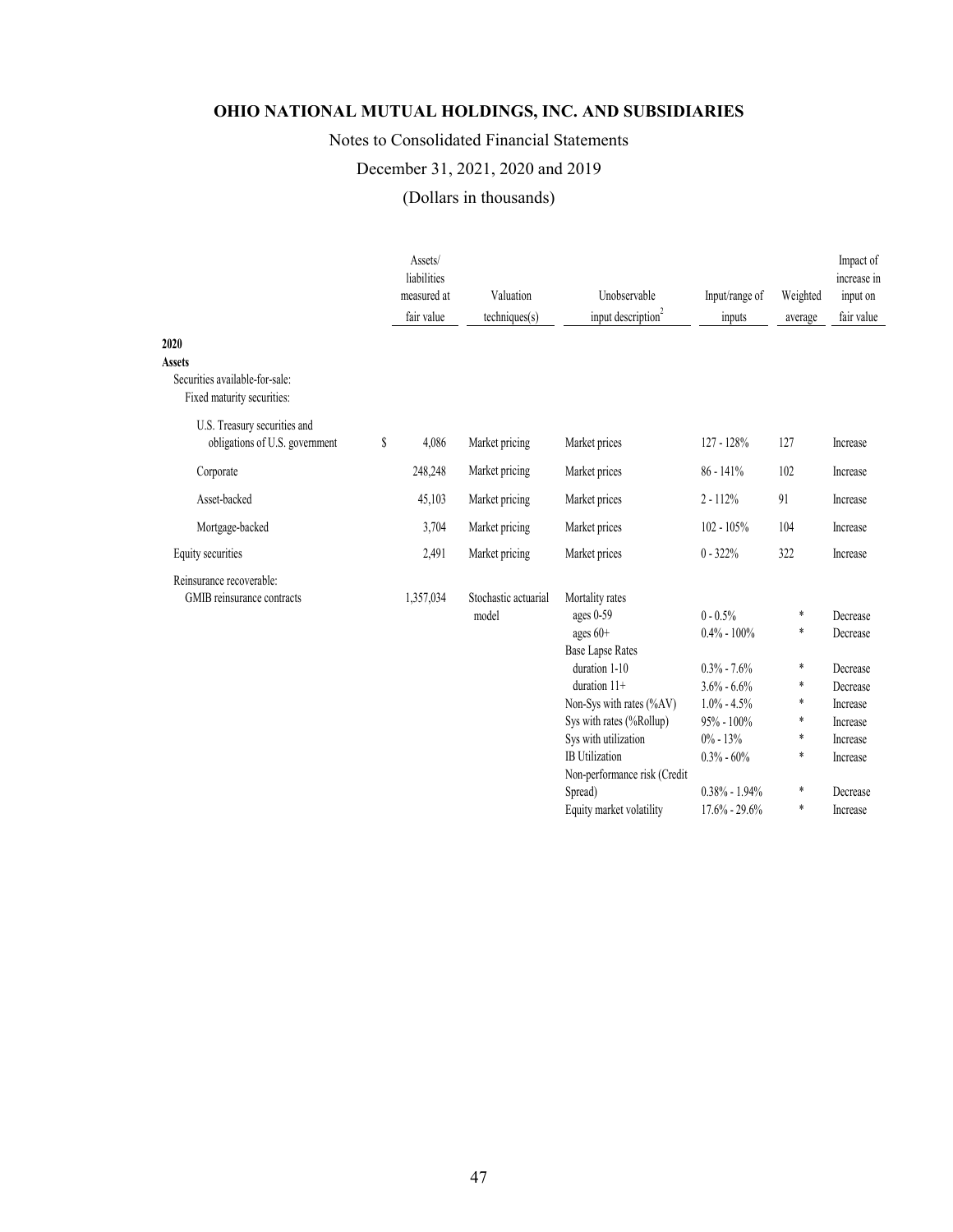# Notes to Consolidated Financial Statements

# December 31, 2021, 2020 and 2019

# (Dollars in thousands)

|                                                                                       | Assets/<br>liabilities<br>measured at<br>fair value | Valuation<br>techniques(s)    | Unobservable<br>input description <sup>2</sup>                                                                                                                                                                                                  | Input/range of<br>inputs                                                                                                                   | Weighted<br>average                  | Impact of<br>increase in<br>input on<br>fair value                                           |
|---------------------------------------------------------------------------------------|-----------------------------------------------------|-------------------------------|-------------------------------------------------------------------------------------------------------------------------------------------------------------------------------------------------------------------------------------------------|--------------------------------------------------------------------------------------------------------------------------------------------|--------------------------------------|----------------------------------------------------------------------------------------------|
| 2020<br><b>Assets</b><br>Securities available-for-sale:<br>Fixed maturity securities: |                                                     |                               |                                                                                                                                                                                                                                                 |                                                                                                                                            |                                      |                                                                                              |
| U.S. Treasury securities and<br>obligations of U.S. government                        | \$<br>4,086                                         | Market pricing                | Market prices                                                                                                                                                                                                                                   | 127 - 128%                                                                                                                                 | 127                                  | Increase                                                                                     |
| Corporate                                                                             | 248,248                                             | Market pricing                | Market prices                                                                                                                                                                                                                                   | $86 - 141%$                                                                                                                                | 102                                  | Increase                                                                                     |
| Asset-backed                                                                          | 45,103                                              | Market pricing                | Market prices                                                                                                                                                                                                                                   | $2 - 112%$                                                                                                                                 | 91                                   | Increase                                                                                     |
| Mortgage-backed                                                                       | 3,704                                               | Market pricing                | Market prices                                                                                                                                                                                                                                   | $102 - 105%$                                                                                                                               | 104                                  | Increase                                                                                     |
| Equity securities                                                                     | 2,491                                               | Market pricing                | Market prices                                                                                                                                                                                                                                   | $0 - 322%$                                                                                                                                 | 322                                  | Increase                                                                                     |
| Reinsurance recoverable:<br>GMIB reinsurance contracts                                | 1,357,034                                           | Stochastic actuarial<br>model | Mortality rates<br>ages 0-59<br>ages 60+<br><b>Base Lapse Rates</b><br>duration 1-10<br>duration $11+$<br>Non-Sys with rates (%AV)<br>Sys with rates (%Rollup)<br>Sys with utilization<br><b>IB</b> Utilization<br>Non-performance risk (Credit | $0 - 0.5%$<br>$0.4\% - 100\%$<br>$0.3\% - 7.6\%$<br>$3.6\% - 6.6\%$<br>$1.0\% - 4.5\%$<br>$95\% - 100\%$<br>$0\% - 13\%$<br>$0.3\% - 60\%$ | *<br>*<br>*<br>*<br>*<br>*<br>*<br>* | Decrease<br>Decrease<br>Decrease<br>Decrease<br>Increase<br>Increase<br>Increase<br>Increase |
|                                                                                       |                                                     |                               | Spread)<br>Equity market volatility                                                                                                                                                                                                             | $0.38\% - 1.94\%$<br>$17.6\% - 29.6\%$                                                                                                     | *<br>$\ast$                          | Decrease<br>Increase                                                                         |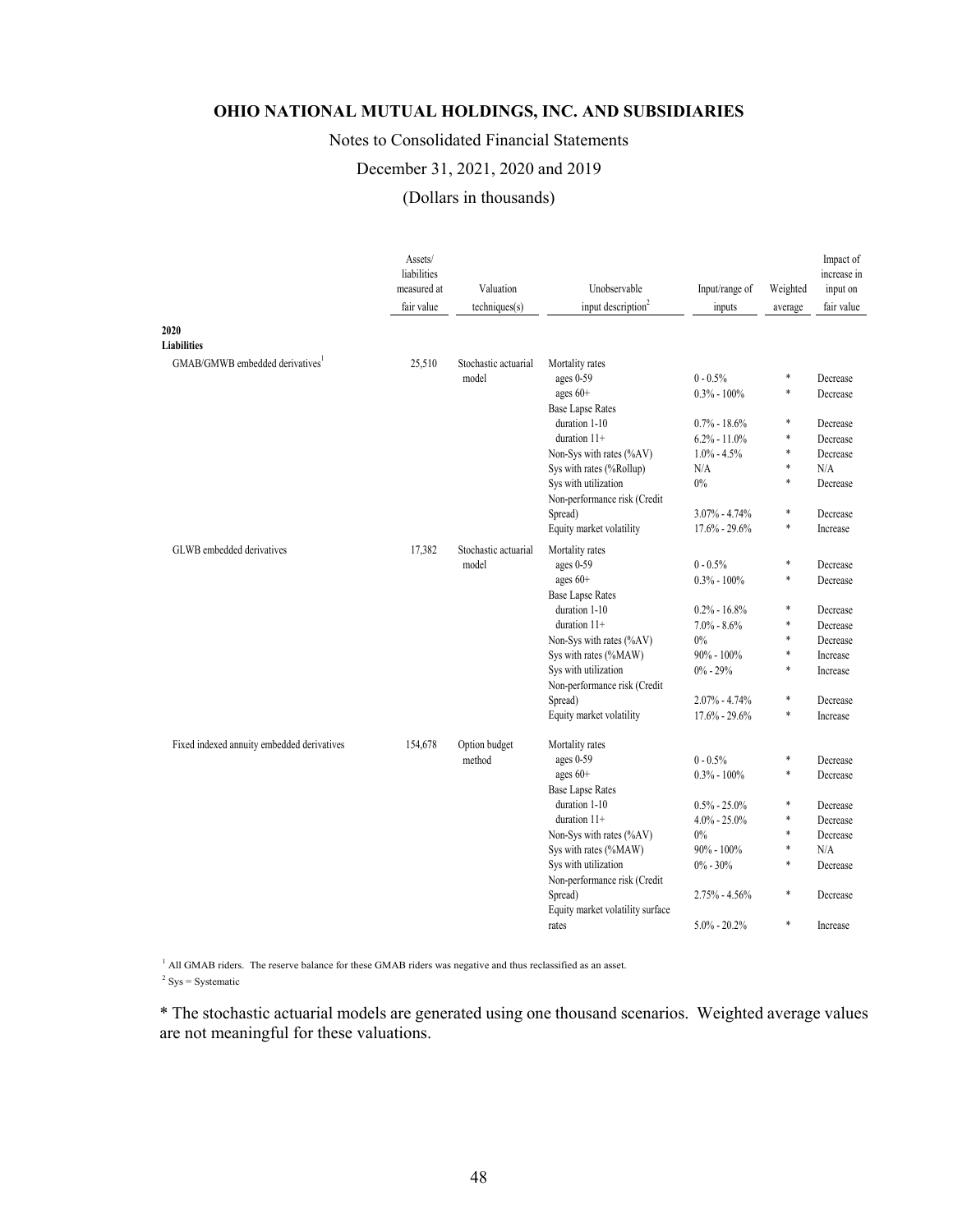## Notes to Consolidated Financial Statements

## December 31, 2021, 2020 and 2019

## (Dollars in thousands)

|                                            | Assets/<br>liabilities<br>measured at<br>fair value | Valuation<br>techniques(s) | Unobservable<br>input description <sup>2</sup> | Input/range of<br>inputs | Weighted<br>average | Impact of<br>increase in<br>input on<br>fair value |
|--------------------------------------------|-----------------------------------------------------|----------------------------|------------------------------------------------|--------------------------|---------------------|----------------------------------------------------|
| 2020                                       |                                                     |                            |                                                |                          |                     |                                                    |
| <b>Liabilities</b>                         |                                                     |                            |                                                |                          |                     |                                                    |
| GMAB/GMWB embedded derivatives             | 25,510                                              | Stochastic actuarial       | Mortality rates                                |                          |                     |                                                    |
|                                            |                                                     | model                      | ages 0-59                                      | $0 - 0.5\%$              | $\ast$              | Decrease                                           |
|                                            |                                                     |                            | ages $60+$                                     | $0.3\% - 100\%$          | $\ast$              | Decrease                                           |
|                                            |                                                     |                            | <b>Base Lapse Rates</b>                        |                          |                     |                                                    |
|                                            |                                                     |                            | duration 1-10                                  | $0.7\% - 18.6\%$         | $\ast$              | Decrease                                           |
|                                            |                                                     |                            | duration 11+                                   | $6.2\% - 11.0\%$         | $\ast$              | Decrease                                           |
|                                            |                                                     |                            | Non-Sys with rates (%AV)                       | $1.0\% - 4.5\%$          | $\ast$              | Decrease                                           |
|                                            |                                                     |                            | Sys with rates (%Rollup)                       | N/A                      | $\ast$              | N/A                                                |
|                                            |                                                     |                            | Sys with utilization                           | $0\%$                    | $\ast$              | Decrease                                           |
|                                            |                                                     |                            | Non-performance risk (Credit                   |                          |                     |                                                    |
|                                            |                                                     |                            | Spread)                                        | $3.07\% - 4.74\%$        | $\ast$              | Decrease                                           |
|                                            |                                                     |                            | Equity market volatility                       | $17.6\% - 29.6\%$        | $\ast$              | Increase                                           |
|                                            |                                                     |                            |                                                |                          |                     |                                                    |
| GLWB embedded derivatives                  | 17,382                                              | Stochastic actuarial       | Mortality rates                                |                          |                     |                                                    |
|                                            |                                                     | model                      | ages 0-59                                      | $0 - 0.5\%$              | $\ast$              | Decrease                                           |
|                                            |                                                     |                            | ages 60+                                       | $0.3\% - 100\%$          | $\ast$              | Decrease                                           |
|                                            |                                                     |                            | <b>Base Lapse Rates</b>                        |                          |                     |                                                    |
|                                            |                                                     |                            | duration 1-10                                  | $0.2\% - 16.8\%$         | $\ast$              | Decrease                                           |
|                                            |                                                     |                            | duration 11+                                   | $7.0\% - 8.6\%$          | $\ast$              | Decrease                                           |
|                                            |                                                     |                            | Non-Sys with rates (%AV)                       | $0\%$                    | *                   | Decrease                                           |
|                                            |                                                     |                            | Sys with rates (%MAW)                          | $90\% - 100\%$           | $\ast$              | Increase                                           |
|                                            |                                                     |                            | Sys with utilization                           | $0\% - 29\%$             | $\ast$              | Increase                                           |
|                                            |                                                     |                            | Non-performance risk (Credit                   |                          |                     |                                                    |
|                                            |                                                     |                            | Spread)                                        | $2.07\% - 4.74\%$        | $\ast$              | Decrease                                           |
|                                            |                                                     |                            | Equity market volatility                       | $17.6\% - 29.6\%$        | $\ast$              | Increase                                           |
| Fixed indexed annuity embedded derivatives | 154,678                                             | Option budget              | Mortality rates                                |                          |                     |                                                    |
|                                            |                                                     | method                     | ages 0-59                                      | $0 - 0.5\%$              | $\ast$              | Decrease                                           |
|                                            |                                                     |                            | ages 60+                                       | $0.3\% - 100\%$          | $\ast$              | Decrease                                           |
|                                            |                                                     |                            | <b>Base Lapse Rates</b>                        |                          |                     |                                                    |
|                                            |                                                     |                            | duration 1-10                                  | $0.5\% - 25.0\%$         | $\ast$              | Decrease                                           |
|                                            |                                                     |                            | duration 11+                                   | $4.0\% - 25.0\%$         | $\ast$              | Decrease                                           |
|                                            |                                                     |                            | Non-Sys with rates (%AV)                       | 0%                       | $\ast$              | Decrease                                           |
|                                            |                                                     |                            | Sys with rates (%MAW)                          | $90\% - 100\%$           | $\ast$              | N/A                                                |
|                                            |                                                     |                            | Sys with utilization                           | $0\% - 30\%$             | $\ast$              | Decrease                                           |
|                                            |                                                     |                            | Non-performance risk (Credit                   |                          |                     |                                                    |
|                                            |                                                     |                            | Spread)                                        | $2.75\% - 4.56\%$        | $\ast$              | Decrease                                           |
|                                            |                                                     |                            | Equity market volatility surface               |                          |                     |                                                    |
|                                            |                                                     |                            | rates                                          | $5.0\% - 20.2\%$         | $\ast$              | Increase                                           |
|                                            |                                                     |                            |                                                |                          |                     |                                                    |

<sup>1</sup> All GMAB riders. The reserve balance for these GMAB riders was negative and thus reclassified as an asset.

 $2$  Sys = Systematic

\* The stochastic actuarial models are generated using one thousand scenarios. Weighted average values are not meaningful for these valuations.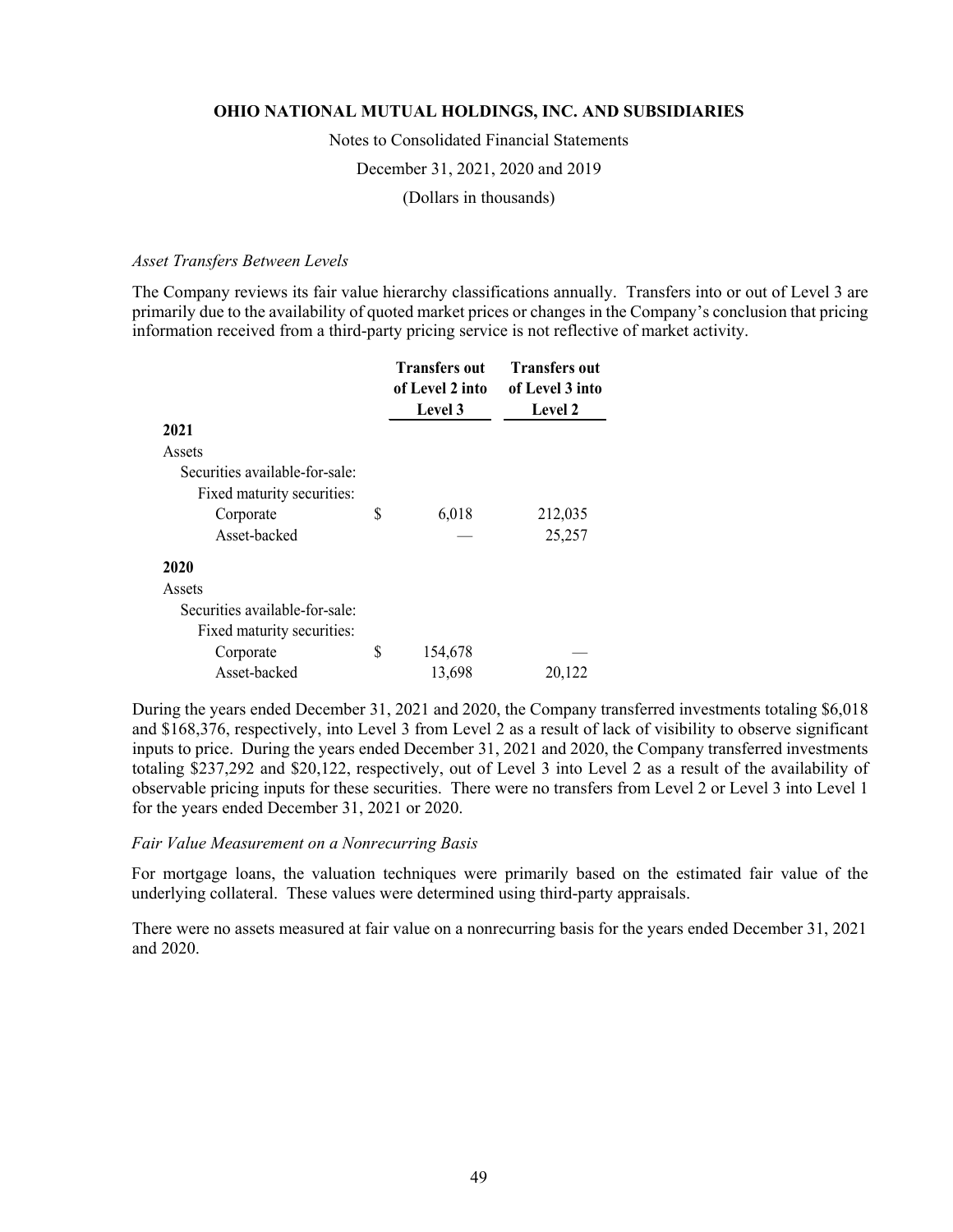Notes to Consolidated Financial Statements

December 31, 2021, 2020 and 2019

(Dollars in thousands)

#### *Asset Transfers Between Levels*

The Company reviews its fair value hierarchy classifications annually. Transfers into or out of Level 3 are primarily due to the availability of quoted market prices or changes in the Company's conclusion that pricing information received from a third-party pricing service is not reflective of market activity.

|                                | <b>Transfers out</b><br>of Level 2 into<br>Level 3 | <b>Transfers out</b><br>of Level 3 into<br><b>Level 2</b> |
|--------------------------------|----------------------------------------------------|-----------------------------------------------------------|
| 2021                           |                                                    |                                                           |
| Assets                         |                                                    |                                                           |
| Securities available-for-sale: |                                                    |                                                           |
| Fixed maturity securities:     |                                                    |                                                           |
| Corporate                      | \$<br>6,018                                        | 212,035                                                   |
| Asset-backed                   |                                                    | 25,257                                                    |
| 2020                           |                                                    |                                                           |
| Assets                         |                                                    |                                                           |
| Securities available-for-sale: |                                                    |                                                           |
| Fixed maturity securities:     |                                                    |                                                           |
| Corporate                      | \$<br>154,678                                      |                                                           |
| Asset-backed                   | 13,698                                             | 20,122                                                    |

During the years ended December 31, 2021 and 2020, the Company transferred investments totaling \$6,018 and \$168,376, respectively, into Level 3 from Level 2 as a result of lack of visibility to observe significant inputs to price. During the years ended December 31, 2021 and 2020, the Company transferred investments totaling \$237,292 and \$20,122, respectively, out of Level 3 into Level 2 as a result of the availability of observable pricing inputs for these securities. There were no transfers from Level 2 or Level 3 into Level 1 for the years ended December 31, 2021 or 2020.

#### *Fair Value Measurement on a Nonrecurring Basis*

For mortgage loans, the valuation techniques were primarily based on the estimated fair value of the underlying collateral. These values were determined using third-party appraisals.

There were no assets measured at fair value on a nonrecurring basis for the years ended December 31, 2021 and 2020.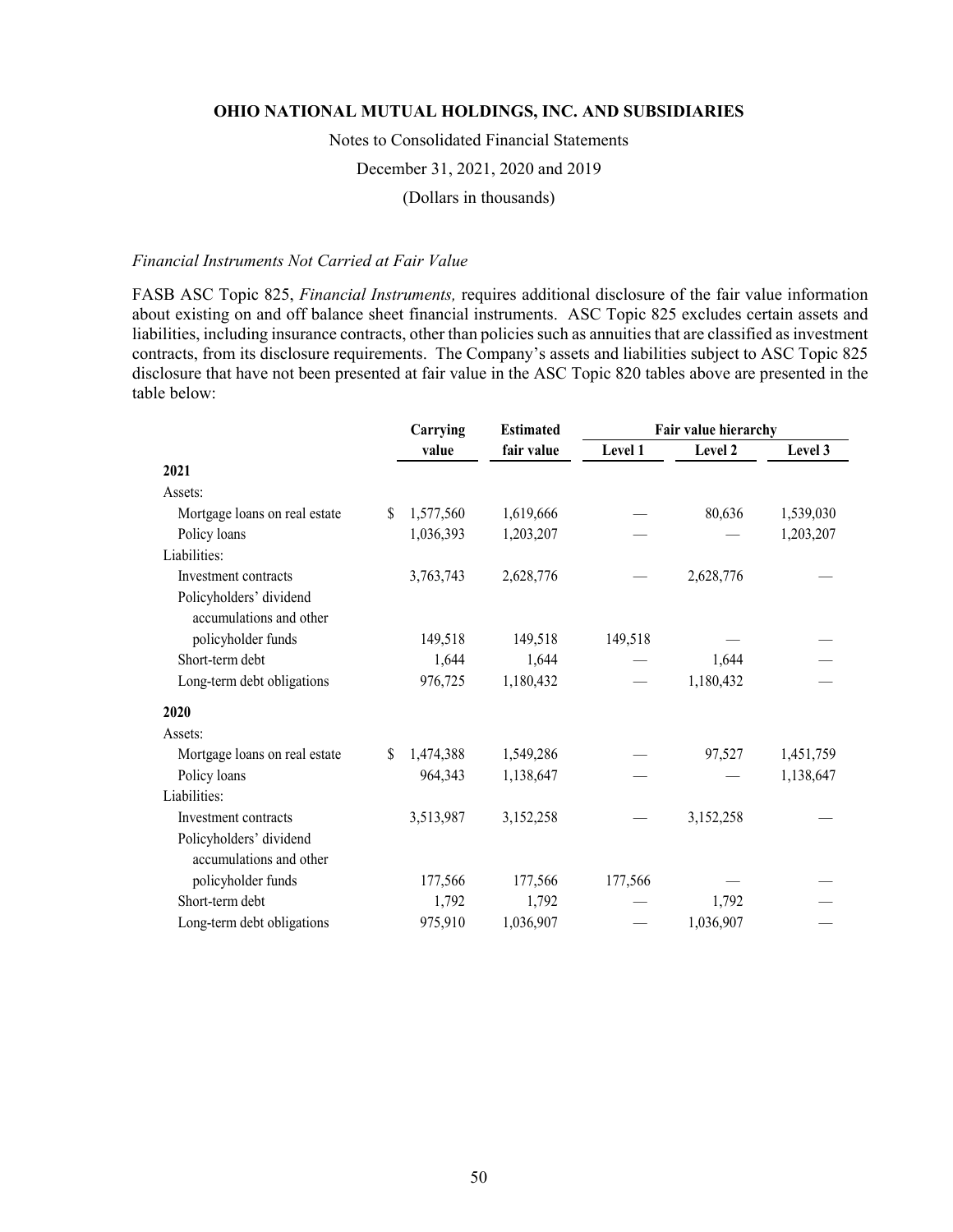Notes to Consolidated Financial Statements

December 31, 2021, 2020 and 2019

(Dollars in thousands)

### *Financial Instruments Not Carried at Fair Value*

FASB ASC Topic 825, *Financial Instruments,* requires additional disclosure of the fair value information about existing on and off balance sheet financial instruments. ASC Topic 825 excludes certain assets and liabilities, including insurance contracts, other than policies such as annuities that are classified as investment contracts, from its disclosure requirements. The Company's assets and liabilities subject to ASC Topic 825 disclosure that have not been presented at fair value in the ASC Topic 820 tables above are presented in the table below:

|                               | Carrying        | <b>Estimated</b> | Fair value hierarchy |           |           |  |
|-------------------------------|-----------------|------------------|----------------------|-----------|-----------|--|
|                               | value           | fair value       | Level 1              | Level 2   | Level 3   |  |
| 2021                          |                 |                  |                      |           |           |  |
| Assets:                       |                 |                  |                      |           |           |  |
| Mortgage loans on real estate | \$<br>1,577,560 | 1,619,666        |                      | 80,636    | 1,539,030 |  |
| Policy loans                  | 1,036,393       | 1,203,207        |                      |           | 1,203,207 |  |
| Liabilities:                  |                 |                  |                      |           |           |  |
| Investment contracts          | 3,763,743       | 2,628,776        |                      | 2,628,776 |           |  |
| Policyholders' dividend       |                 |                  |                      |           |           |  |
| accumulations and other       |                 |                  |                      |           |           |  |
| policyholder funds            | 149,518         | 149,518          | 149,518              |           |           |  |
| Short-term debt               | 1,644           | 1,644            |                      | 1,644     |           |  |
| Long-term debt obligations    | 976,725         | 1,180,432        |                      | 1,180,432 |           |  |
| 2020                          |                 |                  |                      |           |           |  |
| Assets:                       |                 |                  |                      |           |           |  |
| Mortgage loans on real estate | \$<br>1,474,388 | 1,549,286        |                      | 97,527    | 1,451,759 |  |
| Policy loans                  | 964,343         | 1,138,647        |                      |           | 1,138,647 |  |
| Liabilities:                  |                 |                  |                      |           |           |  |
| Investment contracts          | 3,513,987       | 3,152,258        |                      | 3,152,258 |           |  |
| Policyholders' dividend       |                 |                  |                      |           |           |  |
| accumulations and other       |                 |                  |                      |           |           |  |
| policyholder funds            | 177,566         | 177,566          | 177,566              |           |           |  |
| Short-term debt               | 1,792           | 1,792            |                      | 1,792     |           |  |
| Long-term debt obligations    | 975,910         | 1,036,907        |                      | 1,036,907 |           |  |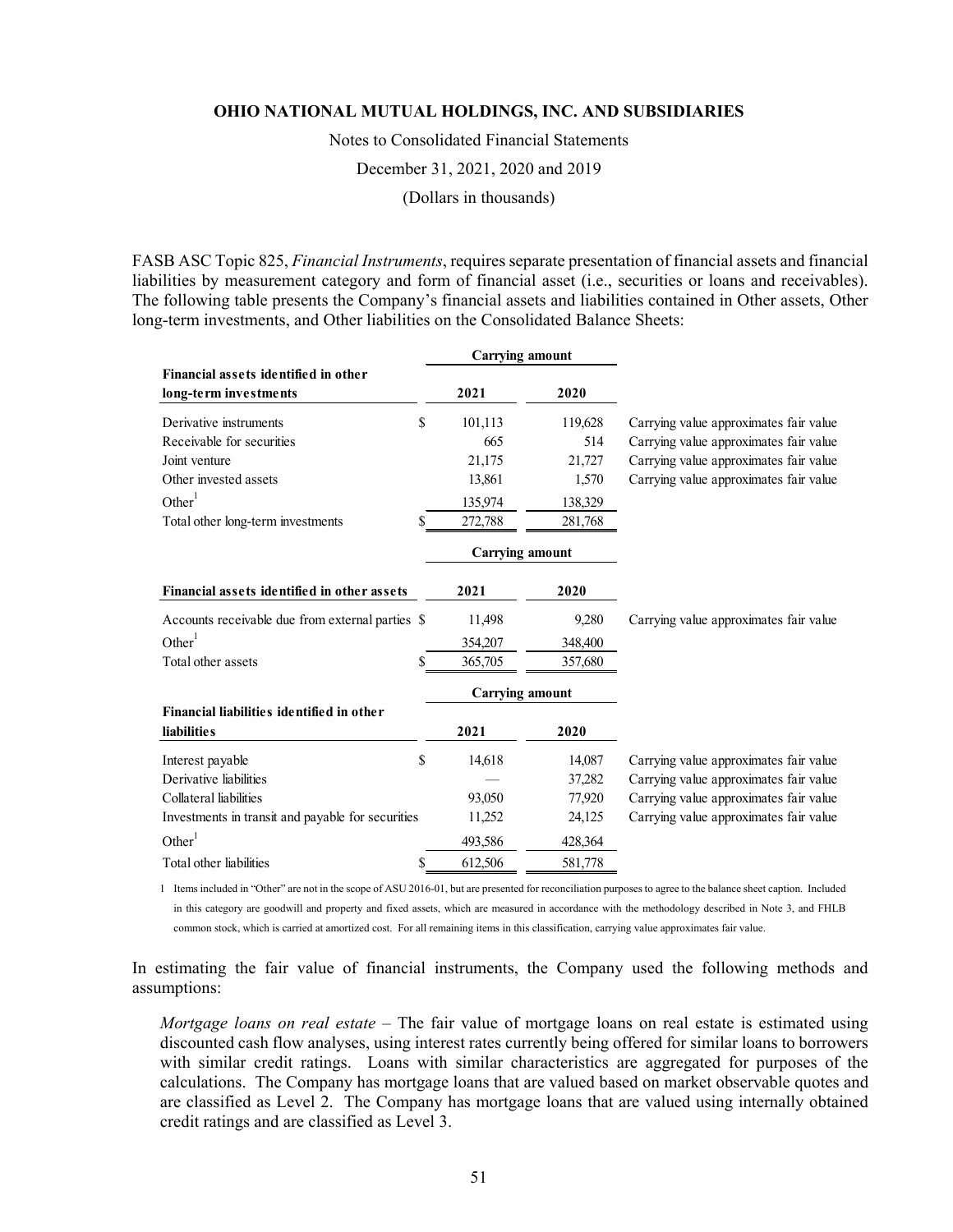Notes to Consolidated Financial Statements

December 31, 2021, 2020 and 2019

(Dollars in thousands)

FASB ASC Topic 825, *Financial Instruments*, requires separate presentation of financial assets and financial liabilities by measurement category and form of financial asset (i.e., securities or loans and receivables). The following table presents the Company's financial assets and liabilities contained in Other assets, Other long-term investments, and Other liabilities on the Consolidated Balance Sheets:

|                                                   |    | <b>Carrying amount</b> |         |                                        |
|---------------------------------------------------|----|------------------------|---------|----------------------------------------|
| Financial assets identified in other              |    |                        |         |                                        |
| long-term investments                             |    | 2021                   | 2020    |                                        |
| Derivative instruments                            | \$ | 101,113                | 119,628 | Carrying value approximates fair value |
| Receivable for securities                         |    | 665                    | 514     | Carrying value approximates fair value |
| Joint venture                                     |    | 21,175                 | 21,727  | Carrying value approximates fair value |
| Other invested assets                             |    | 13,861                 | 1,570   | Carrying value approximates fair value |
| Other $1$                                         |    | 135,974                | 138,329 |                                        |
| Total other long-term investments                 | S  | 272,788                | 281,768 |                                        |
|                                                   |    | Carrying amount        |         |                                        |
| Financial assets identified in other assets       |    | 2021                   | 2020    |                                        |
| Accounts receivable due from external parties \$  |    | 11,498                 | 9,280   | Carrying value approximates fair value |
| Other $1$                                         |    | 354,207                | 348,400 |                                        |
| Total other assets                                | S  | 365,705                | 357,680 |                                        |
|                                                   |    | <b>Carrying amount</b> |         |                                        |
| Financial liabilities identified in other         |    |                        |         |                                        |
| <b>liabilities</b>                                |    | 2021                   | 2020    |                                        |
| Interest payable                                  | \$ | 14,618                 | 14,087  | Carrying value approximates fair value |
| Derivative liabilities                            |    |                        | 37,282  | Carrying value approximates fair value |
| Collateral liabilities                            |    | 93,050                 | 77,920  | Carrying value approximates fair value |
| Investments in transit and payable for securities |    | 11,252                 | 24,125  | Carrying value approximates fair value |
| Other $1$                                         |    | 493,586                | 428,364 |                                        |
| Total other liabilities                           | \$ | 612,506                | 581,778 |                                        |

1 Items included in "Other" are not in the scope of ASU 2016-01, but are presented for reconciliation purposes to agree to the balance sheet caption. Included in this category are goodwill and property and fixed assets, which are measured in accordance with the methodology described in Note 3, and FHLB common stock, which is carried at amortized cost. For all remaining items in this classification, carrying value approximates fair value.

In estimating the fair value of financial instruments, the Company used the following methods and assumptions:

*Mortgage loans on real estate* – The fair value of mortgage loans on real estate is estimated using discounted cash flow analyses, using interest rates currently being offered for similar loans to borrowers with similar credit ratings. Loans with similar characteristics are aggregated for purposes of the calculations. The Company has mortgage loans that are valued based on market observable quotes and are classified as Level 2. The Company has mortgage loans that are valued using internally obtained credit ratings and are classified as Level 3.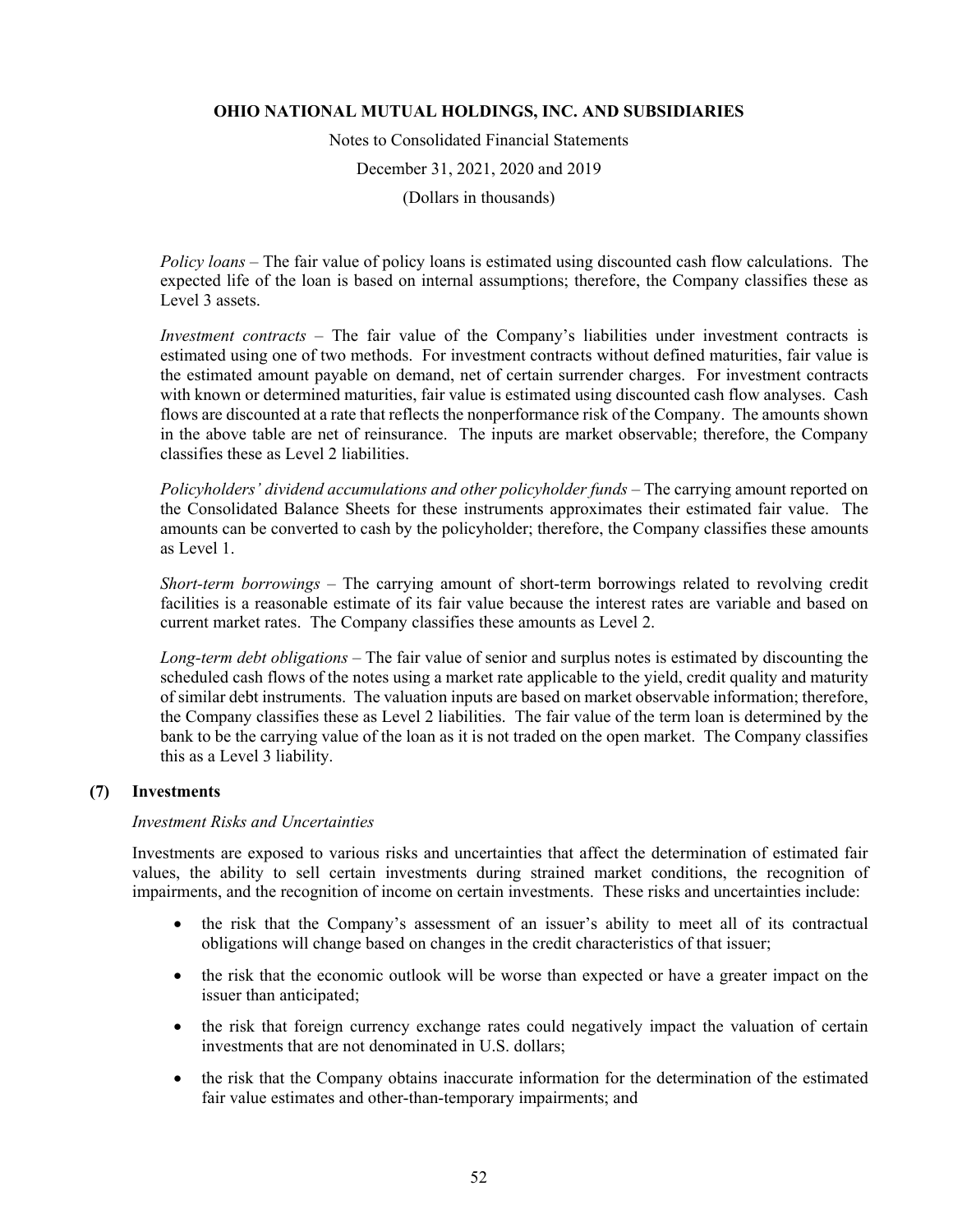Notes to Consolidated Financial Statements

December 31, 2021, 2020 and 2019

(Dollars in thousands)

*Policy loans* – The fair value of policy loans is estimated using discounted cash flow calculations. The expected life of the loan is based on internal assumptions; therefore, the Company classifies these as Level 3 assets.

*Investment contracts* – The fair value of the Company's liabilities under investment contracts is estimated using one of two methods. For investment contracts without defined maturities, fair value is the estimated amount payable on demand, net of certain surrender charges. For investment contracts with known or determined maturities, fair value is estimated using discounted cash flow analyses. Cash flows are discounted at a rate that reflects the nonperformance risk of the Company. The amounts shown in the above table are net of reinsurance. The inputs are market observable; therefore, the Company classifies these as Level 2 liabilities.

*Policyholders' dividend accumulations and other policyholder funds* – The carrying amount reported on the Consolidated Balance Sheets for these instruments approximates their estimated fair value. The amounts can be converted to cash by the policyholder; therefore, the Company classifies these amounts as Level 1.

*Short-term borrowings* – The carrying amount of short-term borrowings related to revolving credit facilities is a reasonable estimate of its fair value because the interest rates are variable and based on current market rates. The Company classifies these amounts as Level 2.

*Long-term debt obligations –* The fair value of senior and surplus notes is estimated by discounting the scheduled cash flows of the notes using a market rate applicable to the yield, credit quality and maturity of similar debt instruments. The valuation inputs are based on market observable information; therefore, the Company classifies these as Level 2 liabilities. The fair value of the term loan is determined by the bank to be the carrying value of the loan as it is not traded on the open market. The Company classifies this as a Level 3 liability.

### **(7) Investments**

## *Investment Risks and Uncertainties*

Investments are exposed to various risks and uncertainties that affect the determination of estimated fair values, the ability to sell certain investments during strained market conditions, the recognition of impairments, and the recognition of income on certain investments. These risks and uncertainties include:

- the risk that the Company's assessment of an issuer's ability to meet all of its contractual obligations will change based on changes in the credit characteristics of that issuer;
- the risk that the economic outlook will be worse than expected or have a greater impact on the issuer than anticipated;
- the risk that foreign currency exchange rates could negatively impact the valuation of certain investments that are not denominated in U.S. dollars;
- the risk that the Company obtains inaccurate information for the determination of the estimated fair value estimates and other-than-temporary impairments; and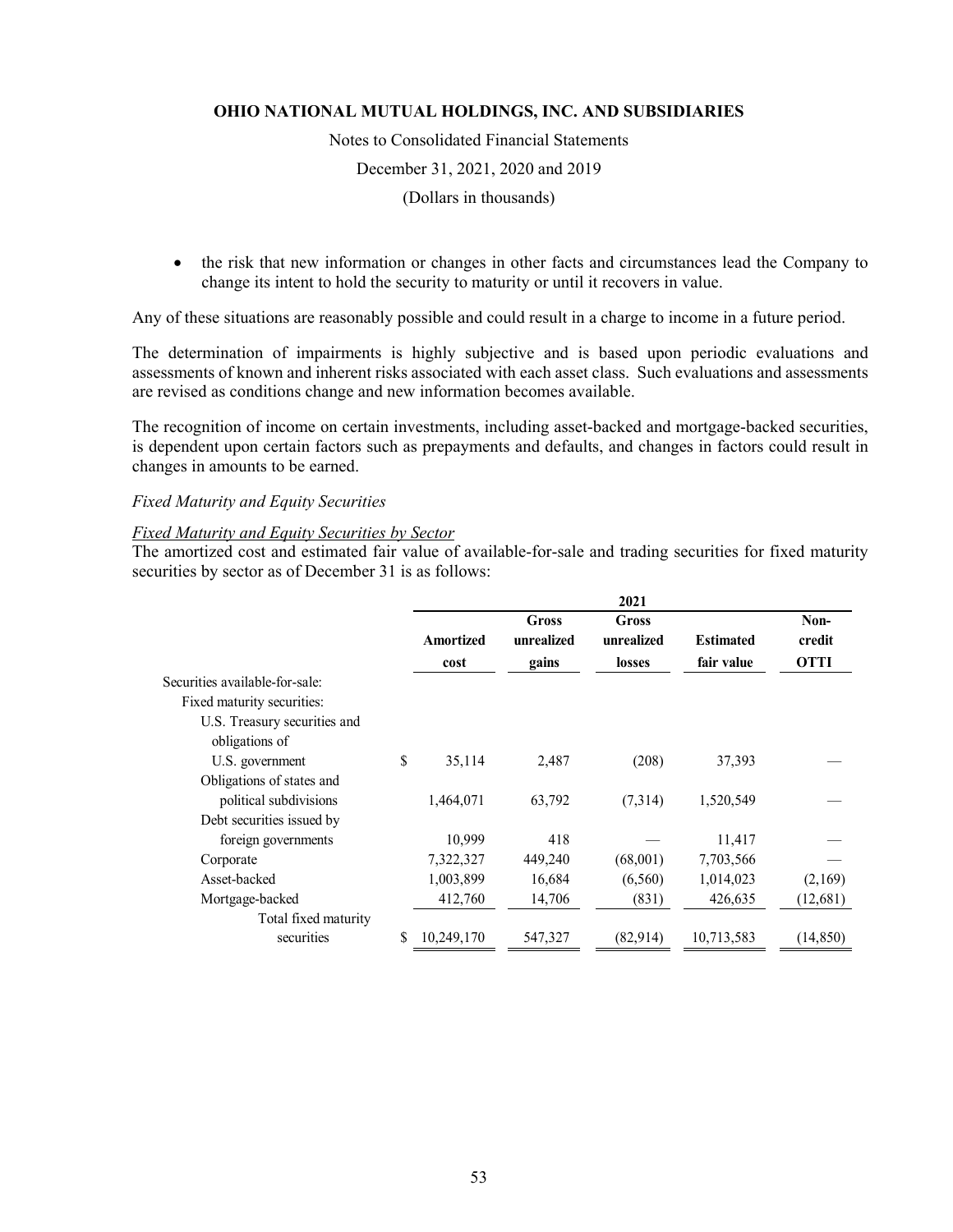Notes to Consolidated Financial Statements

December 31, 2021, 2020 and 2019

(Dollars in thousands)

 the risk that new information or changes in other facts and circumstances lead the Company to change its intent to hold the security to maturity or until it recovers in value.

Any of these situations are reasonably possible and could result in a charge to income in a future period.

The determination of impairments is highly subjective and is based upon periodic evaluations and assessments of known and inherent risks associated with each asset class. Such evaluations and assessments are revised as conditions change and new information becomes available.

The recognition of income on certain investments, including asset-backed and mortgage-backed securities, is dependent upon certain factors such as prepayments and defaults, and changes in factors could result in changes in amounts to be earned.

## *Fixed Maturity and Equity Securities*

## *Fixed Maturity and Equity Securities by Sector*

The amortized cost and estimated fair value of available-for-sale and trading securities for fixed maturity securities by sector as of December 31 is as follows:

|                                                |    |                  |                     | 2021                       |                  |                |
|------------------------------------------------|----|------------------|---------------------|----------------------------|------------------|----------------|
|                                                |    | <b>Amortized</b> | Gross<br>unrealized | <b>Gross</b><br>unrealized | <b>Estimated</b> | Non-<br>credit |
|                                                |    | cost             | gains               | losses                     | fair value       | <b>OTTI</b>    |
| Securities available-for-sale:                 |    |                  |                     |                            |                  |                |
| Fixed maturity securities:                     |    |                  |                     |                            |                  |                |
| U.S. Treasury securities and<br>obligations of |    |                  |                     |                            |                  |                |
| U.S. government                                | \$ | 35,114           | 2,487               | (208)                      | 37,393           |                |
| Obligations of states and                      |    |                  |                     |                            |                  |                |
| political subdivisions                         |    | 1,464,071        | 63,792              | (7,314)                    | 1,520,549        |                |
| Debt securities issued by                      |    |                  |                     |                            |                  |                |
| foreign governments                            |    | 10,999           | 418                 |                            | 11,417           |                |
| Corporate                                      |    | 7,322,327        | 449,240             | (68,001)                   | 7,703,566        |                |
| Asset-backed                                   |    | 1,003,899        | 16,684              | (6,560)                    | 1,014,023        | (2,169)        |
| Mortgage-backed                                |    | 412,760          | 14,706              | (831)                      | 426,635          | (12,681)       |
| Total fixed maturity                           |    |                  |                     |                            |                  |                |
| securities                                     | S  | 10,249,170       | 547,327             | (82, 914)                  | 10,713,583       | (14, 850)      |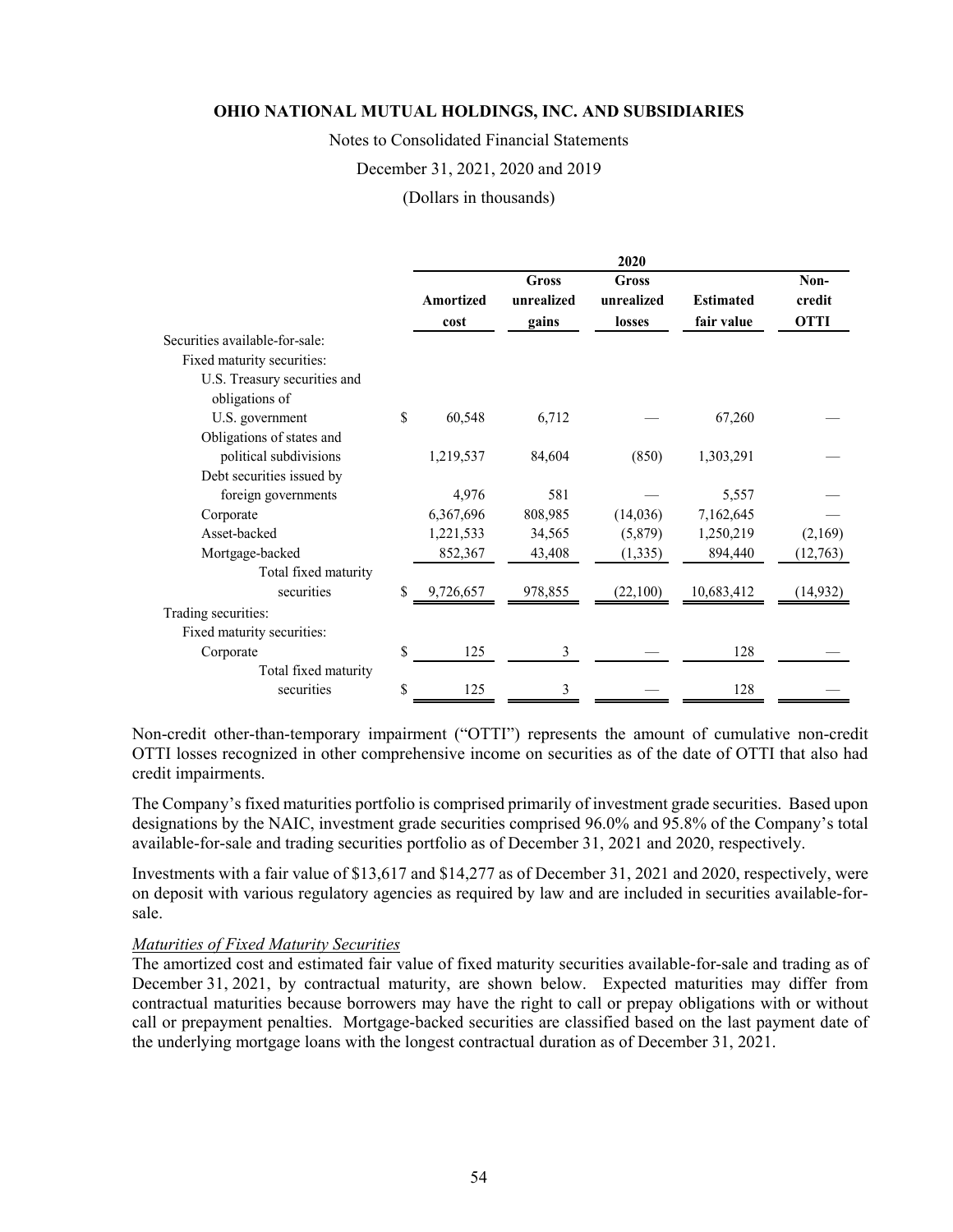Notes to Consolidated Financial Statements

December 31, 2021, 2020 and 2019

(Dollars in thousands)

|                                |                  |            | 2020       |                  |             |
|--------------------------------|------------------|------------|------------|------------------|-------------|
|                                |                  | Gross      | Gross      |                  | Non-        |
|                                | <b>Amortized</b> | unrealized | unrealized | <b>Estimated</b> | credit      |
|                                | cost             | gains      | losses     | fair value       | <b>OTTI</b> |
| Securities available-for-sale: |                  |            |            |                  |             |
| Fixed maturity securities:     |                  |            |            |                  |             |
| U.S. Treasury securities and   |                  |            |            |                  |             |
| obligations of                 |                  |            |            |                  |             |
| U.S. government                | \$<br>60,548     | 6,712      |            | 67,260           |             |
| Obligations of states and      |                  |            |            |                  |             |
| political subdivisions         | 1,219,537        | 84,604     | (850)      | 1,303,291        |             |
| Debt securities issued by      |                  |            |            |                  |             |
| foreign governments            | 4,976            | 581        |            | 5,557            |             |
| Corporate                      | 6,367,696        | 808,985    | (14,036)   | 7,162,645        |             |
| Asset-backed                   | 1,221,533        | 34,565     | (5,879)    | 1,250,219        | (2,169)     |
| Mortgage-backed                | 852,367          | 43,408     | (1,335)    | 894,440          | (12,763)    |
| Total fixed maturity           |                  |            |            |                  |             |
| securities                     | \$<br>9,726,657  | 978,855    | (22,100)   | 10,683,412       | (14, 932)   |
| Trading securities:            |                  |            |            |                  |             |
| Fixed maturity securities:     |                  |            |            |                  |             |
| Corporate                      | \$<br>125        | 3          |            | 128              |             |
| Total fixed maturity           |                  |            |            |                  |             |
| securities                     | \$<br>125        | 3          |            | 128              |             |

Non-credit other-than-temporary impairment ("OTTI") represents the amount of cumulative non-credit OTTI losses recognized in other comprehensive income on securities as of the date of OTTI that also had credit impairments.

The Company's fixed maturities portfolio is comprised primarily of investment grade securities. Based upon designations by the NAIC, investment grade securities comprised 96.0% and 95.8% of the Company's total available-for-sale and trading securities portfolio as of December 31, 2021 and 2020, respectively.

Investments with a fair value of \$13,617 and \$14,277 as of December 31, 2021 and 2020, respectively, were on deposit with various regulatory agencies as required by law and are included in securities available-forsale.

#### *Maturities of Fixed Maturity Securities*

The amortized cost and estimated fair value of fixed maturity securities available-for-sale and trading as of December 31, 2021, by contractual maturity, are shown below. Expected maturities may differ from contractual maturities because borrowers may have the right to call or prepay obligations with or without call or prepayment penalties. Mortgage-backed securities are classified based on the last payment date of the underlying mortgage loans with the longest contractual duration as of December 31, 2021.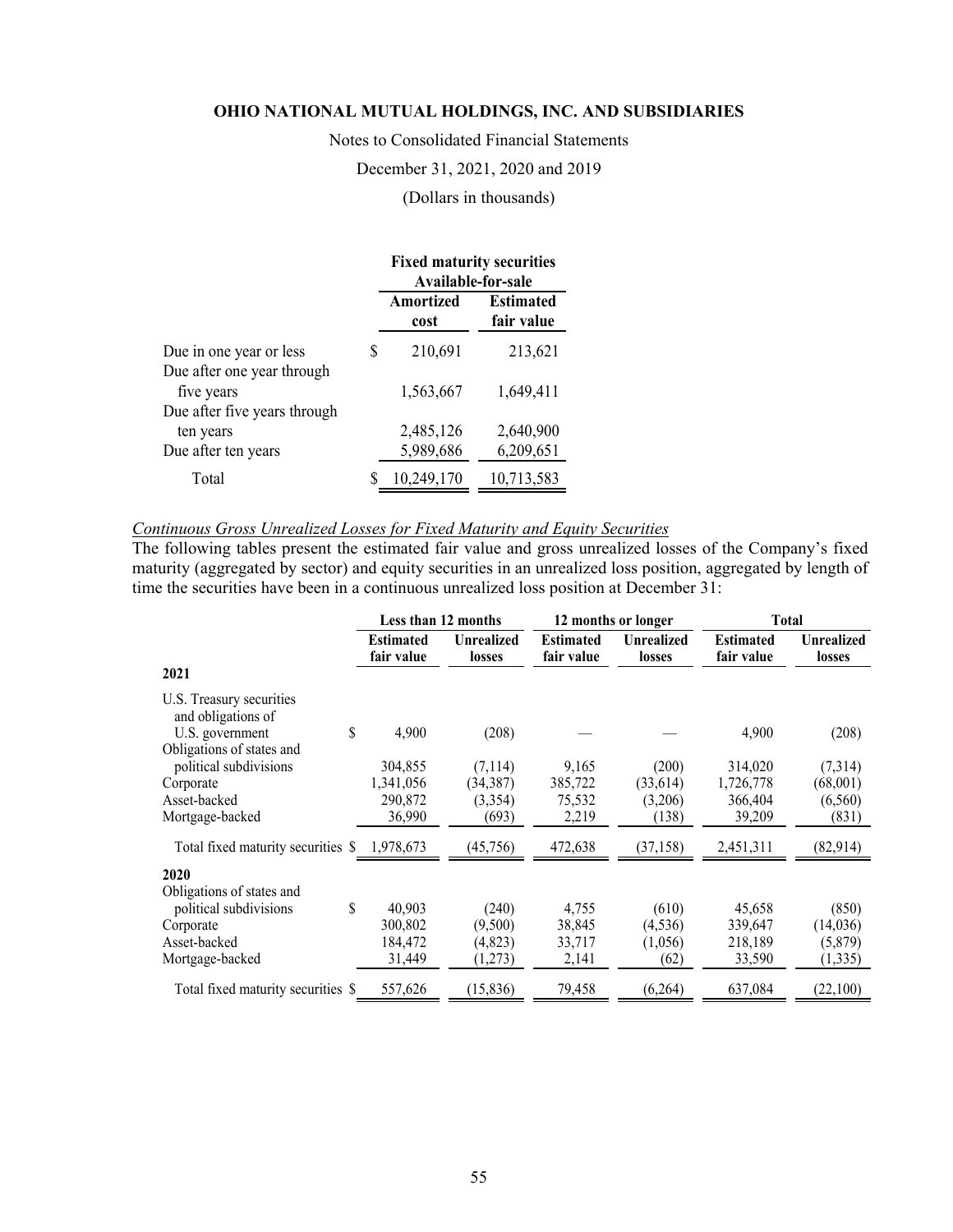Notes to Consolidated Financial Statements

December 31, 2021, 2020 and 2019

(Dollars in thousands)

|                                           |   | <b>Fixed maturity securities</b><br>Available-for-sale |                                |  |  |
|-------------------------------------------|---|--------------------------------------------------------|--------------------------------|--|--|
|                                           |   | Amortized<br>cost                                      | <b>Estimated</b><br>fair value |  |  |
| Due in one year or less                   | S | 210,691                                                | 213,621                        |  |  |
| Due after one year through<br>five years  |   | 1,563,667                                              | 1,649,411                      |  |  |
| Due after five years through<br>ten years |   | 2,485,126                                              | 2,640,900                      |  |  |
| Due after ten years                       |   | 5,989,686                                              | 6,209,651                      |  |  |
| Total                                     |   | 10,249,170                                             | 10,713,583                     |  |  |

## *Continuous Gross Unrealized Losses for Fixed Maturity and Equity Securities*

The following tables present the estimated fair value and gross unrealized losses of the Company's fixed maturity (aggregated by sector) and equity securities in an unrealized loss position, aggregated by length of time the securities have been in a continuous unrealized loss position at December 31:

|                                                     |                                | Less than 12 months         |                                | 12 months or longer         | <b>Total</b>                   |                             |  |
|-----------------------------------------------------|--------------------------------|-----------------------------|--------------------------------|-----------------------------|--------------------------------|-----------------------------|--|
|                                                     | <b>Estimated</b><br>fair value | <b>Unrealized</b><br>losses | <b>Estimated</b><br>fair value | <b>Unrealized</b><br>losses | <b>Estimated</b><br>fair value | <b>Unrealized</b><br>losses |  |
| 2021                                                |                                |                             |                                |                             |                                |                             |  |
| U.S. Treasury securities<br>and obligations of      |                                |                             |                                |                             |                                |                             |  |
| \$<br>U.S. government                               | 4,900                          | (208)                       |                                |                             | 4,900                          | (208)                       |  |
| Obligations of states and<br>political subdivisions | 304,855                        | (7, 114)                    | 9,165                          | (200)                       | 314,020                        | (7,314)                     |  |
| Corporate                                           | 1,341,056                      | (34, 387)                   | 385,722                        | (33, 614)                   | 1,726,778                      | (68,001)                    |  |
| Asset-backed                                        | 290,872                        | (3, 354)                    | 75,532                         | (3,206)                     | 366,404                        | (6, 560)                    |  |
| Mortgage-backed                                     | 36,990                         | (693)                       | 2,219                          | (138)                       | 39,209                         | (831)                       |  |
| Total fixed maturity securities \$                  | 1,978,673                      | (45, 756)                   | 472,638                        | (37, 158)                   | 2,451,311                      | (82, 914)                   |  |
| 2020                                                |                                |                             |                                |                             |                                |                             |  |
| Obligations of states and                           |                                |                             |                                |                             |                                |                             |  |
| \$<br>political subdivisions                        | 40,903                         | (240)                       | 4,755                          | (610)                       | 45,658                         | (850)                       |  |
| Corporate                                           | 300,802                        | (9,500)                     | 38,845                         | (4,536)                     | 339,647                        | (14,036)                    |  |
| Asset-backed                                        | 184,472                        | (4,823)                     | 33,717                         | (1,056)                     | 218,189                        | (5,879)                     |  |
| Mortgage-backed                                     | 31,449                         | (1,273)                     | 2,141                          | (62)                        | 33,590                         | (1,335)                     |  |
| Total fixed maturity securities \$                  | 557,626                        | (15, 836)                   | 79,458                         | (6,264)                     | 637,084                        | (22,100)                    |  |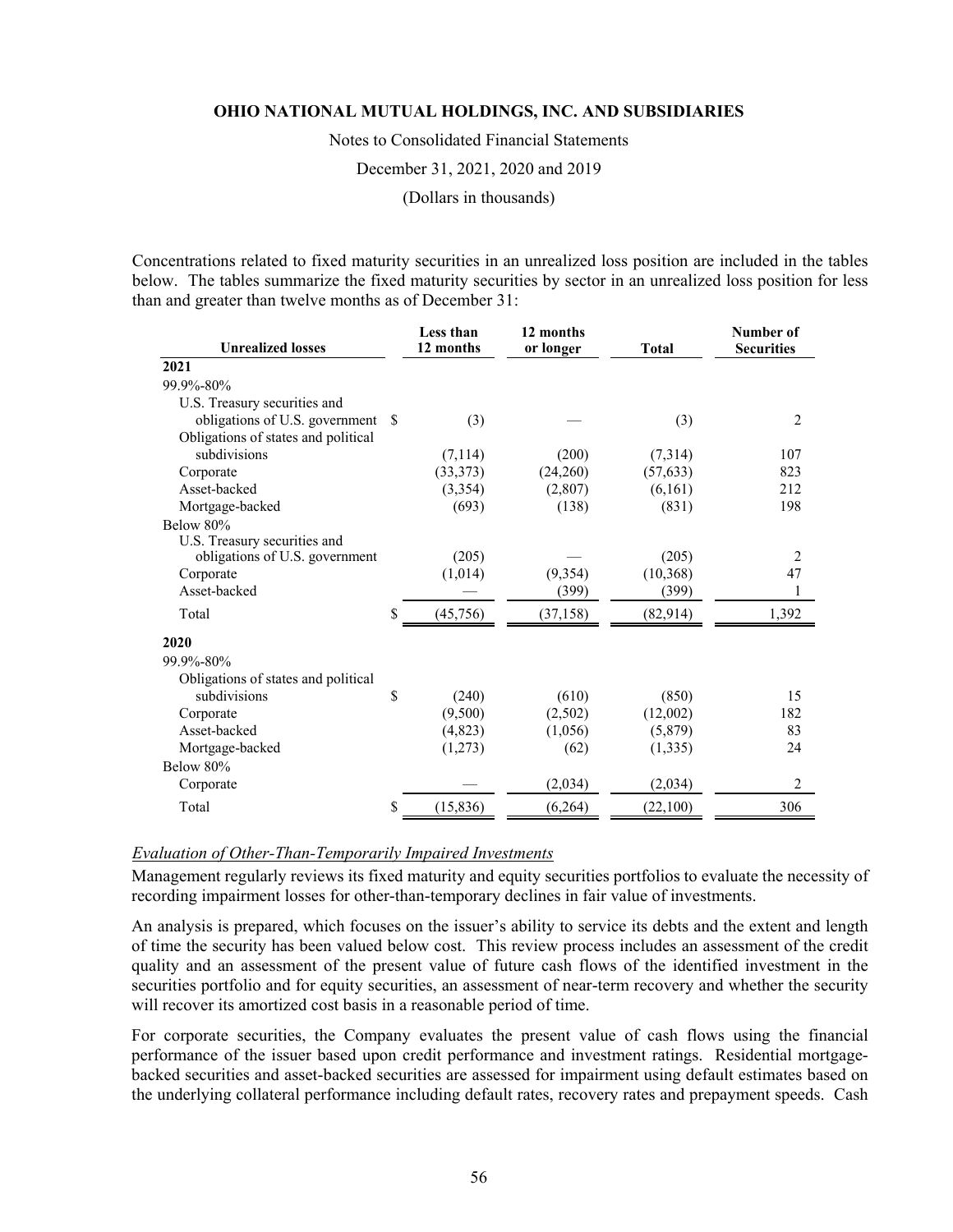Notes to Consolidated Financial Statements

December 31, 2021, 2020 and 2019

(Dollars in thousands)

Concentrations related to fixed maturity securities in an unrealized loss position are included in the tables below. The tables summarize the fixed maturity securities by sector in an unrealized loss position for less than and greater than twelve months as of December 31:

| <b>Unrealized losses</b>            |    | <b>Less than</b><br>12 months | 12 months<br>or longer | <b>Total</b> | Number of<br><b>Securities</b> |
|-------------------------------------|----|-------------------------------|------------------------|--------------|--------------------------------|
| 2021                                |    |                               |                        |              |                                |
| 99.9%-80%                           |    |                               |                        |              |                                |
| U.S. Treasury securities and        |    |                               |                        |              |                                |
| obligations of U.S. government      | -S | (3)                           |                        | (3)          | 2                              |
| Obligations of states and political |    |                               |                        |              |                                |
| subdivisions                        |    | (7, 114)                      | (200)                  | (7,314)      | 107                            |
| Corporate                           |    | (33,373)                      | (24,260)               | (57, 633)    | 823                            |
| Asset-backed                        |    | (3,354)                       | (2,807)                | (6,161)      | 212                            |
| Mortgage-backed                     |    | (693)                         | (138)                  | (831)        | 198                            |
| Below 80%                           |    |                               |                        |              |                                |
| U.S. Treasury securities and        |    |                               |                        |              |                                |
| obligations of U.S. government      |    | (205)                         |                        | (205)        | $\overline{c}$                 |
| Corporate                           |    | (1,014)                       | (9, 354)               | (10, 368)    | 47                             |
| Asset-backed                        |    |                               | (399)                  | (399)        | 1                              |
| Total                               | \$ | (45, 756)                     | (37, 158)              | (82, 914)    | 1,392                          |
| 2020                                |    |                               |                        |              |                                |
| 99.9%-80%                           |    |                               |                        |              |                                |
| Obligations of states and political |    |                               |                        |              |                                |
| subdivisions                        | \$ | (240)                         | (610)                  | (850)        | 15                             |
| Corporate                           |    | (9,500)                       | (2,502)                | (12,002)     | 182                            |
| Asset-backed                        |    | (4,823)                       | (1,056)                | (5,879)      | 83                             |
| Mortgage-backed                     |    | (1,273)                       | (62)                   | (1, 335)     | 24                             |
| Below 80%                           |    |                               |                        |              |                                |
| Corporate                           |    |                               | (2,034)                | (2,034)      | 2                              |
| Total                               | \$ | (15, 836)                     | (6,264)                | (22,100)     | 306                            |

#### *Evaluation of Other-Than-Temporarily Impaired Investments*

Management regularly reviews its fixed maturity and equity securities portfolios to evaluate the necessity of recording impairment losses for other-than-temporary declines in fair value of investments.

An analysis is prepared, which focuses on the issuer's ability to service its debts and the extent and length of time the security has been valued below cost. This review process includes an assessment of the credit quality and an assessment of the present value of future cash flows of the identified investment in the securities portfolio and for equity securities, an assessment of near-term recovery and whether the security will recover its amortized cost basis in a reasonable period of time.

For corporate securities, the Company evaluates the present value of cash flows using the financial performance of the issuer based upon credit performance and investment ratings. Residential mortgagebacked securities and asset-backed securities are assessed for impairment using default estimates based on the underlying collateral performance including default rates, recovery rates and prepayment speeds. Cash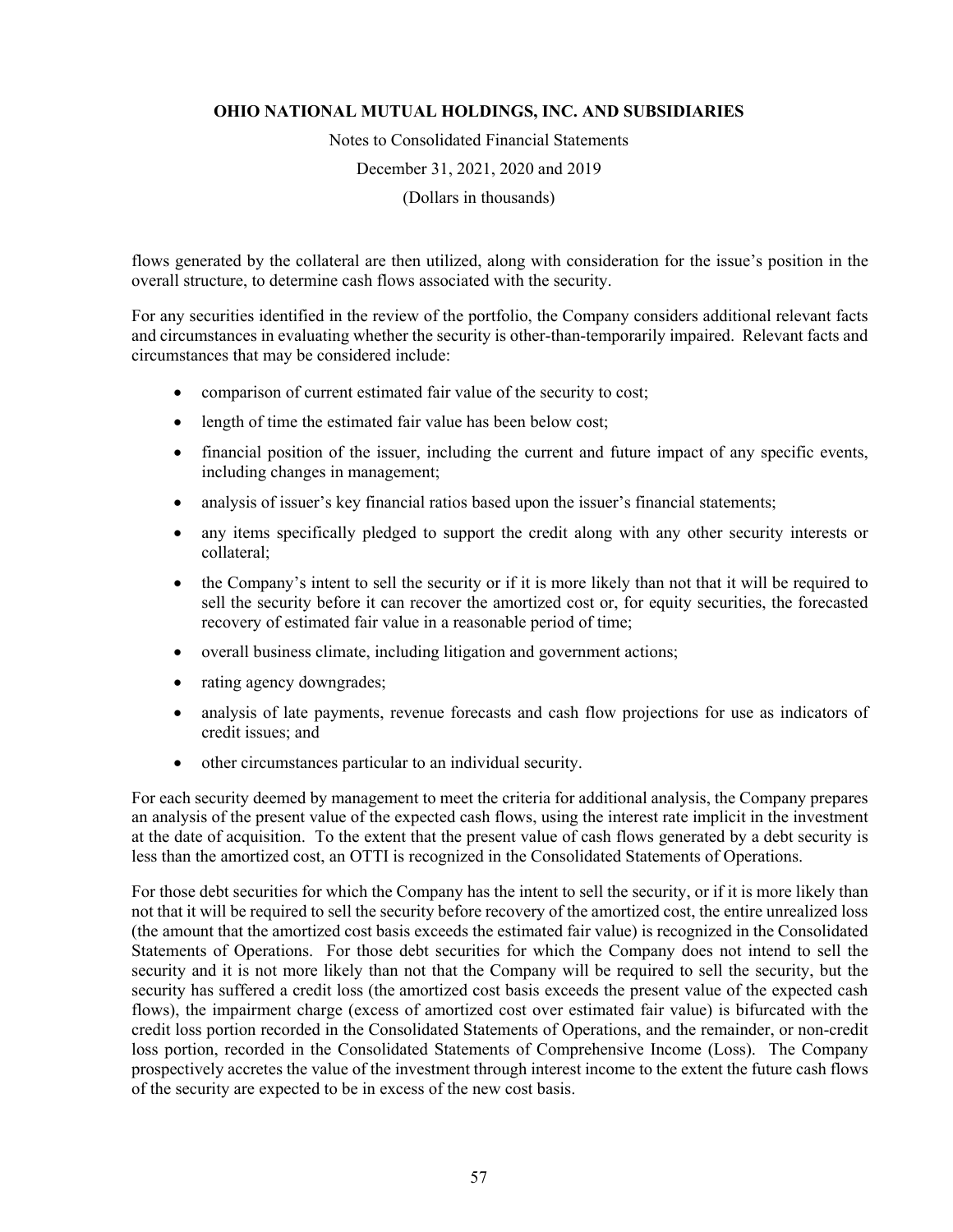Notes to Consolidated Financial Statements

December 31, 2021, 2020 and 2019

(Dollars in thousands)

flows generated by the collateral are then utilized, along with consideration for the issue's position in the overall structure, to determine cash flows associated with the security.

For any securities identified in the review of the portfolio, the Company considers additional relevant facts and circumstances in evaluating whether the security is other-than-temporarily impaired. Relevant facts and circumstances that may be considered include:

- comparison of current estimated fair value of the security to cost;
- length of time the estimated fair value has been below cost;
- financial position of the issuer, including the current and future impact of any specific events, including changes in management;
- analysis of issuer's key financial ratios based upon the issuer's financial statements;
- any items specifically pledged to support the credit along with any other security interests or collateral;
- the Company's intent to sell the security or if it is more likely than not that it will be required to sell the security before it can recover the amortized cost or, for equity securities, the forecasted recovery of estimated fair value in a reasonable period of time;
- overall business climate, including litigation and government actions;
- rating agency downgrades;
- analysis of late payments, revenue forecasts and cash flow projections for use as indicators of credit issues; and
- other circumstances particular to an individual security.

For each security deemed by management to meet the criteria for additional analysis, the Company prepares an analysis of the present value of the expected cash flows, using the interest rate implicit in the investment at the date of acquisition. To the extent that the present value of cash flows generated by a debt security is less than the amortized cost, an OTTI is recognized in the Consolidated Statements of Operations.

For those debt securities for which the Company has the intent to sell the security, or if it is more likely than not that it will be required to sell the security before recovery of the amortized cost, the entire unrealized loss (the amount that the amortized cost basis exceeds the estimated fair value) is recognized in the Consolidated Statements of Operations. For those debt securities for which the Company does not intend to sell the security and it is not more likely than not that the Company will be required to sell the security, but the security has suffered a credit loss (the amortized cost basis exceeds the present value of the expected cash flows), the impairment charge (excess of amortized cost over estimated fair value) is bifurcated with the credit loss portion recorded in the Consolidated Statements of Operations, and the remainder, or non-credit loss portion, recorded in the Consolidated Statements of Comprehensive Income (Loss). The Company prospectively accretes the value of the investment through interest income to the extent the future cash flows of the security are expected to be in excess of the new cost basis.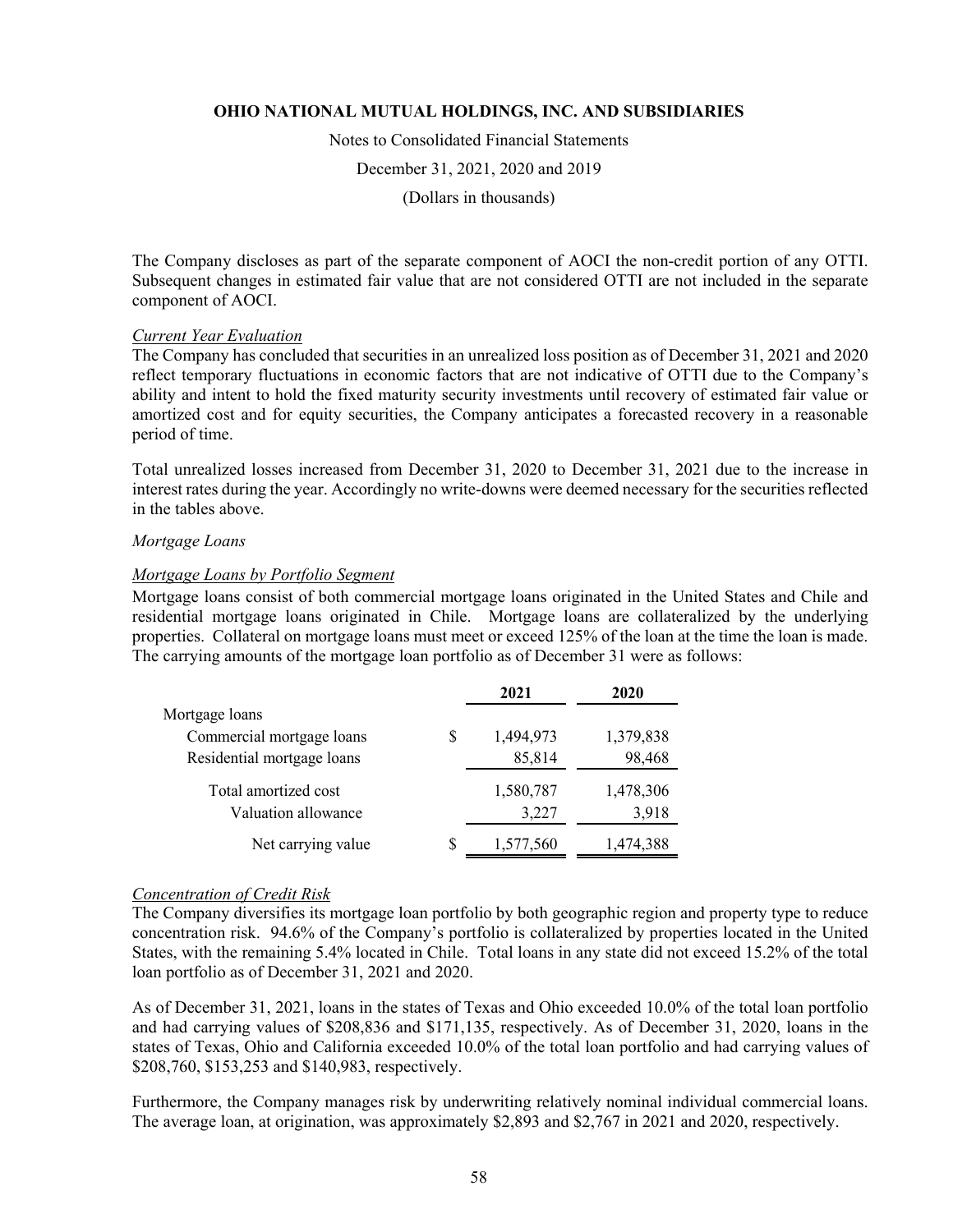Notes to Consolidated Financial Statements

December 31, 2021, 2020 and 2019

(Dollars in thousands)

The Company discloses as part of the separate component of AOCI the non-credit portion of any OTTI. Subsequent changes in estimated fair value that are not considered OTTI are not included in the separate component of AOCI.

## *Current Year Evaluation*

The Company has concluded that securities in an unrealized loss position as of December 31, 2021 and 2020 reflect temporary fluctuations in economic factors that are not indicative of OTTI due to the Company's ability and intent to hold the fixed maturity security investments until recovery of estimated fair value or amortized cost and for equity securities, the Company anticipates a forecasted recovery in a reasonable period of time.

Total unrealized losses increased from December 31, 2020 to December 31, 2021 due to the increase in interest rates during the year. Accordingly no write-downs were deemed necessary for the securities reflected in the tables above.

## *Mortgage Loans*

## *Mortgage Loans by Portfolio Segment*

Mortgage loans consist of both commercial mortgage loans originated in the United States and Chile and residential mortgage loans originated in Chile. Mortgage loans are collateralized by the underlying properties. Collateral on mortgage loans must meet or exceed 125% of the loan at the time the loan is made. The carrying amounts of the mortgage loan portfolio as of December 31 were as follows:

|                            |   | 2021      | 2020      |
|----------------------------|---|-----------|-----------|
| Mortgage loans             |   |           |           |
| Commercial mortgage loans  | S | 1,494,973 | 1,379,838 |
| Residential mortgage loans |   | 85,814    | 98,468    |
| Total amortized cost       |   | 1,580,787 | 1,478,306 |
| Valuation allowance        |   | 3,227     | 3,918     |
| Net carrying value         | S | 1,577,560 | 1,474,388 |

### *Concentration of Credit Risk*

The Company diversifies its mortgage loan portfolio by both geographic region and property type to reduce concentration risk. 94.6% of the Company's portfolio is collateralized by properties located in the United States, with the remaining 5.4% located in Chile. Total loans in any state did not exceed 15.2% of the total loan portfolio as of December 31, 2021 and 2020.

As of December 31, 2021, loans in the states of Texas and Ohio exceeded 10.0% of the total loan portfolio and had carrying values of \$208,836 and \$171,135, respectively. As of December 31, 2020, loans in the states of Texas, Ohio and California exceeded 10.0% of the total loan portfolio and had carrying values of \$208,760, \$153,253 and \$140,983, respectively.

Furthermore, the Company manages risk by underwriting relatively nominal individual commercial loans. The average loan, at origination, was approximately \$2,893 and \$2,767 in 2021 and 2020, respectively.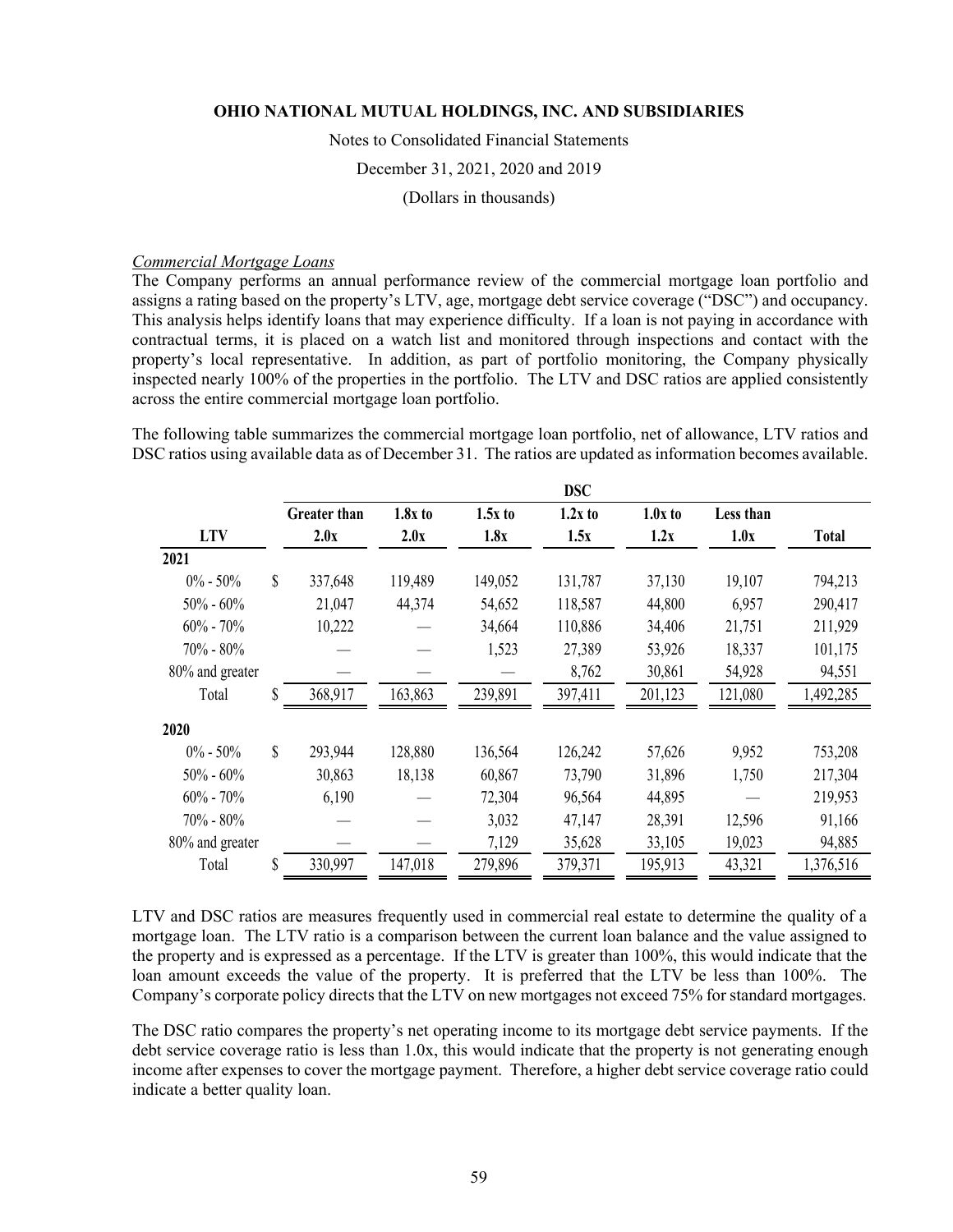#### Notes to Consolidated Financial Statements

December 31, 2021, 2020 and 2019

(Dollars in thousands)

#### *Commercial Mortgage Loans*

The Company performs an annual performance review of the commercial mortgage loan portfolio and assigns a rating based on the property's LTV, age, mortgage debt service coverage ("DSC") and occupancy. This analysis helps identify loans that may experience difficulty. If a loan is not paying in accordance with contractual terms, it is placed on a watch list and monitored through inspections and contact with the property's local representative. In addition, as part of portfolio monitoring, the Company physically inspected nearly 100% of the properties in the portfolio. The LTV and DSC ratios are applied consistently across the entire commercial mortgage loan portfolio.

The following table summarizes the commercial mortgage loan portfolio, net of allowance, LTV ratios and DSC ratios using available data as of December 31. The ratios are updated as information becomes available.

|                 |                     |           |           | <b>DSC</b> |           |           |              |
|-----------------|---------------------|-----------|-----------|------------|-----------|-----------|--------------|
|                 | <b>Greater</b> than | $1.8x$ to | $1.5x$ to | $1.2x$ to  | $1.0x$ to | Less than |              |
| <b>LTV</b>      | 2.0x                | 2.0x      | 1.8x      | 1.5x       | 1.2x      | 1.0x      | <b>Total</b> |
| 2021            |                     |           |           |            |           |           |              |
| $0\% - 50\%$    | \$<br>337,648       | 119,489   | 149,052   | 131,787    | 37,130    | 19,107    | 794,213      |
| $50\% - 60\%$   | 21,047              | 44,374    | 54,652    | 118,587    | 44,800    | 6,957     | 290,417      |
| $60\% - 70\%$   | 10,222              |           | 34,664    | 110,886    | 34,406    | 21,751    | 211,929      |
| $70\% - 80\%$   |                     |           | 1,523     | 27,389     | 53,926    | 18,337    | 101,175      |
| 80% and greater |                     |           |           | 8,762      | 30,861    | 54,928    | 94,551       |
| Total           | \$<br>368,917       | 163,863   | 239,891   | 397,411    | 201,123   | 121,080   | 1,492,285    |
| 2020            |                     |           |           |            |           |           |              |
| $0\% - 50\%$    | \$<br>293,944       | 128,880   | 136,564   | 126,242    | 57,626    | 9,952     | 753,208      |
| $50\% - 60\%$   | 30,863              | 18,138    | 60,867    | 73,790     | 31,896    | 1,750     | 217,304      |
| $60\% - 70\%$   | 6,190               |           | 72,304    | 96,564     | 44,895    |           | 219,953      |
| $70\% - 80\%$   |                     |           | 3,032     | 47,147     | 28,391    | 12,596    | 91,166       |
| 80% and greater |                     |           | 7,129     | 35,628     | 33,105    | 19,023    | 94,885       |
| Total           | \$<br>330,997       | 147,018   | 279,896   | 379,371    | 195,913   | 43,321    | 1,376,516    |

LTV and DSC ratios are measures frequently used in commercial real estate to determine the quality of a mortgage loan. The LTV ratio is a comparison between the current loan balance and the value assigned to the property and is expressed as a percentage. If the LTV is greater than 100%, this would indicate that the loan amount exceeds the value of the property. It is preferred that the LTV be less than 100%. The Company's corporate policy directs that the LTV on new mortgages not exceed 75% for standard mortgages.

The DSC ratio compares the property's net operating income to its mortgage debt service payments. If the debt service coverage ratio is less than 1.0x, this would indicate that the property is not generating enough income after expenses to cover the mortgage payment. Therefore, a higher debt service coverage ratio could indicate a better quality loan.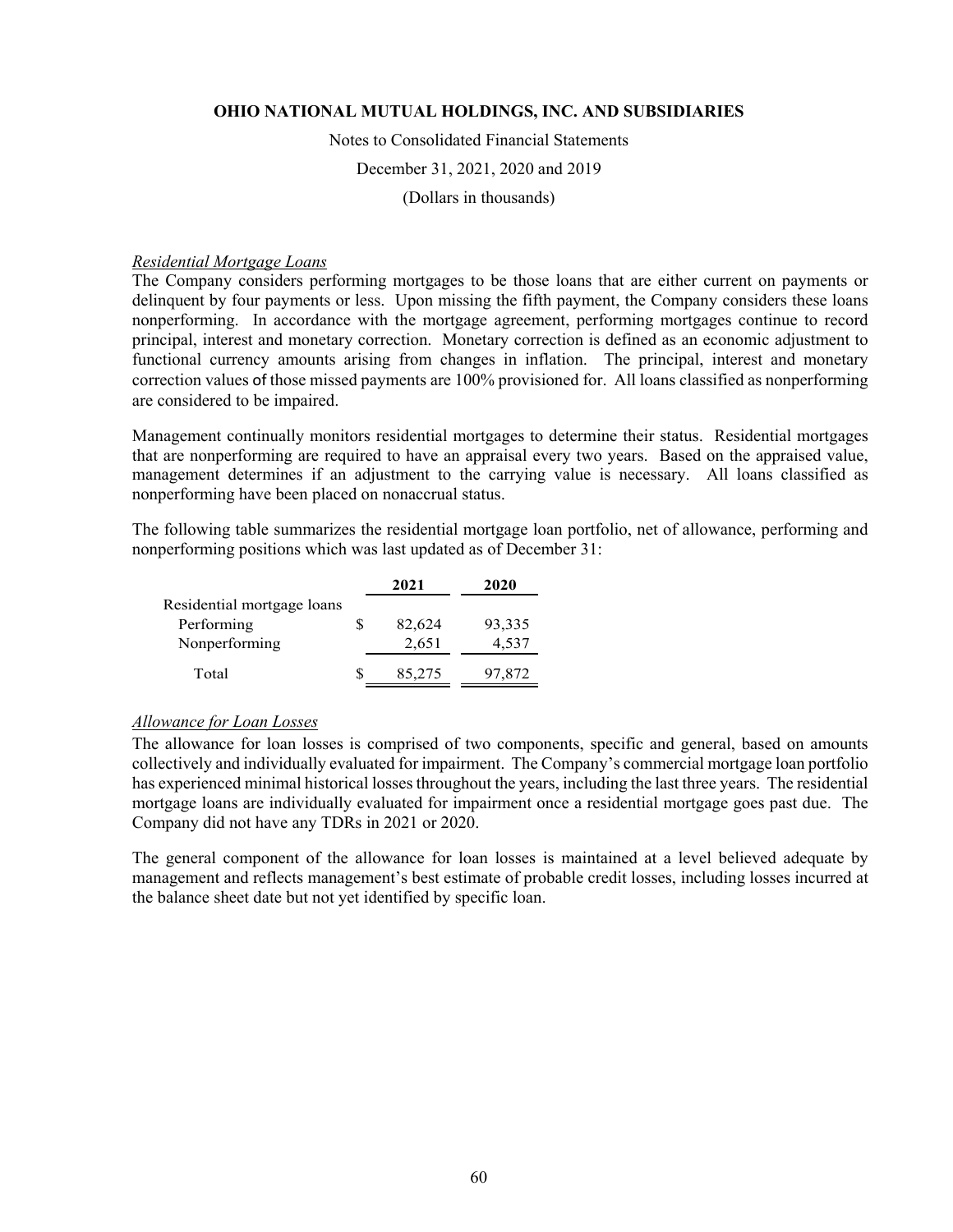#### Notes to Consolidated Financial Statements

#### December 31, 2021, 2020 and 2019

(Dollars in thousands)

#### *Residential Mortgage Loans*

The Company considers performing mortgages to be those loans that are either current on payments or delinquent by four payments or less. Upon missing the fifth payment, the Company considers these loans nonperforming. In accordance with the mortgage agreement, performing mortgages continue to record principal, interest and monetary correction. Monetary correction is defined as an economic adjustment to functional currency amounts arising from changes in inflation. The principal, interest and monetary correction values of those missed payments are 100% provisioned for. All loans classified as nonperforming are considered to be impaired.

Management continually monitors residential mortgages to determine their status. Residential mortgages that are nonperforming are required to have an appraisal every two years. Based on the appraised value, management determines if an adjustment to the carrying value is necessary. All loans classified as nonperforming have been placed on nonaccrual status.

The following table summarizes the residential mortgage loan portfolio, net of allowance, performing and nonperforming positions which was last updated as of December 31:

|                            |   | 2021   | 2020   |
|----------------------------|---|--------|--------|
| Residential mortgage loans |   |        |        |
| Performing                 | S | 82,624 | 93,335 |
| Nonperforming              |   | 2,651  | 4,537  |
| Total                      | S | 85,275 | 97,872 |

### *Allowance for Loan Losses*

The allowance for loan losses is comprised of two components, specific and general, based on amounts collectively and individually evaluated for impairment. The Company's commercial mortgage loan portfolio has experienced minimal historical losses throughout the years, including the last three years. The residential mortgage loans are individually evaluated for impairment once a residential mortgage goes past due. The Company did not have any TDRs in 2021 or 2020.

The general component of the allowance for loan losses is maintained at a level believed adequate by management and reflects management's best estimate of probable credit losses, including losses incurred at the balance sheet date but not yet identified by specific loan.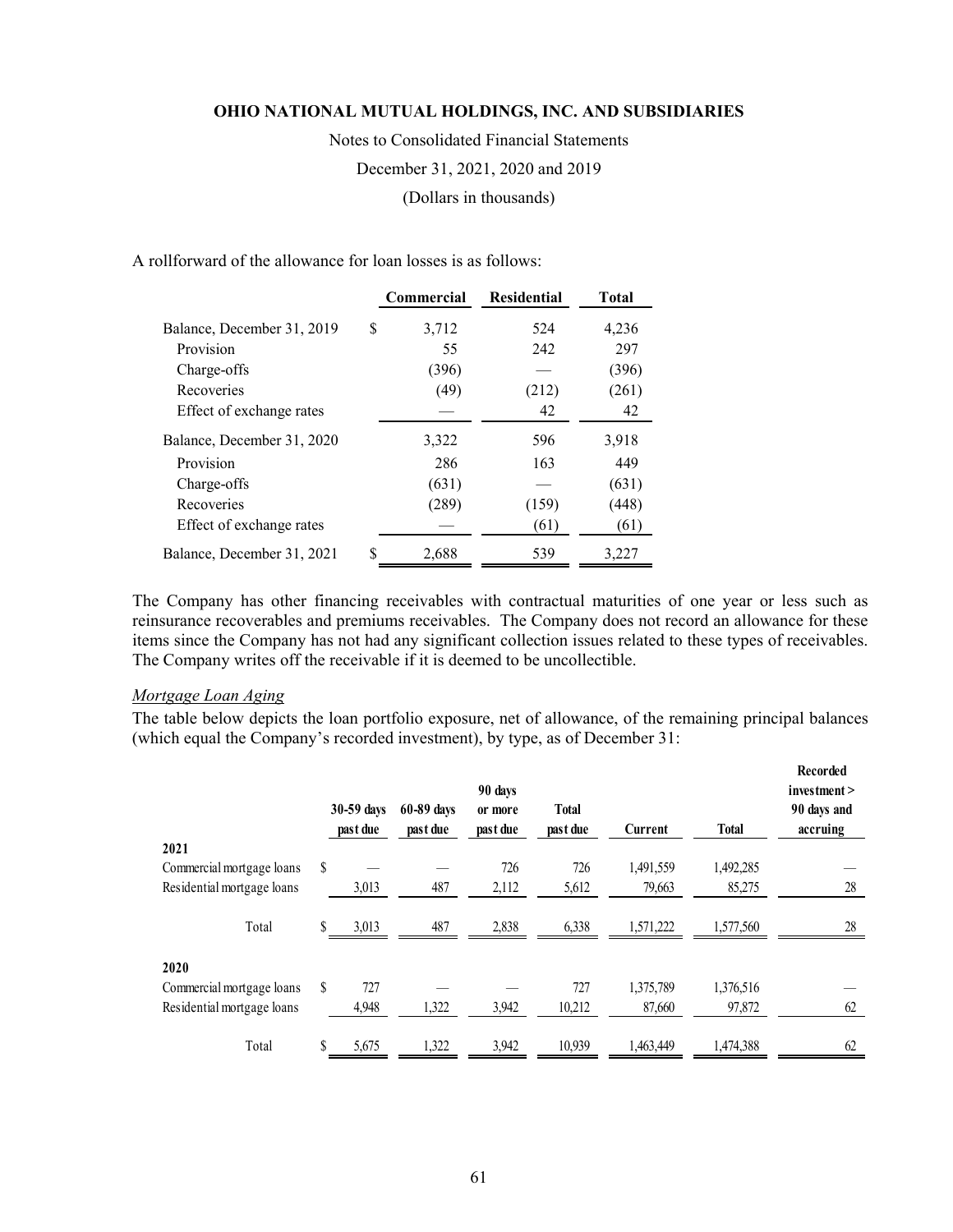Notes to Consolidated Financial Statements December 31, 2021, 2020 and 2019 (Dollars in thousands)

A rollforward of the allowance for loan losses is as follows:

|                            |    | Commercial | <b>Residential</b> | <b>Total</b> |
|----------------------------|----|------------|--------------------|--------------|
| Balance, December 31, 2019 | \$ | 3,712      | 524                | 4,236        |
| Provision                  |    | 55         | 242                | 297          |
| Charge-offs                |    | (396)      |                    | (396)        |
| Recoveries                 |    | (49)       | (212)              | (261)        |
| Effect of exchange rates   |    |            | 42                 | 42           |
| Balance, December 31, 2020 |    | 3,322      | 596                | 3,918        |
| Provision                  |    | 286        | 163                | 449          |
| Charge-offs                |    | (631)      |                    | (631)        |
| Recoveries                 |    | (289)      | (159)              | (448)        |
| Effect of exchange rates   |    |            | (61)               | (61)         |
| Balance, December 31, 2021 | S  | 2.688      | 539                | 3.227        |

The Company has other financing receivables with contractual maturities of one year or less such as reinsurance recoverables and premiums receivables. The Company does not record an allowance for these items since the Company has not had any significant collection issues related to these types of receivables. The Company writes off the receivable if it is deemed to be uncollectible.

## *Mortgage Loan Aging*

The table below depicts the loan portfolio exposure, net of allowance, of the remaining principal balances (which equal the Company's recorded investment), by type, as of December 31:

|                            | 30-59 days<br>past due | 60-89 days<br>past due | 90 days<br>or more<br>past due | <b>Total</b><br>past due | Current   | <b>Total</b> | Recorded<br>investment ><br>90 days and<br>accruing |
|----------------------------|------------------------|------------------------|--------------------------------|--------------------------|-----------|--------------|-----------------------------------------------------|
| 2021                       |                        |                        |                                |                          |           |              |                                                     |
| Commercial mortgage loans  | \$                     |                        | 726                            | 726                      | 1,491,559 | 1,492,285    |                                                     |
| Residential mortgage loans | 3,013                  | 487                    | 2,112                          | 5,612                    | 79,663    | 85,275       | 28                                                  |
| Total                      | 3,013                  | 487                    | 2,838                          | 6,338                    | 1,571,222 | 1,577,560    | 28                                                  |
| 2020                       |                        |                        |                                |                          |           |              |                                                     |
| Commercial mortgage loans  | \$<br>727              |                        |                                | 727                      | 1,375,789 | 1,376,516    |                                                     |
| Residential mortgage loans | 4,948                  | 1,322                  | 3,942                          | 10,212                   | 87,660    | 97,872       | 62                                                  |
| Total                      | \$<br>5,675            | 1,322                  | 3,942                          | 10,939                   | 1,463,449 | 1,474,388    | 62                                                  |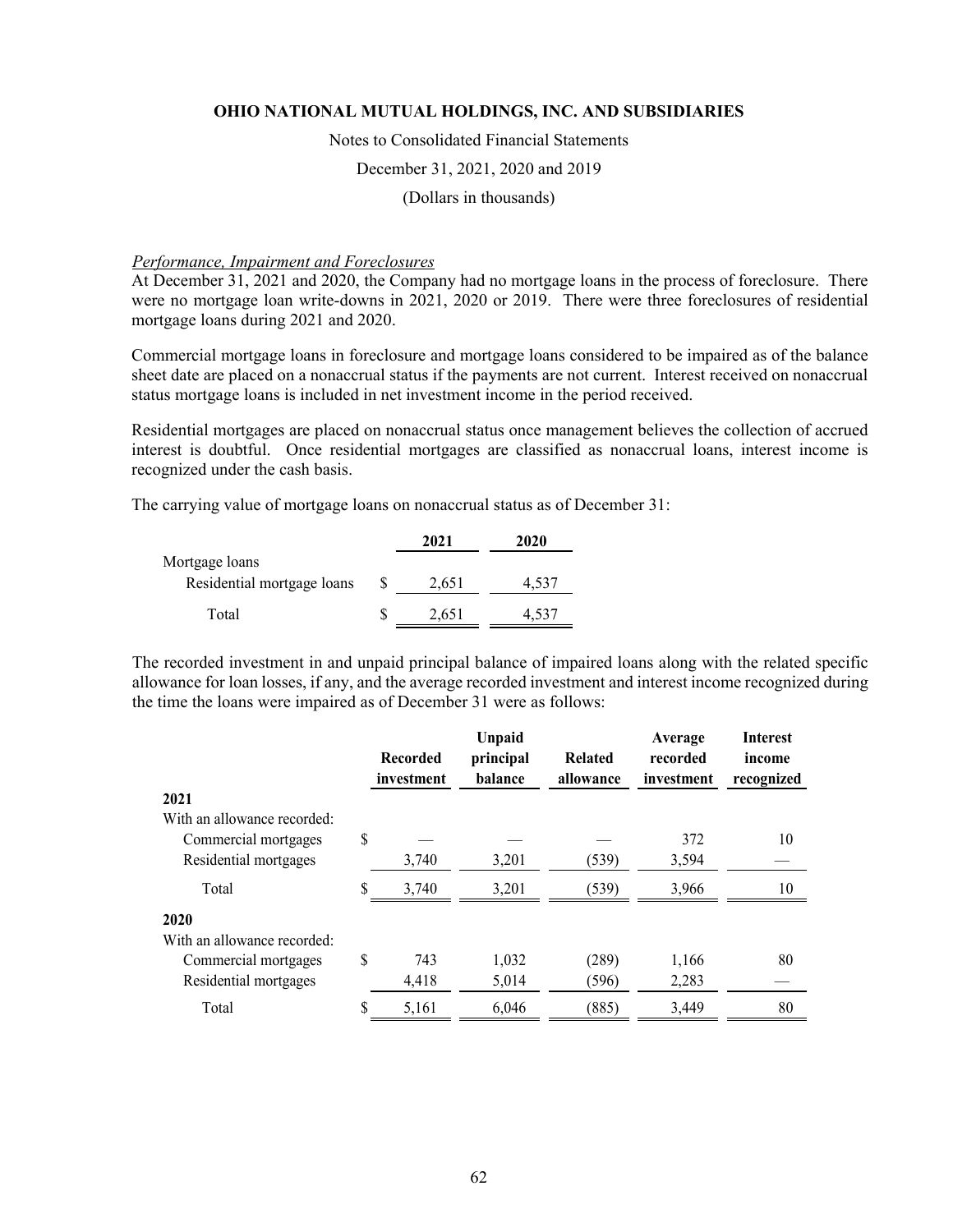### Notes to Consolidated Financial Statements

#### December 31, 2021, 2020 and 2019

(Dollars in thousands)

#### *Performance, Impairment and Foreclosures*

At December 31, 2021 and 2020, the Company had no mortgage loans in the process of foreclosure. There were no mortgage loan write-downs in 2021, 2020 or 2019. There were three foreclosures of residential mortgage loans during 2021 and 2020.

Commercial mortgage loans in foreclosure and mortgage loans considered to be impaired as of the balance sheet date are placed on a nonaccrual status if the payments are not current. Interest received on nonaccrual status mortgage loans is included in net investment income in the period received.

Residential mortgages are placed on nonaccrual status once management believes the collection of accrued interest is doubtful. Once residential mortgages are classified as nonaccrual loans, interest income is recognized under the cash basis.

The carrying value of mortgage loans on nonaccrual status as of December 31:

|                            |   | 2021  | 2020  |
|----------------------------|---|-------|-------|
| Mortgage loans             |   |       |       |
| Residential mortgage loans | S | 2,651 | 4.537 |
| Total                      | S | 2,651 | 4,537 |

The recorded investment in and unpaid principal balance of impaired loans along with the related specific allowance for loan losses, if any, and the average recorded investment and interest income recognized during the time the loans were impaired as of December 31 were as follows:

|                             |    | Recorded<br>investment | <b>Unpaid</b><br>principal<br>balance | Related<br>allowance | Average<br>recorded<br>investment | <b>Interest</b><br>income<br>recognized |
|-----------------------------|----|------------------------|---------------------------------------|----------------------|-----------------------------------|-----------------------------------------|
| 2021                        |    |                        |                                       |                      |                                   |                                         |
| With an allowance recorded: |    |                        |                                       |                      |                                   |                                         |
| Commercial mortgages        | \$ |                        |                                       |                      | 372                               | 10                                      |
| Residential mortgages       |    | 3,740                  | 3,201                                 | (539)                | 3,594                             |                                         |
| Total                       | S  | 3,740                  | 3,201                                 | (539)                | 3.966                             | 10                                      |
| 2020                        |    |                        |                                       |                      |                                   |                                         |
| With an allowance recorded: |    |                        |                                       |                      |                                   |                                         |
| Commercial mortgages        | \$ | 743                    | 1,032                                 | (289)                | 1,166                             | 80                                      |
| Residential mortgages       |    | 4,418                  | 5,014                                 | (596)                | 2,283                             |                                         |
| Total                       | \$ | 5,161                  | 6,046                                 | (885)                | 3,449                             | 80                                      |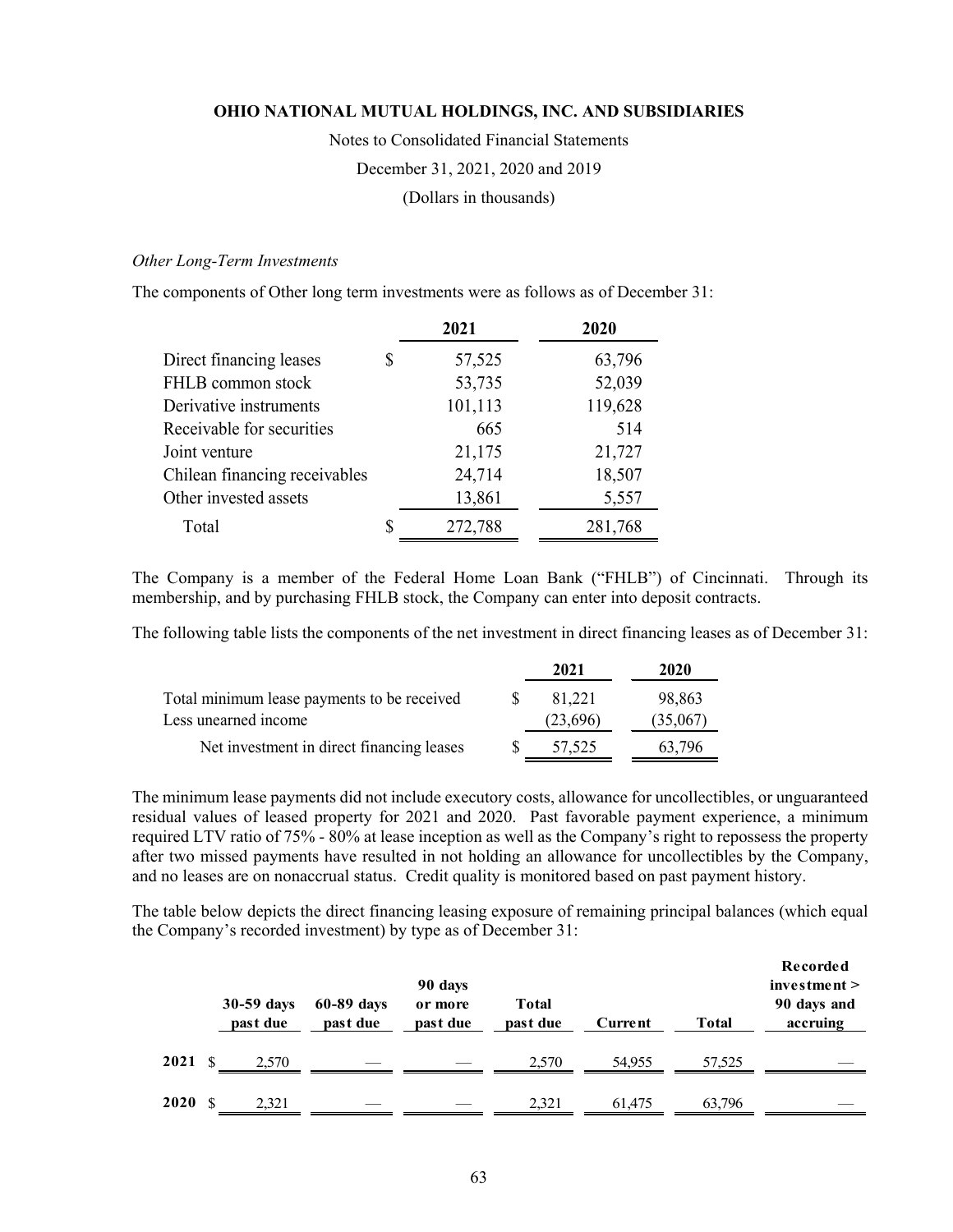Notes to Consolidated Financial Statements

December 31, 2021, 2020 and 2019

(Dollars in thousands)

#### *Other Long-Term Investments*

The components of Other long term investments were as follows as of December 31:

|                               |   | 2021    | 2020    |
|-------------------------------|---|---------|---------|
| Direct financing leases       | S | 57,525  | 63,796  |
| FHLB common stock             |   | 53,735  | 52,039  |
| Derivative instruments        |   | 101,113 | 119,628 |
| Receivable for securities     |   | 665     | 514     |
| Joint venture                 |   | 21,175  | 21,727  |
| Chilean financing receivables |   | 24,714  | 18,507  |
| Other invested assets         |   | 13,861  | 5,557   |
| Total                         | S | 272,788 | 281,768 |

The Company is a member of the Federal Home Loan Bank ("FHLB") of Cincinnati. Through its membership, and by purchasing FHLB stock, the Company can enter into deposit contracts.

The following table lists the components of the net investment in direct financing leases as of December 31:

|                                             | 2021     | 2020     |
|---------------------------------------------|----------|----------|
| Total minimum lease payments to be received | 81.221   | 98,863   |
| Less unearned income                        | (23,696) | (35,067) |
| Net investment in direct financing leases   | 57,525   | 63.796   |

The minimum lease payments did not include executory costs, allowance for uncollectibles, or unguaranteed residual values of leased property for 2021 and 2020. Past favorable payment experience, a minimum required LTV ratio of 75% - 80% at lease inception as well as the Company's right to repossess the property after two missed payments have resulted in not holding an allowance for uncollectibles by the Company, and no leases are on nonaccrual status. Credit quality is monitored based on past payment history.

The table below depicts the direct financing leasing exposure of remaining principal balances (which equal the Company's recorded investment) by type as of December 31:

|      | $30-59$ days<br>past due | 60-89 days<br>past due | 90 days<br>or more<br>past due | Total<br>past due | Current | <b>Total</b> | Recorded<br>investment<br>90 days and<br>accruing |
|------|--------------------------|------------------------|--------------------------------|-------------------|---------|--------------|---------------------------------------------------|
| 2021 | -\$<br>2.570             |                        |                                | 2.570             | 54.955  | 57,525       |                                                   |
| 2020 | 2,321                    |                        |                                | 2.321             | 61.475  | 63,796       |                                                   |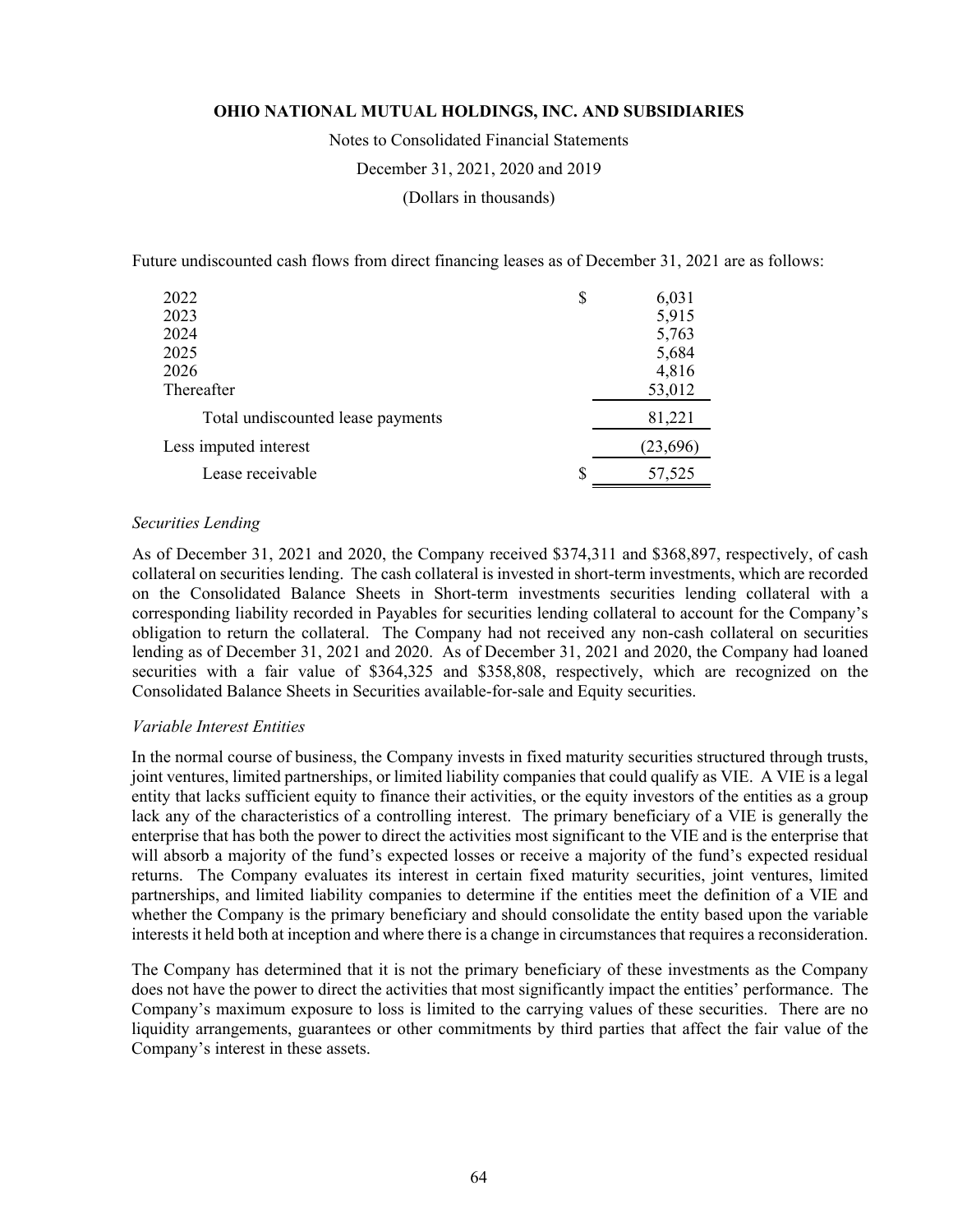Notes to Consolidated Financial Statements

December 31, 2021, 2020 and 2019

(Dollars in thousands)

Future undiscounted cash flows from direct financing leases as of December 31, 2021 are as follows:

| 2022                              | \$ | 6,031     |
|-----------------------------------|----|-----------|
| 2023                              |    | 5,915     |
| 2024                              |    | 5,763     |
| 2025                              |    | 5,684     |
| 2026                              |    | 4,816     |
| Thereafter                        |    | 53,012    |
| Total undiscounted lease payments |    | 81,221    |
| Less imputed interest             |    | (23, 696) |
| Lease receivable                  | S  | 57,525    |

#### *Securities Lending*

As of December 31, 2021 and 2020, the Company received \$374,311 and \$368,897, respectively, of cash collateral on securities lending. The cash collateral is invested in short-term investments, which are recorded on the Consolidated Balance Sheets in Short-term investments securities lending collateral with a corresponding liability recorded in Payables for securities lending collateral to account for the Company's obligation to return the collateral. The Company had not received any non-cash collateral on securities lending as of December 31, 2021 and 2020. As of December 31, 2021 and 2020, the Company had loaned securities with a fair value of \$364,325 and \$358,808, respectively, which are recognized on the Consolidated Balance Sheets in Securities available-for-sale and Equity securities.

#### *Variable Interest Entities*

In the normal course of business, the Company invests in fixed maturity securities structured through trusts, joint ventures, limited partnerships, or limited liability companies that could qualify as VIE. A VIE is a legal entity that lacks sufficient equity to finance their activities, or the equity investors of the entities as a group lack any of the characteristics of a controlling interest. The primary beneficiary of a VIE is generally the enterprise that has both the power to direct the activities most significant to the VIE and is the enterprise that will absorb a majority of the fund's expected losses or receive a majority of the fund's expected residual returns. The Company evaluates its interest in certain fixed maturity securities, joint ventures, limited partnerships, and limited liability companies to determine if the entities meet the definition of a VIE and whether the Company is the primary beneficiary and should consolidate the entity based upon the variable interests it held both at inception and where there is a change in circumstances that requires a reconsideration.

The Company has determined that it is not the primary beneficiary of these investments as the Company does not have the power to direct the activities that most significantly impact the entities' performance. The Company's maximum exposure to loss is limited to the carrying values of these securities. There are no liquidity arrangements, guarantees or other commitments by third parties that affect the fair value of the Company's interest in these assets.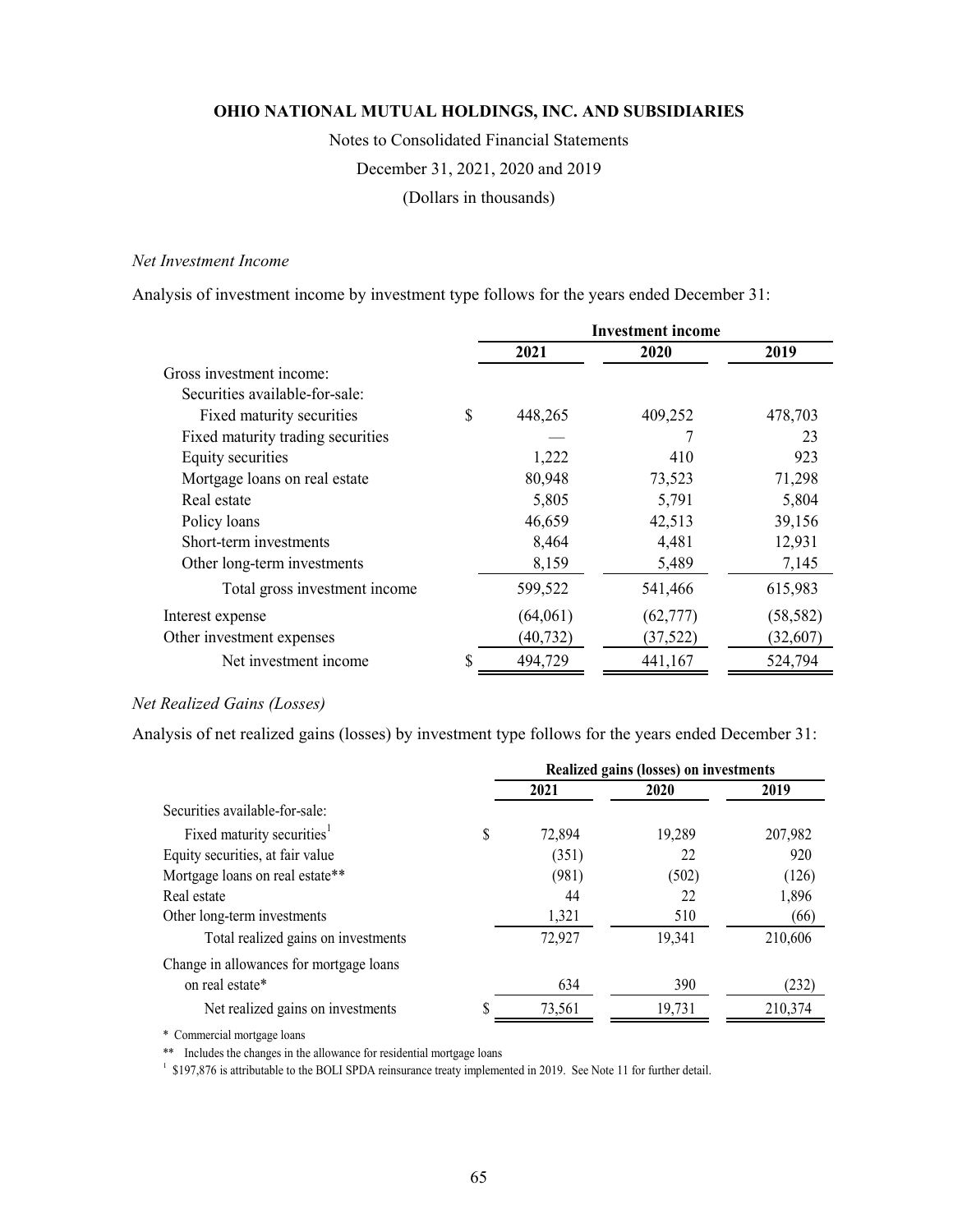Notes to Consolidated Financial Statements

December 31, 2021, 2020 and 2019

(Dollars in thousands)

## *Net Investment Income*

Analysis of investment income by investment type follows for the years ended December 31:

|                                   |    | <b>Investment income</b> |           |           |  |  |
|-----------------------------------|----|--------------------------|-----------|-----------|--|--|
|                                   |    | 2021                     | 2020      | 2019      |  |  |
| Gross investment income:          |    |                          |           |           |  |  |
| Securities available-for-sale:    |    |                          |           |           |  |  |
| Fixed maturity securities         | \$ | 448,265                  | 409,252   | 478,703   |  |  |
| Fixed maturity trading securities |    |                          |           | 23        |  |  |
| Equity securities                 |    | 1,222                    | 410       | 923       |  |  |
| Mortgage loans on real estate     |    | 80,948                   | 73,523    | 71,298    |  |  |
| Real estate                       |    | 5,805                    | 5,791     | 5,804     |  |  |
| Policy loans                      |    | 46,659                   | 42,513    | 39,156    |  |  |
| Short-term investments            |    | 8,464                    | 4,481     | 12,931    |  |  |
| Other long-term investments       |    | 8,159                    | 5,489     | 7,145     |  |  |
| Total gross investment income     |    | 599,522                  | 541,466   | 615,983   |  |  |
| Interest expense                  |    | (64,061)                 | (62, 777) | (58, 582) |  |  |
| Other investment expenses         |    | (40, 732)                | (37, 522) | (32,607)  |  |  |
| Net investment income             | S  | 494,729                  | 441,167   | 524,794   |  |  |

## *Net Realized Gains (Losses)*

Analysis of net realized gains (losses) by investment type follows for the years ended December 31:

|                                         | Realized gains (losses) on investments |        |         |  |  |
|-----------------------------------------|----------------------------------------|--------|---------|--|--|
|                                         | 2021                                   | 2020   | 2019    |  |  |
| Securities available-for-sale:          |                                        |        |         |  |  |
| Fixed maturity securities <sup>1</sup>  | \$<br>72,894                           | 19,289 | 207,982 |  |  |
| Equity securities, at fair value        | (351)                                  | 22     | 920     |  |  |
| Mortgage loans on real estate**         | (981)                                  | (502)  | (126)   |  |  |
| Real estate                             | 44                                     | 22     | 1,896   |  |  |
| Other long-term investments             | 1,321                                  | 510    | (66)    |  |  |
| Total realized gains on investments     | 72,927                                 | 19,341 | 210,606 |  |  |
| Change in allowances for mortgage loans |                                        |        |         |  |  |
| on real estate*                         | 634                                    | 390    | (232)   |  |  |
| Net realized gains on investments       | 73,561                                 | 19,731 | 210,374 |  |  |

\* Commercial mortgage loans

\*\* Includes the changes in the allowance for residential mortgage loans

<sup>1</sup> \$197,876 is attributable to the BOLI SPDA reinsurance treaty implemented in 2019. See Note 11 for further detail.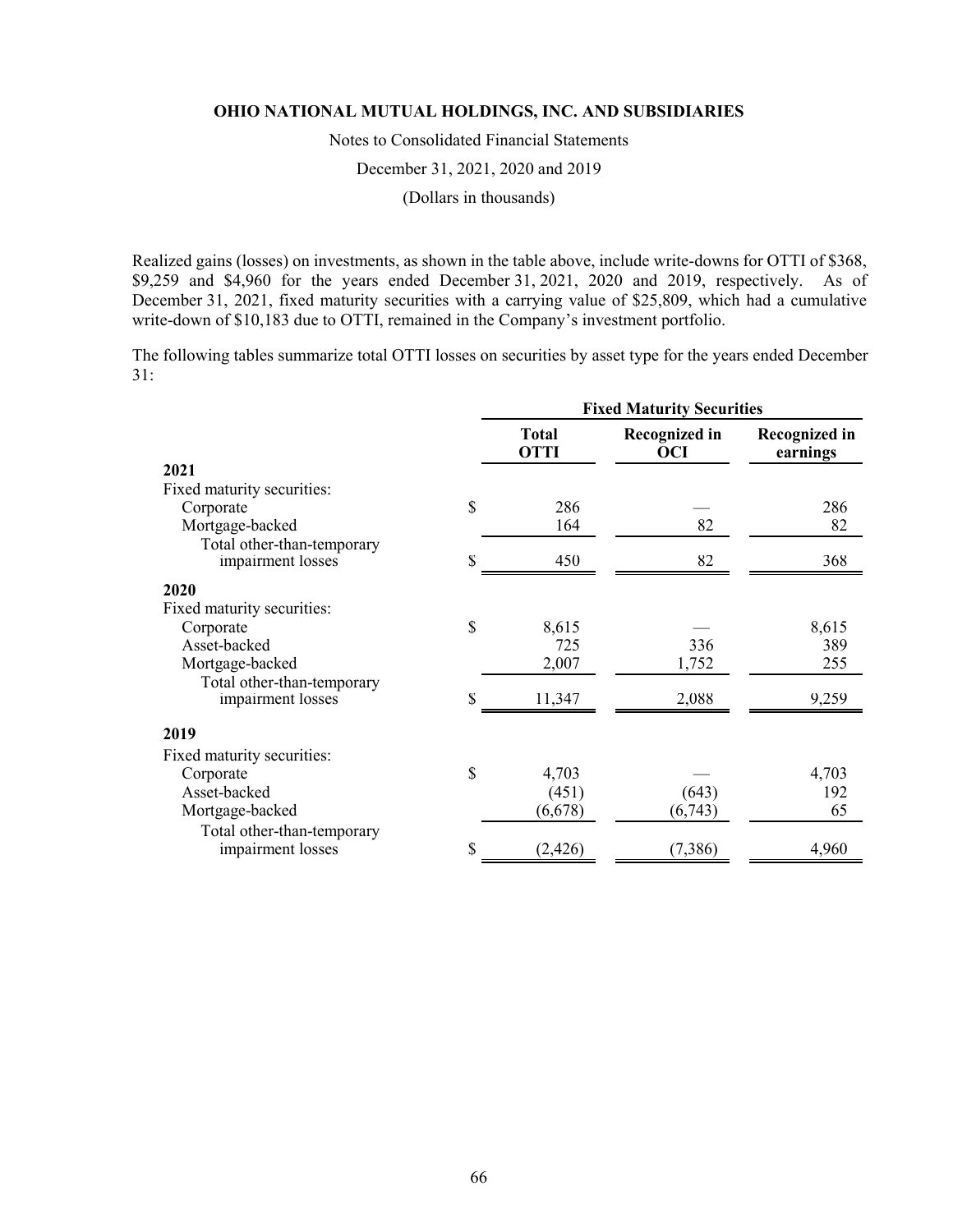Notes to Consolidated Financial Statements

December 31, 2021, 2020 and 2019

(Dollars in thousands)

Realized gains (losses) on investments, as shown in the table above, include write-downs for OTTI of \$368, \$9,259 and \$4,960 for the years ended December 31, 2021, 2020 and 2019, respectively. As of December 31, 2021, fixed maturity securities with a carrying value of \$25,809, which had a cumulative write-down of \$10,183 due to OTTI, remained in the Company's investment portfolio.

The following tables summarize total OTTI losses on securities by asset type for the years ended December 31:

|                                                 |    | <b>Fixed Maturity Securities</b> |                             |                                  |  |  |
|-------------------------------------------------|----|----------------------------------|-----------------------------|----------------------------------|--|--|
|                                                 |    | <b>Total</b><br><b>OTTI</b>      | Recognized in<br><b>OCI</b> | <b>Recognized in</b><br>earnings |  |  |
| 2021                                            |    |                                  |                             |                                  |  |  |
| Fixed maturity securities:                      |    |                                  |                             |                                  |  |  |
| Corporate                                       | \$ | 286                              |                             | 286                              |  |  |
| Mortgage-backed                                 |    | 164                              | 82                          | 82                               |  |  |
| Total other-than-temporary<br>impairment losses | \$ | 450                              | 82                          | 368                              |  |  |
| 2020                                            |    |                                  |                             |                                  |  |  |
| Fixed maturity securities:                      |    |                                  |                             |                                  |  |  |
| Corporate                                       | \$ | 8,615                            |                             | 8,615                            |  |  |
| Asset-backed                                    |    | 725                              | 336                         | 389                              |  |  |
| Mortgage-backed                                 |    | 2,007                            | 1,752                       | 255                              |  |  |
| Total other-than-temporary                      |    |                                  |                             |                                  |  |  |
| impairment losses                               | S  | 11,347                           | 2,088                       | 9,259                            |  |  |
| 2019                                            |    |                                  |                             |                                  |  |  |
| Fixed maturity securities:                      |    |                                  |                             |                                  |  |  |
| Corporate                                       | \$ | 4,703                            |                             | 4,703                            |  |  |
| Asset-backed                                    |    | (451)                            | (643)                       | 192                              |  |  |
| Mortgage-backed                                 |    | (6,678)                          | (6,743)                     | 65                               |  |  |
| Total other-than-temporary                      |    |                                  |                             |                                  |  |  |
| impairment losses                               | \$ | (2, 426)                         | (7, 386)                    | 4,960                            |  |  |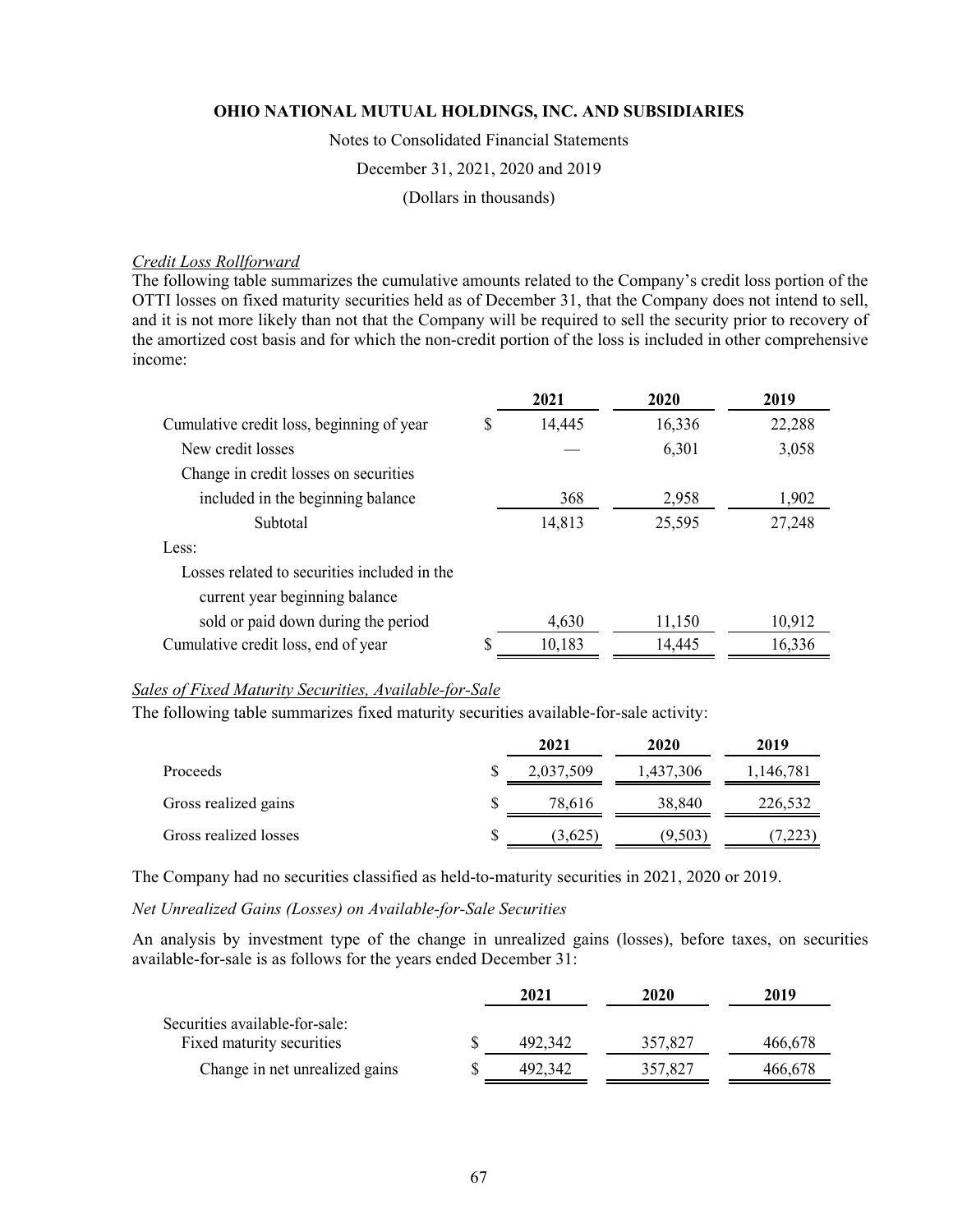Notes to Consolidated Financial Statements

December 31, 2021, 2020 and 2019

(Dollars in thousands)

#### *Credit Loss Rollforward*

The following table summarizes the cumulative amounts related to the Company's credit loss portion of the OTTI losses on fixed maturity securities held as of December 31, that the Company does not intend to sell, and it is not more likely than not that the Company will be required to sell the security prior to recovery of the amortized cost basis and for which the non-credit portion of the loss is included in other comprehensive income:

|                                              | 2021         | 2020   | 2019   |
|----------------------------------------------|--------------|--------|--------|
| Cumulative credit loss, beginning of year    | \$<br>14,445 | 16,336 | 22,288 |
| New credit losses                            |              | 6,301  | 3,058  |
| Change in credit losses on securities        |              |        |        |
| included in the beginning balance            | 368          | 2,958  | 1,902  |
| Subtotal                                     | 14,813       | 25,595 | 27,248 |
| Less:                                        |              |        |        |
| Losses related to securities included in the |              |        |        |
| current year beginning balance               |              |        |        |
| sold or paid down during the period          | 4,630        | 11,150 | 10,912 |
| Cumulative credit loss, end of year          | \$<br>10,183 | 14,445 | 16,336 |

#### *Sales of Fixed Maturity Securities, Available-for-Sale*

The following table summarizes fixed maturity securities available-for-sale activity:

|                       | 2021      | 2020      | 2019      |
|-----------------------|-----------|-----------|-----------|
| Proceeds              | 2,037,509 | 1,437,306 | 1,146,781 |
| Gross realized gains  | 78.616    | 38,840    | 226,532   |
| Gross realized losses | (3,625)   | (9,503)   | (7,223)   |

The Company had no securities classified as held-to-maturity securities in 2021, 2020 or 2019.

#### *Net Unrealized Gains (Losses) on Available-for-Sale Securities*

An analysis by investment type of the change in unrealized gains (losses), before taxes, on securities available-for-sale is as follows for the years ended December 31:

|                                | 2021    | 2020    | 2019    |
|--------------------------------|---------|---------|---------|
| Securities available-for-sale: |         |         |         |
| Fixed maturity securities      | 492.342 | 357,827 | 466,678 |
| Change in net unrealized gains | 492.342 | 357.827 | 466,678 |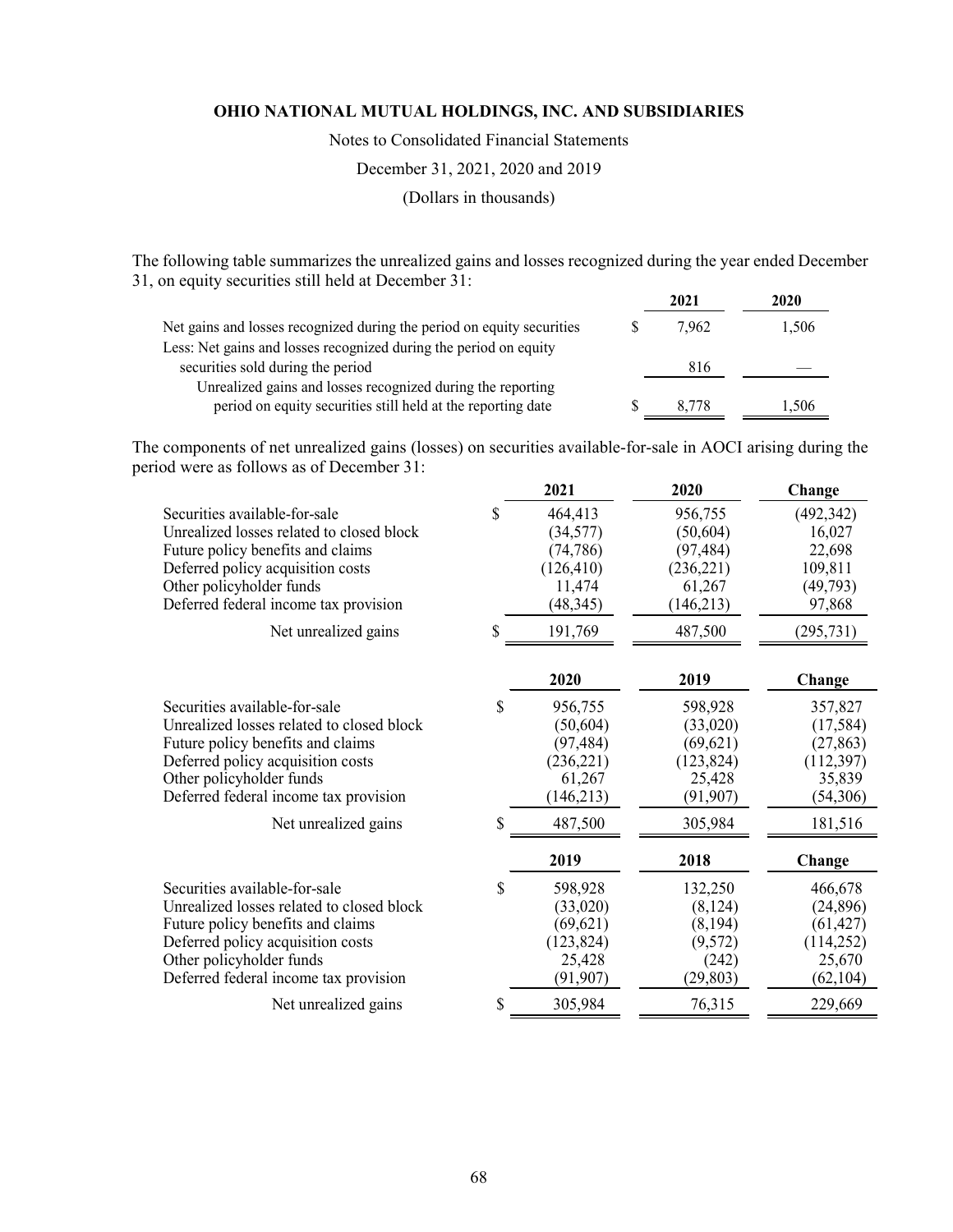Notes to Consolidated Financial Statements

December 31, 2021, 2020 and 2019

(Dollars in thousands)

The following table summarizes the unrealized gains and losses recognized during the year ended December 31, on equity securities still held at December 31:

|                                                                        | 2021  | 2020  |
|------------------------------------------------------------------------|-------|-------|
| Net gains and losses recognized during the period on equity securities | 7.962 | 1,506 |
| Less: Net gains and losses recognized during the period on equity      |       |       |
| securities sold during the period                                      | 816   |       |
| Unrealized gains and losses recognized during the reporting            |       |       |
| period on equity securities still held at the reporting date           | 8.778 | 1.506 |

The components of net unrealized gains (losses) on securities available-for-sale in AOCI arising during the period were as follows as of December 31:

|                                           |    | 2021       | 2020       | Change     |
|-------------------------------------------|----|------------|------------|------------|
| Securities available-for-sale             | \$ | 464,413    | 956,755    | (492, 342) |
| Unrealized losses related to closed block |    | (34, 577)  | (50, 604)  | 16,027     |
| Future policy benefits and claims         |    | (74, 786)  | (97, 484)  | 22,698     |
| Deferred policy acquisition costs         |    | (126, 410) | (236, 221) | 109,811    |
| Other policyholder funds                  |    | 11,474     | 61,267     | (49, 793)  |
| Deferred federal income tax provision     |    | (48, 345)  | (146, 213) | 97,868     |
| Net unrealized gains                      | ς  | 191,769    | 487,500    | (295, 731) |
|                                           |    |            |            |            |
|                                           |    | 2020       | 2019       | Change     |
| Securities available-for-sale             | \$ | 956,755    | 598,928    | 357,827    |
| Unrealized losses related to closed block |    | (50, 604)  | (33,020)   | (17,584)   |
| Future policy benefits and claims         |    | (97, 484)  | (69, 621)  | (27, 863)  |
| Deferred policy acquisition costs         |    | (236, 221) | (123, 824) | (112,397)  |
| Other policyholder funds                  |    | 61,267     | 25,428     | 35,839     |
| Deferred federal income tax provision     |    | (146, 213) | (91, 907)  | (54,306)   |
| Net unrealized gains                      | \$ | 487,500    | 305,984    | 181,516    |
|                                           |    | 2019       | 2018       | Change     |
| Securities available-for-sale             | \$ | 598,928    | 132,250    | 466,678    |
| Unrealized losses related to closed block |    | (33,020)   | (8, 124)   | (24,896)   |
| Future policy benefits and claims         |    | (69, 621)  | (8, 194)   | (61, 427)  |
| Deferred policy acquisition costs         |    | (123, 824) | (9,572)    | (114, 252) |
| Other policyholder funds                  |    | 25,428     | (242)      | 25,670     |
| Deferred federal income tax provision     |    | (91, 907)  | (29, 803)  | (62, 104)  |
| Net unrealized gains                      | \$ | 305,984    | 76,315     | 229,669    |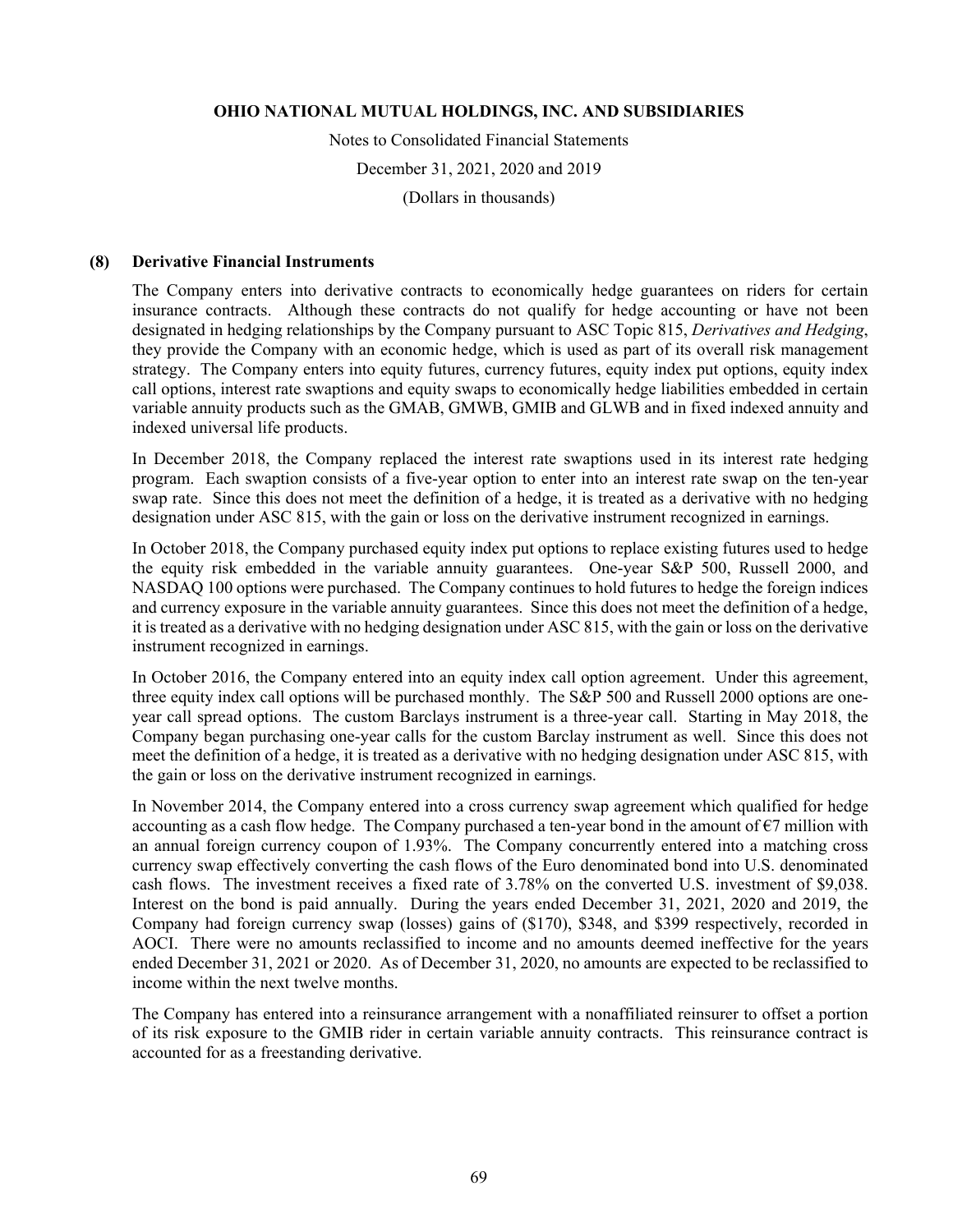Notes to Consolidated Financial Statements

December 31, 2021, 2020 and 2019

(Dollars in thousands)

#### **(8) Derivative Financial Instruments**

The Company enters into derivative contracts to economically hedge guarantees on riders for certain insurance contracts. Although these contracts do not qualify for hedge accounting or have not been designated in hedging relationships by the Company pursuant to ASC Topic 815, *Derivatives and Hedging*, they provide the Company with an economic hedge, which is used as part of its overall risk management strategy. The Company enters into equity futures, currency futures, equity index put options, equity index call options, interest rate swaptions and equity swaps to economically hedge liabilities embedded in certain variable annuity products such as the GMAB, GMWB, GMIB and GLWB and in fixed indexed annuity and indexed universal life products.

In December 2018, the Company replaced the interest rate swaptions used in its interest rate hedging program. Each swaption consists of a five-year option to enter into an interest rate swap on the ten-year swap rate. Since this does not meet the definition of a hedge, it is treated as a derivative with no hedging designation under ASC 815, with the gain or loss on the derivative instrument recognized in earnings.

In October 2018, the Company purchased equity index put options to replace existing futures used to hedge the equity risk embedded in the variable annuity guarantees. One-year S&P 500, Russell 2000, and NASDAQ 100 options were purchased. The Company continues to hold futures to hedge the foreign indices and currency exposure in the variable annuity guarantees. Since this does not meet the definition of a hedge, it is treated as a derivative with no hedging designation under ASC 815, with the gain or loss on the derivative instrument recognized in earnings.

In October 2016, the Company entered into an equity index call option agreement. Under this agreement, three equity index call options will be purchased monthly. The S&P 500 and Russell 2000 options are oneyear call spread options. The custom Barclays instrument is a three-year call. Starting in May 2018, the Company began purchasing one-year calls for the custom Barclay instrument as well. Since this does not meet the definition of a hedge, it is treated as a derivative with no hedging designation under ASC 815, with the gain or loss on the derivative instrument recognized in earnings.

In November 2014, the Company entered into a cross currency swap agreement which qualified for hedge accounting as a cash flow hedge. The Company purchased a ten-year bond in the amount of  $\epsilon$ 7 million with an annual foreign currency coupon of 1.93%. The Company concurrently entered into a matching cross currency swap effectively converting the cash flows of the Euro denominated bond into U.S. denominated cash flows. The investment receives a fixed rate of 3.78% on the converted U.S. investment of \$9,038. Interest on the bond is paid annually. During the years ended December 31, 2021, 2020 and 2019, the Company had foreign currency swap (losses) gains of (\$170), \$348, and \$399 respectively, recorded in AOCI. There were no amounts reclassified to income and no amounts deemed ineffective for the years ended December 31, 2021 or 2020. As of December 31, 2020, no amounts are expected to be reclassified to income within the next twelve months.

The Company has entered into a reinsurance arrangement with a nonaffiliated reinsurer to offset a portion of its risk exposure to the GMIB rider in certain variable annuity contracts. This reinsurance contract is accounted for as a freestanding derivative.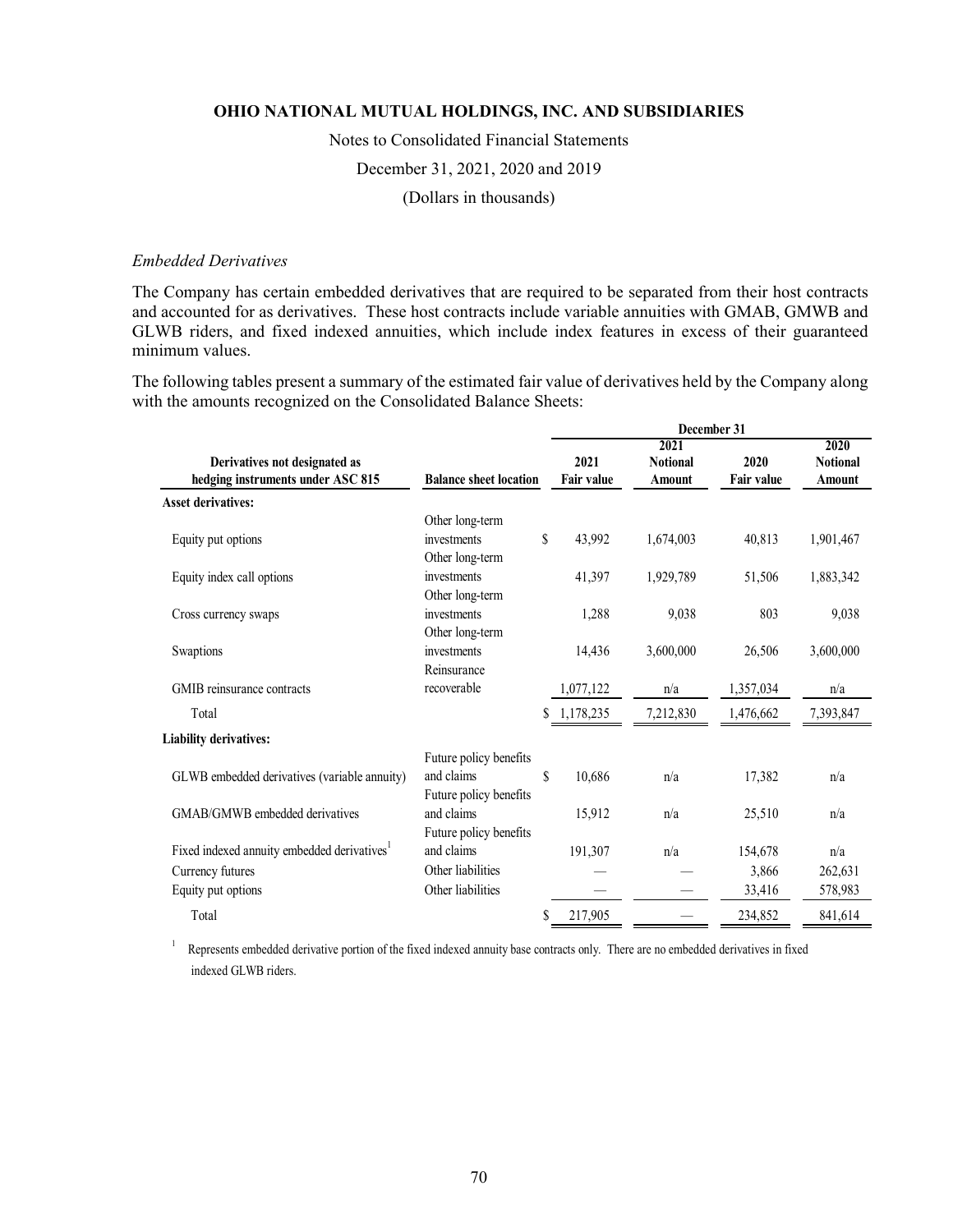Notes to Consolidated Financial Statements

December 31, 2021, 2020 and 2019

(Dollars in thousands)

### *Embedded Derivatives*

The Company has certain embedded derivatives that are required to be separated from their host contracts and accounted for as derivatives. These host contracts include variable annuities with GMAB, GMWB and GLWB riders, and fixed indexed annuities, which include index features in excess of their guaranteed minimum values.

The following tables present a summary of the estimated fair value of derivatives held by the Company along with the amounts recognized on the Consolidated Balance Sheets:

|                                                                    |                               |    | December 31               |                                   |                           |                                   |  |  |  |
|--------------------------------------------------------------------|-------------------------------|----|---------------------------|-----------------------------------|---------------------------|-----------------------------------|--|--|--|
| Derivatives not designated as<br>hedging instruments under ASC 815 | <b>Balance sheet location</b> |    | 2021<br><b>Fair value</b> | 2021<br><b>Notional</b><br>Amount | 2020<br><b>Fair value</b> | 2020<br><b>Notional</b><br>Amount |  |  |  |
| <b>Asset derivatives:</b>                                          |                               |    |                           |                                   |                           |                                   |  |  |  |
|                                                                    | Other long-term               |    |                           |                                   |                           |                                   |  |  |  |
| Equity put options                                                 | \$<br>investments             |    | 43,992                    | 1,674,003                         | 40,813                    | 1,901,467                         |  |  |  |
|                                                                    | Other long-term               |    |                           |                                   |                           |                                   |  |  |  |
| Equity index call options                                          | investments                   |    | 41,397                    | 1,929,789                         | 51,506                    | 1,883,342                         |  |  |  |
|                                                                    | Other long-term               |    |                           |                                   |                           |                                   |  |  |  |
| Cross currency swaps                                               | investments                   |    | 1,288                     | 9,038                             | 803                       | 9,038                             |  |  |  |
|                                                                    | Other long-term               |    |                           |                                   |                           |                                   |  |  |  |
| Swaptions                                                          | investments                   |    | 14,436                    | 3,600,000                         | 26,506                    | 3,600,000                         |  |  |  |
|                                                                    | Reinsurance                   |    |                           |                                   |                           |                                   |  |  |  |
| GMIB reinsurance contracts                                         | recoverable                   |    | 1,077,122                 | n/a                               | 1,357,034                 | n/a                               |  |  |  |
| Total                                                              |                               | S  | 1,178,235                 | 7,212,830                         | 1,476,662                 | 7,393,847                         |  |  |  |
| <b>Liability derivatives:</b>                                      |                               |    |                           |                                   |                           |                                   |  |  |  |
|                                                                    | Future policy benefits        |    |                           |                                   |                           |                                   |  |  |  |
| GLWB embedded derivatives (variable annuity)                       | and claims<br>S               |    | 10,686                    | n/a                               | 17,382                    | n/a                               |  |  |  |
|                                                                    | Future policy benefits        |    |                           |                                   |                           |                                   |  |  |  |
| GMAB/GMWB embedded derivatives                                     | and claims                    |    | 15,912                    | n/a                               | 25,510                    | n/a                               |  |  |  |
|                                                                    | Future policy benefits        |    |                           |                                   |                           |                                   |  |  |  |
| Fixed indexed annuity embedded derivatives <sup>1</sup>            | and claims                    |    | 191,307                   | n/a                               | 154,678                   | n/a                               |  |  |  |
| Currency futures                                                   | Other liabilities             |    |                           |                                   | 3,866                     | 262,631                           |  |  |  |
| Equity put options                                                 | Other liabilities             |    |                           |                                   | 33,416                    | 578,983                           |  |  |  |
| Total                                                              |                               | \$ | 217,905                   |                                   | 234,852                   | 841,614                           |  |  |  |

<sup>1</sup> Represents embedded derivative portion of the fixed indexed annuity base contracts only. There are no embedded derivatives in fixed indexed GLWB riders.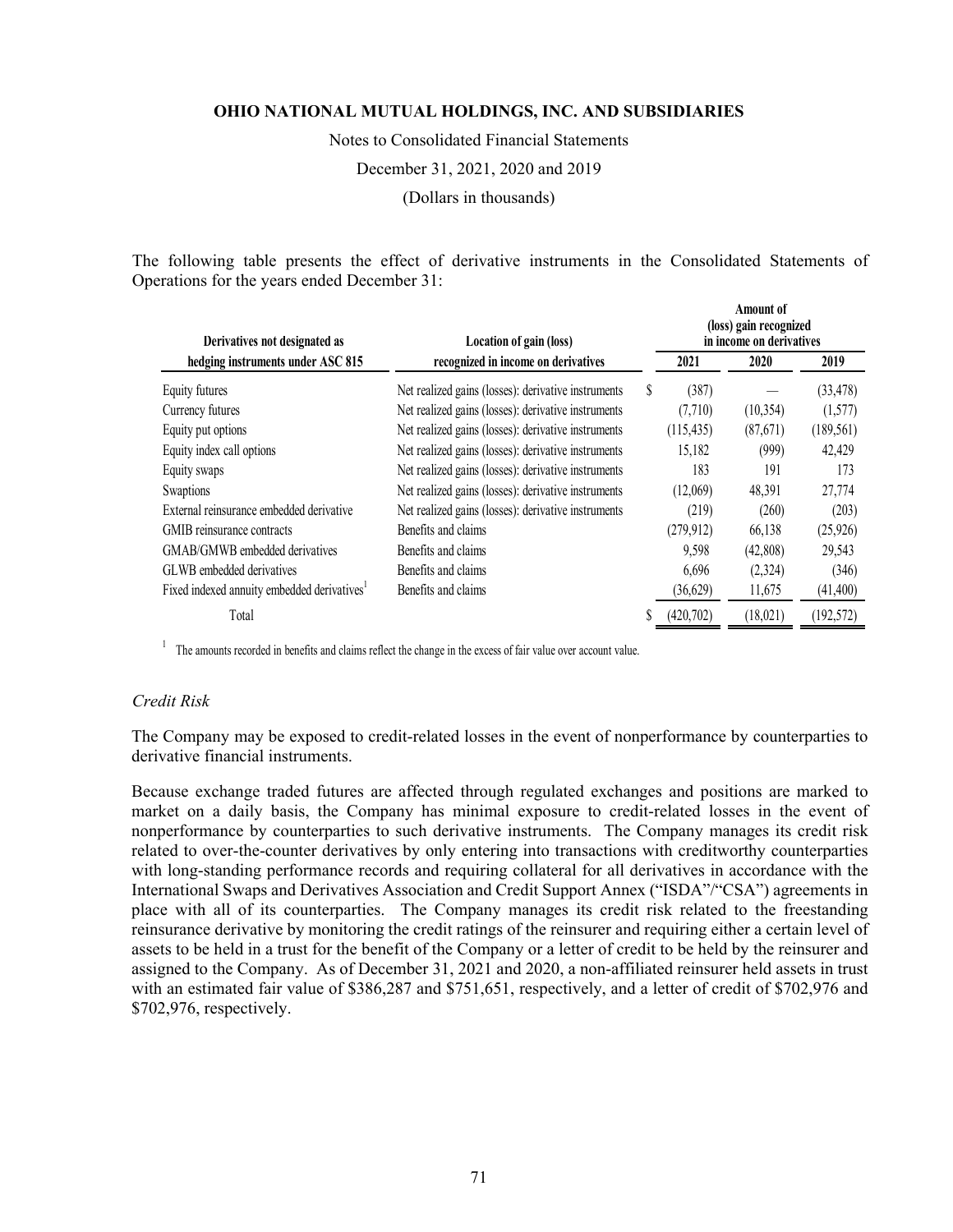Notes to Consolidated Financial Statements

December 31, 2021, 2020 and 2019

(Dollars in thousands)

The following table presents the effect of derivative instruments in the Consolidated Statements of Operations for the years ended December 31:

| Derivatives not designated as                           | Location of gain (loss)                             |   | Amount of<br>(loss) gain recognized<br>in income on derivatives |             |            |
|---------------------------------------------------------|-----------------------------------------------------|---|-----------------------------------------------------------------|-------------|------------|
| hedging instruments under ASC 815                       | recognized in income on derivatives                 |   | 2021                                                            | <b>2020</b> | 2019       |
| Equity futures                                          | Net realized gains (losses): derivative instruments | S | (387)                                                           |             | (33, 478)  |
| Currency futures                                        | Net realized gains (losses): derivative instruments |   | (7,710)                                                         | (10, 354)   | (1,577)    |
| Equity put options                                      | Net realized gains (losses): derivative instruments |   | (115, 435)                                                      | (87,671)    | (189, 561) |
| Equity index call options                               | Net realized gains (losses): derivative instruments |   | 15,182                                                          | (999)       | 42,429     |
| Equity swaps                                            | Net realized gains (losses): derivative instruments |   | 183                                                             | 191         | 173        |
| Swaptions                                               | Net realized gains (losses): derivative instruments |   | (12,069)                                                        | 48,391      | 27,774     |
| External reinsurance embedded derivative                | Net realized gains (losses): derivative instruments |   | (219)                                                           | (260)       | (203)      |
| GMIB reinsurance contracts                              | Benefits and claims                                 |   | (279, 912)                                                      | 66,138      | (25, 926)  |
| GMAB/GMWB embedded derivatives                          | Benefits and claims                                 |   | 9,598                                                           | (42,808)    | 29,543     |
| GLWB embedded derivatives                               | Benefits and claims                                 |   | 6,696                                                           | (2,324)     | (346)      |
| Fixed indexed annuity embedded derivatives <sup>1</sup> | Benefits and claims                                 |   | (36,629)                                                        | 11,675      | (41, 400)  |
| Total                                                   |                                                     |   | (420, 702)                                                      | (18,021)    | (192, 572) |

 $1$  The amounts recorded in benefits and claims reflect the change in the excess of fair value over account value.

## *Credit Risk*

The Company may be exposed to credit-related losses in the event of nonperformance by counterparties to derivative financial instruments.

Because exchange traded futures are affected through regulated exchanges and positions are marked to market on a daily basis, the Company has minimal exposure to credit-related losses in the event of nonperformance by counterparties to such derivative instruments. The Company manages its credit risk related to over-the-counter derivatives by only entering into transactions with creditworthy counterparties with long-standing performance records and requiring collateral for all derivatives in accordance with the International Swaps and Derivatives Association and Credit Support Annex ("ISDA"/"CSA") agreements in place with all of its counterparties. The Company manages its credit risk related to the freestanding reinsurance derivative by monitoring the credit ratings of the reinsurer and requiring either a certain level of assets to be held in a trust for the benefit of the Company or a letter of credit to be held by the reinsurer and assigned to the Company. As of December 31, 2021 and 2020, a non-affiliated reinsurer held assets in trust with an estimated fair value of \$386,287 and \$751,651, respectively, and a letter of credit of \$702,976 and \$702,976, respectively.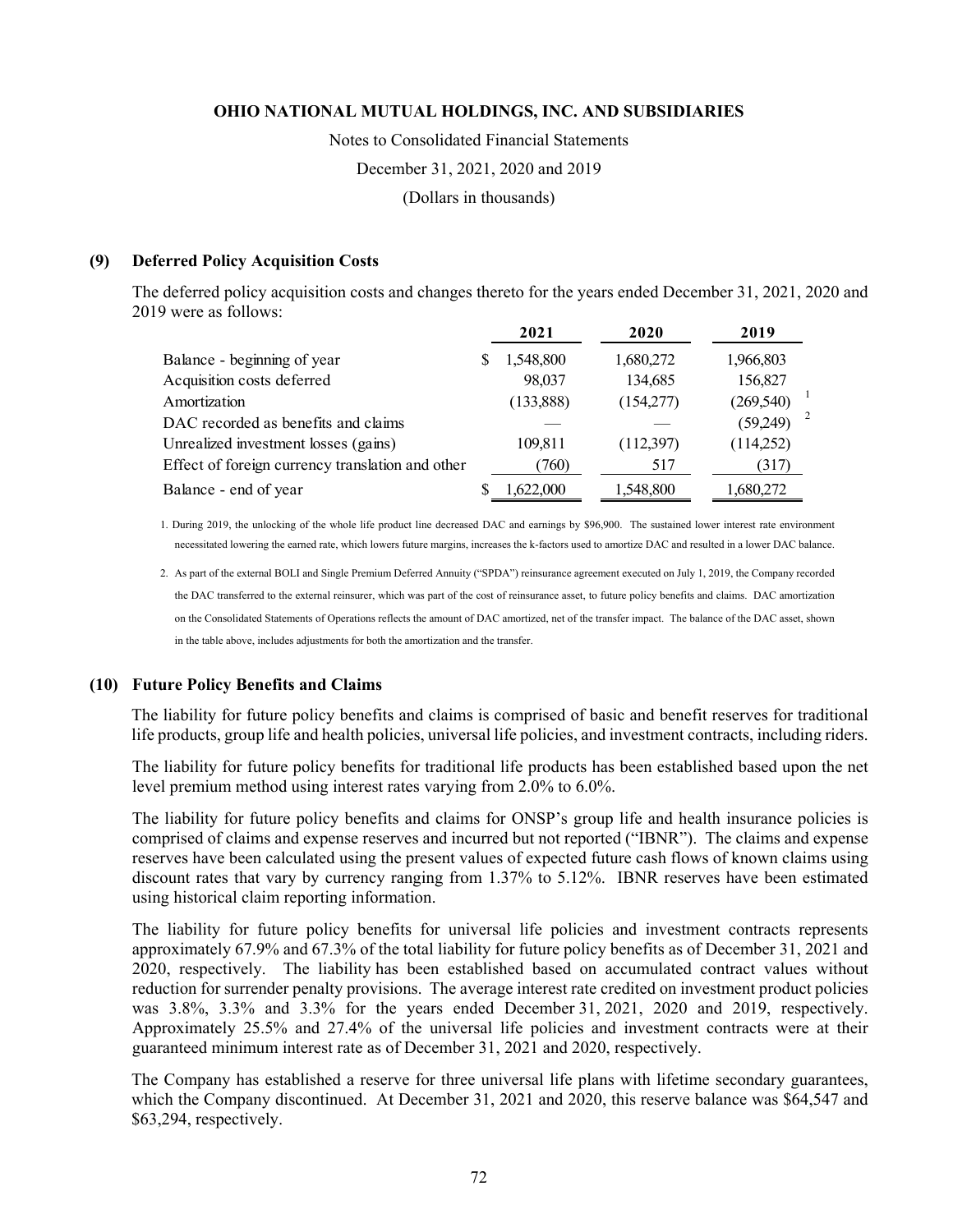Notes to Consolidated Financial Statements

December 31, 2021, 2020 and 2019

(Dollars in thousands)

## **(9) Deferred Policy Acquisition Costs**

The deferred policy acquisition costs and changes thereto for the years ended December 31, 2021, 2020 and 2019 were as follows:

|                                                  | 2021       | 2020      | 2019       |
|--------------------------------------------------|------------|-----------|------------|
| Balance - beginning of year                      | 1,548,800  | 1,680,272 | 1,966,803  |
| Acquisition costs deferred                       | 98,037     | 134,685   | 156,827    |
| Amortization                                     | (133, 888) | (154,277) | (269, 540) |
| DAC recorded as benefits and claims              |            |           | (59,249)   |
| Unrealized investment losses (gains)             | 109,811    | (112,397) | (114,252)  |
| Effect of foreign currency translation and other | (760)      | 517       | (317)      |
| Balance - end of year                            | .622.000   | 1,548,800 | 1,680,272  |

1. During 2019, the unlocking of the whole life product line decreased DAC and earnings by \$96,900. The sustained lower interest rate environment necessitated lowering the earned rate, which lowers future margins, increases the k-factors used to amortize DAC and resulted in a lower DAC balance.

2. As part of the external BOLI and Single Premium Deferred Annuity ("SPDA") reinsurance agreement executed on July 1, 2019, the Company recorded the DAC transferred to the external reinsurer, which was part of the cost of reinsurance asset, to future policy benefits and claims. DAC amortization on the Consolidated Statements of Operations reflects the amount of DAC amortized, net of the transfer impact. The balance of the DAC asset, shown in the table above, includes adjustments for both the amortization and the transfer.

## **(10) Future Policy Benefits and Claims**

The liability for future policy benefits and claims is comprised of basic and benefit reserves for traditional life products, group life and health policies, universal life policies, and investment contracts, including riders.

The liability for future policy benefits for traditional life products has been established based upon the net level premium method using interest rates varying from 2.0% to 6.0%.

The liability for future policy benefits and claims for ONSP's group life and health insurance policies is comprised of claims and expense reserves and incurred but not reported ("IBNR"). The claims and expense reserves have been calculated using the present values of expected future cash flows of known claims using discount rates that vary by currency ranging from 1.37% to 5.12%. IBNR reserves have been estimated using historical claim reporting information.

The liability for future policy benefits for universal life policies and investment contracts represents approximately 67.9% and 67.3% of the total liability for future policy benefits as of December 31, 2021 and 2020, respectively. The liability has been established based on accumulated contract values without reduction for surrender penalty provisions. The average interest rate credited on investment product policies was 3.8%, 3.3% and 3.3% for the years ended December 31, 2021, 2020 and 2019, respectively. Approximately 25.5% and 27.4% of the universal life policies and investment contracts were at their guaranteed minimum interest rate as of December 31, 2021 and 2020, respectively.

The Company has established a reserve for three universal life plans with lifetime secondary guarantees, which the Company discontinued. At December 31, 2021 and 2020, this reserve balance was \$64,547 and \$63,294, respectively.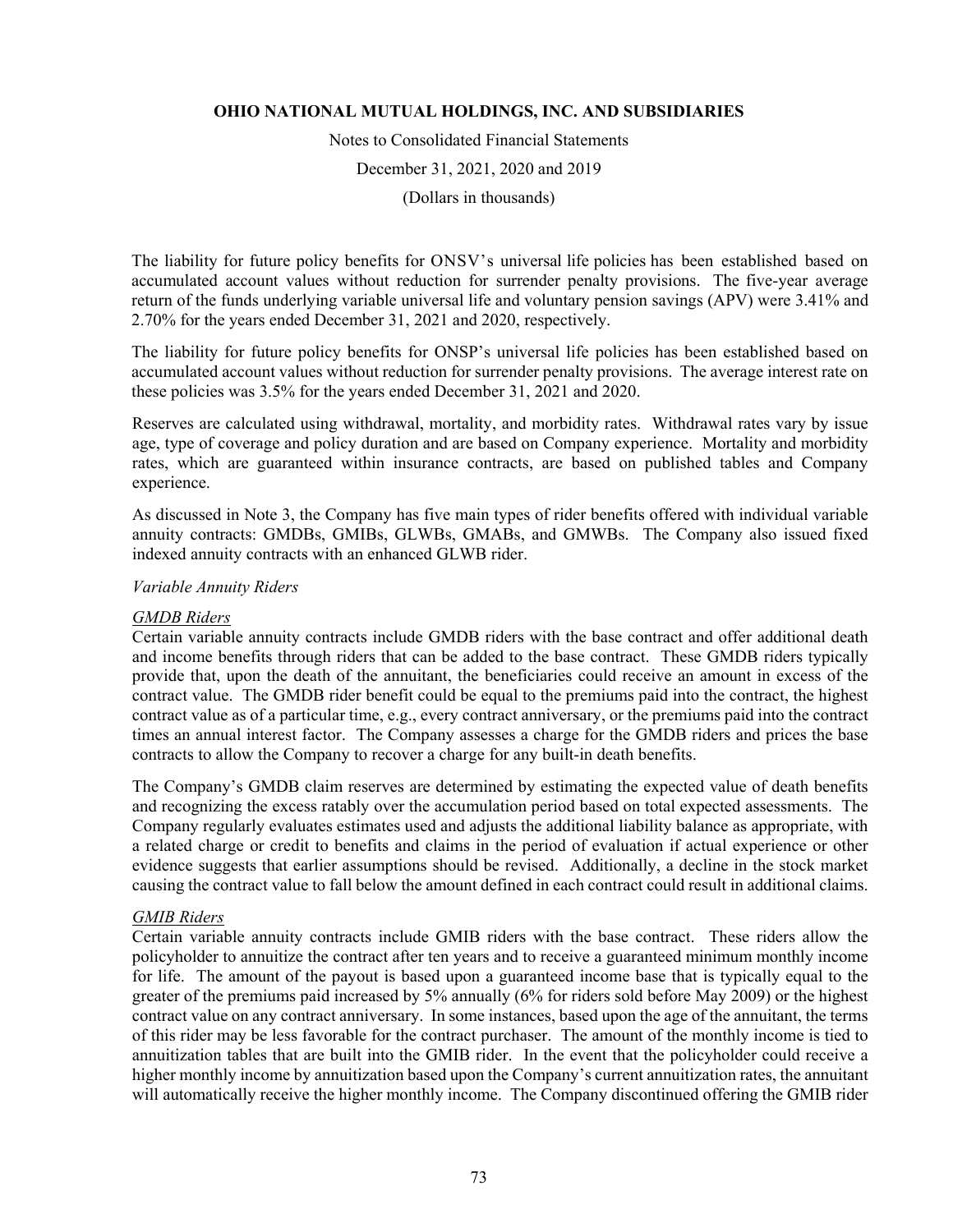Notes to Consolidated Financial Statements

December 31, 2021, 2020 and 2019

(Dollars in thousands)

The liability for future policy benefits for ONSV's universal life policies has been established based on accumulated account values without reduction for surrender penalty provisions. The five-year average return of the funds underlying variable universal life and voluntary pension savings (APV) were 3.41% and 2.70% for the years ended December 31, 2021 and 2020, respectively.

The liability for future policy benefits for ONSP's universal life policies has been established based on accumulated account values without reduction for surrender penalty provisions. The average interest rate on these policies was 3.5% for the years ended December 31, 2021 and 2020.

Reserves are calculated using withdrawal, mortality, and morbidity rates. Withdrawal rates vary by issue age, type of coverage and policy duration and are based on Company experience. Mortality and morbidity rates, which are guaranteed within insurance contracts, are based on published tables and Company experience.

As discussed in Note 3, the Company has five main types of rider benefits offered with individual variable annuity contracts: GMDBs, GMIBs, GLWBs, GMABs, and GMWBs.The Company also issued fixed indexed annuity contracts with an enhanced GLWB rider.

## *Variable Annuity Riders*

## *GMDB Riders*

Certain variable annuity contracts include GMDB riders with the base contract and offer additional death and income benefits through riders that can be added to the base contract. These GMDB riders typically provide that, upon the death of the annuitant, the beneficiaries could receive an amount in excess of the contract value. The GMDB rider benefit could be equal to the premiums paid into the contract, the highest contract value as of a particular time, e.g., every contract anniversary, or the premiums paid into the contract times an annual interest factor. The Company assesses a charge for the GMDB riders and prices the base contracts to allow the Company to recover a charge for any built-in death benefits.

The Company's GMDB claim reserves are determined by estimating the expected value of death benefits and recognizing the excess ratably over the accumulation period based on total expected assessments. The Company regularly evaluates estimates used and adjusts the additional liability balance as appropriate, with a related charge or credit to benefits and claims in the period of evaluation if actual experience or other evidence suggests that earlier assumptions should be revised. Additionally, a decline in the stock market causing the contract value to fall below the amount defined in each contract could result in additional claims.

## *GMIB Riders*

Certain variable annuity contracts include GMIB riders with the base contract. These riders allow the policyholder to annuitize the contract after ten years and to receive a guaranteed minimum monthly income for life. The amount of the payout is based upon a guaranteed income base that is typically equal to the greater of the premiums paid increased by 5% annually (6% for riders sold before May 2009) or the highest contract value on any contract anniversary. In some instances, based upon the age of the annuitant, the terms of this rider may be less favorable for the contract purchaser. The amount of the monthly income is tied to annuitization tables that are built into the GMIB rider. In the event that the policyholder could receive a higher monthly income by annuitization based upon the Company's current annuitization rates, the annuitant will automatically receive the higher monthly income. The Company discontinued offering the GMIB rider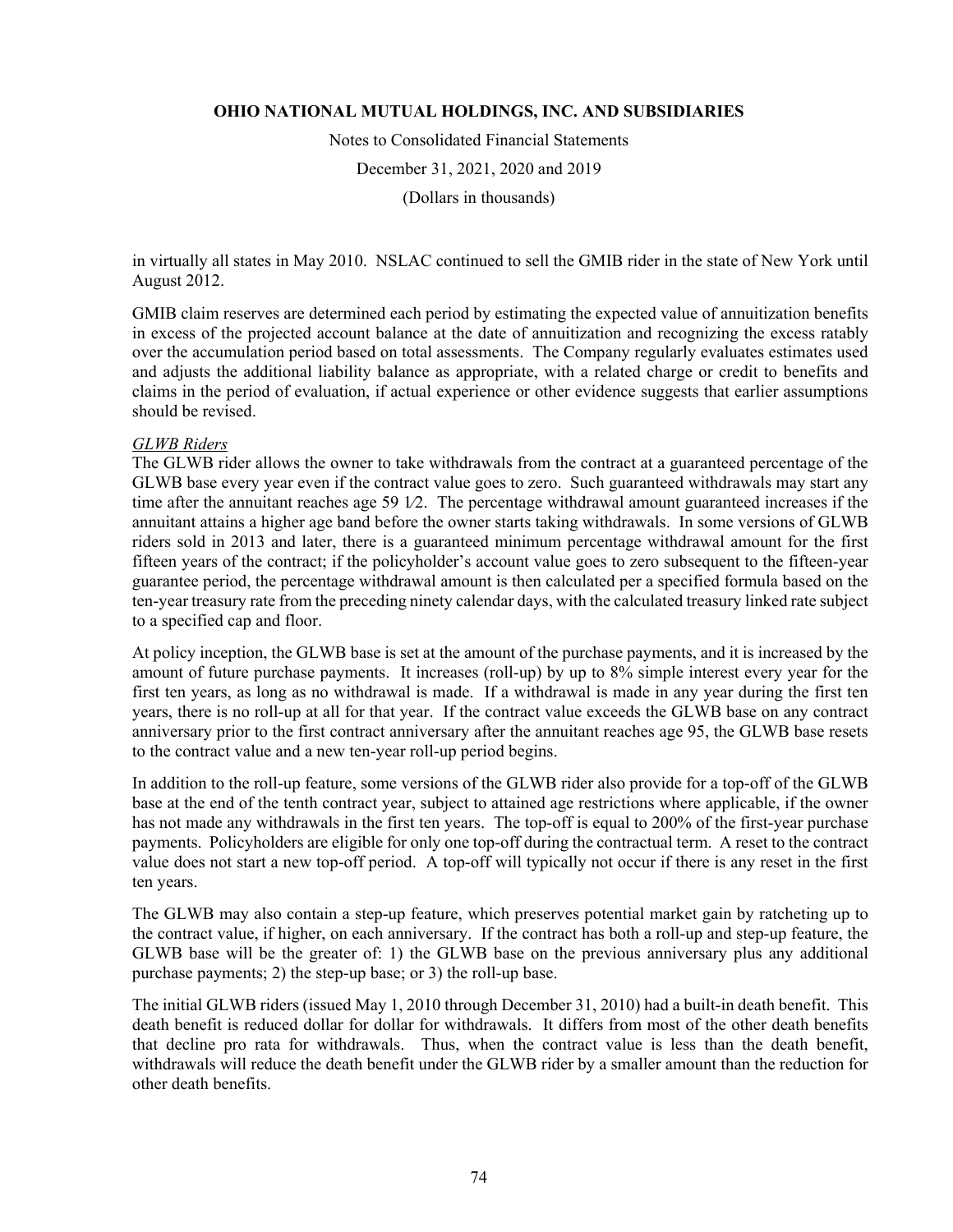Notes to Consolidated Financial Statements December 31, 2021, 2020 and 2019 (Dollars in thousands)

in virtually all states in May 2010. NSLAC continued to sell the GMIB rider in the state of New York until August 2012.

GMIB claim reserves are determined each period by estimating the expected value of annuitization benefits in excess of the projected account balance at the date of annuitization and recognizing the excess ratably over the accumulation period based on total assessments. The Company regularly evaluates estimates used and adjusts the additional liability balance as appropriate, with a related charge or credit to benefits and claims in the period of evaluation, if actual experience or other evidence suggests that earlier assumptions should be revised.

## *GLWB Riders*

The GLWB rider allows the owner to take withdrawals from the contract at a guaranteed percentage of the GLWB base every year even if the contract value goes to zero. Such guaranteed withdrawals may start any time after the annuitant reaches age 59 1∕2. The percentage withdrawal amount guaranteed increases if the annuitant attains a higher age band before the owner starts taking withdrawals. In some versions of GLWB riders sold in 2013 and later, there is a guaranteed minimum percentage withdrawal amount for the first fifteen years of the contract; if the policyholder's account value goes to zero subsequent to the fifteen-year guarantee period, the percentage withdrawal amount is then calculated per a specified formula based on the ten-year treasury rate from the preceding ninety calendar days, with the calculated treasury linked rate subject to a specified cap and floor.

At policy inception, the GLWB base is set at the amount of the purchase payments, and it is increased by the amount of future purchase payments. It increases (roll-up) by up to 8% simple interest every year for the first ten years, as long as no withdrawal is made. If a withdrawal is made in any year during the first ten years, there is no roll-up at all for that year. If the contract value exceeds the GLWB base on any contract anniversary prior to the first contract anniversary after the annuitant reaches age 95, the GLWB base resets to the contract value and a new ten-year roll-up period begins.

In addition to the roll-up feature, some versions of the GLWB rider also provide for a top-off of the GLWB base at the end of the tenth contract year, subject to attained age restrictions where applicable, if the owner has not made any withdrawals in the first ten years. The top-off is equal to 200% of the first-year purchase payments. Policyholders are eligible for only one top-off during the contractual term. A reset to the contract value does not start a new top-off period. A top-off will typically not occur if there is any reset in the first ten years.

The GLWB may also contain a step-up feature, which preserves potential market gain by ratcheting up to the contract value, if higher, on each anniversary. If the contract has both a roll-up and step-up feature, the GLWB base will be the greater of: 1) the GLWB base on the previous anniversary plus any additional purchase payments; 2) the step-up base; or 3) the roll-up base.

The initial GLWB riders (issued May 1, 2010 through December 31, 2010) had a built-in death benefit. This death benefit is reduced dollar for dollar for withdrawals. It differs from most of the other death benefits that decline pro rata for withdrawals. Thus, when the contract value is less than the death benefit, withdrawals will reduce the death benefit under the GLWB rider by a smaller amount than the reduction for other death benefits.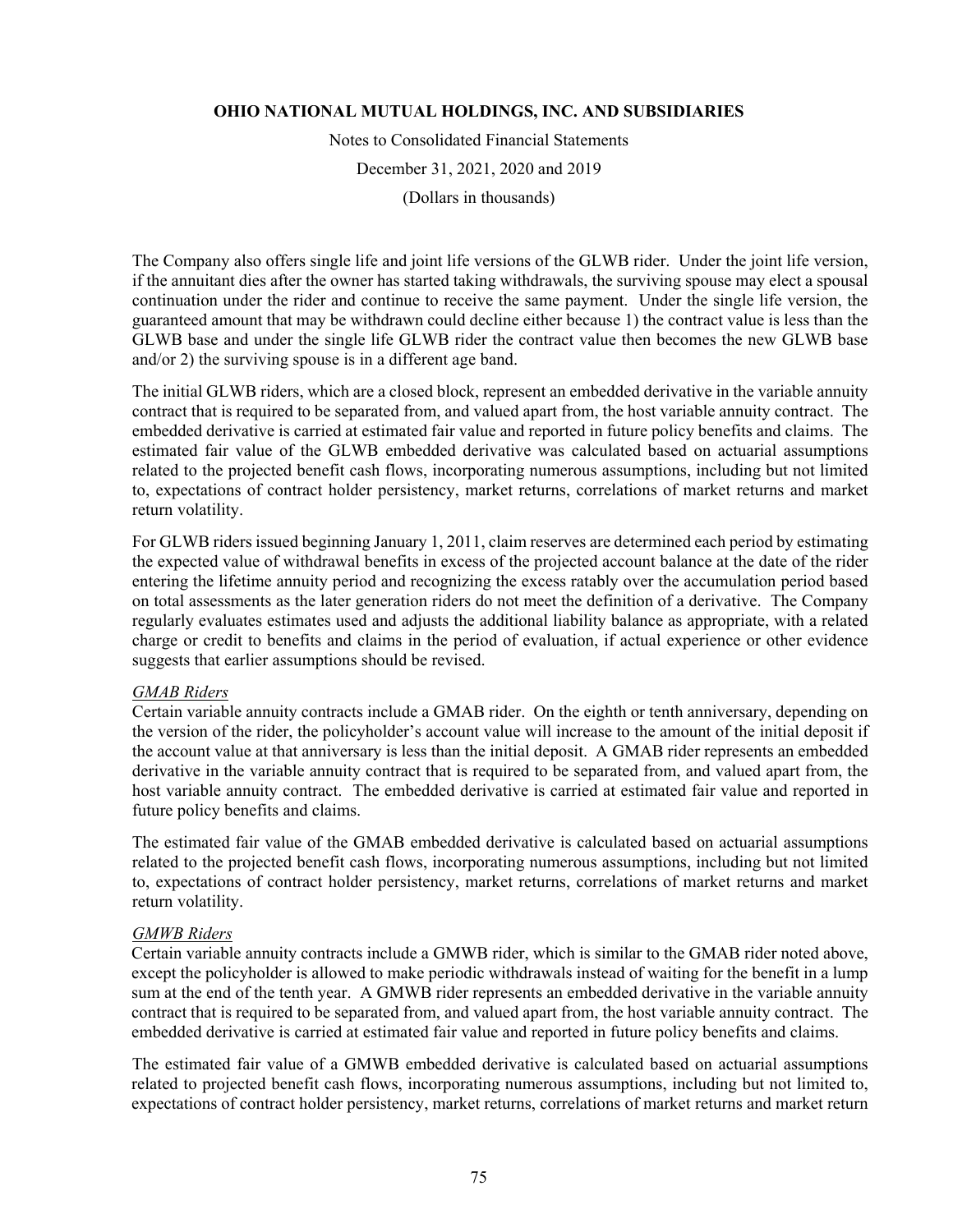Notes to Consolidated Financial Statements

December 31, 2021, 2020 and 2019

(Dollars in thousands)

The Company also offers single life and joint life versions of the GLWB rider. Under the joint life version, if the annuitant dies after the owner has started taking withdrawals, the surviving spouse may elect a spousal continuation under the rider and continue to receive the same payment. Under the single life version, the guaranteed amount that may be withdrawn could decline either because 1) the contract value is less than the GLWB base and under the single life GLWB rider the contract value then becomes the new GLWB base and/or 2) the surviving spouse is in a different age band.

The initial GLWB riders, which are a closed block, represent an embedded derivative in the variable annuity contract that is required to be separated from, and valued apart from, the host variable annuity contract. The embedded derivative is carried at estimated fair value and reported in future policy benefits and claims. The estimated fair value of the GLWB embedded derivative was calculated based on actuarial assumptions related to the projected benefit cash flows, incorporating numerous assumptions, including but not limited to, expectations of contract holder persistency, market returns, correlations of market returns and market return volatility.

For GLWB riders issued beginning January 1, 2011, claim reserves are determined each period by estimating the expected value of withdrawal benefits in excess of the projected account balance at the date of the rider entering the lifetime annuity period and recognizing the excess ratably over the accumulation period based on total assessments as the later generation riders do not meet the definition of a derivative. The Company regularly evaluates estimates used and adjusts the additional liability balance as appropriate, with a related charge or credit to benefits and claims in the period of evaluation, if actual experience or other evidence suggests that earlier assumptions should be revised.

## *GMAB Riders*

Certain variable annuity contracts include a GMAB rider. On the eighth or tenth anniversary, depending on the version of the rider, the policyholder's account value will increase to the amount of the initial deposit if the account value at that anniversary is less than the initial deposit. A GMAB rider represents an embedded derivative in the variable annuity contract that is required to be separated from, and valued apart from, the host variable annuity contract. The embedded derivative is carried at estimated fair value and reported in future policy benefits and claims.

The estimated fair value of the GMAB embedded derivative is calculated based on actuarial assumptions related to the projected benefit cash flows, incorporating numerous assumptions, including but not limited to, expectations of contract holder persistency, market returns, correlations of market returns and market return volatility.

## *GMWB Riders*

Certain variable annuity contracts include a GMWB rider, which is similar to the GMAB rider noted above, except the policyholder is allowed to make periodic withdrawals instead of waiting for the benefit in a lump sum at the end of the tenth year. A GMWB rider represents an embedded derivative in the variable annuity contract that is required to be separated from, and valued apart from, the host variable annuity contract. The embedded derivative is carried at estimated fair value and reported in future policy benefits and claims.

The estimated fair value of a GMWB embedded derivative is calculated based on actuarial assumptions related to projected benefit cash flows, incorporating numerous assumptions, including but not limited to, expectations of contract holder persistency, market returns, correlations of market returns and market return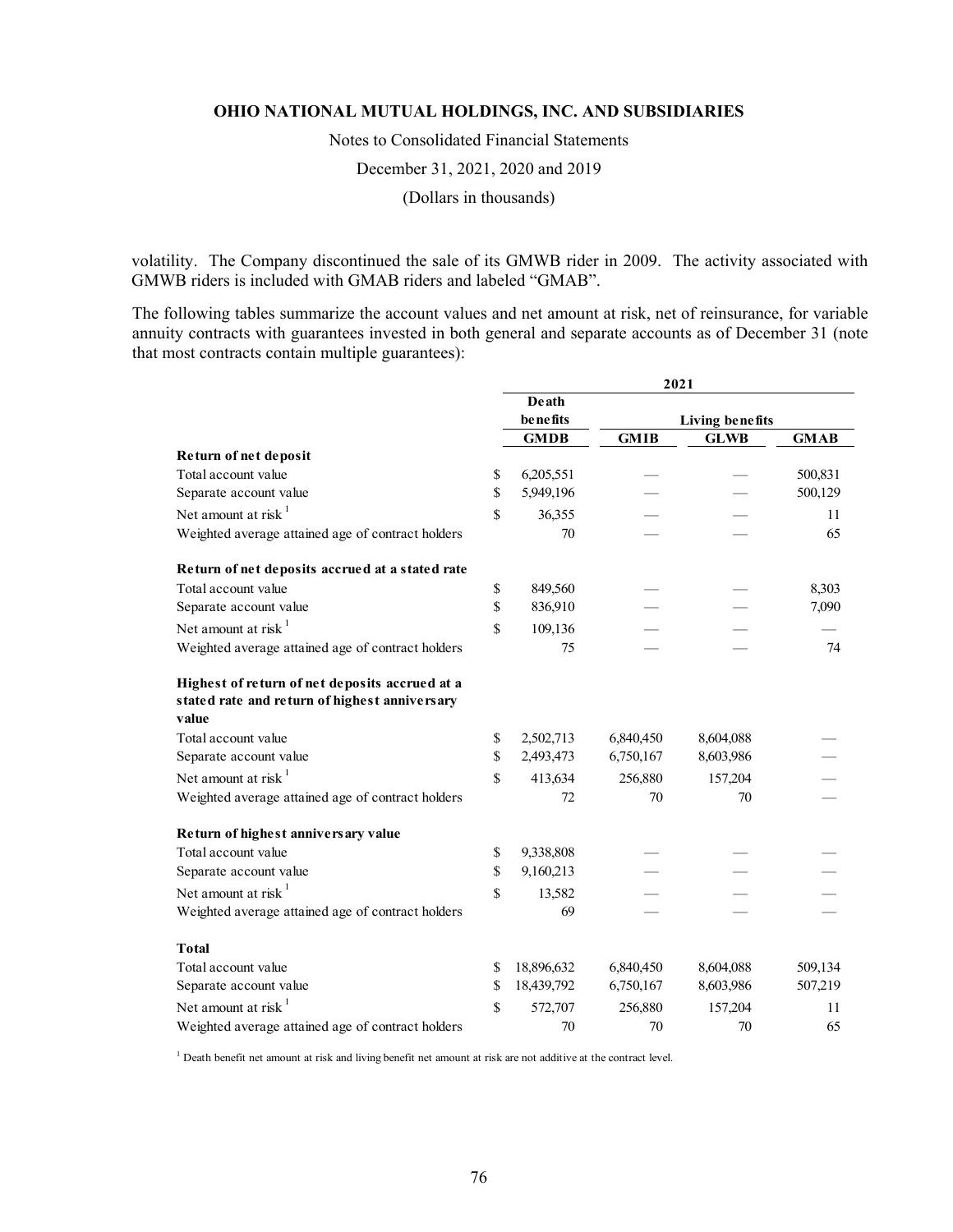Notes to Consolidated Financial Statements

December 31, 2021, 2020 and 2019

(Dollars in thousands)

volatility. The Company discontinued the sale of its GMWB rider in 2009. The activity associated with GMWB riders is included with GMAB riders and labeled "GMAB".

The following tables summarize the account values and net amount at risk, net of reinsurance, for variable annuity contracts with guarantees invested in both general and separate accounts as of December 31 (note that most contracts contain multiple guarantees):

|                                                                                                          |    | 2021                        |             |             |             |  |
|----------------------------------------------------------------------------------------------------------|----|-----------------------------|-------------|-------------|-------------|--|
|                                                                                                          |    | Death                       |             |             |             |  |
|                                                                                                          |    | benefits<br>Living benefits |             |             |             |  |
|                                                                                                          |    | <b>GMDB</b>                 | <b>GMIB</b> | <b>GLWB</b> | <b>GMAB</b> |  |
| Return of net deposit                                                                                    |    |                             |             |             |             |  |
| Total account value                                                                                      | \$ | 6,205,551                   |             |             | 500,831     |  |
| Separate account value                                                                                   | \$ | 5,949,196                   |             |             | 500,129     |  |
| Net amount at risk $1$                                                                                   | \$ | 36,355                      |             |             | 11          |  |
| Weighted average attained age of contract holders                                                        |    | 70                          |             |             | 65          |  |
| Return of net deposits accrued at a stated rate                                                          |    |                             |             |             |             |  |
| Total account value                                                                                      | \$ | 849,560                     |             |             | 8,303       |  |
| Separate account value                                                                                   | \$ | 836,910                     |             |             | 7,090       |  |
| Net amount at risk $1$                                                                                   | \$ | 109,136                     |             |             |             |  |
| Weighted average attained age of contract holders                                                        |    | 75                          |             |             | 74          |  |
| Highest of return of net deposits accrued at a<br>stated rate and return of highest anniversary<br>value |    |                             |             |             |             |  |
| Total account value                                                                                      | \$ | 2,502,713                   | 6,840,450   | 8,604,088   |             |  |
| Separate account value                                                                                   | \$ | 2,493,473                   | 6,750,167   | 8,603,986   |             |  |
| Net amount at risk $1$                                                                                   | \$ | 413,634                     | 256,880     | 157,204     |             |  |
| Weighted average attained age of contract holders                                                        |    | 72                          | 70          | 70          |             |  |
| Return of highest anniversary value                                                                      |    |                             |             |             |             |  |
| Total account value                                                                                      | \$ | 9,338,808                   |             |             |             |  |
| Separate account value                                                                                   | \$ | 9,160,213                   |             |             |             |  |
| Net amount at risk $1$                                                                                   | \$ | 13,582                      |             |             |             |  |
| Weighted average attained age of contract holders                                                        |    | 69                          |             |             |             |  |
| <b>Total</b>                                                                                             |    |                             |             |             |             |  |
| Total account value                                                                                      | S  | 18,896,632                  | 6,840,450   | 8,604,088   | 509,134     |  |
| Separate account value                                                                                   | \$ | 18,439,792                  | 6,750,167   | 8,603,986   | 507,219     |  |
| Net amount at risk <sup>1</sup>                                                                          | \$ | 572,707                     | 256,880     | 157,204     | 11          |  |
| Weighted average attained age of contract holders                                                        |    | 70                          | 70          | 70          | 65          |  |

 $1$  Death benefit net amount at risk and living benefit net amount at risk are not additive at the contract level.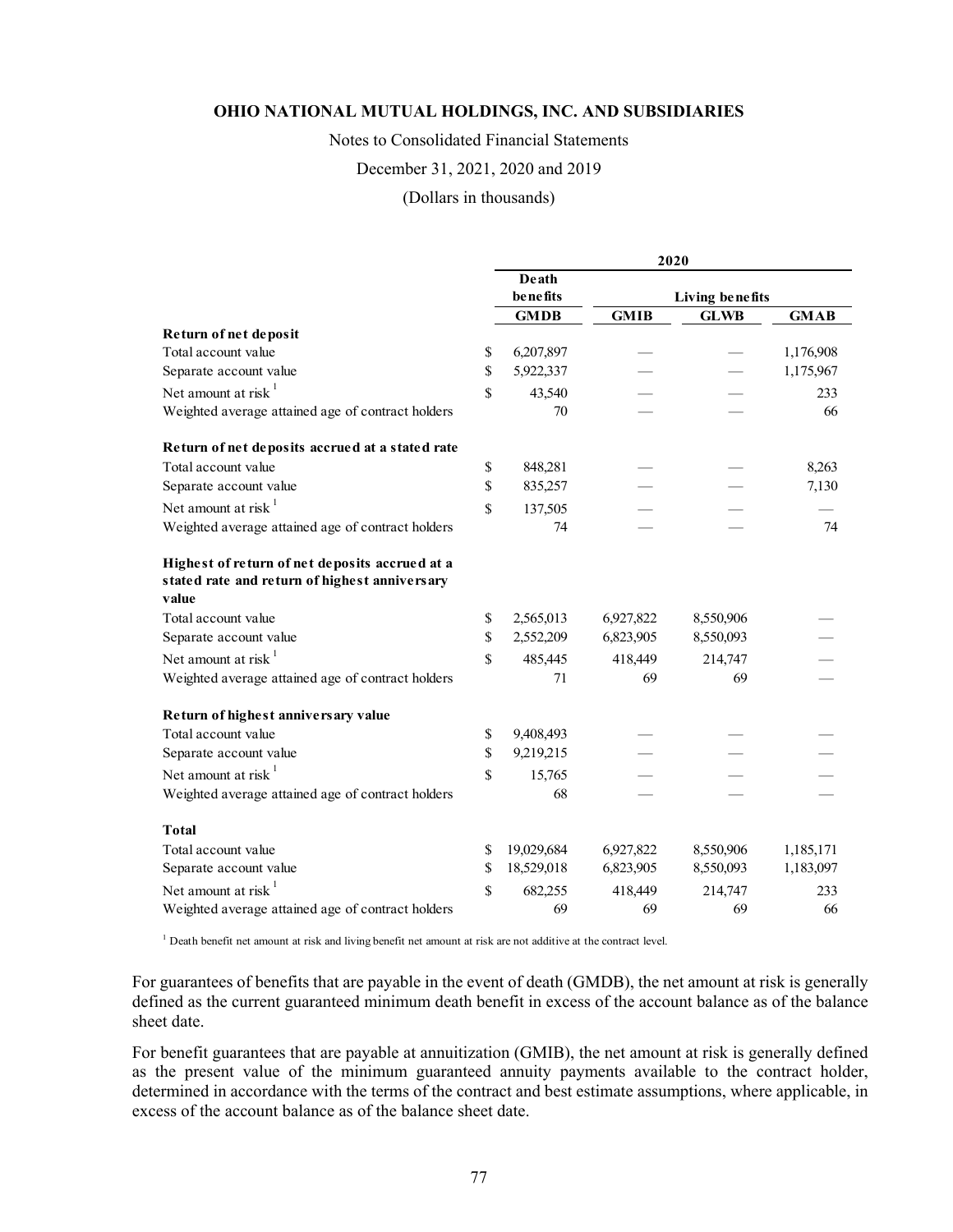Notes to Consolidated Financial Statements

December 31, 2021, 2020 and 2019

(Dollars in thousands)

|                                                                                                          |                  |             | 2020                   |             |
|----------------------------------------------------------------------------------------------------------|------------------|-------------|------------------------|-------------|
|                                                                                                          | Death            |             |                        |             |
|                                                                                                          | <b>be</b> nefits |             | <b>Living benefits</b> |             |
|                                                                                                          | <b>GMDB</b>      | <b>GMIB</b> | <b>GLWB</b>            | <b>GMAB</b> |
| Return of net deposit                                                                                    |                  |             |                        |             |
| Total account value                                                                                      | \$<br>6,207,897  |             |                        | 1,176,908   |
| Separate account value                                                                                   | \$<br>5,922,337  |             |                        | 1,175,967   |
| Net amount at risk $1$                                                                                   | \$<br>43,540     |             |                        | 233         |
| Weighted average attained age of contract holders                                                        | 70               |             |                        | 66          |
| Return of net deposits accrued at a stated rate                                                          |                  |             |                        |             |
| Total account value                                                                                      | \$<br>848,281    |             |                        | 8,263       |
| Separate account value                                                                                   | \$<br>835,257    |             |                        | 7,130       |
| Net amount at risk $1$                                                                                   | \$<br>137,505    |             |                        |             |
| Weighted average attained age of contract holders                                                        | 74               |             |                        | 74          |
| Highest of return of net deposits accrued at a<br>stated rate and return of highest anniversary<br>value |                  |             |                        |             |
| Total account value                                                                                      | \$<br>2,565,013  | 6,927,822   | 8,550,906              |             |
| Separate account value                                                                                   | \$<br>2,552,209  | 6,823,905   | 8,550,093              |             |
| Net amount at risk <sup>1</sup>                                                                          | \$<br>485,445    | 418,449     | 214,747                |             |
| Weighted average attained age of contract holders                                                        | 71               | 69          | 69                     |             |
| Return of highest anniversary value                                                                      |                  |             |                        |             |
| Total account value                                                                                      | \$<br>9,408,493  |             |                        |             |
| Separate account value                                                                                   | \$<br>9,219,215  |             |                        |             |
| Net amount at risk $1$                                                                                   | \$<br>15,765     |             |                        |             |
| Weighted average attained age of contract holders                                                        | 68               |             |                        |             |
| <b>Total</b>                                                                                             |                  |             |                        |             |
| Total account value                                                                                      | \$<br>19,029,684 | 6,927,822   | 8,550,906              | 1,185,171   |
| Separate account value                                                                                   | \$<br>18,529,018 | 6,823,905   | 8,550,093              | 1,183,097   |
| Net amount at risk $1$                                                                                   | \$<br>682,255    | 418,449     | 214,747                | 233         |
| Weighted average attained age of contract holders                                                        | 69               | 69          | 69                     | 66          |

<sup>1</sup> Death benefit net amount at risk and living benefit net amount at risk are not additive at the contract level.

For guarantees of benefits that are payable in the event of death (GMDB), the net amount at risk is generally defined as the current guaranteed minimum death benefit in excess of the account balance as of the balance sheet date.

For benefit guarantees that are payable at annuitization (GMIB), the net amount at risk is generally defined as the present value of the minimum guaranteed annuity payments available to the contract holder, determined in accordance with the terms of the contract and best estimate assumptions, where applicable, in excess of the account balance as of the balance sheet date.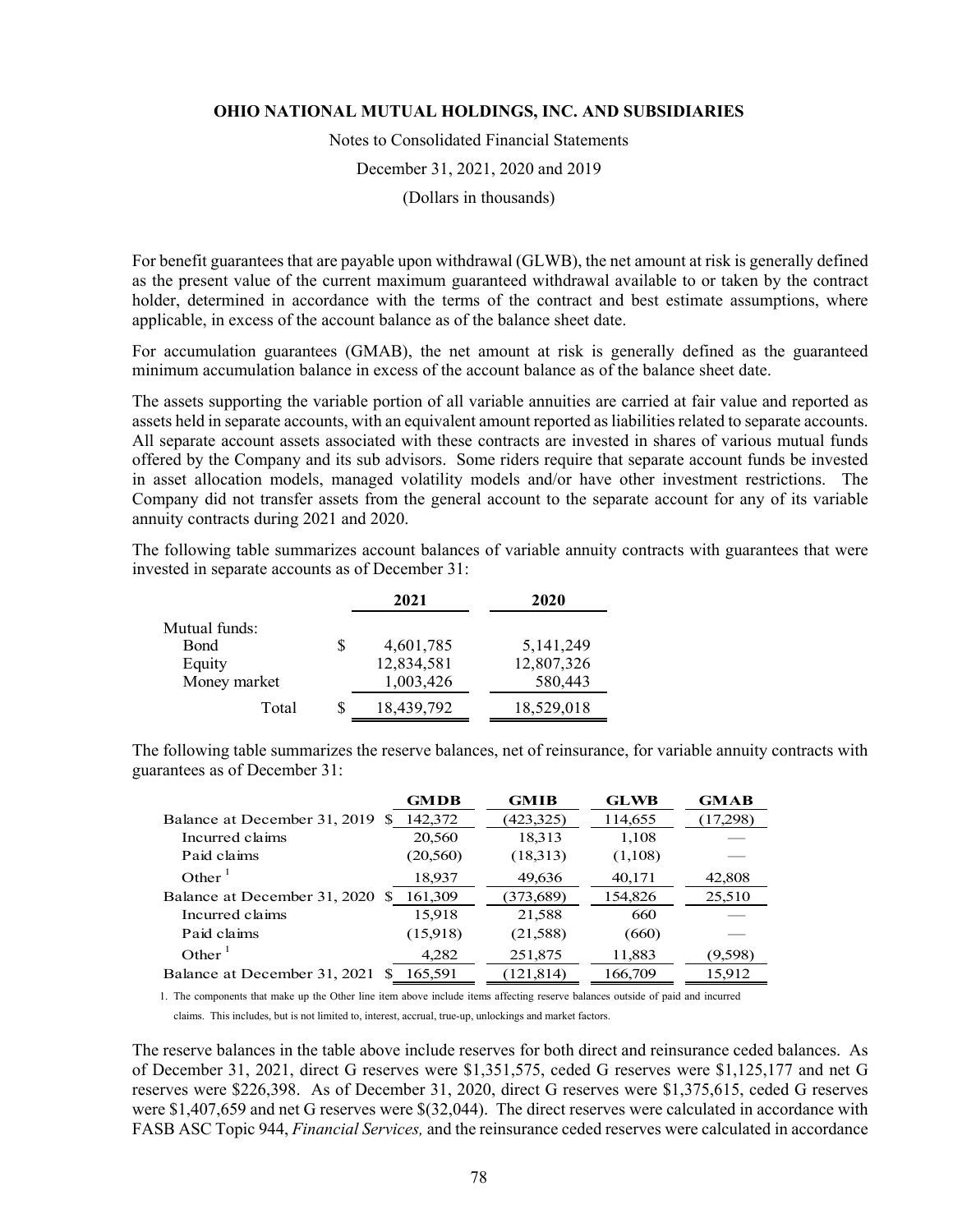Notes to Consolidated Financial Statements

December 31, 2021, 2020 and 2019

(Dollars in thousands)

For benefit guarantees that are payable upon withdrawal (GLWB), the net amount at risk is generally defined as the present value of the current maximum guaranteed withdrawal available to or taken by the contract holder, determined in accordance with the terms of the contract and best estimate assumptions, where applicable, in excess of the account balance as of the balance sheet date.

For accumulation guarantees (GMAB), the net amount at risk is generally defined as the guaranteed minimum accumulation balance in excess of the account balance as of the balance sheet date.

The assets supporting the variable portion of all variable annuities are carried at fair value and reported as assets held in separate accounts, with an equivalent amount reported as liabilities related to separate accounts. All separate account assets associated with these contracts are invested in shares of various mutual funds offered by the Company and its sub advisors. Some riders require that separate account funds be invested in asset allocation models, managed volatility models and/or have other investment restrictions. The Company did not transfer assets from the general account to the separate account for any of its variable annuity contracts during 2021 and 2020.

The following table summarizes account balances of variable annuity contracts with guarantees that were invested in separate accounts as of December 31:

|               |   | 2021       | 2020        |
|---------------|---|------------|-------------|
| Mutual funds: |   |            |             |
| <b>Bond</b>   | S | 4,601,785  | 5, 141, 249 |
| Equity        |   | 12,834,581 | 12,807,326  |
| Money market  |   | 1,003,426  | 580,443     |
| Total         | S | 18,439,792 | 18,529,018  |

The following table summarizes the reserve balances, net of reinsurance, for variable annuity contracts with guarantees as of December 31:

|                                     | <b>GMDB</b> | <b>GMIB</b> | <b>GLWB</b> | <b>GMAB</b> |
|-------------------------------------|-------------|-------------|-------------|-------------|
| Balance at December 31, 2019<br>-86 | 142,372     | (423, 325)  | 114,655     | (17,298)    |
| Incurred claims                     | 20,560      | 18,313      | 1,108       |             |
| Paid claims                         | (20, 560)   | (18,313)    | (1,108)     |             |
| Other $\frac{1}{2}$                 | 18,937      | 49,636      | 40,171      | 42,808      |
| Balance at December 31, 2020 \$     | 161,309     | 373,689)    | 154,826     | 25,510      |
| Incurred claims                     | 15,918      | 21,588      | 660         |             |
| Paid claims                         | (15,918)    | (21,588)    | (660)       |             |
| Other $1$                           | 4,282       | 251,875     | 11,883      | (9,598)     |
| Balance at December 31, 2021        | 165,591     | (121, 814)  | 166,709     | 15,912      |

1. The components that make up the Other line item above include items affecting reserve balances outside of paid and incurred claims. This includes, but is not limited to, interest, accrual, true-up, unlockings and market factors.

The reserve balances in the table above include reserves for both direct and reinsurance ceded balances. As of December 31, 2021, direct G reserves were \$1,351,575, ceded G reserves were \$1,125,177 and net G reserves were \$226,398. As of December 31, 2020, direct G reserves were \$1,375,615, ceded G reserves were \$1,407,659 and net G reserves were \$(32,044). The direct reserves were calculated in accordance with FASB ASC Topic 944, *Financial Services,* and the reinsurance ceded reserves were calculated in accordance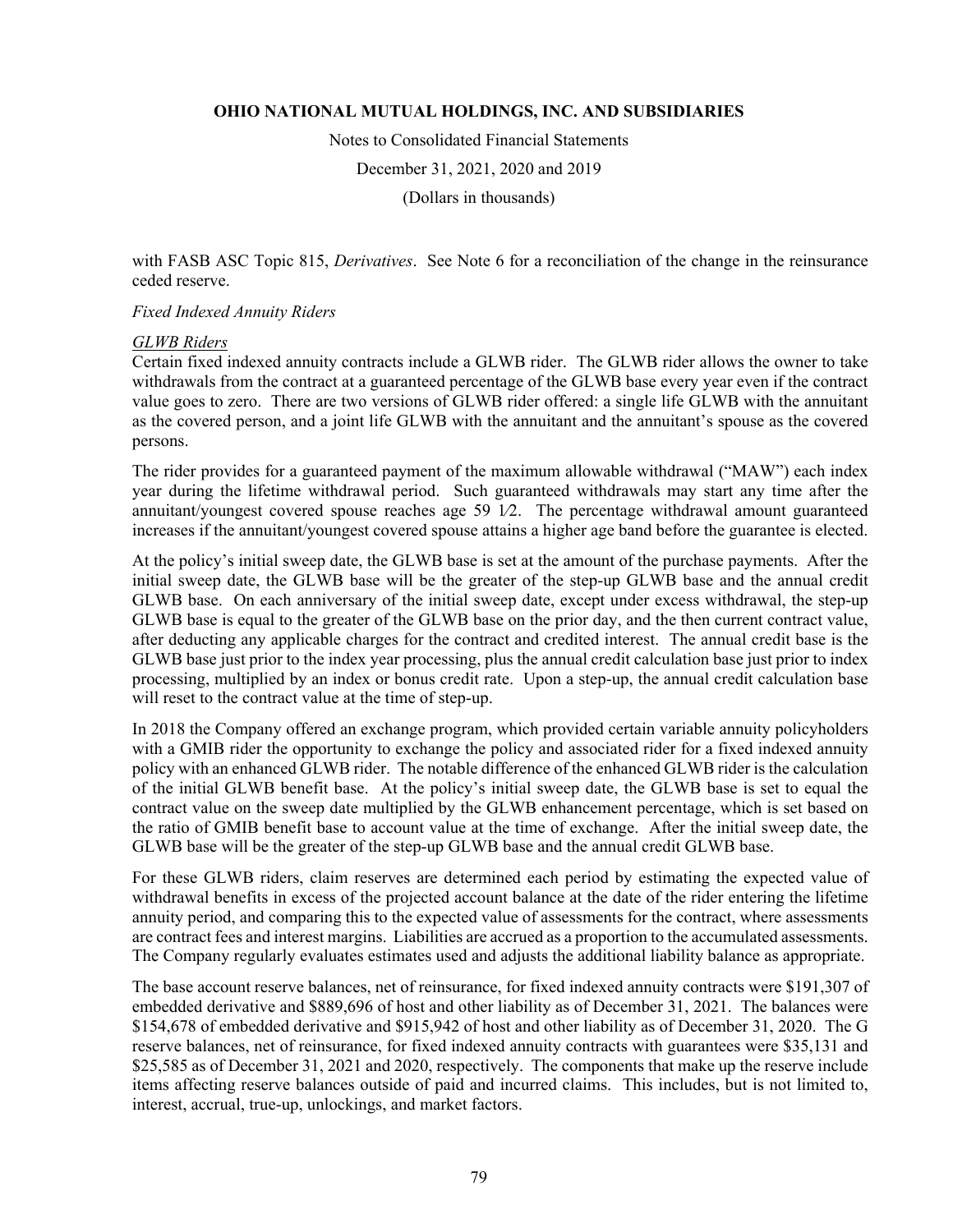Notes to Consolidated Financial Statements

December 31, 2021, 2020 and 2019

(Dollars in thousands)

with FASB ASC Topic 815, *Derivatives*. See Note 6 for a reconciliation of the change in the reinsurance ceded reserve.

*Fixed Indexed Annuity Riders* 

## *GLWB Riders*

Certain fixed indexed annuity contracts include a GLWB rider. The GLWB rider allows the owner to take withdrawals from the contract at a guaranteed percentage of the GLWB base every year even if the contract value goes to zero. There are two versions of GLWB rider offered: a single life GLWB with the annuitant as the covered person, and a joint life GLWB with the annuitant and the annuitant's spouse as the covered persons.

The rider provides for a guaranteed payment of the maximum allowable withdrawal ("MAW") each index year during the lifetime withdrawal period. Such guaranteed withdrawals may start any time after the annuitant/youngest covered spouse reaches age 59 1⁄2. The percentage withdrawal amount guaranteed increases if the annuitant/youngest covered spouse attains a higher age band before the guarantee is elected.

At the policy's initial sweep date, the GLWB base is set at the amount of the purchase payments. After the initial sweep date, the GLWB base will be the greater of the step-up GLWB base and the annual credit GLWB base. On each anniversary of the initial sweep date, except under excess withdrawal, the step-up GLWB base is equal to the greater of the GLWB base on the prior day, and the then current contract value, after deducting any applicable charges for the contract and credited interest. The annual credit base is the GLWB base just prior to the index year processing, plus the annual credit calculation base just prior to index processing, multiplied by an index or bonus credit rate. Upon a step-up, the annual credit calculation base will reset to the contract value at the time of step-up.

In 2018 the Company offered an exchange program, which provided certain variable annuity policyholders with a GMIB rider the opportunity to exchange the policy and associated rider for a fixed indexed annuity policy with an enhanced GLWB rider. The notable difference of the enhanced GLWB rider is the calculation of the initial GLWB benefit base. At the policy's initial sweep date, the GLWB base is set to equal the contract value on the sweep date multiplied by the GLWB enhancement percentage, which is set based on the ratio of GMIB benefit base to account value at the time of exchange. After the initial sweep date, the GLWB base will be the greater of the step-up GLWB base and the annual credit GLWB base.

For these GLWB riders, claim reserves are determined each period by estimating the expected value of withdrawal benefits in excess of the projected account balance at the date of the rider entering the lifetime annuity period, and comparing this to the expected value of assessments for the contract, where assessments are contract fees and interest margins. Liabilities are accrued as a proportion to the accumulated assessments. The Company regularly evaluates estimates used and adjusts the additional liability balance as appropriate.

The base account reserve balances, net of reinsurance, for fixed indexed annuity contracts were \$191,307 of embedded derivative and \$889,696 of host and other liability as of December 31, 2021. The balances were \$154,678 of embedded derivative and \$915,942 of host and other liability as of December 31, 2020. The G reserve balances, net of reinsurance, for fixed indexed annuity contracts with guarantees were \$35,131 and \$25,585 as of December 31, 2021 and 2020, respectively. The components that make up the reserve include items affecting reserve balances outside of paid and incurred claims. This includes, but is not limited to, interest, accrual, true-up, unlockings, and market factors.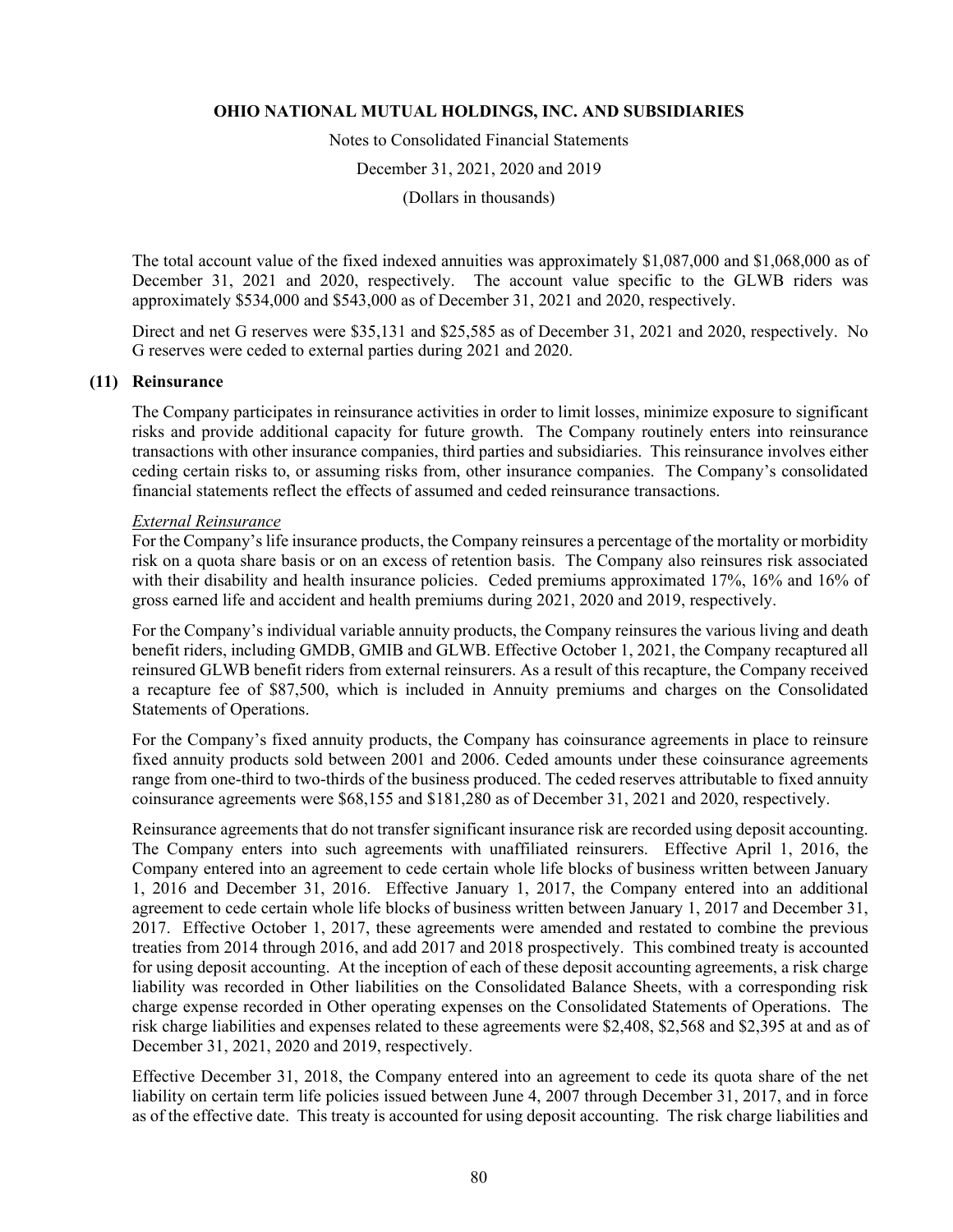Notes to Consolidated Financial Statements

December 31, 2021, 2020 and 2019

(Dollars in thousands)

The total account value of the fixed indexed annuities was approximately \$1,087,000 and \$1,068,000 as of December 31, 2021 and 2020, respectively. The account value specific to the GLWB riders was approximately \$534,000 and \$543,000 as of December 31, 2021 and 2020, respectively.

Direct and net G reserves were \$35,131 and \$25,585 as of December 31, 2021 and 2020, respectively. No G reserves were ceded to external parties during 2021 and 2020.

## **(11) Reinsurance**

The Company participates in reinsurance activities in order to limit losses, minimize exposure to significant risks and provide additional capacity for future growth. The Company routinely enters into reinsurance transactions with other insurance companies, third parties and subsidiaries. This reinsurance involves either ceding certain risks to, or assuming risks from, other insurance companies. The Company's consolidated financial statements reflect the effects of assumed and ceded reinsurance transactions.

#### *External Reinsurance*

For the Company's life insurance products, the Company reinsures a percentage of the mortality or morbidity risk on a quota share basis or on an excess of retention basis. The Company also reinsures risk associated with their disability and health insurance policies. Ceded premiums approximated 17%, 16% and 16% of gross earned life and accident and health premiums during 2021, 2020 and 2019, respectively.

For the Company's individual variable annuity products, the Company reinsures the various living and death benefit riders, including GMDB, GMIB and GLWB. Effective October 1, 2021, the Company recaptured all reinsured GLWB benefit riders from external reinsurers. As a result of this recapture, the Company received a recapture fee of \$87,500, which is included in Annuity premiums and charges on the Consolidated Statements of Operations.

For the Company's fixed annuity products, the Company has coinsurance agreements in place to reinsure fixed annuity products sold between 2001 and 2006. Ceded amounts under these coinsurance agreements range from one-third to two-thirds of the business produced. The ceded reserves attributable to fixed annuity coinsurance agreements were \$68,155 and \$181,280 as of December 31, 2021 and 2020, respectively.

Reinsurance agreements that do not transfer significant insurance risk are recorded using deposit accounting. The Company enters into such agreements with unaffiliated reinsurers. Effective April 1, 2016, the Company entered into an agreement to cede certain whole life blocks of business written between January 1, 2016 and December 31, 2016. Effective January 1, 2017, the Company entered into an additional agreement to cede certain whole life blocks of business written between January 1, 2017 and December 31, 2017. Effective October 1, 2017, these agreements were amended and restated to combine the previous treaties from 2014 through 2016, and add 2017 and 2018 prospectively. This combined treaty is accounted for using deposit accounting. At the inception of each of these deposit accounting agreements, a risk charge liability was recorded in Other liabilities on the Consolidated Balance Sheets, with a corresponding risk charge expense recorded in Other operating expenses on the Consolidated Statements of Operations. The risk charge liabilities and expenses related to these agreements were \$2,408, \$2,568 and \$2,395 at and as of December 31, 2021, 2020 and 2019, respectively.

Effective December 31, 2018, the Company entered into an agreement to cede its quota share of the net liability on certain term life policies issued between June 4, 2007 through December 31, 2017, and in force as of the effective date. This treaty is accounted for using deposit accounting. The risk charge liabilities and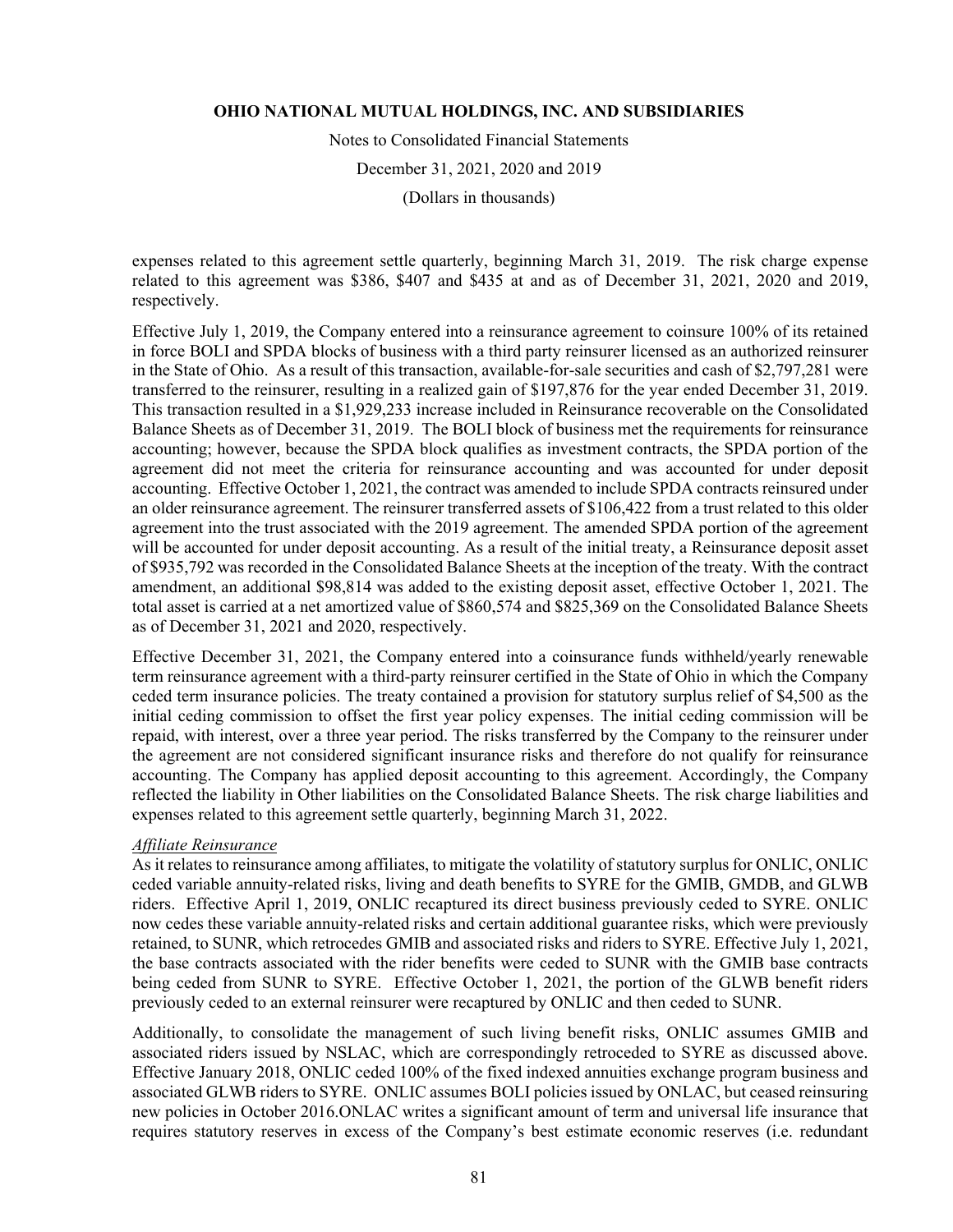Notes to Consolidated Financial Statements

December 31, 2021, 2020 and 2019

(Dollars in thousands)

expenses related to this agreement settle quarterly, beginning March 31, 2019. The risk charge expense related to this agreement was \$386, \$407 and \$435 at and as of December 31, 2021, 2020 and 2019, respectively.

Effective July 1, 2019, the Company entered into a reinsurance agreement to coinsure 100% of its retained in force BOLI and SPDA blocks of business with a third party reinsurer licensed as an authorized reinsurer in the State of Ohio. As a result of this transaction, available-for-sale securities and cash of \$2,797,281 were transferred to the reinsurer, resulting in a realized gain of \$197,876 for the year ended December 31, 2019. This transaction resulted in a \$1,929,233 increase included in Reinsurance recoverable on the Consolidated Balance Sheets as of December 31, 2019. The BOLI block of business met the requirements for reinsurance accounting; however, because the SPDA block qualifies as investment contracts, the SPDA portion of the agreement did not meet the criteria for reinsurance accounting and was accounted for under deposit accounting. Effective October 1, 2021, the contract was amended to include SPDA contracts reinsured under an older reinsurance agreement. The reinsurer transferred assets of \$106,422 from a trust related to this older agreement into the trust associated with the 2019 agreement. The amended SPDA portion of the agreement will be accounted for under deposit accounting. As a result of the initial treaty, a Reinsurance deposit asset of \$935,792 was recorded in the Consolidated Balance Sheets at the inception of the treaty. With the contract amendment, an additional \$98,814 was added to the existing deposit asset, effective October 1, 2021. The total asset is carried at a net amortized value of \$860,574 and \$825,369 on the Consolidated Balance Sheets as of December 31, 2021 and 2020, respectively.

Effective December 31, 2021, the Company entered into a coinsurance funds withheld/yearly renewable term reinsurance agreement with a third-party reinsurer certified in the State of Ohio in which the Company ceded term insurance policies. The treaty contained a provision for statutory surplus relief of \$4,500 as the initial ceding commission to offset the first year policy expenses. The initial ceding commission will be repaid, with interest, over a three year period. The risks transferred by the Company to the reinsurer under the agreement are not considered significant insurance risks and therefore do not qualify for reinsurance accounting. The Company has applied deposit accounting to this agreement. Accordingly, the Company reflected the liability in Other liabilities on the Consolidated Balance Sheets. The risk charge liabilities and expenses related to this agreement settle quarterly, beginning March 31, 2022.

## *Affiliate Reinsurance*

As it relates to reinsurance among affiliates, to mitigate the volatility of statutory surplus for ONLIC, ONLIC ceded variable annuity-related risks, living and death benefits to SYRE for the GMIB, GMDB, and GLWB riders. Effective April 1, 2019, ONLIC recaptured its direct business previously ceded to SYRE. ONLIC now cedes these variable annuity-related risks and certain additional guarantee risks, which were previously retained, to SUNR, which retrocedes GMIB and associated risks and riders to SYRE. Effective July 1, 2021, the base contracts associated with the rider benefits were ceded to SUNR with the GMIB base contracts being ceded from SUNR to SYRE. Effective October 1, 2021, the portion of the GLWB benefit riders previously ceded to an external reinsurer were recaptured by ONLIC and then ceded to SUNR.

Additionally, to consolidate the management of such living benefit risks, ONLIC assumes GMIB and associated riders issued by NSLAC, which are correspondingly retroceded to SYRE as discussed above. Effective January 2018, ONLIC ceded 100% of the fixed indexed annuities exchange program business and associated GLWB riders to SYRE. ONLIC assumes BOLI policies issued by ONLAC, but ceased reinsuring new policies in October 2016.ONLAC writes a significant amount of term and universal life insurance that requires statutory reserves in excess of the Company's best estimate economic reserves (i.e. redundant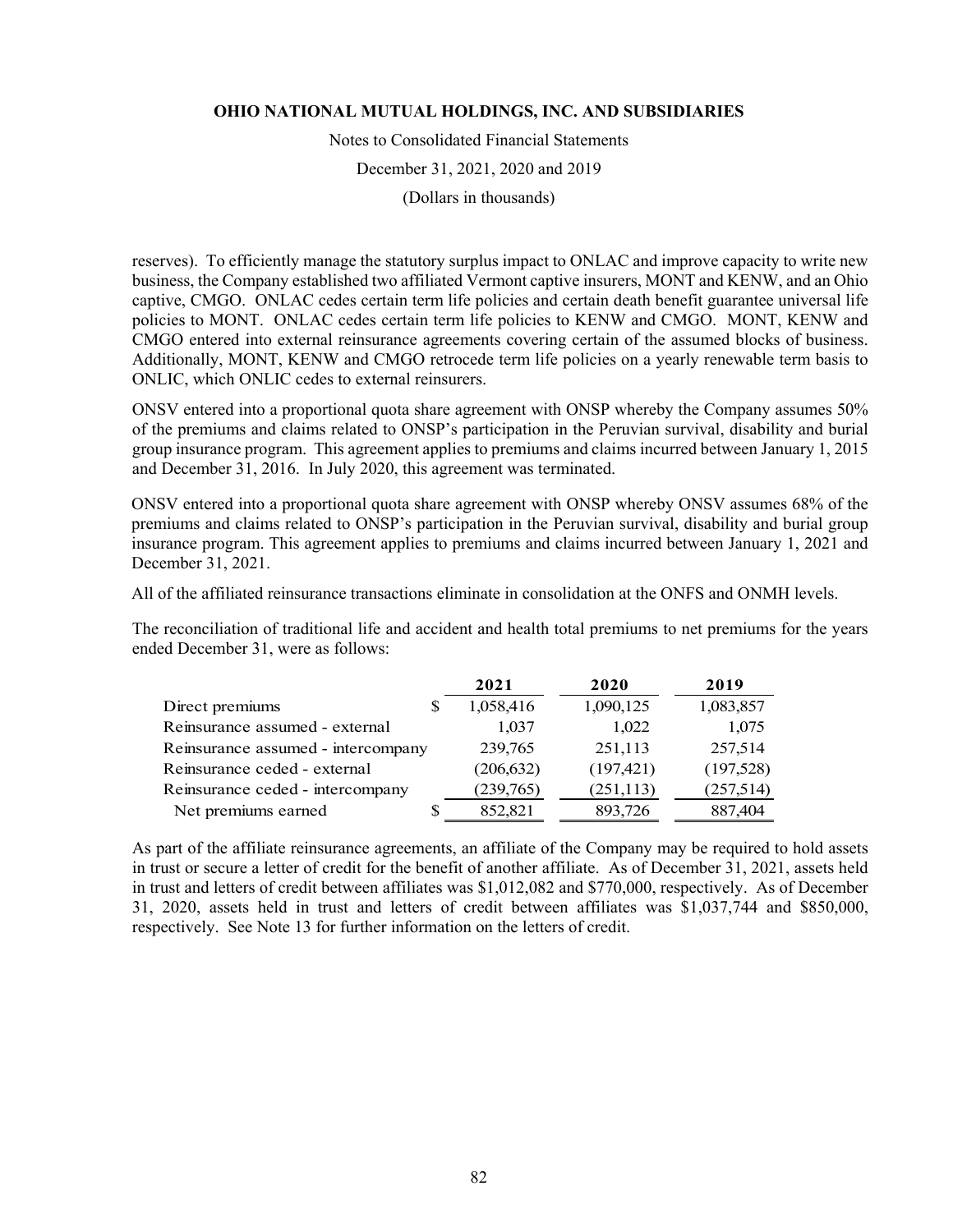Notes to Consolidated Financial Statements

December 31, 2021, 2020 and 2019

(Dollars in thousands)

reserves). To efficiently manage the statutory surplus impact to ONLAC and improve capacity to write new business, the Company established two affiliated Vermont captive insurers, MONT and KENW, and an Ohio captive, CMGO. ONLAC cedes certain term life policies and certain death benefit guarantee universal life policies to MONT. ONLAC cedes certain term life policies to KENW and CMGO. MONT, KENW and CMGO entered into external reinsurance agreements covering certain of the assumed blocks of business. Additionally, MONT, KENW and CMGO retrocede term life policies on a yearly renewable term basis to ONLIC, which ONLIC cedes to external reinsurers.

ONSV entered into a proportional quota share agreement with ONSP whereby the Company assumes 50% of the premiums and claims related to ONSP's participation in the Peruvian survival, disability and burial group insurance program. This agreement applies to premiums and claims incurred between January 1, 2015 and December 31, 2016. In July 2020, this agreement was terminated.

ONSV entered into a proportional quota share agreement with ONSP whereby ONSV assumes 68% of the premiums and claims related to ONSP's participation in the Peruvian survival, disability and burial group insurance program. This agreement applies to premiums and claims incurred between January 1, 2021 and December 31, 2021.

All of the affiliated reinsurance transactions eliminate in consolidation at the ONFS and ONMH levels.

The reconciliation of traditional life and accident and health total premiums to net premiums for the years ended December 31, were as follows:

|                                    | 2021       | 2020       | 2019      |
|------------------------------------|------------|------------|-----------|
| Direct premiums                    | 1,058,416  | 1,090,125  | 1,083,857 |
| Reinsurance assumed - external     | 1,037      | 1,022      | 1,075     |
| Reinsurance assumed - intercompany | 239,765    | 251,113    | 257,514   |
| Reinsurance ceded - external       | (206, 632) | (197, 421) | (197,528) |
| Reinsurance ceded - intercompany   | (239,765)  | (251, 113) | (257,514) |
| Net premiums earned                | 852,821    | 893,726    | 887,404   |

As part of the affiliate reinsurance agreements, an affiliate of the Company may be required to hold assets in trust or secure a letter of credit for the benefit of another affiliate. As of December 31, 2021, assets held in trust and letters of credit between affiliates was \$1,012,082 and \$770,000, respectively. As of December 31, 2020, assets held in trust and letters of credit between affiliates was \$1,037,744 and \$850,000, respectively. See Note 13 for further information on the letters of credit.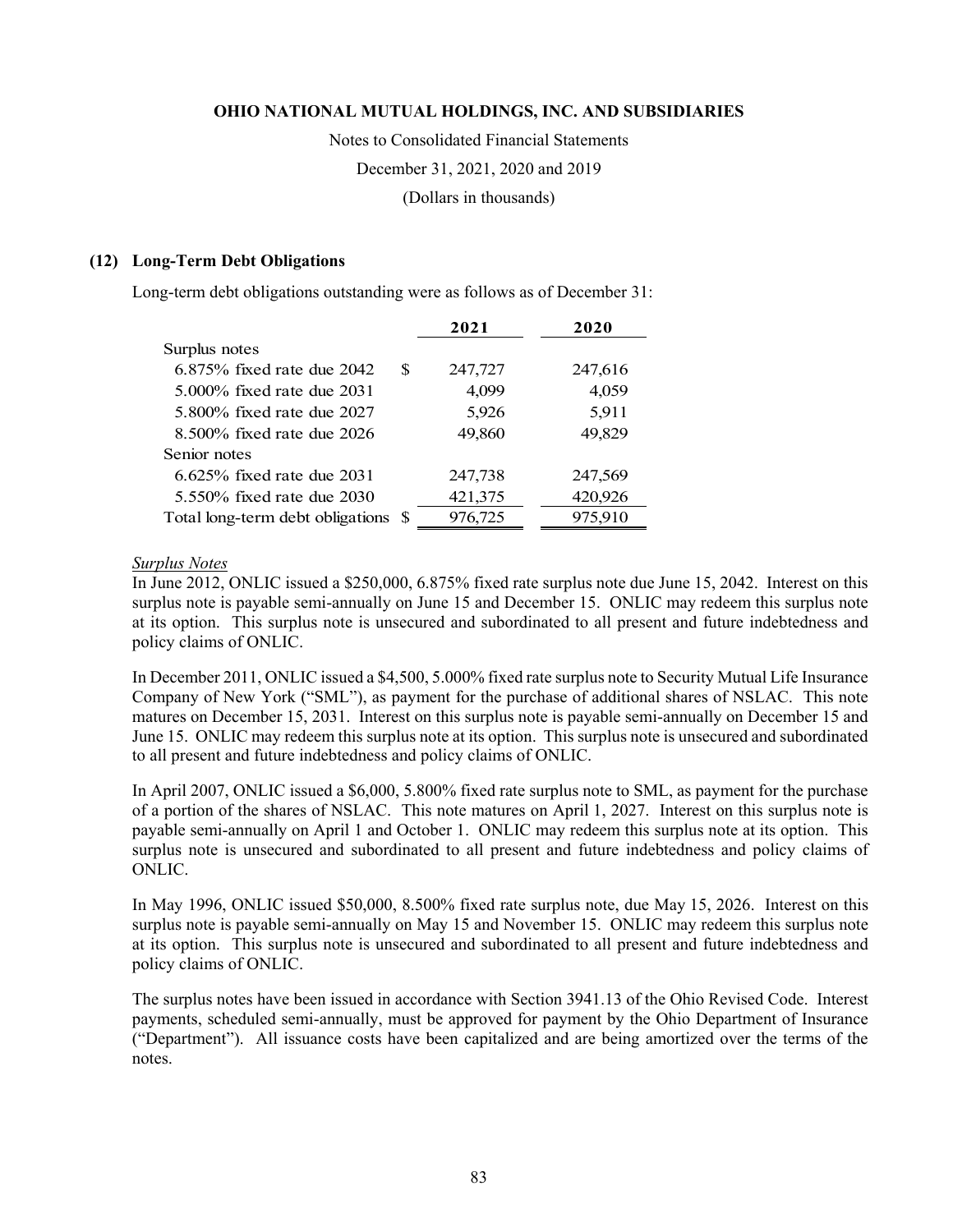Notes to Consolidated Financial Statements

December 31, 2021, 2020 and 2019

(Dollars in thousands)

## **(12) Long-Term Debt Obligations**

Long-term debt obligations outstanding were as follows as of December 31:

|                                     | 2021    | 2020    |
|-------------------------------------|---------|---------|
| Surplus notes                       |         |         |
| $6.875\%$ fixed rate due 2042<br>S  | 247,727 | 247,616 |
| $5.000\%$ fixed rate due 2031       | 4,099   | 4,059   |
| 5.800% fixed rate due 2027          | 5,926   | 5,911   |
| $8.500\%$ fixed rate due 2026       | 49,860  | 49,829  |
| Senior notes                        |         |         |
| $6.625\%$ fixed rate due 2031       | 247,738 | 247,569 |
| 5.550\% fixed rate due 2030         | 421,375 | 420,926 |
| Total long-term debt obligations \$ | 976,725 | 975,910 |

## *Surplus Notes*

In June 2012, ONLIC issued a \$250,000, 6.875% fixed rate surplus note due June 15, 2042. Interest on this surplus note is payable semi-annually on June 15 and December 15. ONLIC may redeem this surplus note at its option. This surplus note is unsecured and subordinated to all present and future indebtedness and policy claims of ONLIC.

In December 2011, ONLIC issued a \$4,500, 5.000% fixed rate surplus note to Security Mutual Life Insurance Company of New York ("SML"), as payment for the purchase of additional shares of NSLAC. This note matures on December 15, 2031. Interest on this surplus note is payable semi-annually on December 15 and June 15. ONLIC may redeem this surplus note at its option. This surplus note is unsecured and subordinated to all present and future indebtedness and policy claims of ONLIC.

In April 2007, ONLIC issued a \$6,000, 5.800% fixed rate surplus note to SML, as payment for the purchase of a portion of the shares of NSLAC. This note matures on April 1, 2027. Interest on this surplus note is payable semi-annually on April 1 and October 1. ONLIC may redeem this surplus note at its option. This surplus note is unsecured and subordinated to all present and future indebtedness and policy claims of ONLIC.

In May 1996, ONLIC issued \$50,000, 8.500% fixed rate surplus note, due May 15, 2026. Interest on this surplus note is payable semi-annually on May 15 and November 15. ONLIC may redeem this surplus note at its option. This surplus note is unsecured and subordinated to all present and future indebtedness and policy claims of ONLIC.

The surplus notes have been issued in accordance with Section 3941.13 of the Ohio Revised Code. Interest payments, scheduled semi-annually, must be approved for payment by the Ohio Department of Insurance ("Department"). All issuance costs have been capitalized and are being amortized over the terms of the notes.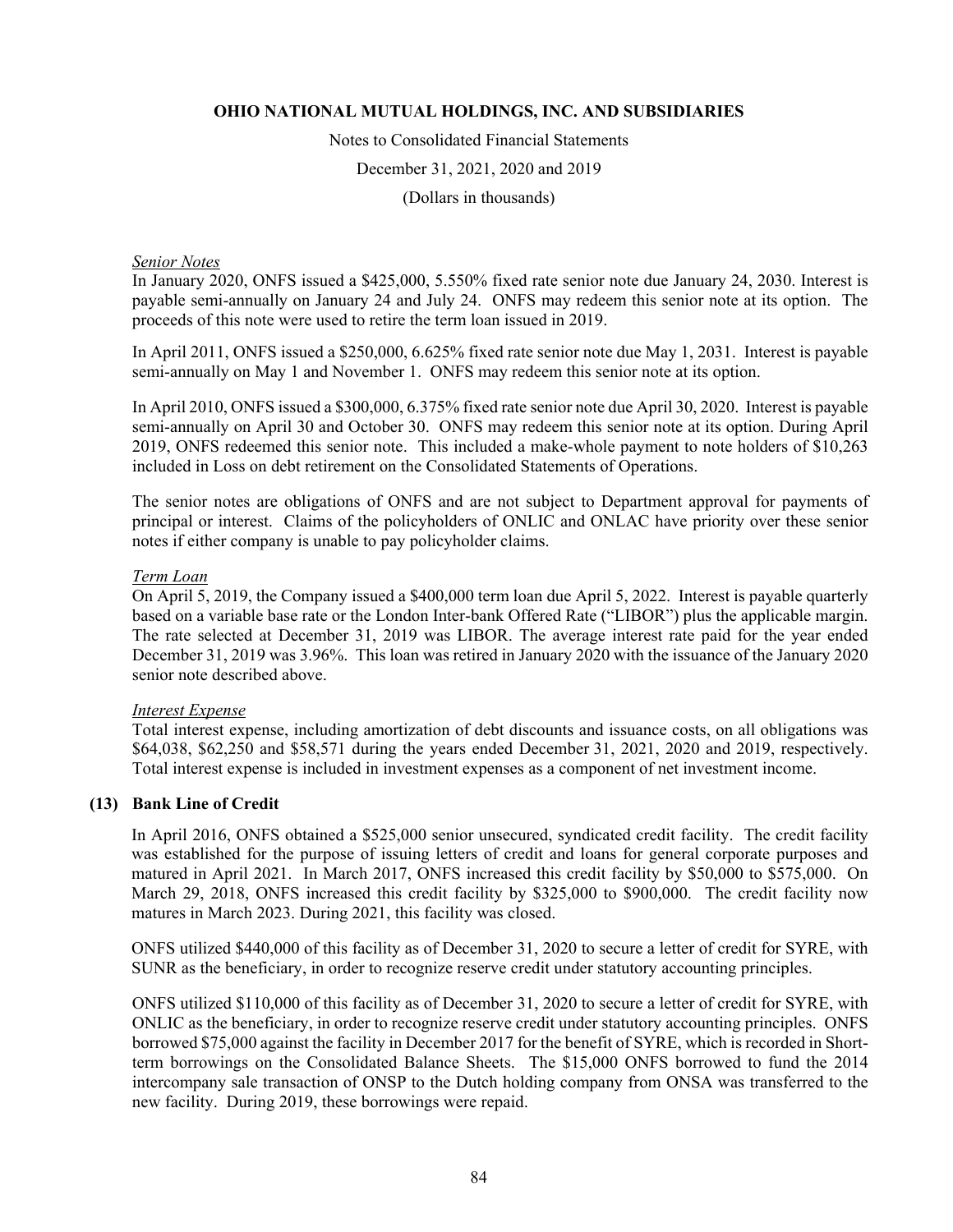Notes to Consolidated Financial Statements

December 31, 2021, 2020 and 2019

(Dollars in thousands)

### *Senior Notes*

In January 2020, ONFS issued a \$425,000, 5.550% fixed rate senior note due January 24, 2030. Interest is payable semi-annually on January 24 and July 24. ONFS may redeem this senior note at its option. The proceeds of this note were used to retire the term loan issued in 2019.

In April 2011, ONFS issued a \$250,000, 6.625% fixed rate senior note due May 1, 2031. Interest is payable semi-annually on May 1 and November 1. ONFS may redeem this senior note at its option.

In April 2010, ONFS issued a \$300,000, 6.375% fixed rate senior note due April 30, 2020. Interest is payable semi-annually on April 30 and October 30. ONFS may redeem this senior note at its option. During April 2019, ONFS redeemed this senior note. This included a make-whole payment to note holders of \$10,263 included in Loss on debt retirement on the Consolidated Statements of Operations.

The senior notes are obligations of ONFS and are not subject to Department approval for payments of principal or interest. Claims of the policyholders of ONLIC and ONLAC have priority over these senior notes if either company is unable to pay policyholder claims.

## *Term Loan*

On April 5, 2019, the Company issued a \$400,000 term loan due April 5, 2022. Interest is payable quarterly based on a variable base rate or the London Inter-bank Offered Rate ("LIBOR") plus the applicable margin. The rate selected at December 31, 2019 was LIBOR. The average interest rate paid for the year ended December 31, 2019 was 3.96%. This loan was retired in January 2020 with the issuance of the January 2020 senior note described above.

## *Interest Expense*

Total interest expense, including amortization of debt discounts and issuance costs, on all obligations was \$64,038, \$62,250 and \$58,571 during the years ended December 31, 2021, 2020 and 2019, respectively. Total interest expense is included in investment expenses as a component of net investment income.

## **(13) Bank Line of Credit**

In April 2016, ONFS obtained a \$525,000 senior unsecured, syndicated credit facility. The credit facility was established for the purpose of issuing letters of credit and loans for general corporate purposes and matured in April 2021. In March 2017, ONFS increased this credit facility by \$50,000 to \$575,000. On March 29, 2018, ONFS increased this credit facility by \$325,000 to \$900,000. The credit facility now matures in March 2023. During 2021, this facility was closed.

ONFS utilized \$440,000 of this facility as of December 31, 2020 to secure a letter of credit for SYRE, with SUNR as the beneficiary, in order to recognize reserve credit under statutory accounting principles.

ONFS utilized \$110,000 of this facility as of December 31, 2020 to secure a letter of credit for SYRE, with ONLIC as the beneficiary, in order to recognize reserve credit under statutory accounting principles. ONFS borrowed \$75,000 against the facility in December 2017 for the benefit of SYRE, which is recorded in Shortterm borrowings on the Consolidated Balance Sheets. The \$15,000 ONFS borrowed to fund the 2014 intercompany sale transaction of ONSP to the Dutch holding company from ONSA was transferred to the new facility. During 2019, these borrowings were repaid.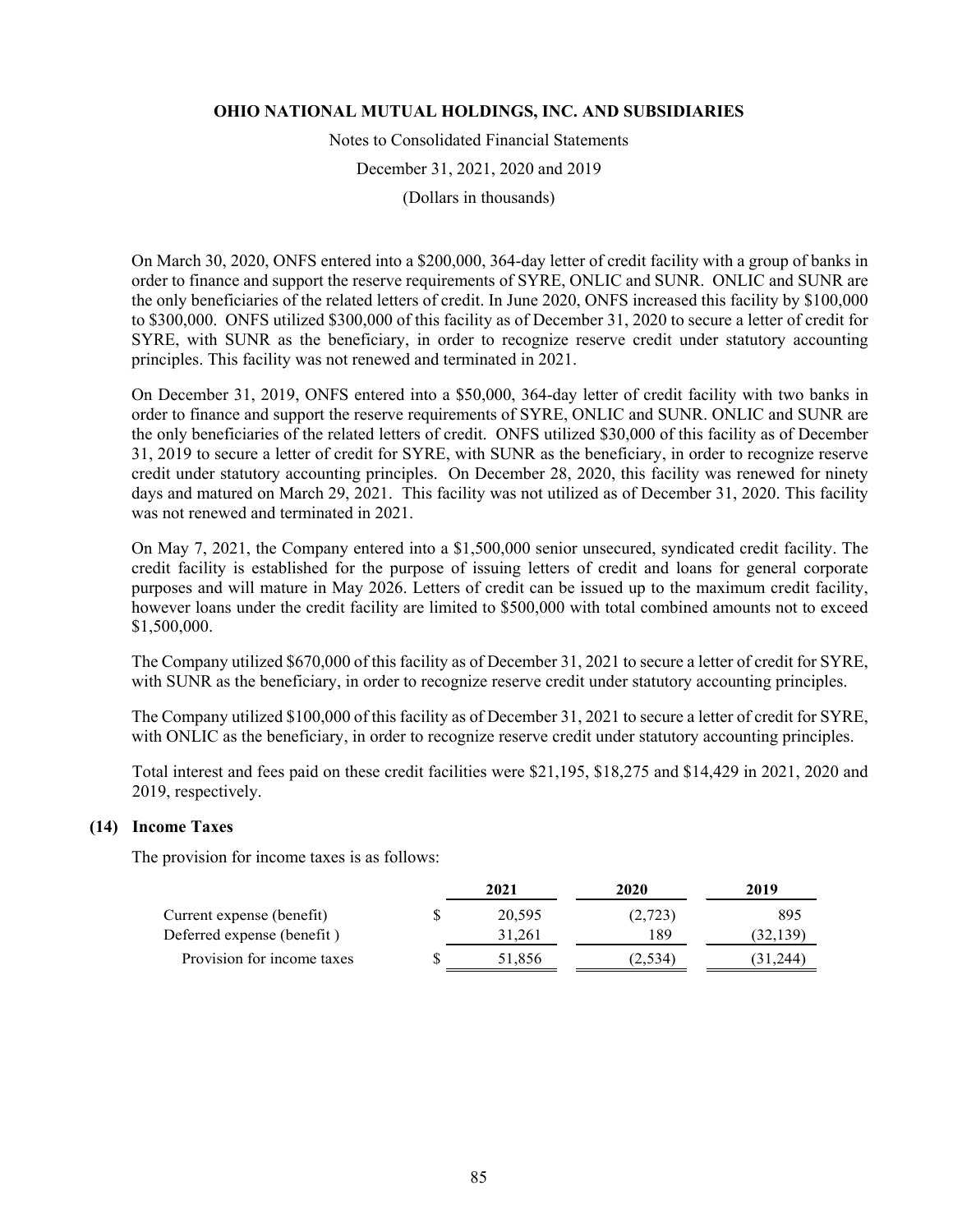Notes to Consolidated Financial Statements

December 31, 2021, 2020 and 2019

(Dollars in thousands)

On March 30, 2020, ONFS entered into a \$200,000, 364-day letter of credit facility with a group of banks in order to finance and support the reserve requirements of SYRE, ONLIC and SUNR. ONLIC and SUNR are the only beneficiaries of the related letters of credit. In June 2020, ONFS increased this facility by \$100,000 to \$300,000. ONFS utilized \$300,000 of this facility as of December 31, 2020 to secure a letter of credit for SYRE, with SUNR as the beneficiary, in order to recognize reserve credit under statutory accounting principles. This facility was not renewed and terminated in 2021.

On December 31, 2019, ONFS entered into a \$50,000, 364-day letter of credit facility with two banks in order to finance and support the reserve requirements of SYRE, ONLIC and SUNR. ONLIC and SUNR are the only beneficiaries of the related letters of credit. ONFS utilized \$30,000 of this facility as of December 31, 2019 to secure a letter of credit for SYRE, with SUNR as the beneficiary, in order to recognize reserve credit under statutory accounting principles. On December 28, 2020, this facility was renewed for ninety days and matured on March 29, 2021. This facility was not utilized as of December 31, 2020. This facility was not renewed and terminated in 2021.

On May 7, 2021, the Company entered into a \$1,500,000 senior unsecured, syndicated credit facility. The credit facility is established for the purpose of issuing letters of credit and loans for general corporate purposes and will mature in May 2026. Letters of credit can be issued up to the maximum credit facility, however loans under the credit facility are limited to \$500,000 with total combined amounts not to exceed \$1,500,000.

The Company utilized \$670,000 of this facility as of December 31, 2021 to secure a letter of credit for SYRE, with SUNR as the beneficiary, in order to recognize reserve credit under statutory accounting principles.

The Company utilized \$100,000 of this facility as of December 31, 2021 to secure a letter of credit for SYRE, with ONLIC as the beneficiary, in order to recognize reserve credit under statutory accounting principles.

Total interest and fees paid on these credit facilities were \$21,195, \$18,275 and \$14,429 in 2021, 2020 and 2019, respectively.

## **(14) Income Taxes**

The provision for income taxes is as follows:

|                            | 2021   | 2020    | 2019   |
|----------------------------|--------|---------|--------|
| Current expense (benefit)  | 20,595 | (2,723) | 895    |
| Deferred expense (benefit) | 31.261 | 189     | 32,139 |
| Provision for income taxes | 51,856 | (2,534) | 31.244 |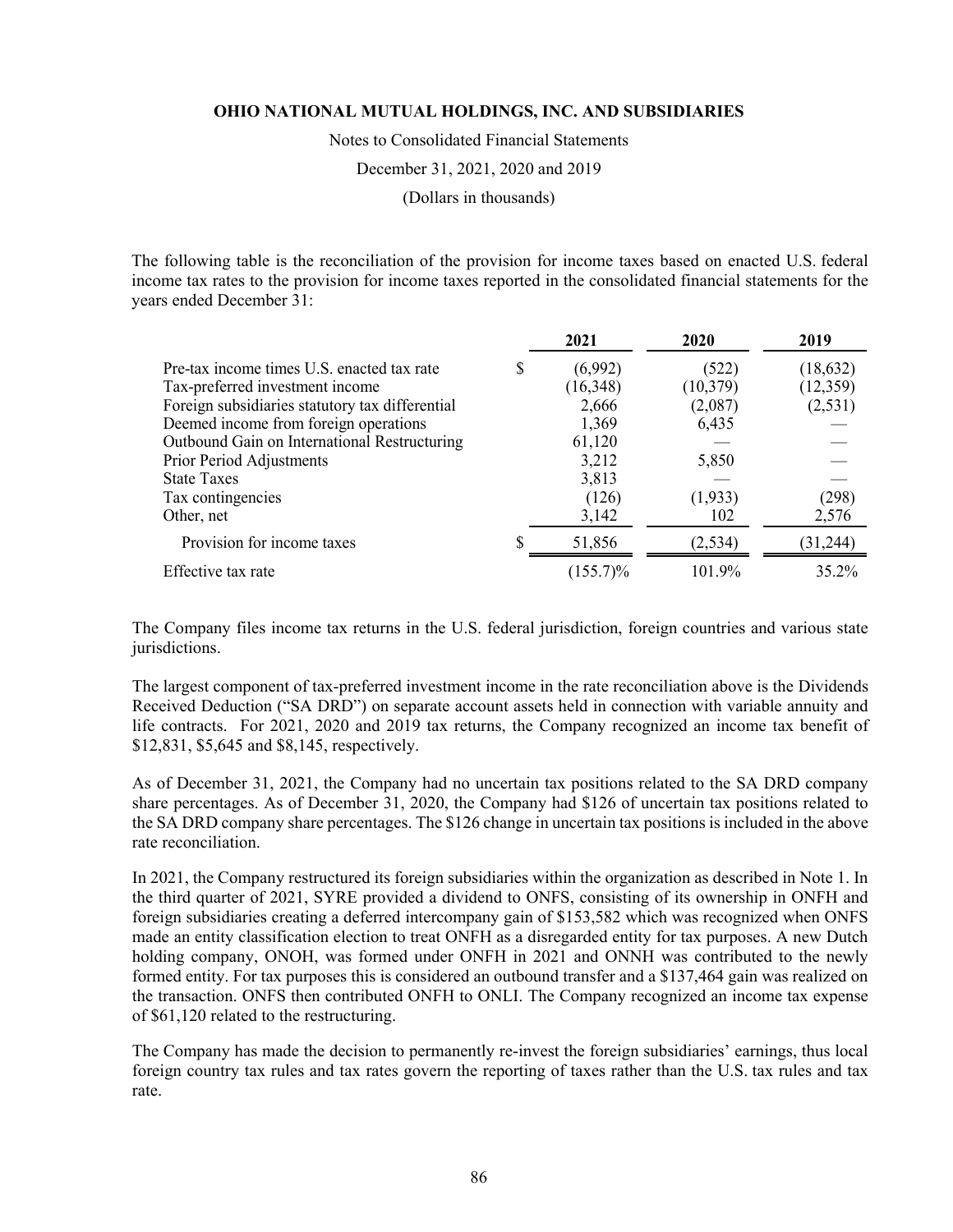Notes to Consolidated Financial Statements

December 31, 2021, 2020 and 2019

(Dollars in thousands)

The following table is the reconciliation of the provision for income taxes based on enacted U.S. federal income tax rates to the provision for income taxes reported in the consolidated financial statements for the years ended December 31:

|                                                 | 2021          | <b>2020</b> | 2019      |
|-------------------------------------------------|---------------|-------------|-----------|
| Pre-tax income times U.S. enacted tax rate      | \$<br>(6,992) | (522)       | (18, 632) |
| Tax-preferred investment income                 | (16, 348)     | (10, 379)   | (12, 359) |
| Foreign subsidiaries statutory tax differential | 2,666         | (2,087)     | (2, 531)  |
| Deemed income from foreign operations           | 1,369         | 6,435       |           |
| Outbound Gain on International Restructuring    | 61,120        |             |           |
| Prior Period Adjustments                        | 3,212         | 5,850       |           |
| <b>State Taxes</b>                              | 3,813         |             |           |
| Tax contingencies                               | (126)         | (1, 933)    | (298)     |
| Other, net                                      | 3,142         | 102         | 2,576     |
| Provision for income taxes                      | 51,856        | (2, 534)    | (31, 244) |
| Effective tax rate                              | $(155.7)\%$   | 101.9%      | 35.2%     |

The Company files income tax returns in the U.S. federal jurisdiction, foreign countries and various state jurisdictions.

The largest component of tax-preferred investment income in the rate reconciliation above is the Dividends Received Deduction ("SA DRD") on separate account assets held in connection with variable annuity and life contracts. For 2021, 2020 and 2019 tax returns, the Company recognized an income tax benefit of \$12,831, \$5,645 and \$8,145, respectively.

As of December 31, 2021, the Company had no uncertain tax positions related to the SA DRD company share percentages. As of December 31, 2020, the Company had \$126 of uncertain tax positions related to the SA DRD company share percentages. The \$126 change in uncertain tax positions is included in the above rate reconciliation.

In 2021, the Company restructured its foreign subsidiaries within the organization as described in Note 1. In the third quarter of 2021, SYRE provided a dividend to ONFS, consisting of its ownership in ONFH and foreign subsidiaries creating a deferred intercompany gain of \$153,582 which was recognized when ONFS made an entity classification election to treat ONFH as a disregarded entity for tax purposes. A new Dutch holding company, ONOH, was formed under ONFH in 2021 and ONNH was contributed to the newly formed entity. For tax purposes this is considered an outbound transfer and a \$137,464 gain was realized on the transaction. ONFS then contributed ONFH to ONLI. The Company recognized an income tax expense of \$61,120 related to the restructuring.

The Company has made the decision to permanently re-invest the foreign subsidiaries' earnings, thus local foreign country tax rules and tax rates govern the reporting of taxes rather than the U.S. tax rules and tax rate.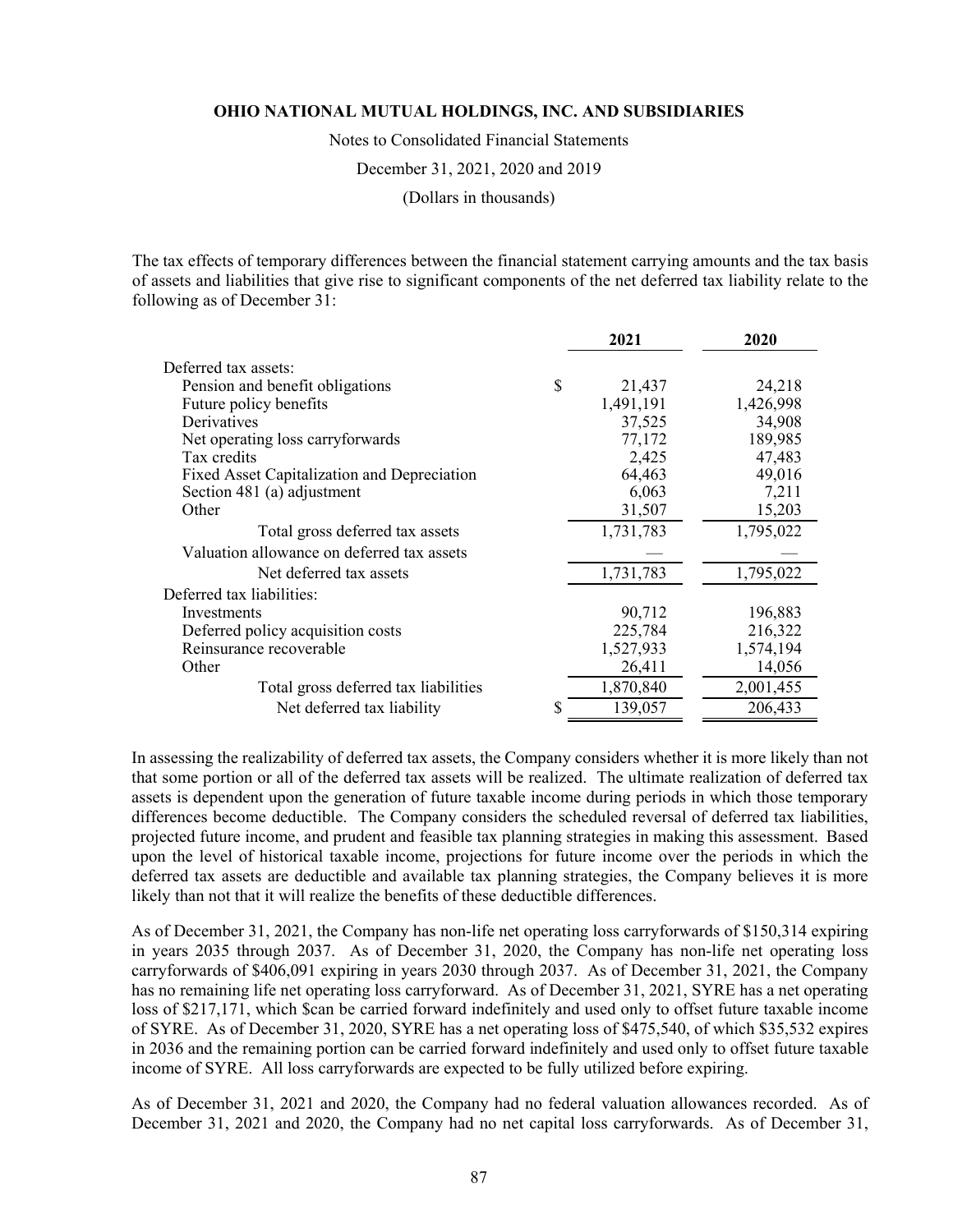Notes to Consolidated Financial Statements

December 31, 2021, 2020 and 2019

(Dollars in thousands)

The tax effects of temporary differences between the financial statement carrying amounts and the tax basis of assets and liabilities that give rise to significant components of the net deferred tax liability relate to the following as of December 31:

|                                             | 2021         | 2020      |
|---------------------------------------------|--------------|-----------|
| Deferred tax assets:                        |              |           |
| Pension and benefit obligations             | \$<br>21,437 | 24,218    |
| Future policy benefits                      | 1,491,191    | 1,426,998 |
| Derivatives                                 | 37,525       | 34,908    |
| Net operating loss carryforwards            | 77,172       | 189,985   |
| Tax credits                                 | 2,425        | 47,483    |
| Fixed Asset Capitalization and Depreciation | 64,463       | 49,016    |
| Section 481 (a) adjustment                  | 6,063        | 7,211     |
| Other                                       | 31,507       | 15,203    |
| Total gross deferred tax assets             | 1,731,783    | 1,795,022 |
| Valuation allowance on deferred tax assets  |              |           |
| Net deferred tax assets                     | 1,731,783    | 1,795,022 |
| Deferred tax liabilities:                   |              |           |
| Investments                                 | 90,712       | 196,883   |
| Deferred policy acquisition costs           | 225,784      | 216,322   |
| Reinsurance recoverable                     | 1,527,933    | 1,574,194 |
| Other                                       | 26,411       | 14,056    |
| Total gross deferred tax liabilities        | 1,870,840    | 2,001,455 |
| Net deferred tax liability                  | 139,057      | 206,433   |

In assessing the realizability of deferred tax assets, the Company considers whether it is more likely than not that some portion or all of the deferred tax assets will be realized. The ultimate realization of deferred tax assets is dependent upon the generation of future taxable income during periods in which those temporary differences become deductible. The Company considers the scheduled reversal of deferred tax liabilities, projected future income, and prudent and feasible tax planning strategies in making this assessment. Based upon the level of historical taxable income, projections for future income over the periods in which the deferred tax assets are deductible and available tax planning strategies, the Company believes it is more likely than not that it will realize the benefits of these deductible differences.

As of December 31, 2021, the Company has non-life net operating loss carryforwards of \$150,314 expiring in years 2035 through 2037. As of December 31, 2020, the Company has non-life net operating loss carryforwards of \$406,091 expiring in years 2030 through 2037. As of December 31, 2021, the Company has no remaining life net operating loss carryforward. As of December 31, 2021, SYRE has a net operating loss of \$217,171, which \$can be carried forward indefinitely and used only to offset future taxable income of SYRE. As of December 31, 2020, SYRE has a net operating loss of \$475,540, of which \$35,532 expires in 2036 and the remaining portion can be carried forward indefinitely and used only to offset future taxable income of SYRE. All loss carryforwards are expected to be fully utilized before expiring.

As of December 31, 2021 and 2020, the Company had no federal valuation allowances recorded. As of December 31, 2021 and 2020, the Company had no net capital loss carryforwards. As of December 31,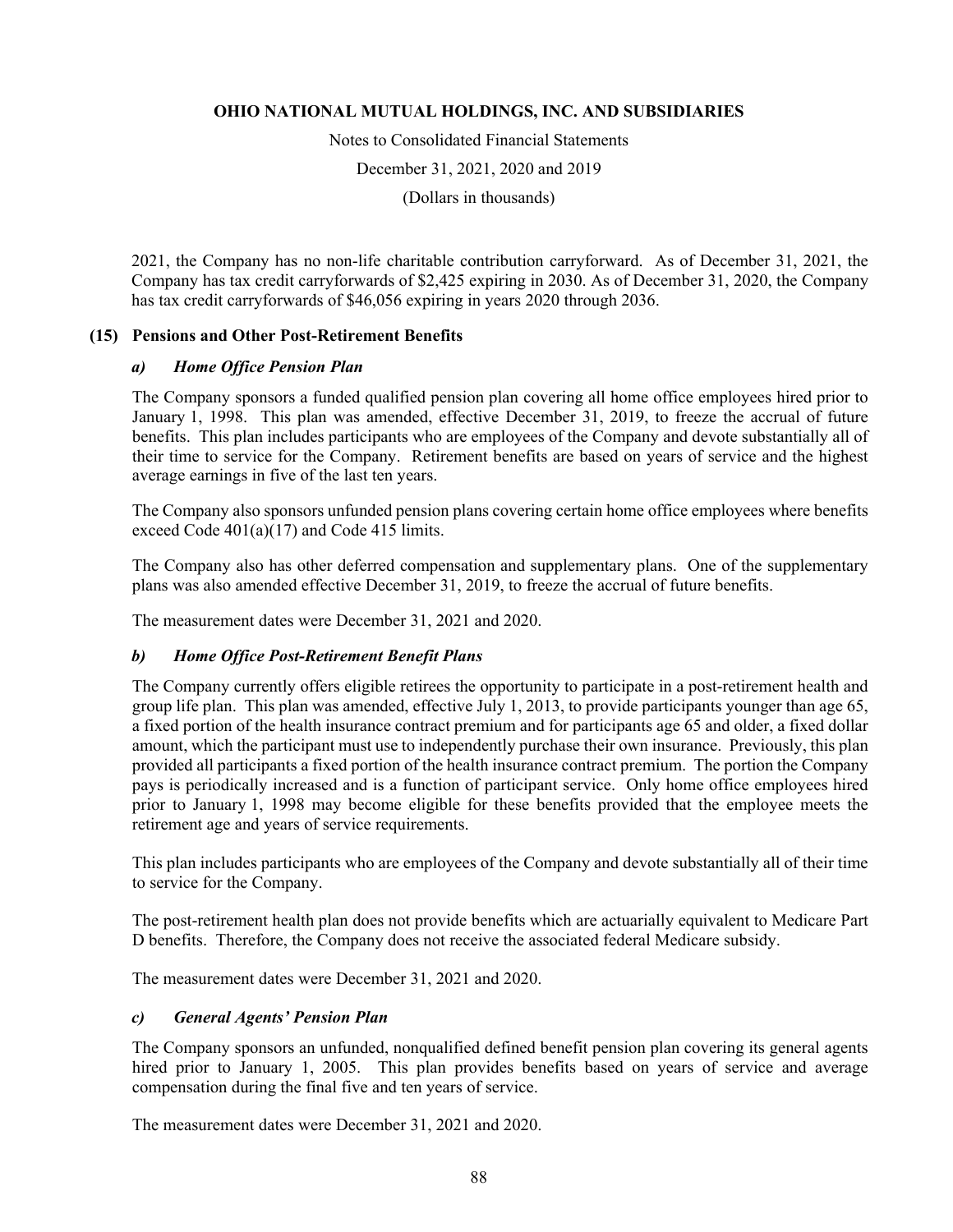Notes to Consolidated Financial Statements

December 31, 2021, 2020 and 2019

(Dollars in thousands)

2021, the Company has no non-life charitable contribution carryforward. As of December 31, 2021, the Company has tax credit carryforwards of \$2,425 expiring in 2030. As of December 31, 2020, the Company has tax credit carryforwards of \$46,056 expiring in years 2020 through 2036.

## **(15) Pensions and Other Post-Retirement Benefits**

## *a) Home Office Pension Plan*

The Company sponsors a funded qualified pension plan covering all home office employees hired prior to January 1, 1998. This plan was amended, effective December 31, 2019, to freeze the accrual of future benefits. This plan includes participants who are employees of the Company and devote substantially all of their time to service for the Company. Retirement benefits are based on years of service and the highest average earnings in five of the last ten years.

The Company also sponsors unfunded pension plans covering certain home office employees where benefits exceed Code  $401(a)(17)$  and Code 415 limits.

The Company also has other deferred compensation and supplementary plans. One of the supplementary plans was also amended effective December 31, 2019, to freeze the accrual of future benefits.

The measurement dates were December 31, 2021 and 2020.

## *b) Home Office Post-Retirement Benefit Plans*

The Company currently offers eligible retirees the opportunity to participate in a post-retirement health and group life plan. This plan was amended, effective July 1, 2013, to provide participants younger than age 65, a fixed portion of the health insurance contract premium and for participants age 65 and older, a fixed dollar amount, which the participant must use to independently purchase their own insurance. Previously, this plan provided all participants a fixed portion of the health insurance contract premium. The portion the Company pays is periodically increased and is a function of participant service. Only home office employees hired prior to January 1, 1998 may become eligible for these benefits provided that the employee meets the retirement age and years of service requirements.

This plan includes participants who are employees of the Company and devote substantially all of their time to service for the Company.

The post-retirement health plan does not provide benefits which are actuarially equivalent to Medicare Part D benefits. Therefore, the Company does not receive the associated federal Medicare subsidy.

The measurement dates were December 31, 2021 and 2020.

## *c) General Agents' Pension Plan*

The Company sponsors an unfunded, nonqualified defined benefit pension plan covering its general agents hired prior to January 1, 2005. This plan provides benefits based on years of service and average compensation during the final five and ten years of service.

The measurement dates were December 31, 2021 and 2020.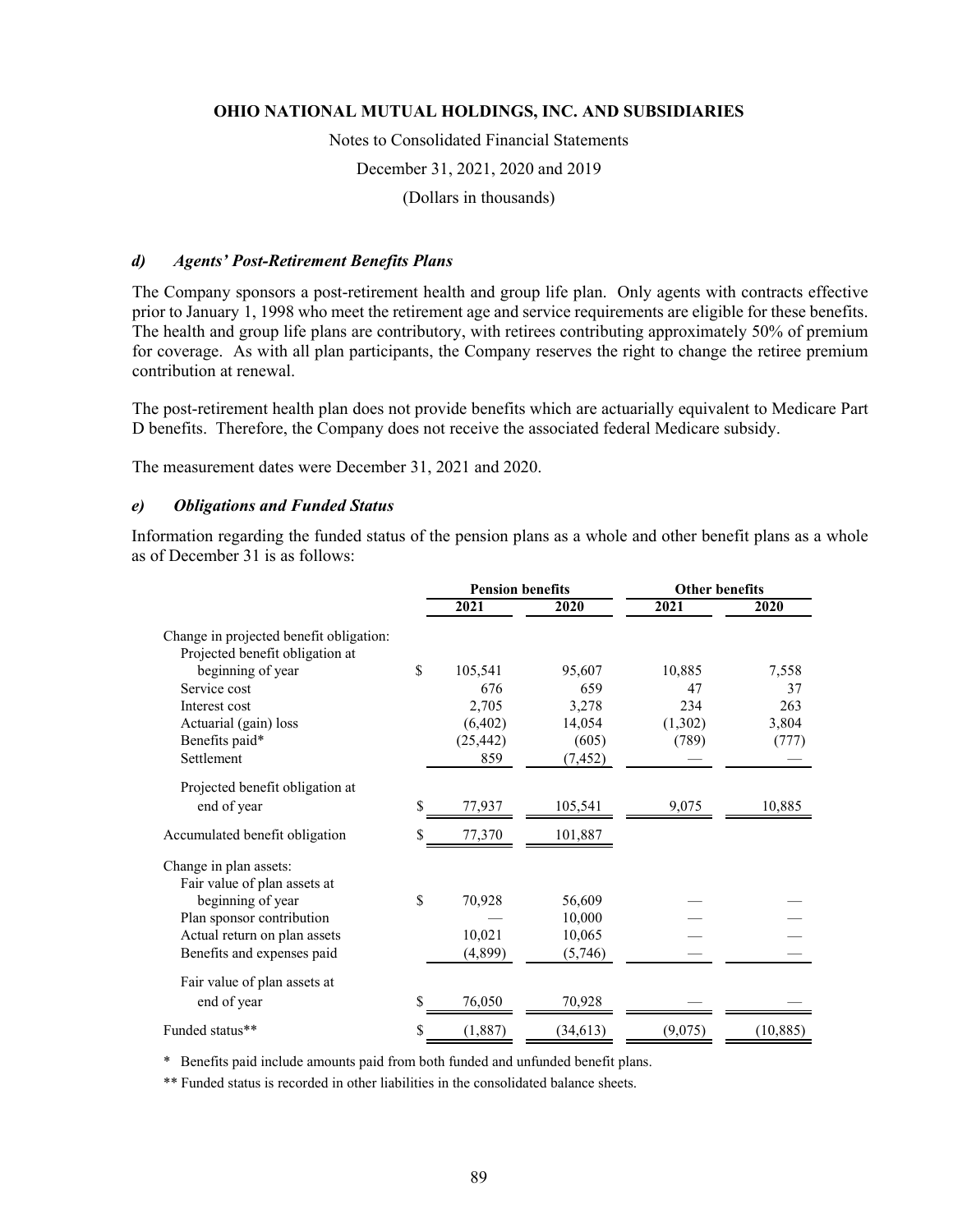Notes to Consolidated Financial Statements

December 31, 2021, 2020 and 2019

(Dollars in thousands)

#### *d) Agents' Post-Retirement Benefits Plans*

The Company sponsors a post-retirement health and group life plan. Only agents with contracts effective prior to January 1, 1998 who meet the retirement age and service requirements are eligible for these benefits. The health and group life plans are contributory, with retirees contributing approximately 50% of premium for coverage. As with all plan participants, the Company reserves the right to change the retiree premium contribution at renewal.

The post-retirement health plan does not provide benefits which are actuarially equivalent to Medicare Part D benefits. Therefore, the Company does not receive the associated federal Medicare subsidy.

The measurement dates were December 31, 2021 and 2020.

#### *e) Obligations and Funded Status*

Information regarding the funded status of the pension plans as a whole and other benefit plans as a whole as of December 31 is as follows:

|                                         | <b>Pension benefits</b> |           | <b>Other benefits</b> |           |
|-----------------------------------------|-------------------------|-----------|-----------------------|-----------|
|                                         | 2021                    | 2020      | 2021                  | 2020      |
| Change in projected benefit obligation: |                         |           |                       |           |
| Projected benefit obligation at         |                         |           |                       |           |
| beginning of year                       | \$<br>105,541           | 95,607    | 10,885                | 7,558     |
| Service cost                            | 676                     | 659       | 47                    | 37        |
| Interest cost                           | 2,705                   | 3,278     | 234                   | 263       |
| Actuarial (gain) loss                   | (6,402)                 | 14,054    | (1,302)               | 3,804     |
| Benefits paid*                          | (25, 442)               | (605)     | (789)                 | (777)     |
| Settlement                              | 859                     | (7, 452)  |                       |           |
| Projected benefit obligation at         |                         |           |                       |           |
| end of year                             | \$<br>77,937            | 105,541   | 9,075                 | 10,885    |
| Accumulated benefit obligation          | \$<br>77,370            | 101,887   |                       |           |
| Change in plan assets:                  |                         |           |                       |           |
| Fair value of plan assets at            |                         |           |                       |           |
| beginning of year                       | \$<br>70,928            | 56,609    |                       |           |
| Plan sponsor contribution               |                         | 10,000    |                       |           |
| Actual return on plan assets            | 10,021                  | 10,065    |                       |           |
| Benefits and expenses paid              | (4,899)                 | (5,746)   |                       |           |
| Fair value of plan assets at            |                         |           |                       |           |
| end of year                             | \$<br>76,050            | 70,928    |                       |           |
| Funded status**                         | \$<br>(1,887)           | (34, 613) | (9,075)               | (10, 885) |

\* Benefits paid include amounts paid from both funded and unfunded benefit plans.

\*\* Funded status is recorded in other liabilities in the consolidated balance sheets.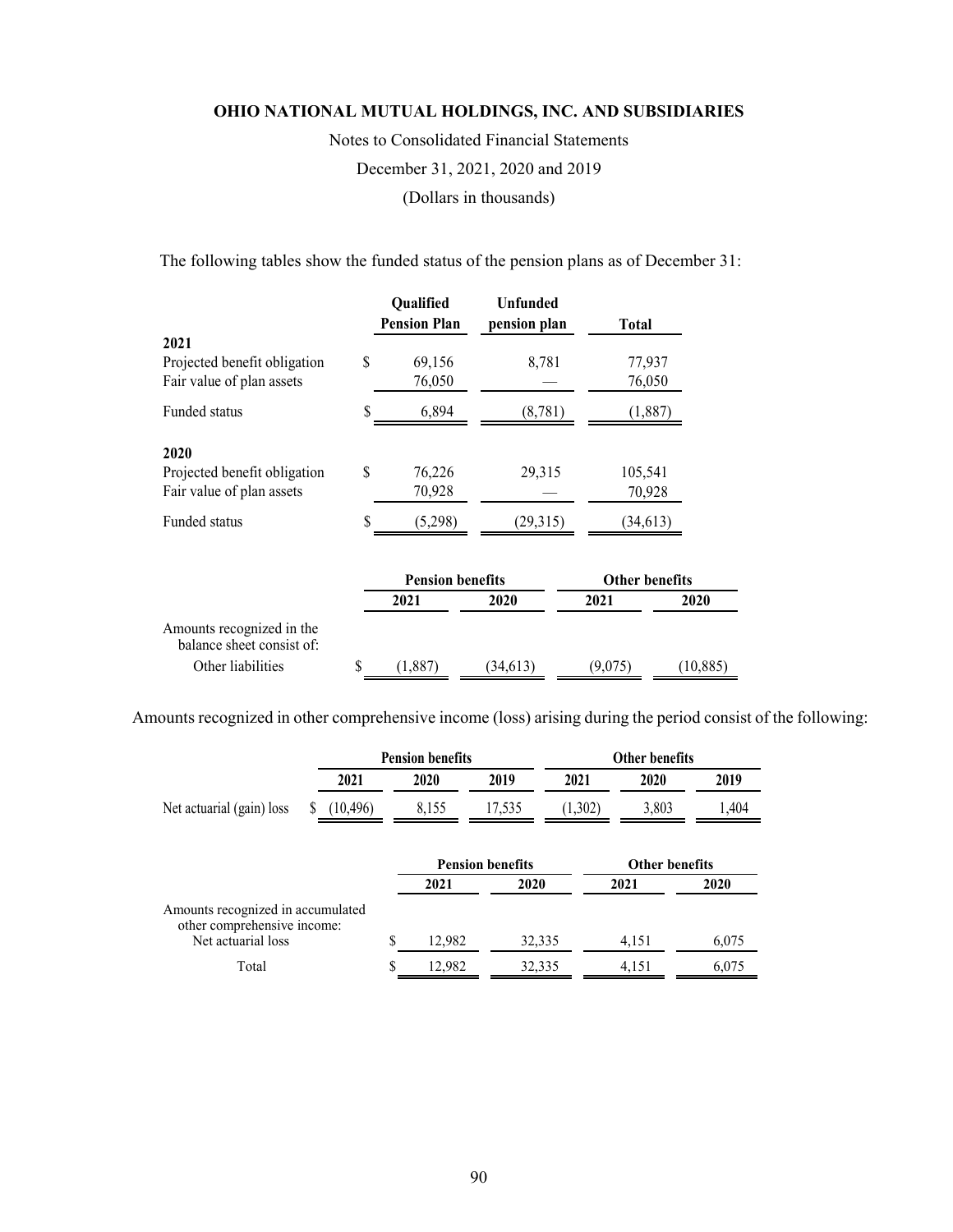Notes to Consolidated Financial Statements December 31, 2021, 2020 and 2019 (Dollars in thousands)

The following tables show the funded status of the pension plans as of December 31:

|                                                        | Qualified<br><b>Pension Plan</b> | Unfunded<br>pension plan | Total                 |           |
|--------------------------------------------------------|----------------------------------|--------------------------|-----------------------|-----------|
| 2021                                                   |                                  |                          |                       |           |
| Projected benefit obligation                           | \$<br>69,156                     | 8,781                    | 77,937                |           |
| Fair value of plan assets                              | 76,050                           |                          | 76,050                |           |
| Funded status                                          | 6,894                            | (8,781)                  | (1,887)               |           |
| 2020                                                   |                                  |                          |                       |           |
| Projected benefit obligation                           | \$<br>76,226                     | 29,315                   | 105,541               |           |
| Fair value of plan assets                              | 70,928                           |                          | 70,928                |           |
| Funded status                                          | (5,298)                          | (29,315)                 | (34, 613)             |           |
|                                                        | <b>Pension benefits</b>          |                          | <b>Other benefits</b> |           |
|                                                        | 2021                             | 2020                     | 2021                  | 2020      |
| Amounts recognized in the<br>balance sheet consist of: |                                  |                          |                       |           |
| Other liabilities                                      | \$<br>(1,887)                    | (34, 613)                | (9,075)               | (10, 885) |

Amounts recognized in other comprehensive income (loss) arising during the period consist of the following:

|                                                                                        |           | <b>Pension benefits</b> |                                 |         | <b>Other benefits</b>         |       |
|----------------------------------------------------------------------------------------|-----------|-------------------------|---------------------------------|---------|-------------------------------|-------|
|                                                                                        | 2021      | 2020                    | 2019                            | 2021    | 2020                          | 2019  |
| Net actuarial (gain) loss                                                              | (10, 496) | 8,155                   | 17,535                          | (1,302) | 3,803                         | 1,404 |
|                                                                                        |           | 2021                    | <b>Pension benefits</b><br>2020 |         | <b>Other benefits</b><br>2021 | 2020  |
| Amounts recognized in accumulated<br>other comprehensive income:<br>Net actuarial loss |           | 12,982                  | 32,335                          |         | 4,151                         | 6,075 |
| Total                                                                                  |           | 12,982                  | 32,335                          |         | 4,151                         | 6,075 |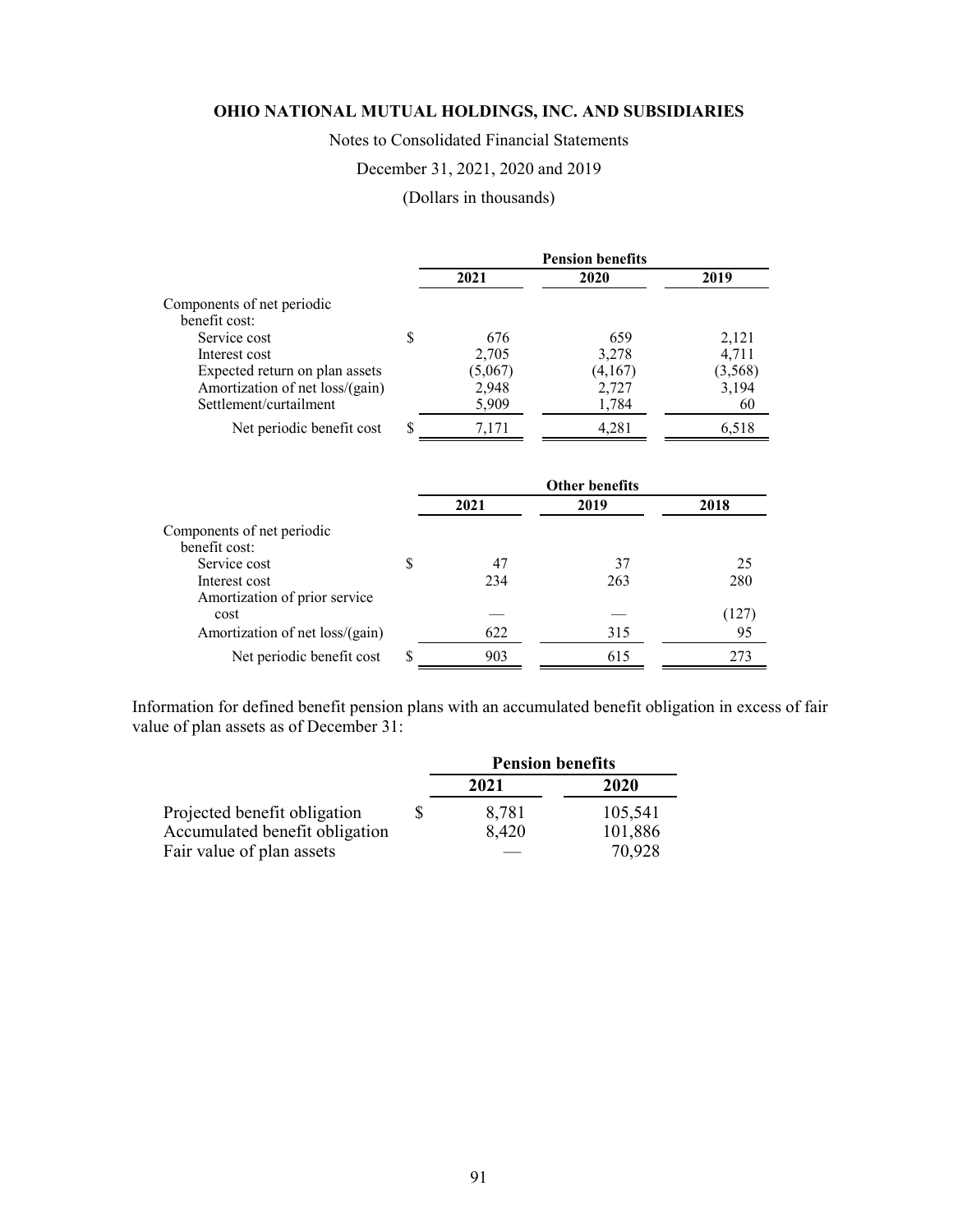Notes to Consolidated Financial Statements

## December 31, 2021, 2020 and 2019

## (Dollars in thousands)

|                                 |   | <b>Pension benefits</b> |         |         |  |
|---------------------------------|---|-------------------------|---------|---------|--|
|                                 |   | 2021                    | 2020    | 2019    |  |
| Components of net periodic      |   |                         |         |         |  |
| benefit cost:                   |   |                         |         |         |  |
| Service cost                    | S | 676                     | 659     | 2,121   |  |
| Interest cost                   |   | 2,705                   | 3,278   | 4,711   |  |
| Expected return on plan assets  |   | (5,067)                 | (4,167) | (3,568) |  |
| Amortization of net loss/(gain) |   | 2,948                   | 2,727   | 3,194   |  |
| Settlement/curtailment          |   | 5,909                   | 1,784   | 60      |  |
| Net periodic benefit cost       | S | 7,171                   | 4,281   | 6,518   |  |

|                                 |   | <b>Other benefits</b> |      |      |
|---------------------------------|---|-----------------------|------|------|
|                                 |   | 2021                  | 2019 | 2018 |
| Components of net periodic      |   |                       |      |      |
| benefit cost:                   |   |                       |      |      |
| Service cost                    | S | 47                    | 37   | 25   |
| Interest cost                   |   | 234                   | 263  | 280  |
| Amortization of prior service   |   |                       |      |      |
| cost                            |   |                       |      | 127  |
| Amortization of net loss/(gain) |   | 622                   | 315  | 95   |
| Net periodic benefit cost       | S | 903                   | 615  | 273  |
|                                 |   |                       |      |      |

Information for defined benefit pension plans with an accumulated benefit obligation in excess of fair value of plan assets as of December 31:

|                                | <b>Pension benefits</b> |         |  |
|--------------------------------|-------------------------|---------|--|
|                                | 2021                    | 2020    |  |
| Projected benefit obligation   | 8,781                   | 105,541 |  |
| Accumulated benefit obligation | 8,420                   | 101,886 |  |
| Fair value of plan assets      |                         | 70,928  |  |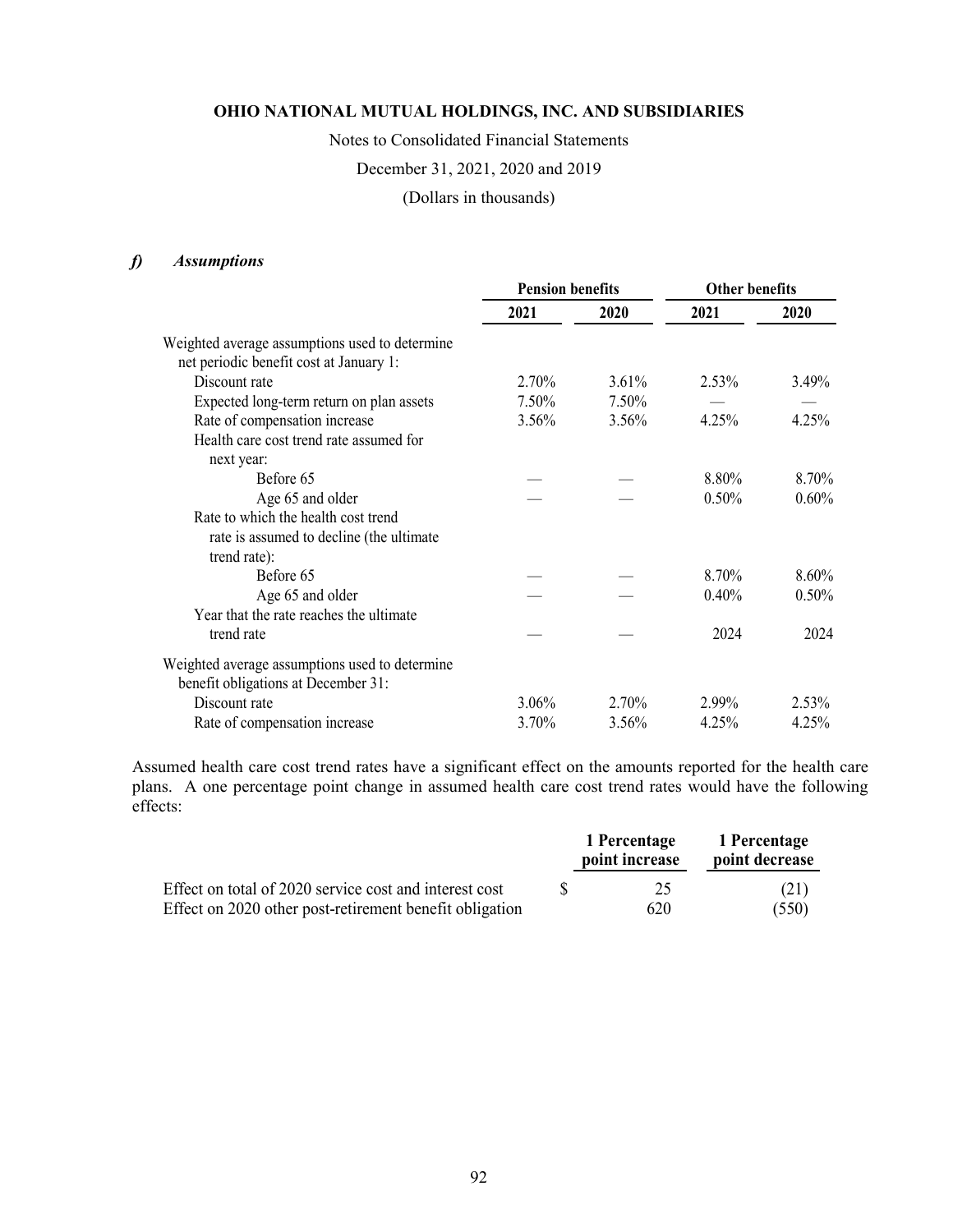Notes to Consolidated Financial Statements

December 31, 2021, 2020 and 2019

(Dollars in thousands)

# *f) Assumptions*

|                                                | <b>Pension benefits</b> |       | <b>Other benefits</b> |          |
|------------------------------------------------|-------------------------|-------|-----------------------|----------|
|                                                | 2021                    | 2020  | 2021                  | 2020     |
| Weighted average assumptions used to determine |                         |       |                       |          |
| net periodic benefit cost at January 1:        |                         |       |                       |          |
| Discount rate                                  | 2.70%                   | 3.61% | 2.53%                 | 3.49%    |
| Expected long-term return on plan assets       | 7.50%                   | 7.50% |                       |          |
| Rate of compensation increase                  | 3.56%                   | 3.56% | 4.25%                 | 4.25%    |
| Health care cost trend rate assumed for        |                         |       |                       |          |
| next year:                                     |                         |       |                       |          |
| Before 65                                      |                         |       | 8.80%                 | 8.70%    |
| Age 65 and older                               |                         |       | $0.50\%$              | $0.60\%$ |
| Rate to which the health cost trend            |                         |       |                       |          |
| rate is assumed to decline (the ultimate       |                         |       |                       |          |
| trend rate):                                   |                         |       |                       |          |
| Before 65                                      |                         |       | 8.70%                 | 8.60%    |
| Age 65 and older                               |                         |       | 0.40%                 | 0.50%    |
| Year that the rate reaches the ultimate        |                         |       |                       |          |
| trend rate                                     |                         |       | 2024                  | 2024     |
| Weighted average assumptions used to determine |                         |       |                       |          |
| benefit obligations at December 31:            |                         |       |                       |          |
| Discount rate                                  | 3.06%                   | 2.70% | 2.99%                 | 2.53%    |
| Rate of compensation increase                  | 3.70%                   | 3.56% | 4.25%                 | 4.25%    |

Assumed health care cost trend rates have a significant effect on the amounts reported for the health care plans. A one percentage point change in assumed health care cost trend rates would have the following effects:

|                                                         | 1 Percentage<br>point increase | 1 Percentage<br>point decrease |
|---------------------------------------------------------|--------------------------------|--------------------------------|
| Effect on total of 2020 service cost and interest cost  | 25                             | (21)                           |
| Effect on 2020 other post-retirement benefit obligation | 620                            | (550)                          |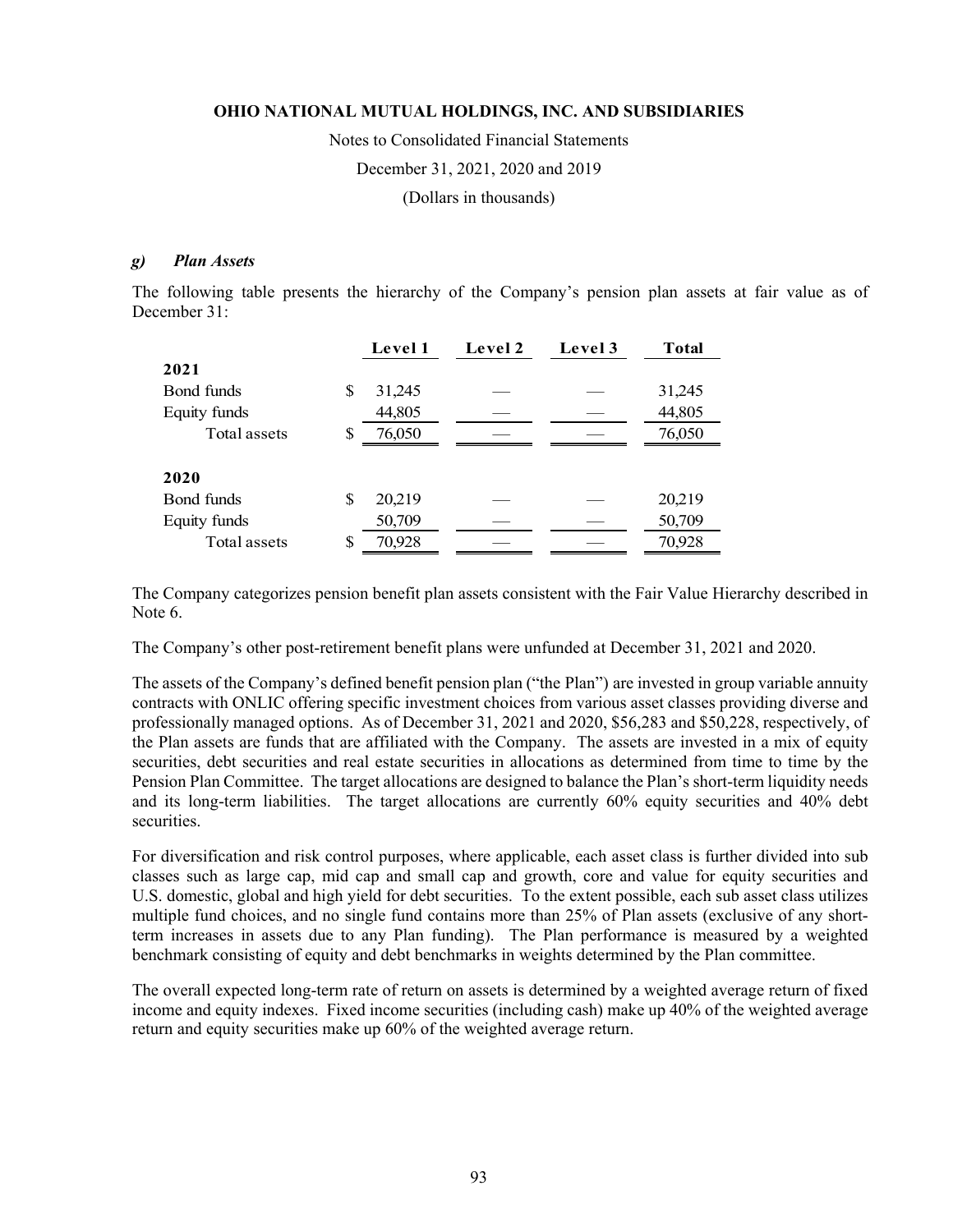Notes to Consolidated Financial Statements December 31, 2021, 2020 and 2019

(Dollars in thousands)

## *g) Plan Assets*

The following table presents the hierarchy of the Company's pension plan assets at fair value as of December 31:

|              |    | Level 1 | Level 2 | Level 3 | Total  |
|--------------|----|---------|---------|---------|--------|
| 2021         |    |         |         |         |        |
| Bond funds   | S  | 31,245  |         |         | 31,245 |
| Equity funds |    | 44,805  |         |         | 44,805 |
| Total assets | \$ | 76,050  |         |         | 76,050 |
|              |    |         |         |         |        |
| 2020         |    |         |         |         |        |
| Bond funds   | S  | 20,219  |         |         | 20,219 |
| Equity funds |    | 50,709  |         |         | 50,709 |
| Total assets | \$ | 70,928  |         |         | 70,928 |

The Company categorizes pension benefit plan assets consistent with the Fair Value Hierarchy described in Note 6.

The Company's other post-retirement benefit plans were unfunded at December 31, 2021 and 2020.

The assets of the Company's defined benefit pension plan ("the Plan") are invested in group variable annuity contracts with ONLIC offering specific investment choices from various asset classes providing diverse and professionally managed options. As of December 31, 2021 and 2020, \$56,283 and \$50,228, respectively, of the Plan assets are funds that are affiliated with the Company. The assets are invested in a mix of equity securities, debt securities and real estate securities in allocations as determined from time to time by the Pension Plan Committee. The target allocations are designed to balance the Plan's short-term liquidity needs and its long-term liabilities. The target allocations are currently 60% equity securities and 40% debt securities.

For diversification and risk control purposes, where applicable, each asset class is further divided into sub classes such as large cap, mid cap and small cap and growth, core and value for equity securities and U.S. domestic, global and high yield for debt securities. To the extent possible, each sub asset class utilizes multiple fund choices, and no single fund contains more than 25% of Plan assets (exclusive of any shortterm increases in assets due to any Plan funding). The Plan performance is measured by a weighted benchmark consisting of equity and debt benchmarks in weights determined by the Plan committee.

The overall expected long-term rate of return on assets is determined by a weighted average return of fixed income and equity indexes. Fixed income securities (including cash) make up 40% of the weighted average return and equity securities make up 60% of the weighted average return.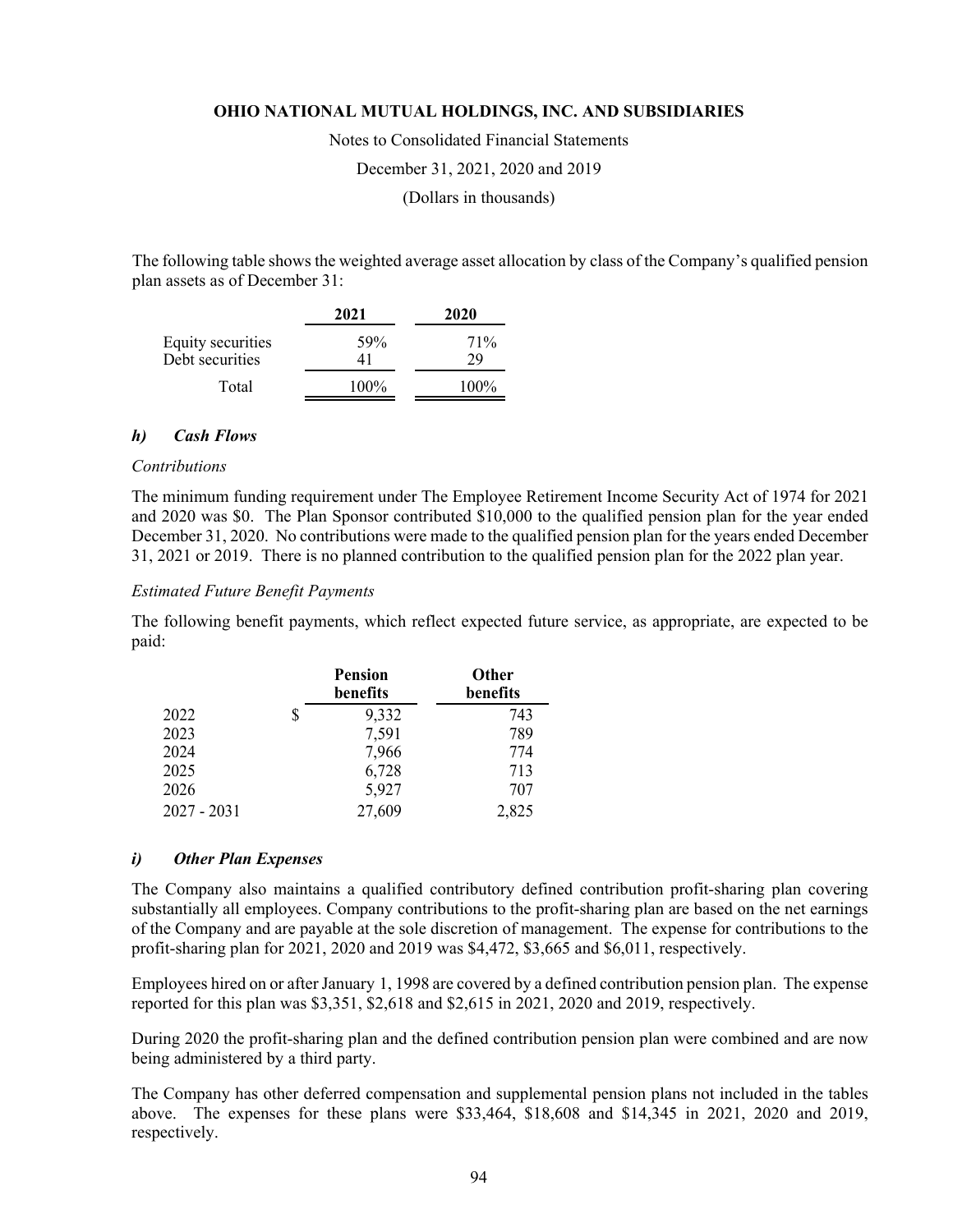Notes to Consolidated Financial Statements

December 31, 2021, 2020 and 2019

(Dollars in thousands)

The following table shows the weighted average asset allocation by class of the Company's qualified pension plan assets as of December 31:

|                                      | 2021      | 2020      |
|--------------------------------------|-----------|-----------|
| Equity securities<br>Debt securities | 59%<br>41 | 71%<br>29 |
| Total                                | $100\%$   | $100\%$   |

## *h) Cash Flows*

#### *Contributions*

The minimum funding requirement under The Employee Retirement Income Security Act of 1974 for 2021 and 2020 was \$0. The Plan Sponsor contributed \$10,000 to the qualified pension plan for the year ended December 31, 2020. No contributions were made to the qualified pension plan for the years ended December 31, 2021 or 2019. There is no planned contribution to the qualified pension plan for the 2022 plan year.

## *Estimated Future Benefit Payments*

The following benefit payments, which reflect expected future service, as appropriate, are expected to be paid:

|             | <b>Pension</b><br>benefits | <b>Other</b><br>benefits |
|-------------|----------------------------|--------------------------|
| 2022        | \$<br>9,332                | 743                      |
| 2023        | 7,591                      | 789                      |
| 2024        | 7,966                      | 774                      |
| 2025        | 6,728                      | 713                      |
| 2026        | 5,927                      | 707                      |
| 2027 - 2031 | 27,609                     | 2,825                    |

## *i) Other Plan Expenses*

The Company also maintains a qualified contributory defined contribution profit-sharing plan covering substantially all employees. Company contributions to the profit-sharing plan are based on the net earnings of the Company and are payable at the sole discretion of management. The expense for contributions to the profit-sharing plan for 2021, 2020 and 2019 was \$4,472, \$3,665 and \$6,011, respectively.

Employees hired on or after January 1, 1998 are covered by a defined contribution pension plan. The expense reported for this plan was \$3,351, \$2,618 and \$2,615 in 2021, 2020 and 2019, respectively.

During 2020 the profit-sharing plan and the defined contribution pension plan were combined and are now being administered by a third party.

The Company has other deferred compensation and supplemental pension plans not included in the tables above. The expenses for these plans were \$33,464, \$18,608 and \$14,345 in 2021, 2020 and 2019, respectively.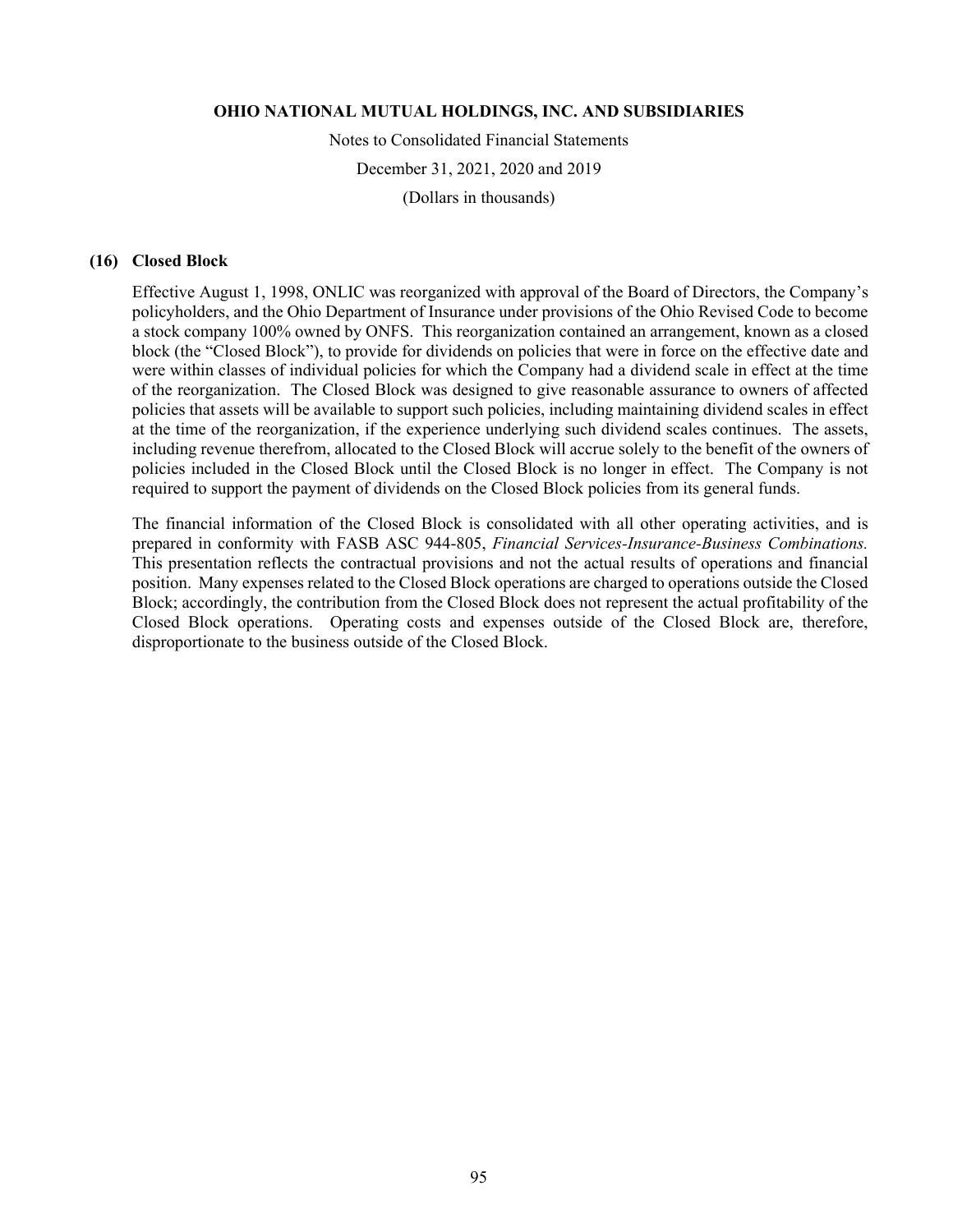Notes to Consolidated Financial Statements

December 31, 2021, 2020 and 2019

(Dollars in thousands)

## **(16) Closed Block**

Effective August 1, 1998, ONLIC was reorganized with approval of the Board of Directors, the Company's policyholders, and the Ohio Department of Insurance under provisions of the Ohio Revised Code to become a stock company 100% owned by ONFS. This reorganization contained an arrangement, known as a closed block (the "Closed Block"), to provide for dividends on policies that were in force on the effective date and were within classes of individual policies for which the Company had a dividend scale in effect at the time of the reorganization. The Closed Block was designed to give reasonable assurance to owners of affected policies that assets will be available to support such policies, including maintaining dividend scales in effect at the time of the reorganization, if the experience underlying such dividend scales continues. The assets, including revenue therefrom, allocated to the Closed Block will accrue solely to the benefit of the owners of policies included in the Closed Block until the Closed Block is no longer in effect. The Company is not required to support the payment of dividends on the Closed Block policies from its general funds.

The financial information of the Closed Block is consolidated with all other operating activities, and is prepared in conformity with FASB ASC 944-805, *Financial Services-Insurance-Business Combinations.* This presentation reflects the contractual provisions and not the actual results of operations and financial position. Many expenses related to the Closed Block operations are charged to operations outside the Closed Block; accordingly, the contribution from the Closed Block does not represent the actual profitability of the Closed Block operations. Operating costs and expenses outside of the Closed Block are, therefore, disproportionate to the business outside of the Closed Block.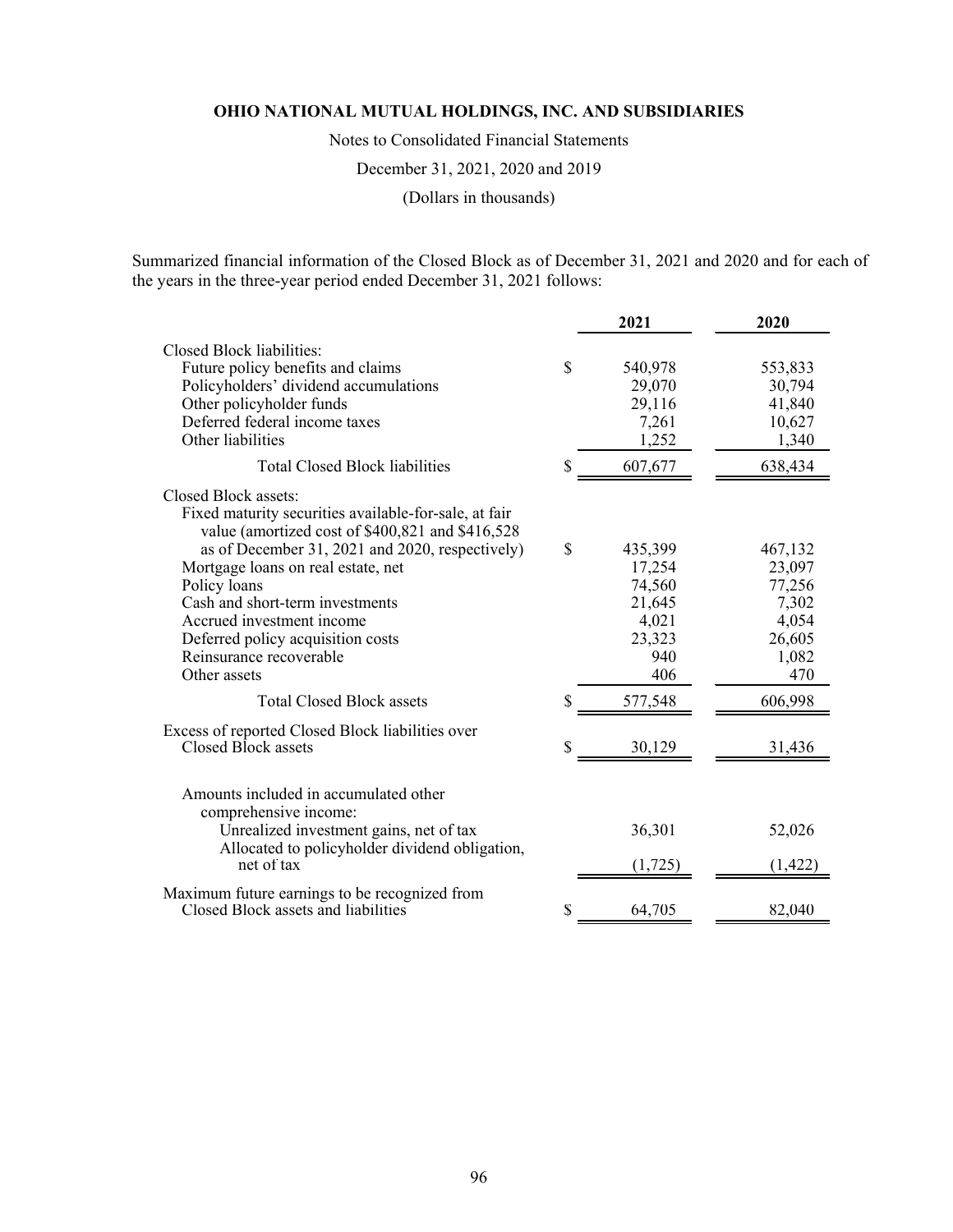Notes to Consolidated Financial Statements

December 31, 2021, 2020 and 2019

(Dollars in thousands)

Summarized financial information of the Closed Block as of December 31, 2021 and 2020 and for each of the years in the three-year period ended December 31, 2021 follows:

|                                                                                                                                                                                           |    | 2021                                          | 2020                                           |
|-------------------------------------------------------------------------------------------------------------------------------------------------------------------------------------------|----|-----------------------------------------------|------------------------------------------------|
| Closed Block liabilities:<br>Future policy benefits and claims<br>Policyholders' dividend accumulations<br>Other policyholder funds<br>Deferred federal income taxes<br>Other liabilities | \$ | 540,978<br>29,070<br>29,116<br>7,261<br>1,252 | 553,833<br>30,794<br>41,840<br>10,627<br>1,340 |
| <b>Total Closed Block liabilities</b>                                                                                                                                                     | \$ | 607,677                                       | 638,434                                        |
| Closed Block assets:<br>Fixed maturity securities available-for-sale, at fair<br>value (amortized cost of \$400,821 and \$416,528                                                         |    |                                               |                                                |
| as of December 31, 2021 and 2020, respectively)                                                                                                                                           | \$ | 435,399                                       | 467,132                                        |
| Mortgage loans on real estate, net<br>Policy loans                                                                                                                                        |    | 17,254<br>74,560                              | 23,097<br>77,256                               |
| Cash and short-term investments                                                                                                                                                           |    | 21,645                                        | 7,302                                          |
| Accrued investment income                                                                                                                                                                 |    | 4,021                                         | 4,054                                          |
| Deferred policy acquisition costs                                                                                                                                                         |    | 23,323                                        | 26,605                                         |
| Reinsurance recoverable<br>Other assets                                                                                                                                                   |    | 940<br>406                                    | 1,082<br>470                                   |
| <b>Total Closed Block assets</b>                                                                                                                                                          | \$ |                                               |                                                |
|                                                                                                                                                                                           |    | 577,548                                       | 606,998                                        |
| Excess of reported Closed Block liabilities over<br>Closed Block assets                                                                                                                   |    | 30,129                                        | 31,436                                         |
| Amounts included in accumulated other<br>comprehensive income:                                                                                                                            |    |                                               |                                                |
| Unrealized investment gains, net of tax                                                                                                                                                   |    | 36,301                                        | 52,026                                         |
| Allocated to policyholder dividend obligation,<br>net of tax                                                                                                                              |    | (1,725)                                       | (1, 422)                                       |
| Maximum future earnings to be recognized from<br>Closed Block assets and liabilities                                                                                                      | S  | 64,705                                        | 82,040                                         |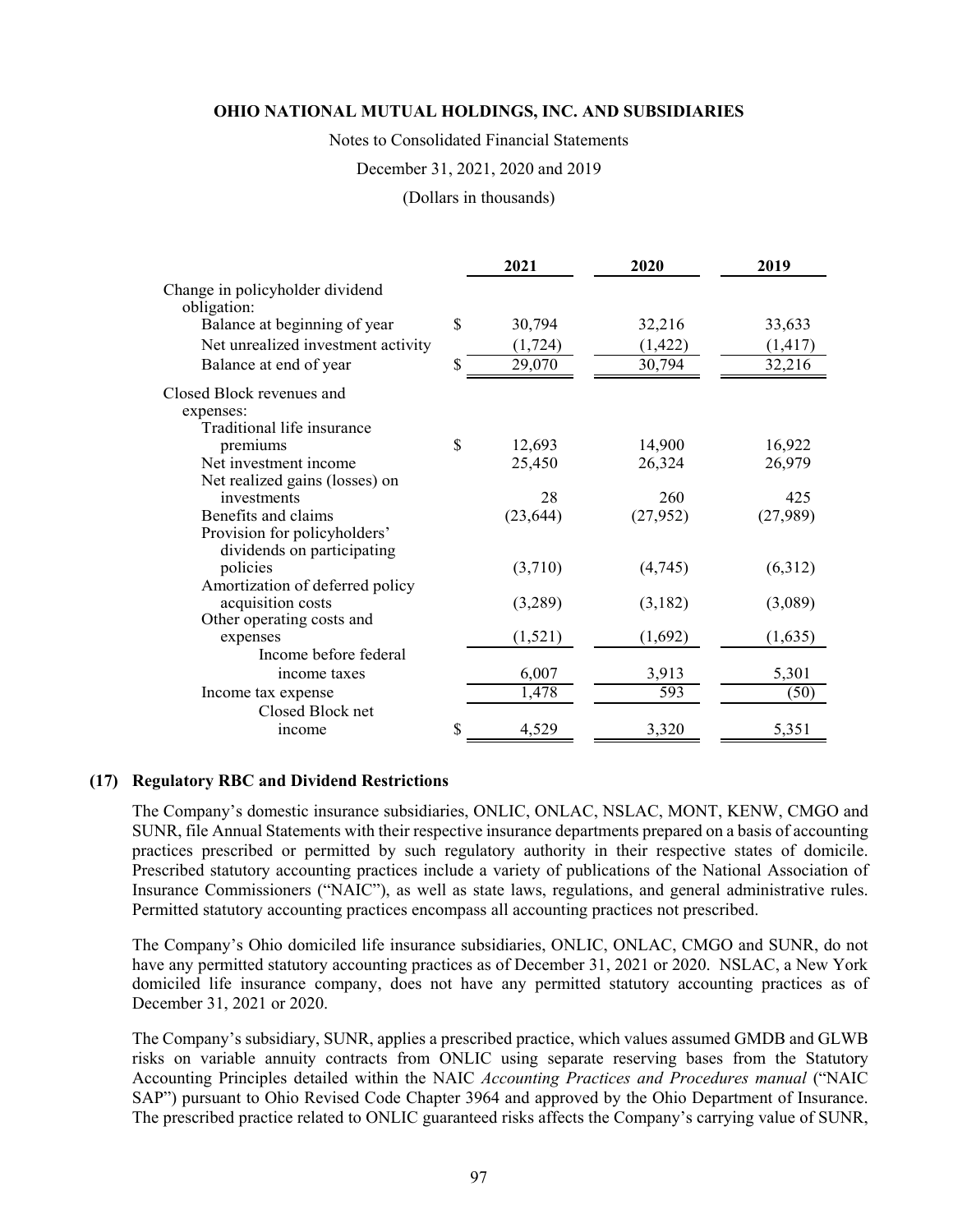Notes to Consolidated Financial Statements

December 31, 2021, 2020 and 2019

(Dollars in thousands)

|                                    | 2021         | 2020      | 2019     |
|------------------------------------|--------------|-----------|----------|
| Change in policyholder dividend    |              |           |          |
| obligation:                        |              |           |          |
| Balance at beginning of year       | \$<br>30,794 | 32,216    | 33,633   |
| Net unrealized investment activity | (1, 724)     | (1,422)   | (1, 417) |
| Balance at end of year             | \$<br>29,070 | 30,794    | 32,216   |
| Closed Block revenues and          |              |           |          |
| expenses:                          |              |           |          |
| Traditional life insurance         |              |           |          |
| premiums                           | \$<br>12,693 | 14,900    | 16,922   |
| Net investment income              | 25,450       | 26,324    | 26,979   |
| Net realized gains (losses) on     |              |           |          |
| investments                        | 28           | 260       | 425      |
| Benefits and claims                | (23, 644)    | (27, 952) | (27,989) |
| Provision for policyholders'       |              |           |          |
| dividends on participating         |              |           |          |
| policies                           | (3,710)      | (4,745)   | (6,312)  |
| Amortization of deferred policy    |              |           |          |
| acquisition costs                  | (3,289)      | (3,182)   | (3,089)  |
| Other operating costs and          |              |           |          |
| expenses                           | (1,521)      | (1,692)   | (1,635)  |
| Income before federal              |              |           |          |
| income taxes                       | 6,007        | 3,913     | 5,301    |
| Income tax expense                 | 1,478        | 593       | (50)     |
| Closed Block net                   |              |           |          |
| income                             | \$<br>4,529  | 3,320     | 5,351    |

## **(17) Regulatory RBC and Dividend Restrictions**

The Company's domestic insurance subsidiaries, ONLIC, ONLAC, NSLAC, MONT, KENW, CMGO and SUNR, file Annual Statements with their respective insurance departments prepared on a basis of accounting practices prescribed or permitted by such regulatory authority in their respective states of domicile. Prescribed statutory accounting practices include a variety of publications of the National Association of Insurance Commissioners ("NAIC"), as well as state laws, regulations, and general administrative rules. Permitted statutory accounting practices encompass all accounting practices not prescribed.

The Company's Ohio domiciled life insurance subsidiaries, ONLIC, ONLAC, CMGO and SUNR, do not have any permitted statutory accounting practices as of December 31, 2021 or 2020. NSLAC, a New York domiciled life insurance company, does not have any permitted statutory accounting practices as of December 31, 2021 or 2020.

The Company's subsidiary, SUNR, applies a prescribed practice, which values assumed GMDB and GLWB risks on variable annuity contracts from ONLIC using separate reserving bases from the Statutory Accounting Principles detailed within the NAIC *Accounting Practices and Procedures manual* ("NAIC SAP") pursuant to Ohio Revised Code Chapter 3964 and approved by the Ohio Department of Insurance. The prescribed practice related to ONLIC guaranteed risks affects the Company's carrying value of SUNR,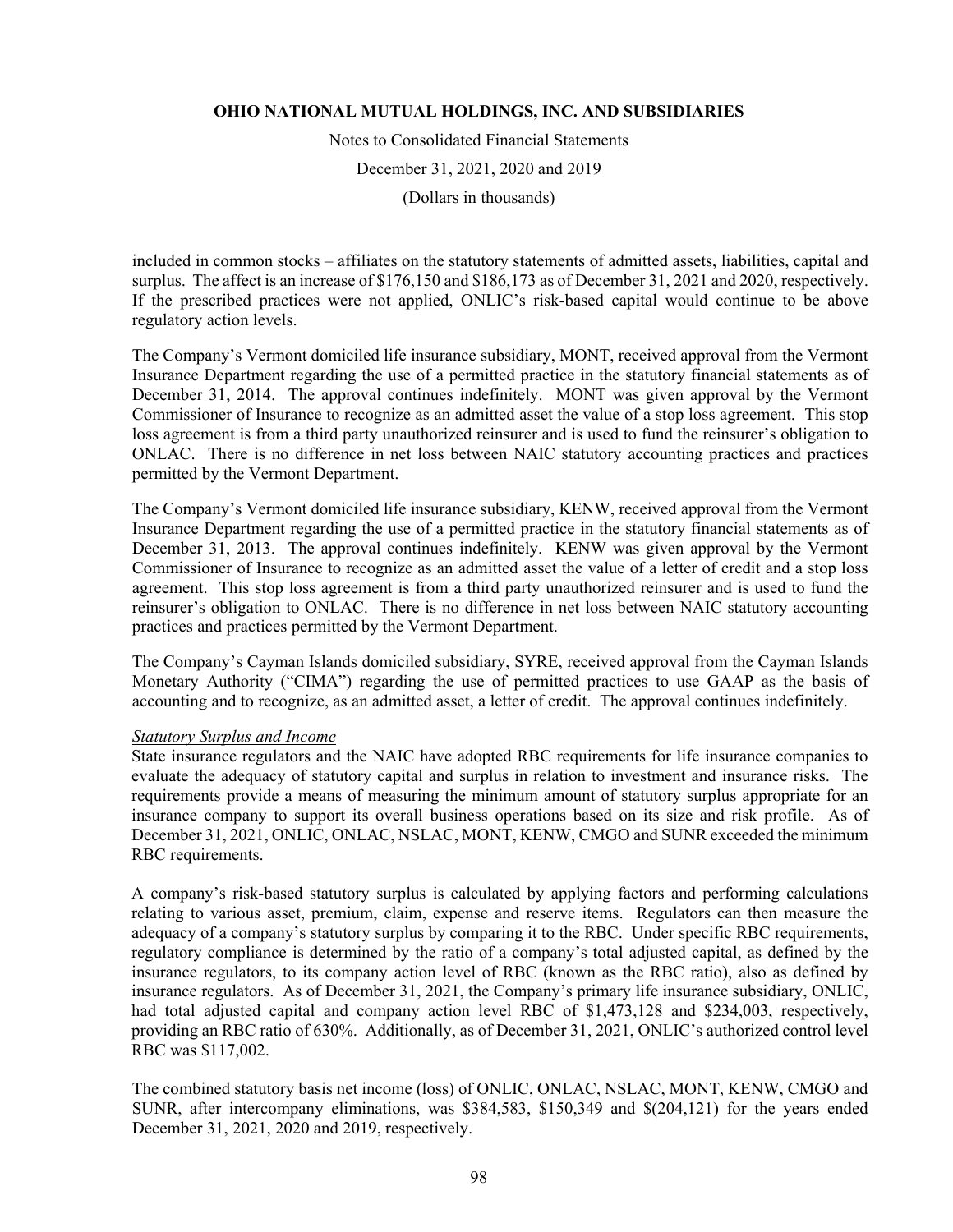Notes to Consolidated Financial Statements

December 31, 2021, 2020 and 2019

(Dollars in thousands)

included in common stocks – affiliates on the statutory statements of admitted assets, liabilities, capital and surplus. The affect is an increase of \$176,150 and \$186,173 as of December 31, 2021 and 2020, respectively. If the prescribed practices were not applied, ONLIC's risk-based capital would continue to be above regulatory action levels.

The Company's Vermont domiciled life insurance subsidiary, MONT, received approval from the Vermont Insurance Department regarding the use of a permitted practice in the statutory financial statements as of December 31, 2014. The approval continues indefinitely. MONT was given approval by the Vermont Commissioner of Insurance to recognize as an admitted asset the value of a stop loss agreement. This stop loss agreement is from a third party unauthorized reinsurer and is used to fund the reinsurer's obligation to ONLAC. There is no difference in net loss between NAIC statutory accounting practices and practices permitted by the Vermont Department.

The Company's Vermont domiciled life insurance subsidiary, KENW, received approval from the Vermont Insurance Department regarding the use of a permitted practice in the statutory financial statements as of December 31, 2013. The approval continues indefinitely. KENW was given approval by the Vermont Commissioner of Insurance to recognize as an admitted asset the value of a letter of credit and a stop loss agreement. This stop loss agreement is from a third party unauthorized reinsurer and is used to fund the reinsurer's obligation to ONLAC. There is no difference in net loss between NAIC statutory accounting practices and practices permitted by the Vermont Department.

The Company's Cayman Islands domiciled subsidiary, SYRE, received approval from the Cayman Islands Monetary Authority ("CIMA") regarding the use of permitted practices to use GAAP as the basis of accounting and to recognize, as an admitted asset, a letter of credit. The approval continues indefinitely.

## *Statutory Surplus and Income*

State insurance regulators and the NAIC have adopted RBC requirements for life insurance companies to evaluate the adequacy of statutory capital and surplus in relation to investment and insurance risks. The requirements provide a means of measuring the minimum amount of statutory surplus appropriate for an insurance company to support its overall business operations based on its size and risk profile. As of December 31, 2021, ONLIC, ONLAC, NSLAC, MONT, KENW, CMGO and SUNR exceeded the minimum RBC requirements.

A company's risk-based statutory surplus is calculated by applying factors and performing calculations relating to various asset, premium, claim, expense and reserve items. Regulators can then measure the adequacy of a company's statutory surplus by comparing it to the RBC. Under specific RBC requirements, regulatory compliance is determined by the ratio of a company's total adjusted capital, as defined by the insurance regulators, to its company action level of RBC (known as the RBC ratio), also as defined by insurance regulators. As of December 31, 2021, the Company's primary life insurance subsidiary, ONLIC, had total adjusted capital and company action level RBC of \$1,473,128 and \$234,003, respectively, providing an RBC ratio of 630%. Additionally, as of December 31, 2021, ONLIC's authorized control level RBC was \$117,002.

The combined statutory basis net income (loss) of ONLIC, ONLAC, NSLAC, MONT, KENW, CMGO and SUNR, after intercompany eliminations, was \$384,583, \$150,349 and \$(204,121) for the years ended December 31, 2021, 2020 and 2019, respectively.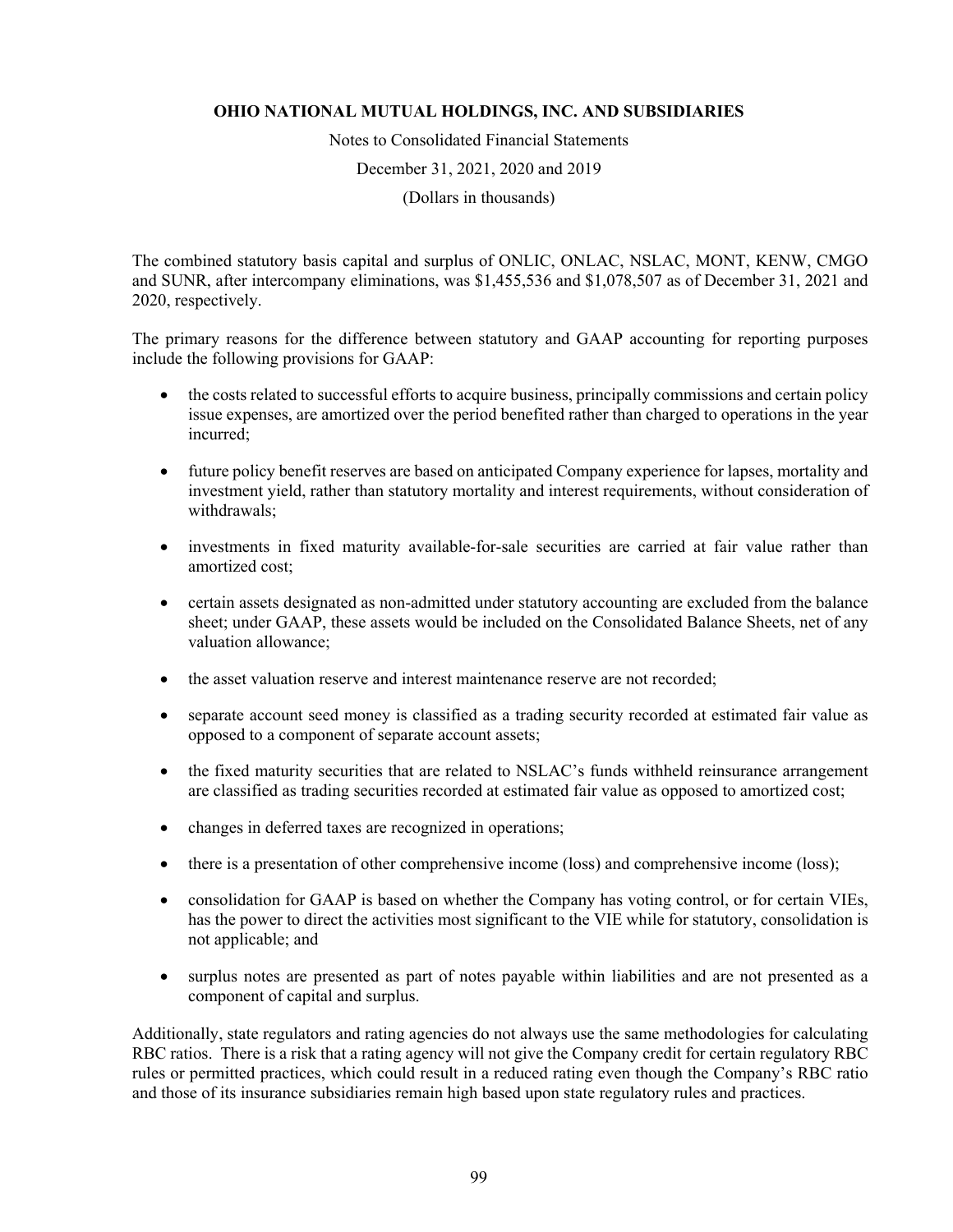Notes to Consolidated Financial Statements

December 31, 2021, 2020 and 2019

(Dollars in thousands)

The combined statutory basis capital and surplus of ONLIC, ONLAC, NSLAC, MONT, KENW, CMGO and SUNR, after intercompany eliminations, was \$1,455,536 and \$1,078,507 as of December 31, 2021 and 2020, respectively.

The primary reasons for the difference between statutory and GAAP accounting for reporting purposes include the following provisions for GAAP:

- the costs related to successful efforts to acquire business, principally commissions and certain policy issue expenses, are amortized over the period benefited rather than charged to operations in the year incurred;
- future policy benefit reserves are based on anticipated Company experience for lapses, mortality and investment yield, rather than statutory mortality and interest requirements, without consideration of withdrawals;
- investments in fixed maturity available-for-sale securities are carried at fair value rather than amortized cost;
- certain assets designated as non-admitted under statutory accounting are excluded from the balance sheet; under GAAP, these assets would be included on the Consolidated Balance Sheets, net of any valuation allowance;
- the asset valuation reserve and interest maintenance reserve are not recorded;
- separate account seed money is classified as a trading security recorded at estimated fair value as opposed to a component of separate account assets;
- the fixed maturity securities that are related to NSLAC's funds withheld reinsurance arrangement are classified as trading securities recorded at estimated fair value as opposed to amortized cost;
- changes in deferred taxes are recognized in operations;
- there is a presentation of other comprehensive income (loss) and comprehensive income (loss);
- consolidation for GAAP is based on whether the Company has voting control, or for certain VIEs, has the power to direct the activities most significant to the VIE while for statutory, consolidation is not applicable; and
- surplus notes are presented as part of notes payable within liabilities and are not presented as a component of capital and surplus.

Additionally, state regulators and rating agencies do not always use the same methodologies for calculating RBC ratios. There is a risk that a rating agency will not give the Company credit for certain regulatory RBC rules or permitted practices, which could result in a reduced rating even though the Company's RBC ratio and those of its insurance subsidiaries remain high based upon state regulatory rules and practices.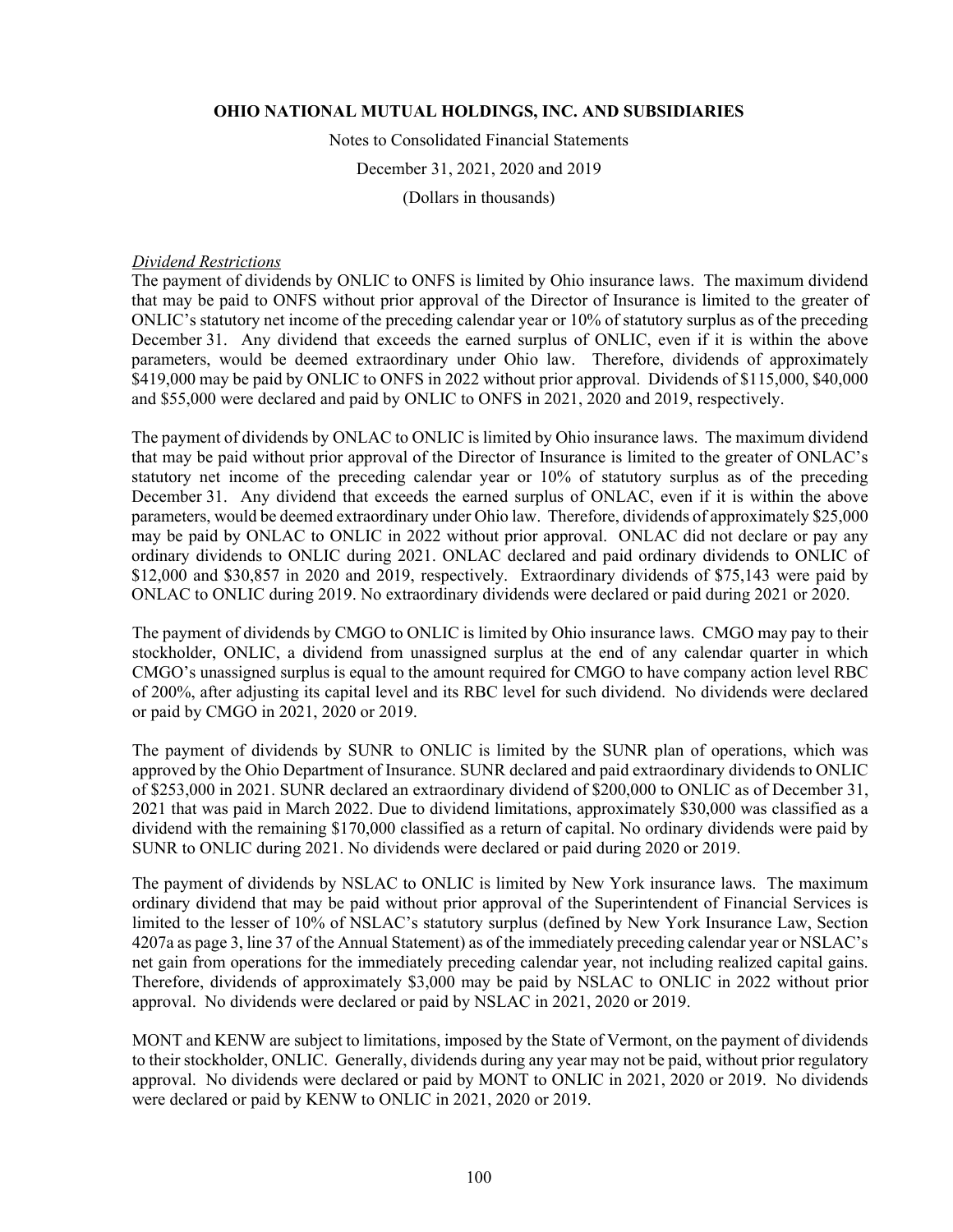Notes to Consolidated Financial Statements

December 31, 2021, 2020 and 2019

(Dollars in thousands)

#### *Dividend Restrictions*

The payment of dividends by ONLIC to ONFS is limited by Ohio insurance laws. The maximum dividend that may be paid to ONFS without prior approval of the Director of Insurance is limited to the greater of ONLIC's statutory net income of the preceding calendar year or 10% of statutory surplus as of the preceding December 31. Any dividend that exceeds the earned surplus of ONLIC, even if it is within the above parameters, would be deemed extraordinary under Ohio law. Therefore, dividends of approximately \$419,000 may be paid by ONLIC to ONFS in 2022 without prior approval. Dividends of \$115,000, \$40,000 and \$55,000 were declared and paid by ONLIC to ONFS in 2021, 2020 and 2019, respectively.

The payment of dividends by ONLAC to ONLIC is limited by Ohio insurance laws. The maximum dividend that may be paid without prior approval of the Director of Insurance is limited to the greater of ONLAC's statutory net income of the preceding calendar year or 10% of statutory surplus as of the preceding December 31. Any dividend that exceeds the earned surplus of ONLAC, even if it is within the above parameters, would be deemed extraordinary under Ohio law. Therefore, dividends of approximately \$25,000 may be paid by ONLAC to ONLIC in 2022 without prior approval. ONLAC did not declare or pay any ordinary dividends to ONLIC during 2021. ONLAC declared and paid ordinary dividends to ONLIC of \$12,000 and \$30,857 in 2020 and 2019, respectively. Extraordinary dividends of \$75,143 were paid by ONLAC to ONLIC during 2019. No extraordinary dividends were declared or paid during 2021 or 2020.

The payment of dividends by CMGO to ONLIC is limited by Ohio insurance laws. CMGO may pay to their stockholder, ONLIC, a dividend from unassigned surplus at the end of any calendar quarter in which CMGO's unassigned surplus is equal to the amount required for CMGO to have company action level RBC of 200%, after adjusting its capital level and its RBC level for such dividend. No dividends were declared or paid by CMGO in 2021, 2020 or 2019.

The payment of dividends by SUNR to ONLIC is limited by the SUNR plan of operations, which was approved by the Ohio Department of Insurance. SUNR declared and paid extraordinary dividends to ONLIC of \$253,000 in 2021. SUNR declared an extraordinary dividend of \$200,000 to ONLIC as of December 31, 2021 that was paid in March 2022. Due to dividend limitations, approximately \$30,000 was classified as a dividend with the remaining \$170,000 classified as a return of capital. No ordinary dividends were paid by SUNR to ONLIC during 2021. No dividends were declared or paid during 2020 or 2019.

The payment of dividends by NSLAC to ONLIC is limited by New York insurance laws. The maximum ordinary dividend that may be paid without prior approval of the Superintendent of Financial Services is limited to the lesser of 10% of NSLAC's statutory surplus (defined by New York Insurance Law, Section 4207a as page 3, line 37 of the Annual Statement) as of the immediately preceding calendar year or NSLAC's net gain from operations for the immediately preceding calendar year, not including realized capital gains. Therefore, dividends of approximately \$3,000 may be paid by NSLAC to ONLIC in 2022 without prior approval. No dividends were declared or paid by NSLAC in 2021, 2020 or 2019.

MONT and KENW are subject to limitations, imposed by the State of Vermont, on the payment of dividends to their stockholder, ONLIC. Generally, dividends during any year may not be paid, without prior regulatory approval. No dividends were declared or paid by MONT to ONLIC in 2021, 2020 or 2019. No dividends were declared or paid by KENW to ONLIC in 2021, 2020 or 2019.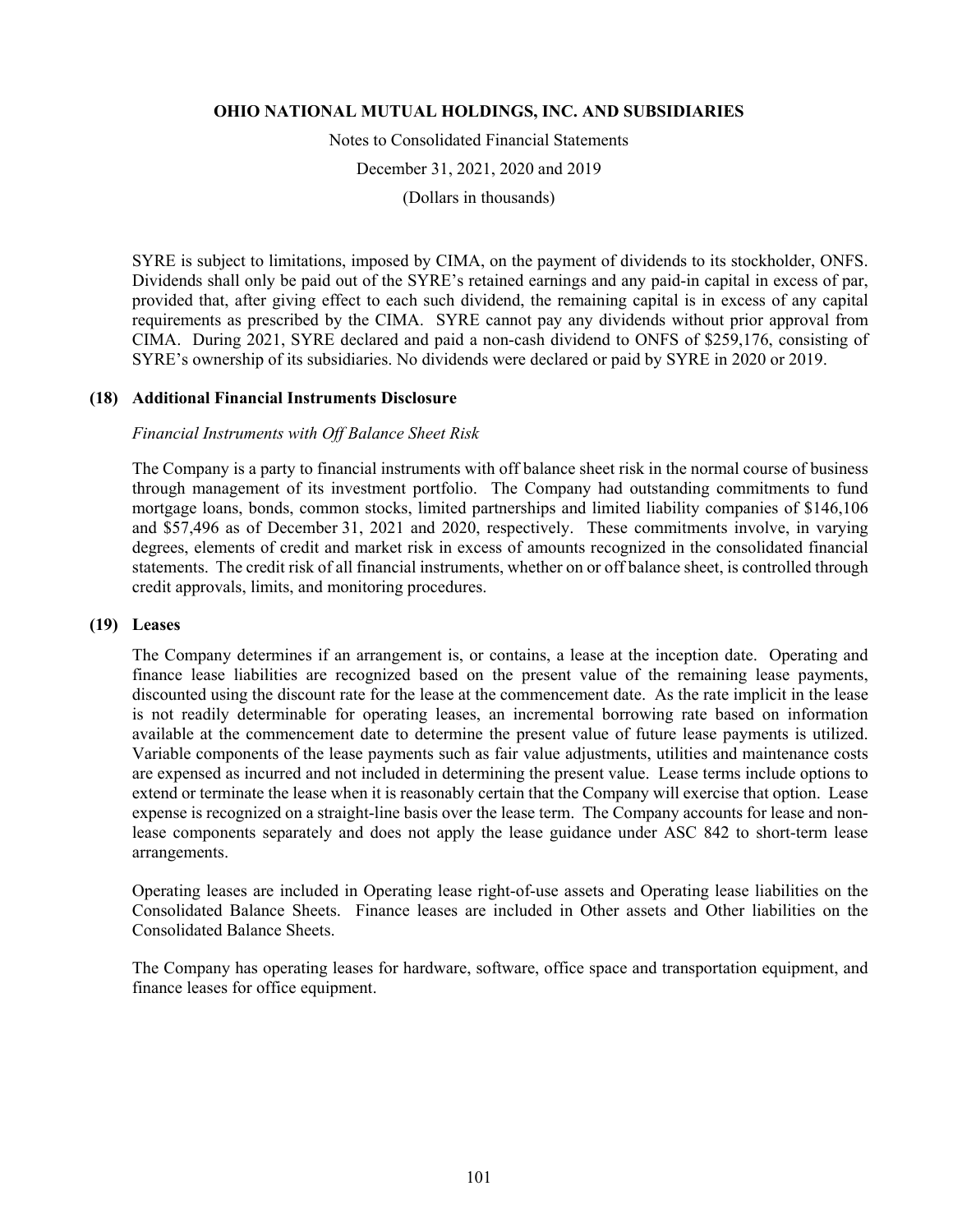Notes to Consolidated Financial Statements

December 31, 2021, 2020 and 2019

(Dollars in thousands)

SYRE is subject to limitations, imposed by CIMA, on the payment of dividends to its stockholder, ONFS. Dividends shall only be paid out of the SYRE's retained earnings and any paid-in capital in excess of par, provided that, after giving effect to each such dividend, the remaining capital is in excess of any capital requirements as prescribed by the CIMA. SYRE cannot pay any dividends without prior approval from CIMA. During 2021, SYRE declared and paid a non-cash dividend to ONFS of \$259,176, consisting of SYRE's ownership of its subsidiaries. No dividends were declared or paid by SYRE in 2020 or 2019.

## **(18) Additional Financial Instruments Disclosure**

#### *Financial Instruments with Off Balance Sheet Risk*

The Company is a party to financial instruments with off balance sheet risk in the normal course of business through management of its investment portfolio. The Company had outstanding commitments to fund mortgage loans, bonds, common stocks, limited partnerships and limited liability companies of \$146,106 and \$57,496 as of December 31, 2021 and 2020, respectively. These commitments involve, in varying degrees, elements of credit and market risk in excess of amounts recognized in the consolidated financial statements. The credit risk of all financial instruments, whether on or off balance sheet, is controlled through credit approvals, limits, and monitoring procedures.

#### **(19) Leases**

The Company determines if an arrangement is, or contains, a lease at the inception date. Operating and finance lease liabilities are recognized based on the present value of the remaining lease payments, discounted using the discount rate for the lease at the commencement date. As the rate implicit in the lease is not readily determinable for operating leases, an incremental borrowing rate based on information available at the commencement date to determine the present value of future lease payments is utilized. Variable components of the lease payments such as fair value adjustments, utilities and maintenance costs are expensed as incurred and not included in determining the present value. Lease terms include options to extend or terminate the lease when it is reasonably certain that the Company will exercise that option. Lease expense is recognized on a straight-line basis over the lease term. The Company accounts for lease and nonlease components separately and does not apply the lease guidance under ASC 842 to short-term lease arrangements.

Operating leases are included in Operating lease right-of-use assets and Operating lease liabilities on the Consolidated Balance Sheets. Finance leases are included in Other assets and Other liabilities on the Consolidated Balance Sheets.

The Company has operating leases for hardware, software, office space and transportation equipment, and finance leases for office equipment.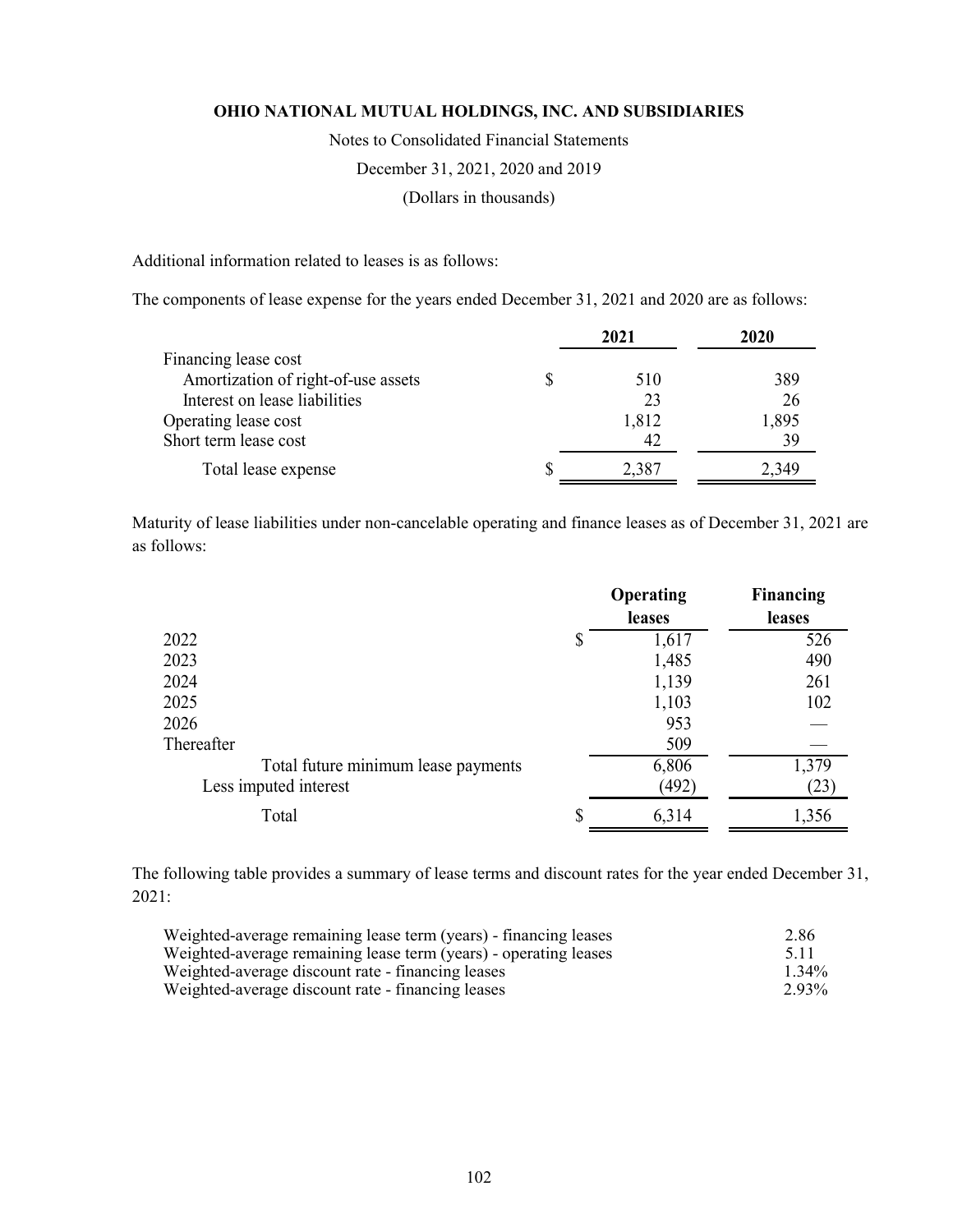Notes to Consolidated Financial Statements

December 31, 2021, 2020 and 2019

(Dollars in thousands)

Additional information related to leases is as follows:

The components of lease expense for the years ended December 31, 2021 and 2020 are as follows:

|                                     | 2021  | 2020  |
|-------------------------------------|-------|-------|
| Financing lease cost                |       |       |
| Amortization of right-of-use assets | 510   | 389   |
| Interest on lease liabilities       | 23    | 26    |
| Operating lease cost                | 1,812 | 1,895 |
| Short term lease cost               |       | 39    |
| Total lease expense                 | 2,387 | 2.349 |

Maturity of lease liabilities under non-cancelable operating and finance leases as of December 31, 2021 are as follows:

| Operating   | <b>Financing</b> |
|-------------|------------------|
| leases      | leases           |
| \$<br>1,617 | 526              |
| 1,485       | 490              |
| 1,139       | 261              |
| 1,103       | 102              |
| 953         |                  |
| 509         |                  |
| 6,806       | 1,379            |
| (492)       | (23)             |
| 6,314       | 1,356            |
|             |                  |

The following table provides a summary of lease terms and discount rates for the year ended December 31, 2021:

| Weighted-average remaining lease term (years) - financing leases | 2.86     |
|------------------------------------------------------------------|----------|
| Weighted-average remaining lease term (years) - operating leases | 5.11     |
| Weighted-average discount rate - financing leases                | $1.34\%$ |
| Weighted-average discount rate - financing leases                | 2.93%    |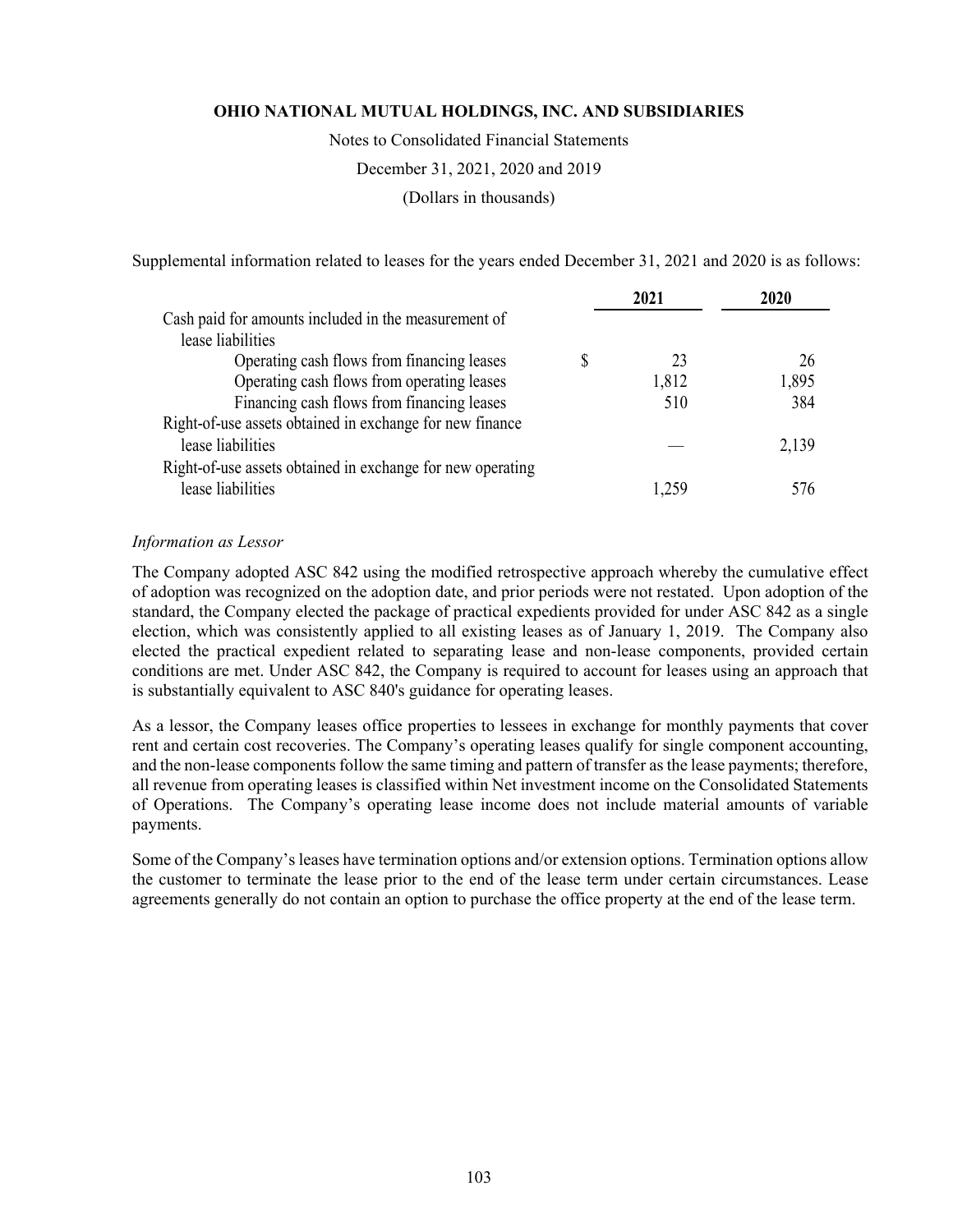Notes to Consolidated Financial Statements

December 31, 2021, 2020 and 2019

(Dollars in thousands)

Supplemental information related to leases for the years ended December 31, 2021 and 2020 is as follows:

| 2021  | 2020  |
|-------|-------|
|       |       |
|       |       |
| 23    | 26    |
| 1,812 | 1,895 |
| 510   | 384   |
|       |       |
|       | 2,139 |
|       |       |
| 1.259 |       |
|       |       |

## *Information as Lessor*

The Company adopted ASC 842 using the modified retrospective approach whereby the cumulative effect of adoption was recognized on the adoption date, and prior periods were not restated. Upon adoption of the standard, the Company elected the package of practical expedients provided for under ASC 842 as a single election, which was consistently applied to all existing leases as of January 1, 2019. The Company also elected the practical expedient related to separating lease and non-lease components, provided certain conditions are met. Under ASC 842, the Company is required to account for leases using an approach that is substantially equivalent to ASC 840's guidance for operating leases.

As a lessor, the Company leases office properties to lessees in exchange for monthly payments that cover rent and certain cost recoveries. The Company's operating leases qualify for single component accounting, and the non-lease components follow the same timing and pattern of transfer as the lease payments; therefore, all revenue from operating leases is classified within Net investment income on the Consolidated Statements of Operations. The Company's operating lease income does not include material amounts of variable payments.

Some of the Company's leases have termination options and/or extension options. Termination options allow the customer to terminate the lease prior to the end of the lease term under certain circumstances. Lease agreements generally do not contain an option to purchase the office property at the end of the lease term.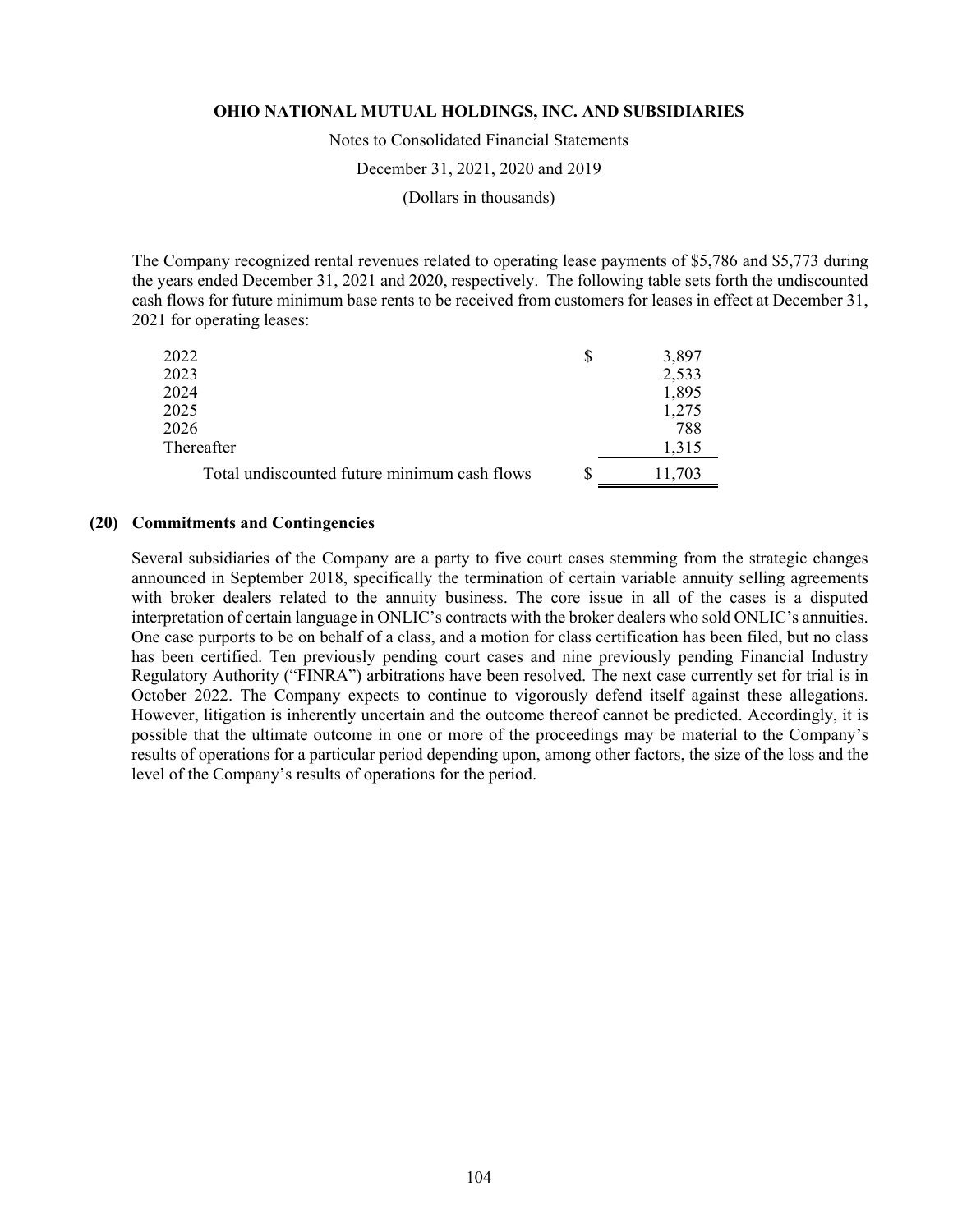Notes to Consolidated Financial Statements

December 31, 2021, 2020 and 2019

(Dollars in thousands)

The Company recognized rental revenues related to operating lease payments of \$5,786 and \$5,773 during the years ended December 31, 2021 and 2020, respectively. The following table sets forth the undiscounted cash flows for future minimum base rents to be received from customers for leases in effect at December 31, 2021 for operating leases:

| 2022                                         | Ъ | 3,897  |
|----------------------------------------------|---|--------|
| 2023                                         |   | 2,533  |
| 2024                                         |   | 1,895  |
| 2025                                         |   | 1,275  |
| 2026                                         |   | 788    |
| Thereafter                                   |   | 1,315  |
| Total undiscounted future minimum cash flows |   | 11,703 |

## **(20) Commitments and Contingencies**

Several subsidiaries of the Company are a party to five court cases stemming from the strategic changes announced in September 2018, specifically the termination of certain variable annuity selling agreements with broker dealers related to the annuity business. The core issue in all of the cases is a disputed interpretation of certain language in ONLIC's contracts with the broker dealers who sold ONLIC's annuities. One case purports to be on behalf of a class, and a motion for class certification has been filed, but no class has been certified. Ten previously pending court cases and nine previously pending Financial Industry Regulatory Authority ("FINRA") arbitrations have been resolved. The next case currently set for trial is in October 2022. The Company expects to continue to vigorously defend itself against these allegations. However, litigation is inherently uncertain and the outcome thereof cannot be predicted. Accordingly, it is possible that the ultimate outcome in one or more of the proceedings may be material to the Company's results of operations for a particular period depending upon, among other factors, the size of the loss and the level of the Company's results of operations for the period.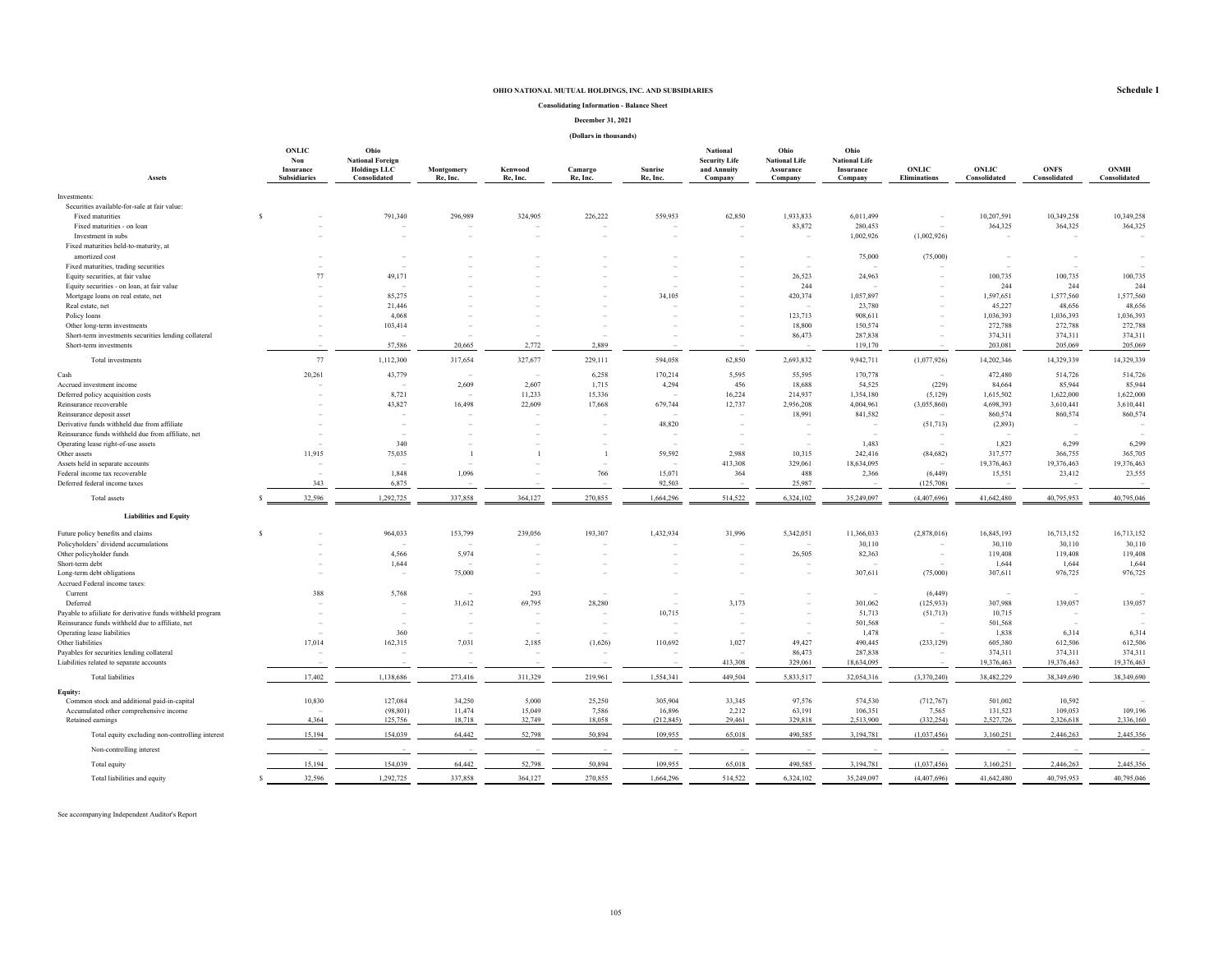**Consolidating Information - Balance Sheet**

**December 31, 2021**

**(Dollars in thousands)**

| Assets                                                                   | <b>ONLIC</b><br>Non<br><b>Insurance</b><br><b>Subsidiaries</b> | Ohio<br><b>National Foreign</b><br><b>Holdings LLC</b><br>Consolidated | Montgomery<br>Re. Inc. | Kenwood<br>Re. Inc. | Camargo<br>Re. Inc. | <b>Sunrise</b><br>Re. Inc. | National<br><b>Security Life</b><br>and Annuity<br>Company | Ohio<br><b>National Life</b><br>Assurance<br>Company | Ohio<br><b>National Life</b><br>Insurance<br>Company | <b>ONLIC</b><br><b>Eliminations</b> | <b>ONLIC</b><br>Consolidated | <b>ONFS</b><br>Consolidated | <b>ONMH</b><br>Consolidated |
|--------------------------------------------------------------------------|----------------------------------------------------------------|------------------------------------------------------------------------|------------------------|---------------------|---------------------|----------------------------|------------------------------------------------------------|------------------------------------------------------|------------------------------------------------------|-------------------------------------|------------------------------|-----------------------------|-----------------------------|
| Investments:                                                             |                                                                |                                                                        |                        |                     |                     |                            |                                                            |                                                      |                                                      |                                     |                              |                             |                             |
|                                                                          |                                                                |                                                                        |                        |                     |                     |                            |                                                            |                                                      |                                                      |                                     |                              |                             |                             |
| Securities available-for-sale at fair value:<br>Fixed maturities         | -S                                                             | 791,340                                                                |                        |                     | 226,222             | 559,953                    | 62,850                                                     | 1,933,833                                            |                                                      |                                     | 10,207,591                   | 10,349,258                  | 10,349,258                  |
| Fixed maturities - on loan                                               |                                                                |                                                                        | 296,989                | 324,905             |                     |                            |                                                            |                                                      | 6,011,499<br>280,453                                 |                                     |                              |                             |                             |
|                                                                          |                                                                |                                                                        |                        |                     |                     |                            |                                                            | 83,872                                               |                                                      |                                     | 364,325                      | 364,325                     | 364,325                     |
| Investment in subs                                                       |                                                                |                                                                        |                        |                     |                     |                            |                                                            |                                                      | 1,002,926                                            | (1,002,926)                         |                              |                             |                             |
| Fixed maturities held-to-maturity, at                                    |                                                                |                                                                        |                        |                     |                     |                            |                                                            |                                                      |                                                      |                                     |                              |                             |                             |
| amortized cost                                                           |                                                                |                                                                        |                        |                     |                     |                            |                                                            |                                                      | 75,000                                               | (75,000)                            |                              |                             |                             |
| Fixed maturities, trading securities<br>Equity securities, at fair value | 77                                                             | 49,171                                                                 |                        |                     |                     |                            |                                                            | 26,523                                               | 24,963                                               |                                     | 100,735                      | 100,735                     | 100,735                     |
|                                                                          |                                                                |                                                                        |                        |                     |                     |                            |                                                            |                                                      |                                                      |                                     |                              |                             | 244                         |
| Equity securities - on loan, at fair value                               |                                                                | 85,275                                                                 |                        |                     |                     | 34,105                     |                                                            | 244<br>420,374                                       | 1,057,897                                            |                                     | 244<br>1,597,651             | 244<br>1,577,560            | 1,577,560                   |
| Mortgage loans on real estate, net                                       |                                                                | 21,446                                                                 |                        |                     |                     |                            |                                                            |                                                      | 23,780                                               |                                     | 45.227                       | 48,656                      | 48,656                      |
| Real estate, net                                                         |                                                                |                                                                        |                        |                     |                     |                            |                                                            |                                                      |                                                      |                                     | 1,036,393                    |                             |                             |
| Policy loans                                                             |                                                                | 4,068                                                                  |                        |                     |                     |                            |                                                            | 123,713                                              | 908,611                                              |                                     |                              | 1,036,393                   | 1,036,393                   |
| Other long-term investments                                              |                                                                | 103,414                                                                |                        |                     |                     |                            |                                                            | 18,800                                               | 150,574                                              |                                     | 272,788                      | 272,788                     | 272,788                     |
| Short-term investments securities lending collateral                     |                                                                |                                                                        |                        |                     |                     |                            |                                                            | 86,473                                               | 287,838                                              |                                     | 374,311                      | 374.311                     | 374,311                     |
| Short-term investments                                                   |                                                                | 57,586                                                                 | 20,665                 | 2,772               | 2,889               |                            |                                                            |                                                      | 119,170                                              |                                     | 203,081                      | 205,069                     | 205,069                     |
| Total investments                                                        | 77                                                             | 1,112,300                                                              | 317,654                | 327,677             | 229,111             | 594,058                    | 62,850                                                     | 2,693,832                                            | 9,942,711                                            | (1,077,926)                         | 14,202,346                   | 14,329,339                  | 14,329,339                  |
| Cash                                                                     | 20,261                                                         | 43,779                                                                 |                        |                     | 6,258               | 170,214                    | 5,595                                                      | 55,595                                               | 170,778                                              |                                     | 472,480                      | 514,726                     | 514,726                     |
| Accrued investment income                                                |                                                                |                                                                        | 2.609                  | 2,607               | 1,715               | 4,294                      | 456                                                        | 18,688                                               | 54,525                                               | (229)                               | 84,664                       | 85,944                      | 85,944                      |
| Deferred policy acquisition costs                                        |                                                                | 8,721                                                                  |                        | 11,233              | 15,336              |                            | 16,224                                                     | 214,937                                              | 1,354,180                                            | (5, 129)                            | 1,615,502                    | 1,622,000                   | 1,622,000                   |
| Reinsurance recoverable                                                  |                                                                | 43,827                                                                 | 16,498                 | 22,609              | 17,668              | 679,744                    | 12,737                                                     | 2,956,208                                            | 4,004,961                                            | (3,055,860)                         | 4,698,393                    | 3,610,441                   | 3,610,441                   |
| Reinsurance deposit asset                                                |                                                                |                                                                        |                        |                     |                     |                            |                                                            | 18,991                                               | 841,582                                              |                                     | 860,574                      | 860,574                     | 860,574                     |
| Derivative funds withheld due from affiliate                             |                                                                |                                                                        |                        |                     |                     | 48,820                     |                                                            |                                                      |                                                      | (51, 713)                           | (2,893)                      |                             |                             |
| Reinsurance funds withheld due from affiliate, net                       |                                                                |                                                                        |                        |                     |                     |                            |                                                            |                                                      |                                                      |                                     |                              |                             |                             |
| Operating lease right-of-use assets                                      |                                                                | 340                                                                    |                        |                     |                     |                            |                                                            |                                                      | 1,483                                                |                                     | 1,823                        | 6,299                       | 6,299                       |
| Other assets                                                             | 11,915                                                         | 75,035                                                                 | $\blacksquare$         |                     |                     | 59,592                     | 2,988                                                      | 10,315                                               | 242,416                                              | (84, 682)                           | 317,577                      | 366,755                     | 365,705                     |
| Assets held in separate accounts                                         |                                                                |                                                                        |                        |                     |                     |                            | 413,308                                                    | 329,061                                              | 18,634,095                                           |                                     | 19,376,463                   | 19,376,463                  | 19,376,463                  |
| Federal income tax recoverable                                           |                                                                | 1,848                                                                  | 1,096                  |                     | 766                 | 15,071                     | 364                                                        | 488                                                  | 2,366                                                | (6, 449)                            | 15,551                       | 23,412                      | 23,555                      |
| Deferred federal income taxes                                            | 343                                                            | 6,875                                                                  |                        |                     |                     | 92,503                     |                                                            | 25,987                                               |                                                      | (125,708)                           |                              |                             |                             |
| Total assets                                                             | 32,596                                                         | 1,292,725                                                              | 337,858                | 364,127             | 270,855             | 1,664,296                  | 514,522                                                    | 6,324,102                                            | 35,249,097                                           | (4,407,696)                         | 41,642,480                   | 40,795,953                  | 40,795,046                  |
| <b>Liabilities and Equity</b>                                            |                                                                |                                                                        |                        |                     |                     |                            |                                                            |                                                      |                                                      |                                     |                              |                             |                             |
| Future policy benefits and claims                                        | -S                                                             | 964,033                                                                | 153,799                | 239,056             | 193.307             | 1,432,934                  | 31,996                                                     | 5,342,051                                            | 11,366,033                                           | (2,878,016)                         | 16,845,193                   | 16,713,152                  | 16,713,152                  |
| Policyholders' dividend accumulations                                    |                                                                |                                                                        |                        |                     |                     |                            |                                                            |                                                      | 30,110                                               |                                     | 30,110                       | 30,110                      | 30,110                      |
| Other policyholder funds                                                 |                                                                | 4,566                                                                  | 5,974                  |                     |                     |                            |                                                            | 26,505                                               | 82,363                                               |                                     | 119,408                      | 119,408                     | 119,408                     |
| Short-term debt                                                          |                                                                | 1,644                                                                  |                        |                     |                     |                            |                                                            |                                                      |                                                      |                                     | 1,644                        | 1,644                       | 1,644                       |
| Long-term debt obligations                                               |                                                                |                                                                        | 75,000                 |                     |                     |                            |                                                            |                                                      | 307,611                                              | (75,000)                            | 307,611                      | 976,725                     | 976,725                     |
| Accrued Federal income taxes:                                            |                                                                |                                                                        |                        |                     |                     |                            |                                                            |                                                      |                                                      |                                     |                              |                             |                             |
| Current                                                                  | 388                                                            | 5.768                                                                  | -                      | 293                 |                     | $\sim$                     |                                                            |                                                      |                                                      | (6, 449)                            | $\overline{\phantom{a}}$     |                             |                             |
| Deferred                                                                 |                                                                |                                                                        | 31,612                 | 69,795              | 28,280              |                            | 3,173                                                      |                                                      | 301,062                                              | (125, 933)                          | 307,988                      | 139,057                     | 139,057                     |
| Payable to afiiliate for derivative funds withheld program               |                                                                |                                                                        |                        |                     |                     | 10,715                     |                                                            |                                                      | 51,713                                               | (51, 713)                           | 10,715                       |                             |                             |
| Reinsurance funds withheld due to affiliate, net                         |                                                                |                                                                        |                        |                     |                     |                            |                                                            |                                                      | 501,568                                              |                                     | 501,568                      |                             |                             |
| Operating lease liabilities                                              |                                                                | 360                                                                    |                        |                     |                     |                            |                                                            |                                                      | 1,478                                                |                                     | 1,838                        | 6,314                       | 6,314                       |
| Other liabilities                                                        | 17,014                                                         | 162,315                                                                | 7,031                  | 2,185               | (1,626)             | 110,692                    | 1,027                                                      | 49,427                                               | 490,445                                              | (233, 129)                          | 605,380                      | 612,506                     | 612,506                     |
| Payables for securities lending collateral                               |                                                                |                                                                        | ۰                      |                     |                     |                            |                                                            | 86,473                                               | 287,838                                              |                                     | 374,311                      | 374,311                     | 374,311                     |
| Liabilities related to separate accounts                                 |                                                                |                                                                        |                        |                     |                     |                            | 413,308                                                    | 329,061                                              | 18,634,095                                           |                                     | 19,376,463                   | 19,376,463                  | 19,376,463                  |
| <b>Total liabilities</b>                                                 | 17,402                                                         | 1,138,686                                                              | 273,416                | 311,329             | 219,961             | 1,554,341                  | 449,504                                                    | 5,833,517                                            | 32,054,316                                           | (3,370,240)                         | 38,482,229                   | 38,349,690                  | 38,349,690                  |
| Equity:                                                                  |                                                                |                                                                        |                        |                     |                     |                            |                                                            |                                                      |                                                      |                                     |                              |                             |                             |
| Common stock and additional paid-in-capital                              | 10,830                                                         | 127,084                                                                | 34,250                 | 5,000               | 25,250              | 305,904                    | 33,345                                                     | 97,576                                               | 574,530                                              | (712, 767)                          | 501,002                      | 10,592                      |                             |
| Accumulated other comprehensive income                                   |                                                                | (98, 801)                                                              | 11,474                 | 15,049              | 7,586               | 16,896                     | 2,212                                                      | 63,191                                               | 106,351                                              | 7,565                               | 131,523                      | 109,053                     | 109,196                     |
| Retained earnings                                                        | 4,364                                                          | 125,756                                                                | 18,718                 | 32,749              | 18,058              | (212, 845)                 | 29,461                                                     | 329,818                                              | 2,513,900                                            | (332, 254)                          | 2,527,726                    | 2,326,618                   | 2,336,160                   |
| Total equity excluding non-controlling interest                          | 15,194                                                         | 154,039                                                                | 64,442                 | 52,798              | 50,894              | 109,955                    | 65,018                                                     | 490,585                                              | 3,194,781                                            | (1,037,456)                         | 3,160,251                    | 2,446,263                   | 2,445,356                   |
| Non-controlling interest                                                 |                                                                |                                                                        |                        |                     |                     |                            |                                                            |                                                      |                                                      |                                     |                              |                             |                             |
|                                                                          | 15,194                                                         | 154,039                                                                | 64,442                 | 52,798              | 50,894              | 109,955                    | 65,018                                                     | 490,585                                              | 3,194,781                                            | (1,037,456)                         | 3,160,251                    | 2,446,263                   | 2,445,356                   |
| Total equity                                                             | 32.596                                                         | 1.292.725                                                              | 337,858                | 364,127             | 270,855             | 1,664,296                  | 514.522                                                    |                                                      | 35,249,097                                           | (4,407,696)                         | 41,642,480                   | 40,795,953                  | 40,795,046                  |
| Total liabilities and equity                                             |                                                                |                                                                        |                        |                     |                     |                            |                                                            | 6,324,102                                            |                                                      |                                     |                              |                             |                             |

See accompanying Independent Auditor's Report